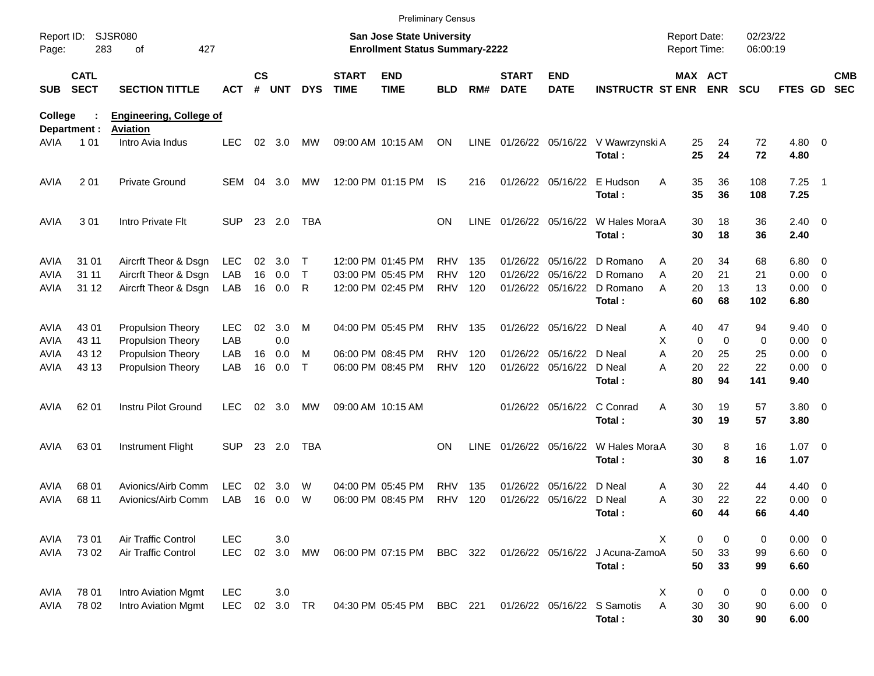|                                           |                                                  |                                                                      |                          |                    |                      |             |                             |                                                                           | <b>Preliminary Census</b>              |                   |                             |                                                      |                                                                                        |                                     |                         |                      |                                    |                                                     |                          |
|-------------------------------------------|--------------------------------------------------|----------------------------------------------------------------------|--------------------------|--------------------|----------------------|-------------|-----------------------------|---------------------------------------------------------------------------|----------------------------------------|-------------------|-----------------------------|------------------------------------------------------|----------------------------------------------------------------------------------------|-------------------------------------|-------------------------|----------------------|------------------------------------|-----------------------------------------------------|--------------------------|
| Page:                                     | <b>SJSR080</b><br>Report ID:<br>427<br>283<br>οf |                                                                      |                          |                    |                      |             |                             | <b>San Jose State University</b><br><b>Enrollment Status Summary-2222</b> |                                        |                   |                             |                                                      |                                                                                        | <b>Report Date:</b><br>Report Time: |                         | 02/23/22<br>06:00:19 |                                    |                                                     |                          |
| <b>SUB</b>                                | <b>CATL</b><br><b>SECT</b>                       | <b>SECTION TITTLE</b>                                                | ACT                      | $\mathsf{cs}$<br># | <b>UNT</b>           | <b>DYS</b>  | <b>START</b><br><b>TIME</b> | <b>END</b><br><b>TIME</b>                                                 | BLD                                    | RM#               | <b>START</b><br><b>DATE</b> | <b>END</b><br><b>DATE</b>                            | <b>INSTRUCTR ST ENR</b>                                                                | MAX ACT                             | <b>ENR</b>              | <b>SCU</b>           | FTES GD                            |                                                     | <b>CMB</b><br><b>SEC</b> |
| College                                   |                                                  | <b>Engineering, College of</b>                                       |                          |                    |                      |             |                             |                                                                           |                                        |                   |                             |                                                      |                                                                                        |                                     |                         |                      |                                    |                                                     |                          |
| AVIA                                      | Department :<br>1 0 1                            | Aviation<br>Intro Avia Indus                                         | <b>LEC</b>               | 02                 | 3.0                  | MW          |                             | 09:00 AM 10:15 AM                                                         | ON                                     | LINE              |                             |                                                      | 01/26/22 05/16/22 V Wawrzynski A<br>Total:                                             | 25<br>25                            | 24<br>24                | 72<br>72             | $4.80$ 0<br>4.80                   |                                                     |                          |
| <b>AVIA</b>                               | 2 0 1                                            | <b>Private Ground</b>                                                | SEM                      | 04                 | 3.0                  | MW          |                             | 12:00 PM 01:15 PM                                                         | IS                                     | 216               |                             | 01/26/22 05/16/22                                    | E Hudson<br>Total:                                                                     | 35<br>Α<br>35                       | 36<br>36                | 108<br>108           | $7.25$ 1<br>7.25                   |                                                     |                          |
| <b>AVIA</b>                               | 301                                              | Intro Private Flt                                                    | <b>SUP</b>               |                    | 23 2.0               | <b>TBA</b>  |                             |                                                                           | <b>ON</b>                              | <b>LINE</b>       |                             |                                                      | 01/26/22 05/16/22 W Hales MoraA<br>Total:                                              | 30<br>30                            | 18<br>18                | 36<br>36             | $2.40 \ 0$<br>2.40                 |                                                     |                          |
| <b>AVIA</b><br><b>AVIA</b><br><b>AVIA</b> | 31 01<br>31 11<br>31 12                          | Aircrft Theor & Dsgn<br>Aircrft Theor & Dsgn<br>Aircrft Theor & Dsgn | <b>LEC</b><br>LAB<br>LAB | 02<br>16           | 3.0<br>0.0<br>16 0.0 | Т<br>T<br>R |                             | 12:00 PM 01:45 PM<br>03:00 PM 05:45 PM<br>12:00 PM 02:45 PM               | <b>RHV</b><br><b>RHV</b><br><b>RHV</b> | 135<br>120<br>120 |                             |                                                      | 01/26/22 05/16/22 D Romano<br>01/26/22 05/16/22 D Romano<br>01/26/22 05/16/22 D Romano | 20<br>Α<br>20<br>Α<br>20<br>Α       | 34<br>21<br>13          | 68<br>21<br>13       | $6.80$ 0<br>0.00<br>$0.00 \t 0$    | $\overline{\phantom{0}}$                            |                          |
| <b>AVIA</b><br><b>AVIA</b>                | 43 01<br>43 11                                   | <b>Propulsion Theory</b><br>Propulsion Theory                        | <b>LEC</b><br>LAB        | 02                 | 3.0<br>0.0           | М           |                             | 04:00 PM 05:45 PM                                                         | <b>RHV</b>                             | 135               |                             | 01/26/22 05/16/22 D Neal                             | Total:                                                                                 | 60<br>40<br>Α<br>X<br>0             | 68<br>47<br>$\mathbf 0$ | 102<br>94<br>0       | 6.80<br>$9.40 \quad 0$<br>0.00     | $\overline{\phantom{0}}$                            |                          |
| AVIA<br>AVIA                              | 43 12<br>43 13                                   | Propulsion Theory<br><b>Propulsion Theory</b>                        | LAB<br>LAB               | 16<br>16           | 0.0<br>0.0           | м<br>Τ      |                             | 06:00 PM 08:45 PM<br>06:00 PM 08:45 PM                                    | <b>RHV</b><br><b>RHV</b>               | 120<br>120        |                             | 01/26/22 05/16/22 D Neal<br>01/26/22 05/16/22 D Neal | Total:                                                                                 | A<br>20<br>20<br>A<br>80            | 25<br>22<br>94          | 25<br>22<br>141      | 0.00<br>0.00<br>9.40               | $\overline{\mathbf{0}}$<br>$\overline{\phantom{0}}$ |                          |
| AVIA                                      | 62 01                                            | <b>Instru Pilot Ground</b>                                           | <b>LEC</b>               | 02                 | 3.0                  | MW          |                             | 09:00 AM 10:15 AM                                                         |                                        |                   |                             | 01/26/22 05/16/22                                    | C Conrad<br>Total:                                                                     | Α<br>30<br>30                       | 19<br>19                | 57<br>57             | 3.80 0<br>3.80                     |                                                     |                          |
| AVIA                                      | 6301                                             | Instrument Flight                                                    | <b>SUP</b>               |                    | 23 2.0               | <b>TBA</b>  |                             |                                                                           | <b>ON</b>                              | <b>LINE</b>       |                             | 01/26/22 05/16/22                                    | W Hales MoraA<br>Total:                                                                | 30<br>30                            | 8<br>8                  | 16<br>16             | $1.07 \t 0$<br>1.07                |                                                     |                          |
| AVIA<br>AVIA                              | 68 01<br>68 11                                   | Avionics/Airb Comm<br>Avionics/Airb Comm                             | <b>LEC</b><br>LAB        | 02<br>16           | 3.0<br>0.0           | W<br>W      |                             | 04:00 PM 05:45 PM<br>06:00 PM 08:45 PM                                    | RHV<br><b>RHV</b>                      | 135<br>120        | 01/26/22                    | 05/16/22 D Neal<br>01/26/22 05/16/22 D Neal          | Total:                                                                                 | 30<br>Α<br>30<br>Α<br>60            | 22<br>22<br>44          | 44<br>22<br>66       | $4.40 \quad 0$<br>0.00<br>4.40     | $\overline{\phantom{0}}$                            |                          |
| AVIA<br>AVIA                              | 73 01<br>73 02                                   | Air Traffic Control<br>Air Traffic Control                           | LEC<br><b>LEC</b>        |                    | 3.0<br>02 3.0        | MW          |                             | 06:00 PM 07:15 PM                                                         | BBC 322                                |                   |                             |                                                      | 01/26/22 05/16/22 J Acuna-ZamoA<br>Total:                                              | Χ<br>0<br>50<br>50                  | 0<br>33<br>33           | 0<br>99<br>99        | $0.00 \t 0$<br>$6.60$ 0<br>6.60    |                                                     |                          |
| AVIA<br>AVIA                              | 78 01<br>78 02                                   | Intro Aviation Mgmt<br>Intro Aviation Mgmt                           | <b>LEC</b><br><b>LEC</b> |                    | 3.0<br>02 3.0        | TR          |                             | 04:30 PM 05:45 PM                                                         | <b>BBC</b> 221                         |                   |                             |                                                      | 01/26/22 05/16/22 S Samotis<br>Total:                                                  | X<br>0<br>A<br>30<br>30             | 0<br>30<br>30           | 0<br>90<br>90        | $0.00 \t 0$<br>$6.00 \t 0$<br>6.00 |                                                     |                          |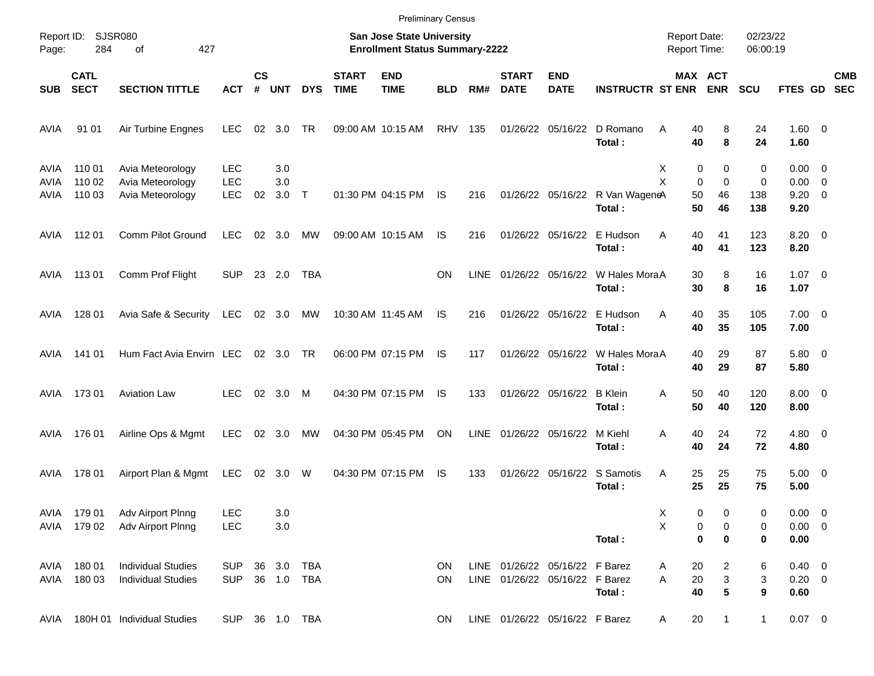|                      |                            |                                                          |                                        |                    |                   |                          |                             | <b>Preliminary Census</b>                                          |                        |             |                             |                                                                  |                                           |                                     |                                                   |                      |                                                     |                          |
|----------------------|----------------------------|----------------------------------------------------------|----------------------------------------|--------------------|-------------------|--------------------------|-----------------------------|--------------------------------------------------------------------|------------------------|-------------|-----------------------------|------------------------------------------------------------------|-------------------------------------------|-------------------------------------|---------------------------------------------------|----------------------|-----------------------------------------------------|--------------------------|
| Page:                | Report ID: SJSR080<br>284  | 427<br>οf                                                |                                        |                    |                   |                          |                             | San Jose State University<br><b>Enrollment Status Summary-2222</b> |                        |             |                             |                                                                  |                                           | <b>Report Date:</b><br>Report Time: |                                                   | 02/23/22<br>06:00:19 |                                                     |                          |
| <b>SUB</b>           | <b>CATL</b><br><b>SECT</b> | <b>SECTION TITTLE</b>                                    | ACT                                    | $\mathsf{cs}$<br># | <b>UNT</b>        | <b>DYS</b>               | <b>START</b><br><b>TIME</b> | <b>END</b><br><b>TIME</b>                                          | <b>BLD</b>             | RM#         | <b>START</b><br><b>DATE</b> | <b>END</b><br><b>DATE</b>                                        | <b>INSTRUCTR ST ENR</b>                   | MAX ACT                             | <b>ENR</b>                                        | <b>SCU</b>           | FTES GD                                             | <b>CMB</b><br><b>SEC</b> |
| <b>AVIA</b>          | 91 01                      | Air Turbine Engnes                                       | <b>LEC</b>                             | 02                 | 3.0               | TR                       |                             | 09:00 AM 10:15 AM                                                  | <b>RHV</b>             | 135         |                             | 01/26/22 05/16/22                                                | D Romano<br>Total:                        | Α<br>40<br>40                       | 8<br>8                                            | 24<br>24             | $1.60 \t 0$<br>1.60                                 |                          |
| AVIA<br>AVIA<br>AVIA | 110 01<br>110 02<br>110 03 | Avia Meteorology<br>Avia Meteorology<br>Avia Meteorology | <b>LEC</b><br><b>LEC</b><br><b>LEC</b> | 02                 | 3.0<br>3.0<br>3.0 | $\top$                   |                             | 01:30 PM 04:15 PM                                                  | <b>IS</b>              | 216         |                             |                                                                  | 01/26/22 05/16/22 R Van WageneA<br>Total: | х<br>0<br>X<br>0<br>50<br>50        | 0<br>$\Omega$<br>46<br>46                         | 0<br>0<br>138<br>138 | $0.00 \quad 0$<br>$0.00 \t 0$<br>$9.20 \ 0$<br>9.20 |                          |
| AVIA                 | 112 01                     | Comm Pilot Ground                                        | <b>LEC</b>                             | 02                 | 3.0               | МW                       |                             | 09:00 AM 10:15 AM                                                  | IS                     | 216         |                             | 01/26/22 05/16/22                                                | E Hudson<br>Total:                        | A<br>40<br>40                       | 41<br>41                                          | 123<br>123           | $8.20 \ 0$<br>8.20                                  |                          |
| AVIA                 | 11301                      | Comm Prof Flight                                         | <b>SUP</b>                             |                    | 23 2.0            | TBA                      |                             |                                                                    | <b>ON</b>              | LINE        |                             | 01/26/22 05/16/22                                                | W Hales MoraA<br>Total:                   | 30<br>30                            | 8<br>8                                            | 16<br>16             | $1.07 \t 0$<br>1.07                                 |                          |
| AVIA                 | 128 01                     | Avia Safe & Security                                     | <b>LEC</b>                             |                    | 02 3.0 MW         |                          |                             | 10:30 AM 11:45 AM                                                  | IS                     | 216         |                             | 01/26/22 05/16/22                                                | E Hudson<br>Total:                        | A<br>40<br>40                       | 35<br>35                                          | 105<br>105           | $7.00 \t 0$<br>7.00                                 |                          |
| AVIA                 | 141 01                     | Hum Fact Avia Envirn LEC                                 |                                        |                    | 02 3.0 TR         |                          |                             | 06:00 PM 07:15 PM                                                  | IS                     | 117         |                             | 01/26/22 05/16/22                                                | W Hales MoraA<br>Total:                   | 40<br>40                            | 29<br>29                                          | 87<br>87             | 5.80 0<br>5.80                                      |                          |
| AVIA                 | 17301                      | <b>Aviation Law</b>                                      | <b>LEC</b>                             |                    | 02 3.0            | M                        |                             | 04:30 PM 07:15 PM                                                  | IS                     | 133         |                             | 01/26/22 05/16/22                                                | <b>B</b> Klein<br>Total:                  | 50<br>Α<br>50                       | 40<br>40                                          | 120<br>120           | $8.00 \t 0$<br>8.00                                 |                          |
| AVIA                 | 176 01                     | Airline Ops & Mgmt                                       | <b>LEC</b>                             | 02                 | 3.0               | МW                       |                             | 04:30 PM 05:45 PM                                                  | ON                     | <b>LINE</b> |                             | 01/26/22 05/16/22                                                | M Kiehl<br>Total:                         | Α<br>40<br>40                       | 24<br>24                                          | 72<br>72             | $4.80$ 0<br>4.80                                    |                          |
| AVIA                 | 178 01                     | Airport Plan & Mgmt                                      | <b>LEC</b>                             |                    | 02 3.0            | W                        |                             | 04:30 PM 07:15 PM                                                  | IS                     | 133         |                             |                                                                  | 01/26/22 05/16/22 S Samotis<br>Total:     | Α<br>25<br>25                       | 25<br>25                                          | 75<br>75             | $5.00 \t 0$<br>5.00                                 |                          |
| AVIA                 | 179 01<br>AVIA 179 02      | Adv Airport Plnng<br>Adv Airport Plnng                   | <b>LEC</b><br><b>LEC</b>               |                    | 3.0<br>3.0        |                          |                             |                                                                    |                        |             |                             |                                                                  | Total:                                    | Χ<br>0<br>X<br>0<br>$\bf{0}$        | 0<br>0<br>0                                       | 0<br>0<br>0          | $0.00 \t 0$<br>$0.00 \t 0$<br>0.00                  |                          |
| AVIA<br>AVIA         | 180 01<br>180 03           | <b>Individual Studies</b><br><b>Individual Studies</b>   | <b>SUP</b><br><b>SUP</b>               |                    | 36 3.0            | <b>TBA</b><br>36 1.0 TBA |                             |                                                                    | <b>ON</b><br><b>ON</b> |             |                             | LINE 01/26/22 05/16/22 F Barez<br>LINE 01/26/22 05/16/22 F Barez | Total:                                    | 20<br>Α<br>20<br>Α<br>40            | 2<br>$\ensuremath{\mathsf{3}}$<br>$5\phantom{.0}$ | 6<br>3<br>9          | $0.40 \ 0$<br>$0.20 \ 0$<br>0.60                    |                          |
| AVIA                 |                            | 180H 01 Individual Studies                               | SUP 36 1.0 TBA                         |                    |                   |                          |                             |                                                                    | ON                     |             |                             | LINE 01/26/22 05/16/22 F Barez                                   |                                           | 20<br>A                             | 1                                                 | $\mathbf{1}$         | $0.07$ 0                                            |                          |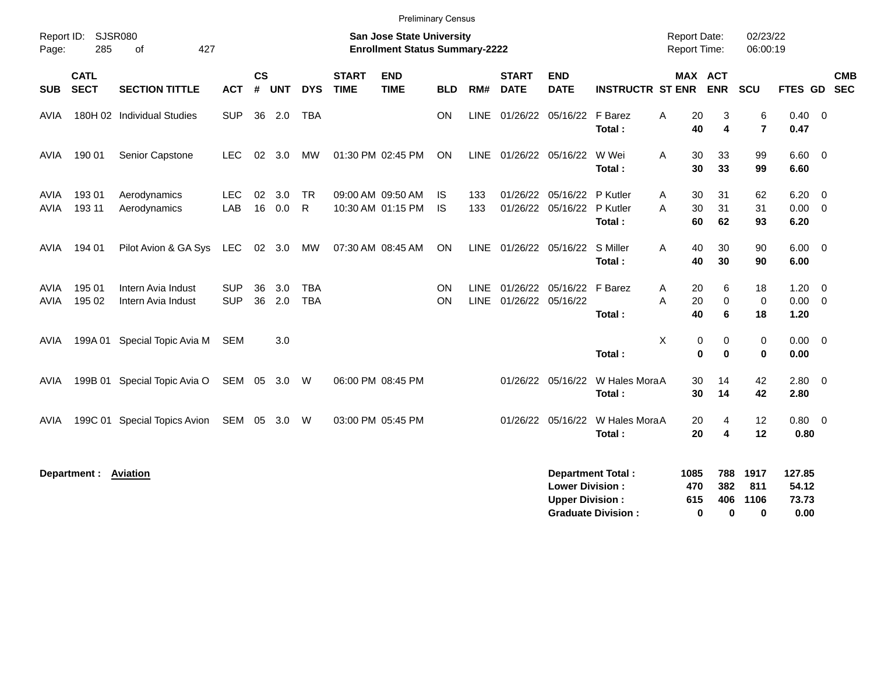|                            | Report ID: SJSR080         |                                          |                          |                |            |                          |                             | <b>Preliminary Census</b><br><b>San Jose State University</b> |                  |                            |                             |                                                  |                                | <b>Report Date:</b>             |                              | 02/23/22                     |                          |                                           |            |
|----------------------------|----------------------------|------------------------------------------|--------------------------|----------------|------------|--------------------------|-----------------------------|---------------------------------------------------------------|------------------|----------------------------|-----------------------------|--------------------------------------------------|--------------------------------|---------------------------------|------------------------------|------------------------------|--------------------------|-------------------------------------------|------------|
| Page:                      | 285                        | 427<br>of                                |                          |                |            |                          |                             | <b>Enrollment Status Summary-2222</b>                         |                  |                            |                             |                                                  |                                | Report Time:                    |                              | 06:00:19                     |                          |                                           |            |
| <b>SUB</b>                 | <b>CATL</b><br><b>SECT</b> | <b>SECTION TITTLE</b>                    | <b>ACT</b>               | <b>CS</b><br># | <b>UNT</b> | <b>DYS</b>               | <b>START</b><br><b>TIME</b> | <b>END</b><br><b>TIME</b>                                     | <b>BLD</b>       | RM#                        | <b>START</b><br><b>DATE</b> | <b>END</b><br><b>DATE</b>                        | <b>INSTRUCTR ST ENR</b>        | <b>MAX ACT</b>                  | <b>ENR</b>                   | SCU                          | FTES GD SEC              |                                           | <b>CMB</b> |
| AVIA                       |                            | 180H 02 Individual Studies               | <b>SUP</b>               |                | 36 2.0     | <b>TBA</b>               |                             |                                                               | ON               | <b>LINE</b>                |                             | 01/26/22 05/16/22 F Barez                        | Total:                         | A<br>20<br>40                   | 3<br>$\overline{\mathbf{4}}$ | 6<br>$\overline{\mathbf{r}}$ | $0.40 \quad 0$<br>0.47   |                                           |            |
| AVIA                       | 190 01                     | Senior Capstone                          | <b>LEC</b>               | 02             | 3.0        | MW                       |                             | 01:30 PM 02:45 PM                                             | ON               |                            | LINE 01/26/22 05/16/22      |                                                  | W Wei<br>Total:                | 30<br>A<br>30                   | 33<br>33                     | 99<br>99                     | $6.60$ 0<br>6.60         |                                           |            |
| AVIA<br><b>AVIA</b>        | 19301<br>193 11            | Aerodynamics<br>Aerodynamics             | <b>LEC</b><br>LAB        | 02<br>16       | 3.0<br>0.0 | <b>TR</b><br>R           |                             | 09:00 AM 09:50 AM<br>10:30 AM 01:15 PM                        | IS.<br><b>IS</b> | 133<br>133                 |                             | 01/26/22 05/16/22<br>01/26/22 05/16/22           | P Kutler<br>P Kutler<br>Total: | A<br>30<br>30<br>A<br>60        | 31<br>31<br>62               | 62<br>31<br>93               | 6.20<br>0.00<br>6.20     | $\overline{\mathbf{0}}$<br>$\overline{0}$ |            |
| AVIA                       | 194 01                     | Pilot Avion & GA Sys                     | LEC                      |                | 02 3.0     | MW                       |                             | 07:30 AM 08:45 AM                                             | ON               | <b>LINE</b>                | 01/26/22 05/16/22           |                                                  | S Miller<br>Total:             | 40<br>A<br>40                   | 30<br>30                     | 90<br>90                     | 6.00<br>6.00             | $\overline{0}$                            |            |
| <b>AVIA</b><br><b>AVIA</b> | 195 01<br>195 02           | Intern Avia Indust<br>Intern Avia Indust | <b>SUP</b><br><b>SUP</b> | 36<br>36       | 3.0<br>2.0 | <b>TBA</b><br><b>TBA</b> |                             |                                                               | ON<br>ON         | <b>LINE</b><br><b>LINE</b> | 01/26/22 05/16/22           | 01/26/22 05/16/22 F Barez                        | Total:                         | 20<br>A<br>A<br>20<br>40        | 6<br>$\mathbf 0$<br>6        | 18<br>$\mathbf 0$<br>18      | 1.20<br>0.00<br>1.20     | $\overline{0}$<br>$\overline{\mathbf{0}}$ |            |
| AVIA                       |                            | 199A 01 Special Topic Avia M             | <b>SEM</b>               |                | 3.0        |                          |                             |                                                               |                  |                            |                             |                                                  | Total:                         | X<br>$\mathbf 0$<br>$\mathbf 0$ | 0<br>0                       | $\mathbf 0$<br>$\mathbf 0$   | 0.00<br>0.00             | $\overline{\phantom{0}}$                  |            |
| AVIA                       |                            | 199B 01 Special Topic Avia O             | SEM 05 3.0 W             |                |            |                          |                             | 06:00 PM 08:45 PM                                             |                  |                            |                             | 01/26/22 05/16/22                                | W Hales MoraA<br>Total:        | 30<br>30                        | 14<br>14                     | 42<br>42                     | 2.80<br>2.80             | $\overline{0}$                            |            |
| AVIA                       |                            | 199C 01 Special Topics Avion             | SEM                      | 05             | 3.0        | W                        |                             | 03:00 PM 05:45 PM                                             |                  |                            |                             | 01/26/22 05/16/22                                | W Hales MoraA<br>Total:        | 20<br>20                        | 4<br>4                       | 12<br>12                     | 0.80<br>0.80             | $\overline{0}$                            |            |
|                            | Department :               | <b>Aviation</b>                          |                          |                |            |                          |                             |                                                               |                  |                            |                             | <b>Lower Division:</b><br><b>Upper Division:</b> | <b>Department Total:</b>       | 1085<br>470<br>615              | 788<br>382<br>406            | 1917<br>811<br>1106          | 127.85<br>54.12<br>73.73 |                                           |            |

**Graduate Division : 0 0 0 0.00**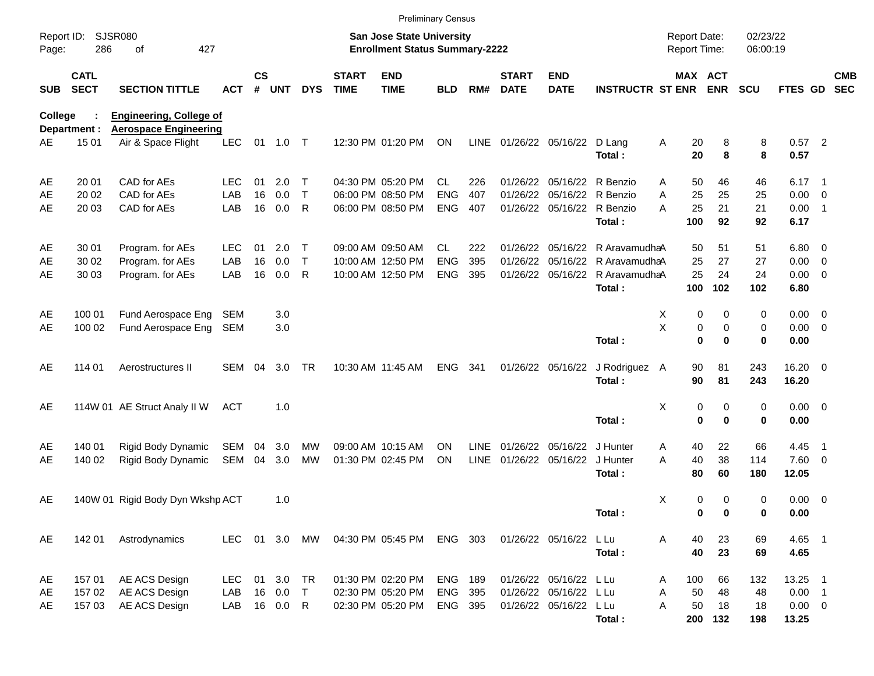|                     |                            |                                                                |            |                |            |              |                             | <b>Preliminary Census</b>                                                 |                |             |                             |                               |                         |                                     |            |                      |                  |                          |                          |
|---------------------|----------------------------|----------------------------------------------------------------|------------|----------------|------------|--------------|-----------------------------|---------------------------------------------------------------------------|----------------|-------------|-----------------------------|-------------------------------|-------------------------|-------------------------------------|------------|----------------------|------------------|--------------------------|--------------------------|
| Report ID:<br>Page: | 286                        | <b>SJSR080</b><br>427<br>οf                                    |            |                |            |              |                             | <b>San Jose State University</b><br><b>Enrollment Status Summary-2222</b> |                |             |                             |                               |                         | <b>Report Date:</b><br>Report Time: |            | 02/23/22<br>06:00:19 |                  |                          |                          |
| SUB                 | <b>CATL</b><br><b>SECT</b> | <b>SECTION TITTLE</b>                                          | <b>ACT</b> | <b>CS</b><br># | <b>UNT</b> | <b>DYS</b>   | <b>START</b><br><b>TIME</b> | <b>END</b><br><b>TIME</b>                                                 | <b>BLD</b>     | RM#         | <b>START</b><br><b>DATE</b> | <b>END</b><br><b>DATE</b>     | <b>INSTRUCTR ST ENR</b> | MAX ACT                             | <b>ENR</b> | <b>SCU</b>           | FTES GD          |                          | <b>CMB</b><br><b>SEC</b> |
| <b>College</b>      | Department :               | <b>Engineering, College of</b><br><b>Aerospace Engineering</b> |            |                |            |              |                             |                                                                           |                |             |                             |                               |                         |                                     |            |                      |                  |                          |                          |
| AE                  | 15 01                      | Air & Space Flight                                             | <b>LEC</b> | 01             | 1.0 T      |              |                             | 12:30 PM 01:20 PM                                                         | ON             |             |                             | LINE 01/26/22 05/16/22 D Lang | Total:                  | Α<br>20<br>20                       | 8<br>8     | 8<br>8               | $0.57$ 2<br>0.57 |                          |                          |
| AE                  | 20 01                      | CAD for AEs                                                    | <b>LEC</b> | 01             | 2.0        | Т            |                             | 04:30 PM 05:20 PM                                                         | <b>CL</b>      | 226         |                             | 01/26/22 05/16/22 R Benzio    |                         | 50<br>A                             | 46         | 46                   | $6.17 \quad 1$   |                          |                          |
| AE                  | 20 02                      | CAD for AEs                                                    | LAB        | 16             | 0.0        | $\mathsf{T}$ |                             | 06:00 PM 08:50 PM                                                         | <b>ENG</b>     | 407         | 01/26/22                    | 05/16/22                      | R Benzio                | 25<br>Α                             | 25         | 25                   | 0.00             | $\overline{\phantom{0}}$ |                          |
| AE                  | 20 03                      | CAD for AEs                                                    | LAB        | 16             | 0.0        | R            |                             | 06:00 PM 08:50 PM                                                         | <b>ENG</b>     | 407         |                             | 01/26/22 05/16/22 R Benzio    | Total:                  | 25<br>A<br>100                      | 21<br>92   | 21<br>92             | 0.00<br>6.17     | $\overline{\phantom{1}}$ |                          |
| AE                  | 30 01                      | Program. for AEs                                               | <b>LEC</b> | 01             | 2.0        | Т            |                             | 09:00 AM 09:50 AM                                                         | CL.            | 222         |                             | 01/26/22 05/16/22             | R AravamudhaA           | 50                                  | 51         | 51                   | $6.80$ 0         |                          |                          |
| AE                  | 30 02                      | Program. for AEs                                               | LAB        | 16             | 0.0        | $\mathsf{T}$ |                             | 10:00 AM 12:50 PM                                                         | <b>ENG</b>     | 395         | 01/26/22                    | 05/16/22                      | R AravamudhaA           | 25                                  | 27         | 27                   | 0.00             | $\overline{\mathbf{0}}$  |                          |
| AE                  | 30 03                      | Program. for AEs                                               | LAB        | 16             | 0.0        | R            |                             | 10:00 AM 12:50 PM                                                         | <b>ENG</b>     | 395         |                             | 01/26/22 05/16/22             | R AravamudhaA           | 25                                  | 24         | 24                   | $0.00 \t 0$      |                          |                          |
|                     |                            |                                                                |            |                |            |              |                             |                                                                           |                |             |                             |                               | Total:                  | 100                                 | 102        | 102                  | 6.80             |                          |                          |
| AE                  | 100 01                     | Fund Aerospace Eng                                             | SEM        |                | 3.0        |              |                             |                                                                           |                |             |                             |                               |                         | х<br>0                              | 0          | 0                    | $0.00 \t 0$      |                          |                          |
| AE                  | 100 02                     | Fund Aerospace Eng                                             | SEM        |                | 3.0        |              |                             |                                                                           |                |             |                             |                               |                         | Χ<br>0                              | 0          | 0                    | $0.00 \t 0$      |                          |                          |
|                     |                            |                                                                |            |                |            |              |                             |                                                                           |                |             |                             |                               | Total:                  | 0                                   | 0          | 0                    | 0.00             |                          |                          |
| AE                  | 114 01                     | Aerostructures II                                              | <b>SEM</b> | 04             | 3.0        | <b>TR</b>    |                             | 10:30 AM 11:45 AM                                                         | ENG            | 341         |                             | 01/26/22 05/16/22             | J Rodriguez A           | 90                                  | 81         | 243                  | $16.20$ 0        |                          |                          |
|                     |                            |                                                                |            |                |            |              |                             |                                                                           |                |             |                             |                               | Total:                  | 90                                  | 81         | 243                  | 16.20            |                          |                          |
| AE                  |                            | 114W 01 AE Struct Analy II W                                   | ACT        |                | 1.0        |              |                             |                                                                           |                |             |                             |                               |                         | Χ<br>0                              | 0          | 0                    | $0.00 \t 0$      |                          |                          |
|                     |                            |                                                                |            |                |            |              |                             |                                                                           |                |             |                             |                               | Total:                  | 0                                   | 0          | 0                    | 0.00             |                          |                          |
| AE                  | 140 01                     | Rigid Body Dynamic                                             | SEM        | 04             | 3.0        | MW           |                             | 09:00 AM 10:15 AM                                                         | ΟN             | LINE        | 01/26/22 05/16/22           |                               | J Hunter                | 40<br>A                             | 22         | 66                   | 4.45             | $\overline{\phantom{1}}$ |                          |
| AE                  | 140 02                     | Rigid Body Dynamic                                             | <b>SEM</b> | 04             | 3.0        | MW           |                             | 01:30 PM 02:45 PM                                                         | ON             | <b>LINE</b> |                             | 01/26/22 05/16/22 J Hunter    |                         | 40<br>A                             | 38         | 114                  | 7.60 0           |                          |                          |
|                     |                            |                                                                |            |                |            |              |                             |                                                                           |                |             |                             |                               | Total:                  | 80                                  | 60         | 180                  | 12.05            |                          |                          |
| AE                  |                            | 140W 01 Rigid Body Dyn Wkshp ACT                               |            |                | 1.0        |              |                             |                                                                           |                |             |                             |                               |                         | X<br>0                              | 0          | 0                    | $0.00 \t 0$      |                          |                          |
|                     |                            |                                                                |            |                |            |              |                             |                                                                           |                |             |                             |                               | Total:                  | 0                                   | 0          | 0                    | 0.00             |                          |                          |
| AE                  | 142 01                     | Astrodynamics                                                  | <b>LEC</b> |                | 01 3.0     | MW           |                             | 04:30 PM 05:45 PM                                                         | ENG 303        |             |                             | 01/26/22 05/16/22 L Lu        |                         | A<br>40                             | 23         | 69                   | 4.65 1           |                          |                          |
|                     |                            |                                                                |            |                |            |              |                             |                                                                           |                |             |                             |                               | Total:                  | 40                                  | 23         | 69                   | 4.65             |                          |                          |
| AE                  | 157 01                     | AE ACS Design                                                  | <b>LEC</b> | 01             | 3.0        | <b>TR</b>    |                             | 01:30 PM 02:20 PM                                                         | <b>ENG 189</b> |             |                             | 01/26/22 05/16/22 L Lu        |                         | 100<br>A                            | 66         | 132                  | 13.25 1          |                          |                          |
| AE                  | 157 02                     | AE ACS Design                                                  | LAB        | 16             | 0.0        | T            |                             | 02:30 PM 05:20 PM                                                         | ENG 395        |             |                             | 01/26/22 05/16/22 L Lu        |                         | 50<br>Α                             | 48         | 48                   | $0.00$ 1         |                          |                          |
| AE                  | 157 03                     | AE ACS Design                                                  | LAB        |                | 16 0.0     | $\mathsf{R}$ |                             | 02:30 PM 05:20 PM                                                         | ENG 395        |             |                             | 01/26/22 05/16/22 L Lu        |                         | A<br>50                             | 18         | 18                   | $0.00 \t 0$      |                          |                          |
|                     |                            |                                                                |            |                |            |              |                             |                                                                           |                |             |                             |                               | Total:                  | 200                                 | 132        | 198                  | 13.25            |                          |                          |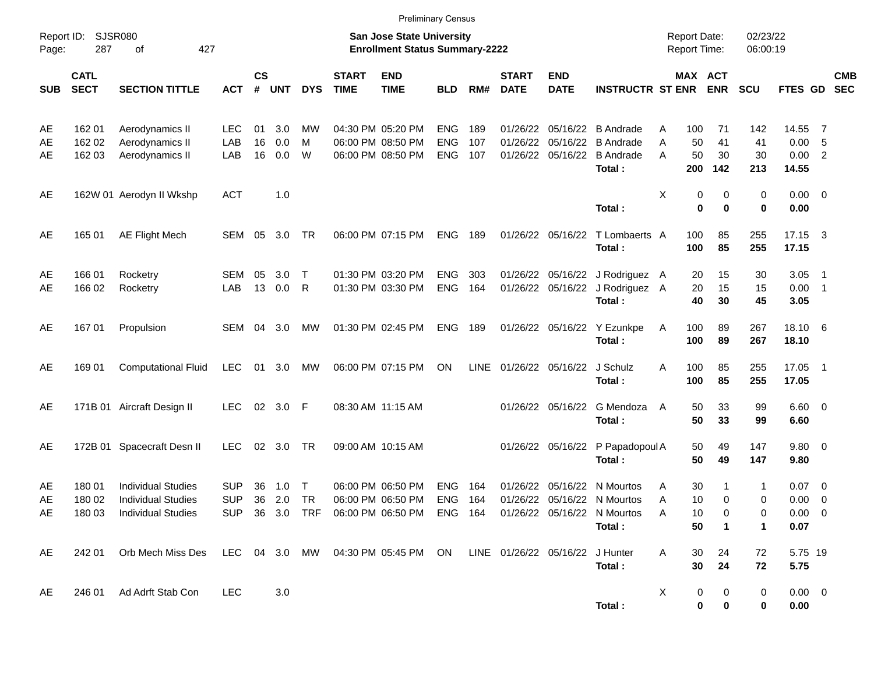|                |                            |                                                                                     |                          |                    |               |                     |                             | <b>Preliminary Census</b>                                                                                      |                          |            |                             |                            |                                                                              |             |                                            |                         |                      |                                        |                          |                          |
|----------------|----------------------------|-------------------------------------------------------------------------------------|--------------------------|--------------------|---------------|---------------------|-----------------------------|----------------------------------------------------------------------------------------------------------------|--------------------------|------------|-----------------------------|----------------------------|------------------------------------------------------------------------------|-------------|--------------------------------------------|-------------------------|----------------------|----------------------------------------|--------------------------|--------------------------|
| Page:          | Report ID: SJSR080<br>287  | 427<br>of                                                                           |                          |                    |               |                     |                             | <b>San Jose State University</b><br><b>Enrollment Status Summary-2222</b>                                      |                          |            |                             |                            |                                                                              |             | <b>Report Date:</b><br><b>Report Time:</b> |                         | 02/23/22<br>06:00:19 |                                        |                          |                          |
| <b>SUB</b>     | <b>CATL</b><br><b>SECT</b> | <b>SECTION TITTLE</b>                                                               | <b>ACT</b>               | $\mathsf{cs}$<br># | <b>UNT</b>    | <b>DYS</b>          | <b>START</b><br><b>TIME</b> | <b>END</b><br><b>TIME</b>                                                                                      | <b>BLD</b>               | RM#        | <b>START</b><br><b>DATE</b> | <b>END</b><br><b>DATE</b>  | <b>INSTRUCTR ST ENR</b>                                                      |             | MAX ACT                                    | <b>ENR</b>              | <b>SCU</b>           | FTES GD                                |                          | <b>CMB</b><br><b>SEC</b> |
| AE<br>AE       | 162 01<br>162 02           | Aerodynamics II<br>Aerodynamics II                                                  | LEC.<br>LAB              | 01<br>16           | 3.0<br>0.0    | MW<br>м             |                             | 04:30 PM 05:20 PM<br>06:00 PM 08:50 PM                                                                         | <b>ENG</b><br><b>ENG</b> | 189<br>107 | 01/26/22<br>01/26/22        | 05/16/22                   | 05/16/22 B Andrade<br><b>B</b> Andrade                                       | Α<br>A      | 100<br>50                                  | 71<br>41                | 142<br>41            | 14.55<br>0.00                          | $\overline{7}$<br>- 5    |                          |
| AE             | 162 03                     | Aerodynamics II                                                                     | LAB                      | 16                 | 0.0           | W                   |                             | 06:00 PM 08:50 PM                                                                                              | <b>ENG</b>               | 107        |                             | 01/26/22 05/16/22          | <b>B</b> Andrade<br>Total:                                                   | A           | 50<br>200                                  | 30<br>142               | 30<br>213            | 0.00 2<br>14.55                        |                          |                          |
| AE             |                            | 162W 01 Aerodyn II Wkshp                                                            | <b>ACT</b>               |                    | 1.0           |                     |                             |                                                                                                                |                          |            |                             |                            | Total:                                                                       | х           | 0<br>$\bf{0}$                              | 0<br>$\bf{0}$           | 0<br>0               | $0.00 \t 0$<br>0.00                    |                          |                          |
| AE             | 165 01                     | <b>AE Flight Mech</b>                                                               | SEM                      | 05                 | 3.0           | TR                  |                             | 06:00 PM 07:15 PM                                                                                              | <b>ENG</b>               | 189        |                             | 01/26/22 05/16/22          | T Lombaerts A<br>Total:                                                      |             | 100<br>100                                 | 85<br>85                | 255<br>255           | 17.15 3<br>17.15                       |                          |                          |
| AE<br>AE       | 166 01<br>166 02           | Rocketry<br>Rocketry                                                                | SEM<br>LAB               | 05                 | 3.0<br>13 0.0 | Т<br>R              |                             | 01:30 PM 03:20 PM<br>01:30 PM 03:30 PM                                                                         | <b>ENG</b><br><b>ENG</b> | 303<br>164 |                             |                            | 01/26/22 05/16/22 J Rodriguez A<br>01/26/22 05/16/22 J Rodriguez A<br>Total: |             | 20<br>20<br>40                             | 15<br>15<br>30          | 30<br>15<br>45       | 3.05<br>$0.00$ 1<br>3.05               | $\overline{\phantom{1}}$ |                          |
| AE             | 167 01                     | Propulsion                                                                          | SEM                      | 04                 | 3.0           | MW                  |                             | 01:30 PM 02:45 PM                                                                                              | <b>ENG</b>               | 189        |                             |                            | 01/26/22 05/16/22 Y Ezunkpe<br>Total:                                        | A           | 100<br>100                                 | 89<br>89                | 267<br>267           | 18.10 6<br>18.10                       |                          |                          |
| AE             | 169 01                     | <b>Computational Fluid</b>                                                          | <b>LEC</b>               | 01                 | 3.0           | MW                  |                             | 06:00 PM 07:15 PM                                                                                              | ON                       | LINE       |                             | 01/26/22 05/16/22 J Schulz | Total:                                                                       | A           | 100<br>100                                 | 85<br>85                | 255<br>255           | 17.05 1<br>17.05                       |                          |                          |
| AE             |                            | 171B 01 Aircraft Design II                                                          | <b>LEC</b>               |                    | 02 3.0 F      |                     | 08:30 AM 11:15 AM           |                                                                                                                |                          |            |                             | 01/26/22 05/16/22          | G Mendoza<br>Total:                                                          | A           | 50<br>50                                   | 33<br>33                | 99<br>99             | $6.60$ 0<br>6.60                       |                          |                          |
| AE             |                            | 172B 01 Spacecraft Desn II                                                          | <b>LEC</b>               | 02                 | 3.0           | TR                  |                             | 09:00 AM 10:15 AM                                                                                              |                          |            |                             |                            | 01/26/22 05/16/22 P Papadopoul A<br>Total:                                   |             | 50<br>50                                   | 49<br>49                | 147<br>147           | 9.80 0<br>9.80                         |                          |                          |
| AE<br>AE<br>AE | 180 01<br>180 02           | <b>Individual Studies</b><br><b>Individual Studies</b><br>180 03 Individual Studies | <b>SUP</b><br><b>SUP</b> | 36<br>36           | 1.0<br>2.0    | $\top$<br><b>TR</b> |                             | 06:00 PM 06:50 PM<br>06:00 PM 06:50 PM<br>SUP 36 3.0 TRF 06:00 PM 06:50 PM ENG 164 01/26/22 05/16/22 N Mourtos | <b>ENG</b><br><b>ENG</b> | 164<br>164 | 01/26/22                    | 05/16/22                   | N Mourtos<br>01/26/22 05/16/22 N Mourtos                                     | A<br>A<br>Α | 30<br>10<br>10                             | -1<br>0                 | 1<br>0<br>0          | $0.07$ 0<br>$0.00 \t 0$<br>$0.00 \t 0$ |                          |                          |
| AE             | 242 01                     | Orb Mech Miss Des                                                                   |                          |                    |               |                     |                             | LEC 04 3.0 MW 04:30 PM 05:45 PM ON LINE 01/26/22 05/16/22 J Hunter                                             |                          |            |                             |                            | Total:<br>Total:                                                             | A           | 50<br>30<br>30                             | $\mathbf 1$<br>24<br>24 | 1<br>72<br>72        | 0.07<br>5.75 19<br>5.75                |                          |                          |
| AE             | 246 01                     | Ad Adrft Stab Con                                                                   | <b>LEC</b>               |                    | 3.0           |                     |                             |                                                                                                                |                          |            |                             |                            | Total:                                                                       | X           | 0<br>0                                     | 0<br>0                  | 0<br>0               | $0.00 \t 0$<br>0.00                    |                          |                          |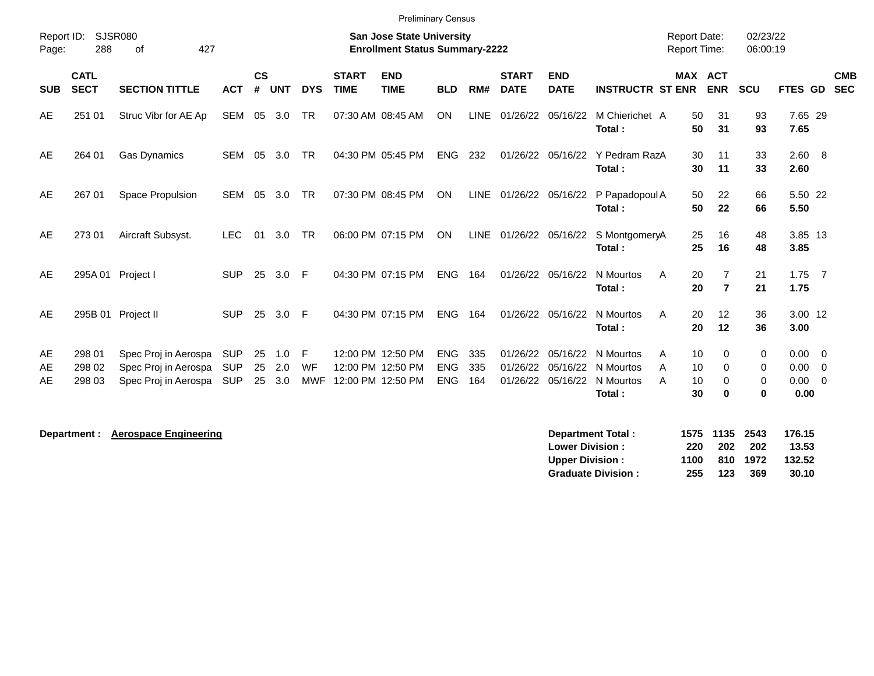| Report ID:<br>Page: | 288                        | <b>SJSR080</b><br>427<br>οf                                          |                                 |                    |                   |                       |                             | <b>San Jose State University</b><br><b>Enrollment Status Summary-2222</b> |                                        |                   |                             |                           |                                                                                                  | <b>Report Date:</b><br><b>Report Time:</b> |                                  | 02/23/22<br>06:00:19                     |                                                      |                          |
|---------------------|----------------------------|----------------------------------------------------------------------|---------------------------------|--------------------|-------------------|-----------------------|-----------------------------|---------------------------------------------------------------------------|----------------------------------------|-------------------|-----------------------------|---------------------------|--------------------------------------------------------------------------------------------------|--------------------------------------------|----------------------------------|------------------------------------------|------------------------------------------------------|--------------------------|
| <b>SUB</b>          | <b>CATL</b><br><b>SECT</b> | <b>SECTION TITTLE</b>                                                | <b>ACT</b>                      | $\mathsf{cs}$<br># | <b>UNT</b>        | <b>DYS</b>            | <b>START</b><br><b>TIME</b> | <b>END</b><br><b>TIME</b>                                                 | <b>BLD</b>                             | RM#               | <b>START</b><br><b>DATE</b> | <b>END</b><br><b>DATE</b> | <b>INSTRUCTR ST ENR</b>                                                                          | <b>MAX ACT</b>                             | <b>ENR</b>                       | <b>SCU</b>                               | <b>FTES GD</b>                                       | <b>CMB</b><br><b>SEC</b> |
| AE                  | 251 01                     | Struc Vibr for AE Ap                                                 | SEM                             | 05                 | 3.0               | <b>TR</b>             |                             | 07:30 AM 08:45 AM                                                         | <b>ON</b>                              | LINE              |                             | 01/26/22 05/16/22         | M Chierichet A<br>Total:                                                                         | 50<br>50                                   | 31<br>31                         | 93<br>93                                 | 7.65 29<br>7.65                                      |                          |
| AE                  | 264 01                     | <b>Gas Dynamics</b>                                                  | <b>SEM</b>                      | 05                 | 3.0               | <b>TR</b>             |                             | 04:30 PM 05:45 PM                                                         | ENG                                    | 232               |                             |                           | 01/26/22 05/16/22 Y Pedram RazA<br>Total:                                                        | 30<br>30                                   | 11<br>11                         | 33<br>33                                 | 2.60 8<br>2.60                                       |                          |
| AE                  | 267 01                     | Space Propulsion                                                     | SEM                             | 05                 | 3.0               | <b>TR</b>             |                             | 07:30 PM 08:45 PM                                                         | <b>ON</b>                              | LINE              |                             |                           | 01/26/22 05/16/22 P Papadopoul A<br>Total:                                                       | 50<br>50                                   | 22<br>22                         | 66<br>66                                 | 5.50 22<br>5.50                                      |                          |
| AE                  | 273 01                     | Aircraft Subsyst.                                                    | <b>LEC</b>                      | 01                 | 3.0               | <b>TR</b>             |                             | 06:00 PM 07:15 PM                                                         | <b>ON</b>                              | <b>LINE</b>       |                             | 01/26/22 05/16/22         | S MontgomeryA<br>Total:                                                                          | 25<br>25                                   | 16<br>16                         | 48<br>48                                 | 3.85 13<br>3.85                                      |                          |
| AE                  |                            | 295A 01 Project I                                                    | <b>SUP</b>                      | 25                 | 3.0               | -F                    |                             | 04:30 PM 07:15 PM                                                         | <b>ENG</b>                             | 164               |                             | 01/26/22 05/16/22         | N Mourtos<br>A<br>Total:                                                                         | 20<br>20                                   | $\overline{7}$<br>$\overline{7}$ | 21<br>21                                 | $1.75$ 7<br>1.75                                     |                          |
| AE                  |                            | 295B 01 Project II                                                   | <b>SUP</b>                      | 25                 | 3.0               | E                     |                             | 04:30 PM 07:15 PM                                                         | <b>ENG</b>                             | 164               |                             | 01/26/22 05/16/22         | N Mourtos<br>A<br>Total:                                                                         | 20<br>20                                   | 12<br>12                         | 36<br>36                                 | 3.00 12<br>3.00                                      |                          |
| AE<br>AE<br>AE      | 298 01<br>298 02<br>298 03 | Spec Proj in Aerospa<br>Spec Proj in Aerospa<br>Spec Proj in Aerospa | SUP<br><b>SUP</b><br><b>SUP</b> | 25<br>25<br>25     | 1.0<br>2.0<br>3.0 | F<br>WF<br><b>MWF</b> |                             | 12:00 PM 12:50 PM<br>12:00 PM 12:50 PM<br>12:00 PM 12:50 PM               | <b>ENG</b><br><b>ENG</b><br><b>ENG</b> | 335<br>335<br>164 | 01/26/22<br>01/26/22        |                           | 05/16/22 N Mourtos<br>A<br>05/16/22 N Mourtos<br>A<br>01/26/22 05/16/22 N Mourtos<br>A<br>Total: | 10<br>10<br>10<br>30                       | $\Omega$<br>0<br>0<br>$\bf{0}$   | $\Omega$<br>0<br>$\mathbf 0$<br>$\bf{0}$ | $0.00 \quad 0$<br>$0.00 \t 0$<br>$0.00 \t 0$<br>0.00 |                          |

| <b>Department Total:</b>  |      | 1575 1135 2543 |          | 176.15 |
|---------------------------|------|----------------|----------|--------|
| <b>Lower Division:</b>    | 220  |                | 202 202  | 13.53  |
| Upper Division:           | 1100 |                | 810 1972 | 132.52 |
| <b>Graduate Division:</b> | 255  | 123            | -369     | 30.10  |

**Department : Aerospace Engineering**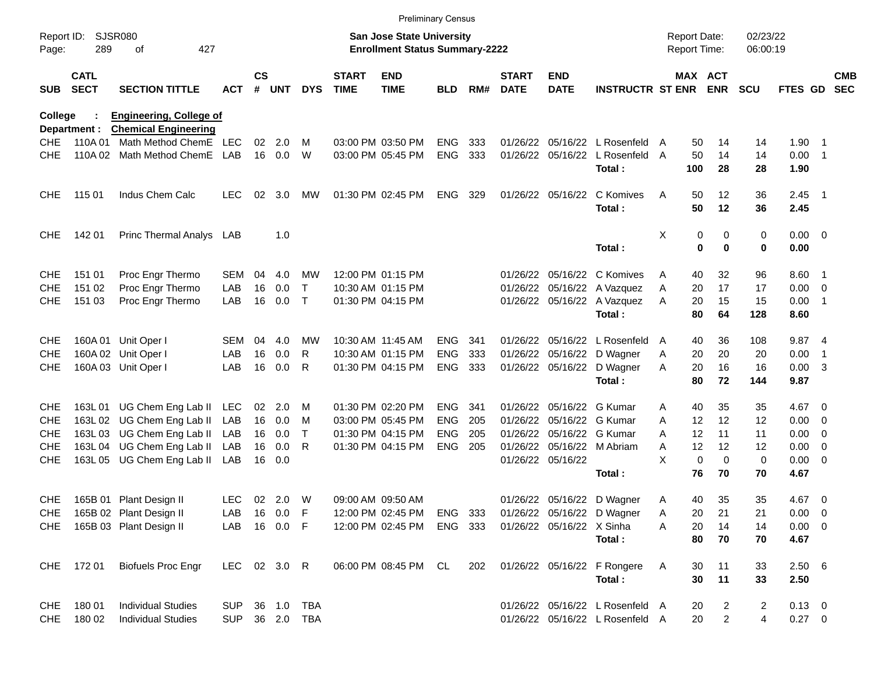|                     |                            |                                                               |              |                 |            |              |                             | <b>Preliminary Census</b>                                                 |            |     |                             |                           |                                 |                                            |         |                |                      |                |                          |                          |
|---------------------|----------------------------|---------------------------------------------------------------|--------------|-----------------|------------|--------------|-----------------------------|---------------------------------------------------------------------------|------------|-----|-----------------------------|---------------------------|---------------------------------|--------------------------------------------|---------|----------------|----------------------|----------------|--------------------------|--------------------------|
| Report ID:<br>Page: | 289                        | <b>SJSR080</b><br>427<br>οf                                   |              |                 |            |              |                             | <b>San Jose State University</b><br><b>Enrollment Status Summary-2222</b> |            |     |                             |                           |                                 | <b>Report Date:</b><br><b>Report Time:</b> |         |                | 02/23/22<br>06:00:19 |                |                          |                          |
| <b>SUB</b>          | <b>CATL</b><br><b>SECT</b> | <b>SECTION TITTLE</b>                                         | ACT          | $\mathsf{cs}$   | # UNT      | <b>DYS</b>   | <b>START</b><br><b>TIME</b> | <b>END</b><br><b>TIME</b>                                                 | <b>BLD</b> | RM# | <b>START</b><br><b>DATE</b> | <b>END</b><br><b>DATE</b> | <b>INSTRUCTR ST ENR ENR</b>     |                                            | MAX ACT |                | <b>SCU</b>           | <b>FTES GD</b> |                          | <b>CMB</b><br><b>SEC</b> |
| <b>College</b>      | Department :               | <b>Engineering, College of</b><br><b>Chemical Engineering</b> |              |                 |            |              |                             |                                                                           |            |     |                             |                           |                                 |                                            |         |                |                      |                |                          |                          |
| <b>CHE</b>          | 110A 01                    | Math Method ChemE                                             | LEC          | 02 <sub>2</sub> | 2.0        | м            |                             | 03:00 PM 03:50 PM                                                         | <b>ENG</b> | 333 |                             |                           | 01/26/22 05/16/22 L Rosenfeld   | A                                          | 50      | 14             | 14                   | $1.90$ 1       |                          |                          |
| <b>CHE</b>          |                            | 110A 02 Math Method ChemE                                     | LAB          |                 | 16 0.0     | W            |                             | 03:00 PM 05:45 PM                                                         | <b>ENG</b> | 333 |                             | 01/26/22 05/16/22         | L Rosenfeld                     | A                                          | 50      | 14             | 14                   | $0.00$ 1       |                          |                          |
|                     |                            |                                                               |              |                 |            |              |                             |                                                                           |            |     |                             |                           | Total:                          |                                            | 100     | 28             | 28                   | 1.90           |                          |                          |
| <b>CHE</b>          | 115 01                     | Indus Chem Calc                                               | <b>LEC</b>   | 02              | 3.0        | MW           |                             | 01:30 PM 02:45 PM                                                         | <b>ENG</b> | 329 |                             | 01/26/22 05/16/22         | C Komives                       | A                                          | 50      | 12             | 36                   | $2.45$ 1       |                          |                          |
|                     |                            |                                                               |              |                 |            |              |                             |                                                                           |            |     |                             |                           | Total:                          |                                            | 50      | 12             | 36                   | 2.45           |                          |                          |
| <b>CHE</b>          | 142 01                     | Princ Thermal Analys LAB                                      |              |                 | 1.0        |              |                             |                                                                           |            |     |                             |                           |                                 | Χ                                          | 0       | 0              | 0                    | $0.00 \t 0$    |                          |                          |
|                     |                            |                                                               |              |                 |            |              |                             |                                                                           |            |     |                             |                           | Total:                          |                                            | 0       | $\mathbf 0$    | 0                    | 0.00           |                          |                          |
| <b>CHE</b>          | 151 01                     | Proc Engr Thermo                                              | SEM          | 04              | 4.0        | MW           |                             | 12:00 PM 01:15 PM                                                         |            |     |                             |                           | 01/26/22 05/16/22 C Komives     | A                                          | 40      | 32             | 96                   | 8.60 1         |                          |                          |
| <b>CHE</b>          | 151 02                     | Proc Engr Thermo                                              | LAB          | 16              | 0.0        | Т            |                             | 10:30 AM 01:15 PM                                                         |            |     |                             |                           | 01/26/22 05/16/22 A Vazquez     | Α                                          | 20      | 17             | 17                   | $0.00 \t 0$    |                          |                          |
| <b>CHE</b>          | 151 03                     | Proc Engr Thermo                                              | LAB          | 16              | 0.0        | $\mathsf{T}$ |                             | 01:30 PM 04:15 PM                                                         |            |     |                             |                           | 01/26/22 05/16/22 A Vazquez     | A                                          | 20      | 15             | 15                   | 0.00           | $\overline{\phantom{1}}$ |                          |
|                     |                            |                                                               |              |                 |            |              |                             |                                                                           |            |     |                             |                           | Total:                          |                                            | 80      | 64             | 128                  | 8.60           |                          |                          |
| <b>CHE</b>          |                            | 160A 01 Unit Oper I                                           | SEM          | 04              | 4.0        | MW           |                             | 10:30 AM 11:45 AM                                                         | <b>ENG</b> | 341 |                             |                           | 01/26/22 05/16/22 L Rosenfeld   | $\overline{A}$                             | 40      | 36             | 108                  | 9.87 4         |                          |                          |
| <b>CHE</b>          |                            | 160A 02 Unit Oper I                                           | LAB          | 16              | 0.0        | R            |                             | 10:30 AM 01:15 PM                                                         | <b>ENG</b> | 333 |                             |                           | 01/26/22 05/16/22 D Wagner      | Α                                          | 20      | 20             | 20                   | 0.00           | -1                       |                          |
| <b>CHE</b>          |                            | 160A 03 Unit Oper I                                           | LAB          | 16              | 0.0        | R            |                             | 01:30 PM 04:15 PM                                                         | ENG 333    |     |                             |                           | 01/26/22 05/16/22 D Wagner      | A                                          | 20      | 16             | 16                   | 0.00           | $\overline{\mathbf{3}}$  |                          |
|                     |                            |                                                               |              |                 |            |              |                             |                                                                           |            |     |                             |                           | Total:                          |                                            | 80      | 72             | 144                  | 9.87           |                          |                          |
| <b>CHE</b>          |                            | 163L 01 UG Chem Eng Lab II                                    | LEC          | 02 <sub>o</sub> | 2.0        | м            |                             | 01:30 PM 02:20 PM                                                         | <b>ENG</b> | 341 |                             | 01/26/22 05/16/22 G Kumar |                                 | A                                          | 40      | 35             | 35                   | 4.67 0         |                          |                          |
| <b>CHE</b>          |                            | 163L 02 UG Chem Eng Lab II                                    | LAB          | 16              | 0.0        | м            |                             | 03:00 PM 05:45 PM                                                         | <b>ENG</b> | 205 |                             | 01/26/22 05/16/22 G Kumar |                                 | A                                          | 12      | 12             | 12                   | 0.00           | $\overline{\phantom{0}}$ |                          |
| <b>CHE</b>          |                            | 163L 03 UG Chem Eng Lab II                                    | LAB          |                 | 16 0.0     | Τ            |                             | 01:30 PM 04:15 PM                                                         | <b>ENG</b> | 205 |                             | 01/26/22 05/16/22 G Kumar |                                 | A                                          | 12      | 11             | 11                   | 0.00           | $\overline{\phantom{0}}$ |                          |
| <b>CHE</b>          |                            | 163L 04 UG Chem Eng Lab II                                    | LAB          | 16              | 0.0        | R            |                             | 01:30 PM 04:15 PM                                                         | <b>ENG</b> | 205 |                             |                           | 01/26/22 05/16/22 M Abriam      | A                                          | 12      | 12             | 12                   | 0.00           | $\overline{\phantom{0}}$ |                          |
| <b>CHE</b>          |                            | 163L 05 UG Chem Eng Lab II                                    | LAB          |                 | 16 0.0     |              |                             |                                                                           |            |     |                             | 01/26/22 05/16/22         |                                 | X                                          | 0       | $\mathbf 0$    | 0                    | $0.00 \t 0$    |                          |                          |
|                     |                            |                                                               |              |                 |            |              |                             |                                                                           |            |     |                             |                           | Total:                          |                                            | 76      | 70             | 70                   | 4.67           |                          |                          |
| <b>CHE</b>          |                            | 165B 01 Plant Design II                                       | <b>LEC</b>   |                 | 02 2.0     | W            |                             | 09:00 AM_09:50 AM                                                         |            |     |                             |                           | 01/26/22 05/16/22 D Wagner      | Α                                          | 40      | 35             | 35                   | 4.67 0         |                          |                          |
| <b>CHE</b>          |                            | 165B 02 Plant Design II                                       | LAB          |                 | 16  0.0  F |              |                             | 12:00 PM 02:45 PM                                                         | ENG 333    |     |                             |                           | 01/26/22 05/16/22 D Wagner      | Α                                          | 20      | 21             | 21                   | $0.00 \t 0$    |                          |                          |
| CHE                 |                            | 165B 03 Plant Design II                                       | LAB          |                 | 16  0.0  F |              |                             | 12:00 PM 02:45 PM                                                         | ENG 333    |     |                             | 01/26/22 05/16/22 X Sinha |                                 | Α                                          | 20      | 14             | 14                   | $0.00 \t 0$    |                          |                          |
|                     |                            |                                                               |              |                 |            |              |                             |                                                                           |            |     |                             |                           | Total:                          |                                            | 80      | 70             | 70                   | 4.67           |                          |                          |
|                     | CHE 172 01                 | <b>Biofuels Proc Engr</b>                                     | LEC 02 3.0 R |                 |            |              |                             | 06:00 PM 08:45 PM CL                                                      |            | 202 |                             |                           | 01/26/22 05/16/22 F Rongere     | A                                          | 30      | 11             | 33                   | $2.50\quad 6$  |                          |                          |
|                     |                            |                                                               |              |                 |            |              |                             |                                                                           |            |     |                             |                           | Total:                          |                                            | 30      | 11             | 33                   | 2.50           |                          |                          |
| <b>CHE</b>          | 180 01                     | <b>Individual Studies</b>                                     | <b>SUP</b>   |                 |            | 36 1.0 TBA   |                             |                                                                           |            |     |                             |                           | 01/26/22 05/16/22 L Rosenfeld A |                                            | 20      | 2              | $\overline{2}$       | $0.13 \ 0$     |                          |                          |
| <b>CHE</b>          | 180 02                     | <b>Individual Studies</b>                                     | <b>SUP</b>   |                 |            | 36 2.0 TBA   |                             |                                                                           |            |     |                             |                           | 01/26/22 05/16/22 L Rosenfeld A |                                            | 20      | $\overline{a}$ | 4                    | $0.27 \t 0$    |                          |                          |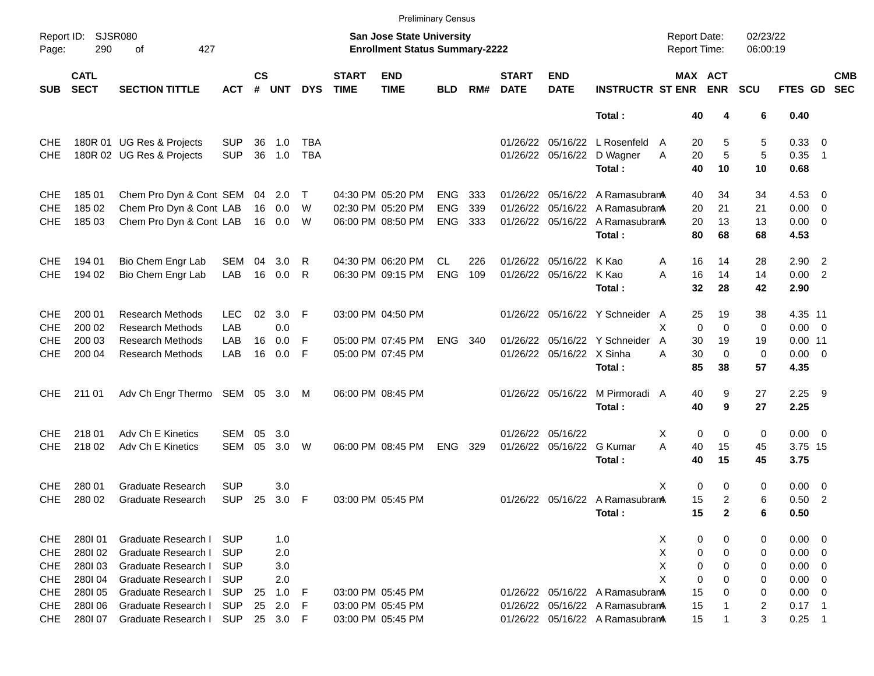|            |                                           |                                 |            |                    |            |            |                             |                                                                           | <b>Preliminary Census</b> |     |                             |                           |                                 |                                     |                            |                      |             |                          |                          |
|------------|-------------------------------------------|---------------------------------|------------|--------------------|------------|------------|-----------------------------|---------------------------------------------------------------------------|---------------------------|-----|-----------------------------|---------------------------|---------------------------------|-------------------------------------|----------------------------|----------------------|-------------|--------------------------|--------------------------|
| Page:      | SJSR080<br>Report ID:<br>290<br>427<br>οf |                                 |            |                    |            |            |                             | <b>San Jose State University</b><br><b>Enrollment Status Summary-2222</b> |                           |     |                             |                           |                                 | <b>Report Date:</b><br>Report Time: |                            | 02/23/22<br>06:00:19 |             |                          |                          |
| <b>SUB</b> | <b>CATL</b><br><b>SECT</b>                | <b>SECTION TITTLE</b>           | <b>ACT</b> | $\mathsf{cs}$<br># | <b>UNT</b> | <b>DYS</b> | <b>START</b><br><b>TIME</b> | <b>END</b><br><b>TIME</b>                                                 | <b>BLD</b>                | RM# | <b>START</b><br><b>DATE</b> | <b>END</b><br><b>DATE</b> | <b>INSTRUCTR ST ENR</b>         |                                     | MAX ACT<br><b>ENR</b>      | <b>SCU</b>           | FTES GD     |                          | <b>CMB</b><br><b>SEC</b> |
|            |                                           |                                 |            |                    |            |            |                             |                                                                           |                           |     |                             |                           | Total:                          | 40                                  | 4                          | 6                    | 0.40        |                          |                          |
| <b>CHE</b> |                                           | 180R 01 UG Res & Projects       | <b>SUP</b> | 36                 | 1.0        | TBA        |                             |                                                                           |                           |     | 01/26/22                    | 05/16/22                  | L Rosenfeld                     | 20<br>A                             | 5                          | 5                    | 0.33 0      |                          |                          |
| <b>CHE</b> |                                           | 180R 02 UG Res & Projects       | <b>SUP</b> | 36                 | 1.0        | TBA        |                             |                                                                           |                           |     |                             | 01/26/22 05/16/22         | D Wagner                        | 20<br>Α                             | $\sqrt{5}$                 | 5                    | 0.35        | $\overline{\phantom{1}}$ |                          |
|            |                                           |                                 |            |                    |            |            |                             |                                                                           |                           |     |                             |                           | Total:                          | 40                                  | 10                         | 10                   | 0.68        |                          |                          |
| <b>CHE</b> | 185 01                                    | Chem Pro Dyn & Cont SEM         |            | 04                 | 2.0        | $\top$     |                             | 04:30 PM 05:20 PM                                                         | <b>ENG</b>                | 333 | 01/26/22                    |                           | 05/16/22 A Ramasubrana          | 40                                  | 34                         | 34                   | $4.53$ 0    |                          |                          |
| <b>CHE</b> | 185 02                                    | Chem Pro Dyn & Cont LAB         |            | 16                 | 0.0        | W          |                             | 02:30 PM 05:20 PM                                                         | <b>ENG</b>                | 339 | 01/26/22                    |                           | 05/16/22 A Ramasubrana          | 20                                  | 21                         | 21                   | $0.00 \t 0$ |                          |                          |
| <b>CHE</b> | 185 03                                    | Chem Pro Dyn & Cont LAB         |            |                    | 16  0.0    | W          |                             | 06:00 PM 08:50 PM                                                         | <b>ENG</b>                | 333 |                             |                           | 01/26/22 05/16/22 A Ramasubran  | 20                                  | 13                         | 13                   | $0.00 \t 0$ |                          |                          |
|            |                                           |                                 |            |                    |            |            |                             |                                                                           |                           |     |                             |                           | Total:                          | 80                                  | 68                         | 68                   | 4.53        |                          |                          |
| <b>CHE</b> | 194 01                                    | Bio Chem Engr Lab               | SEM        | 04                 | 3.0        | R          |                             | 04:30 PM 06:20 PM                                                         | CL.                       | 226 | 01/26/22                    | 05/16/22 K Kao            |                                 | 16<br>Α                             | 14                         | 28                   | $2.90$ 2    |                          |                          |
| <b>CHE</b> | 194 02                                    | Bio Chem Engr Lab               | LAB        |                    | 16 0.0     | R          |                             | 06:30 PM 09:15 PM                                                         | <b>ENG</b>                | 109 |                             | 01/26/22 05/16/22 K Kao   |                                 | 16<br>A                             | 14                         | 14                   | 0.00 2      |                          |                          |
|            |                                           |                                 |            |                    |            |            |                             |                                                                           |                           |     |                             |                           | Total:                          | 32                                  | 28                         | 42                   | 2.90        |                          |                          |
| CHE        | 200 01                                    | <b>Research Methods</b>         | LEC.       | 02                 | 3.0        | -F         |                             | 03:00 PM 04:50 PM                                                         |                           |     |                             |                           | 01/26/22 05/16/22 Y Schneider A | 25                                  | 19                         | 38                   | 4.35 11     |                          |                          |
| <b>CHE</b> | 200 02                                    | <b>Research Methods</b>         | LAB        |                    | 0.0        |            |                             |                                                                           |                           |     |                             |                           |                                 | X                                   | $\mathbf 0$<br>$\mathbf 0$ | 0                    | $0.00 \t 0$ |                          |                          |
| <b>CHE</b> | 200 03                                    | <b>Research Methods</b>         | LAB        | 16                 | 0.0        | -F         |                             | 05:00 PM 07:45 PM                                                         | ENG.                      | 340 |                             |                           | 01/26/22 05/16/22 Y Schneider   | A<br>30                             | 19                         | 19                   | $0.00$ 11   |                          |                          |
| <b>CHE</b> | 200 04                                    | <b>Research Methods</b>         | LAB        | 16                 | 0.0        | -F         |                             | 05:00 PM 07:45 PM                                                         |                           |     |                             | 01/26/22 05/16/22 X Sinha |                                 | 30<br>А                             | 0                          | 0                    | $0.00 \t 0$ |                          |                          |
|            |                                           |                                 |            |                    |            |            |                             |                                                                           |                           |     |                             |                           | Total:                          | 85                                  | 38                         | 57                   | 4.35        |                          |                          |
| CHE.       | 211 01                                    | Adv Ch Engr Thermo SEM 05 3.0 M |            |                    |            |            |                             | 06:00 PM 08:45 PM                                                         |                           |     |                             | 01/26/22 05/16/22         | M Pirmoradi A                   | 40                                  | 9                          | 27                   | $2.25$ 9    |                          |                          |
|            |                                           |                                 |            |                    |            |            |                             |                                                                           |                           |     |                             |                           | Total:                          | 40                                  | 9                          | 27                   | 2.25        |                          |                          |
| CHE        | 218 01                                    | Adv Ch E Kinetics               | SEM        | 05                 | 3.0        |            |                             |                                                                           |                           |     |                             | 01/26/22 05/16/22         |                                 | X.                                  | $\mathbf 0$<br>0           | 0                    | $0.00 \t 0$ |                          |                          |
| <b>CHE</b> | 218 02                                    | Adv Ch E Kinetics               | <b>SEM</b> | 05                 | 3.0        | W          |                             | 06:00 PM 08:45 PM                                                         | <b>ENG</b>                | 329 |                             | 01/26/22 05/16/22 G Kumar |                                 | A<br>40                             | 15                         | 45                   | 3.75 15     |                          |                          |
|            |                                           |                                 |            |                    |            |            |                             |                                                                           |                           |     |                             |                           | Total:                          | 40                                  | 15                         | 45                   | 3.75        |                          |                          |
| <b>CHE</b> | 280 01                                    | <b>Graduate Research</b>        | <b>SUP</b> |                    | 3.0        |            |                             |                                                                           |                           |     |                             |                           |                                 | X                                   | $\mathbf 0$<br>0           | 0                    | $0.00 \t 0$ |                          |                          |
| <b>CHE</b> | 280 02                                    | <b>Graduate Research</b>        | <b>SUP</b> | 25                 | 3.0 F      |            |                             | 03:00 PM 05:45 PM                                                         |                           |     |                             |                           | 01/26/22 05/16/22 A Ramasubrana | 15                                  | 2                          | 6                    | $0.50$ 2    |                          |                          |
|            |                                           |                                 |            |                    |            |            |                             |                                                                           |                           |     |                             |                           | Total:                          | 15                                  | $\mathbf{2}$               | 6                    | 0.50        |                          |                          |
| <b>CHE</b> | 280101                                    | Graduate Research I             | SUP        |                    | 1.0        |            |                             |                                                                           |                           |     |                             |                           |                                 | X                                   | 0<br>0                     | 0                    | $0.00 \t 0$ |                          |                          |
| CHE        | 280102                                    | Graduate Research I             | <b>SUP</b> |                    | 2.0        |            |                             |                                                                           |                           |     |                             |                           |                                 | Χ                                   | 0<br>0                     | 0                    | $0.00 \t 0$ |                          |                          |
| <b>CHE</b> | 280103                                    | Graduate Research I             | <b>SUP</b> |                    | 3.0        |            |                             |                                                                           |                           |     |                             |                           |                                 | Χ                                   | 0<br>0                     | 0                    | 0.00        | $\overline{\phantom{0}}$ |                          |
| <b>CHE</b> | 280104                                    | Graduate Research I             | <b>SUP</b> |                    | 2.0        |            |                             |                                                                           |                           |     |                             |                           |                                 | X                                   | 0<br>0                     | 0                    | 0.00        | $\overline{\phantom{0}}$ |                          |
| <b>CHE</b> | 280105                                    | Graduate Research I             | <b>SUP</b> | 25                 | 1.0        | - F        |                             | 03:00 PM 05:45 PM                                                         |                           |     |                             |                           | 01/26/22 05/16/22 A Ramasubrana | 15                                  | 0                          | 0                    | 0.00        | $\overline{\phantom{0}}$ |                          |
| <b>CHE</b> | 280106                                    | Graduate Research I             | <b>SUP</b> | 25                 | 2.0        | F          |                             | 03:00 PM 05:45 PM                                                         |                           |     |                             |                           | 01/26/22 05/16/22 A Ramasubran  | 15                                  |                            | 2                    | $0.17$ 1    |                          |                          |
| <b>CHE</b> | 280107                                    | Graduate Research I             | SUP        |                    | 25 3.0 F   |            |                             | 03:00 PM 05:45 PM                                                         |                           |     |                             |                           | 01/26/22 05/16/22 A Ramasubran  | 15                                  |                            | 3                    | 0.25        | -1                       |                          |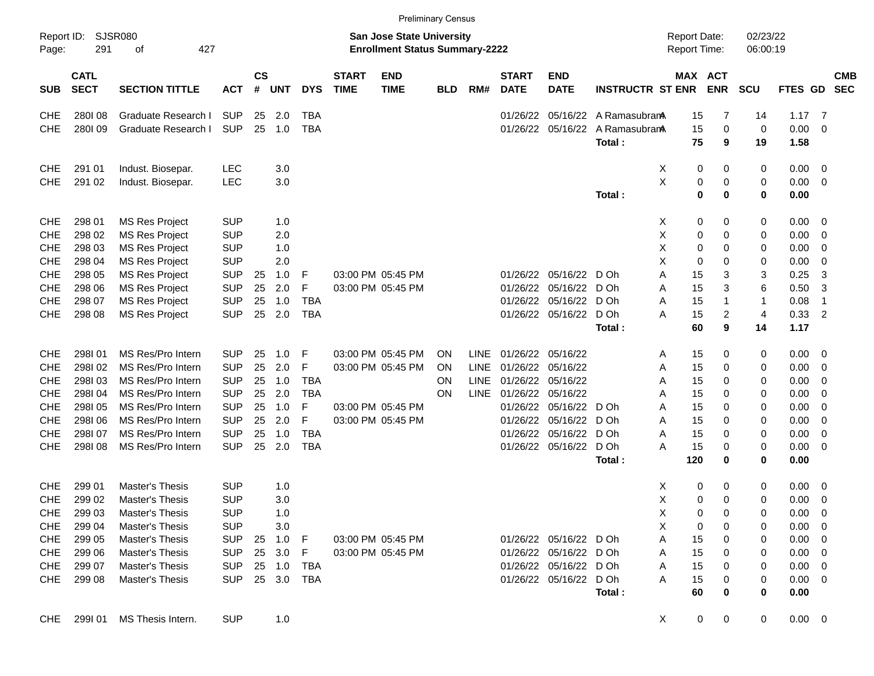|                     |                            |                             |            |                |            |              |                             |                                                                           | <b>Preliminary Census</b> |             |                             |                           |                         |                                     |                               |                      |             |                          |                          |
|---------------------|----------------------------|-----------------------------|------------|----------------|------------|--------------|-----------------------------|---------------------------------------------------------------------------|---------------------------|-------------|-----------------------------|---------------------------|-------------------------|-------------------------------------|-------------------------------|----------------------|-------------|--------------------------|--------------------------|
| Report ID:<br>Page: | 291                        | <b>SJSR080</b><br>427<br>οf |            |                |            |              |                             | <b>San Jose State University</b><br><b>Enrollment Status Summary-2222</b> |                           |             |                             |                           |                         | <b>Report Date:</b><br>Report Time: |                               | 02/23/22<br>06:00:19 |             |                          |                          |
| <b>SUB</b>          | <b>CATL</b><br><b>SECT</b> | <b>SECTION TITTLE</b>       | <b>ACT</b> | <b>CS</b><br># | <b>UNT</b> | <b>DYS</b>   | <b>START</b><br><b>TIME</b> | <b>END</b><br><b>TIME</b>                                                 | <b>BLD</b>                | RM#         | <b>START</b><br><b>DATE</b> | <b>END</b><br><b>DATE</b> | <b>INSTRUCTR ST ENR</b> |                                     | MAX ACT<br><b>ENR</b>         | <b>SCU</b>           | FTES GD     |                          | <b>CMB</b><br><b>SEC</b> |
| <b>CHE</b>          | 280108                     | Graduate Research I         | <b>SUP</b> | 25             | 2.0        | <b>TBA</b>   |                             |                                                                           |                           |             | 01/26/22                    | 05/16/22                  | A Ramasubran            | 15                                  | 7                             | 14                   | 1.17        | - 7                      |                          |
| <b>CHE</b>          | 280109                     | Graduate Research I         | <b>SUP</b> | 25             | 1.0        | <b>TBA</b>   |                             |                                                                           |                           |             | 01/26/22                    | 05/16/22                  | A Ramasubran            | 15                                  | $\mathbf 0$                   | 0                    | 0.00        | $\mathbf 0$              |                          |
|                     |                            |                             |            |                |            |              |                             |                                                                           |                           |             |                             |                           | Total:                  | 75                                  | 9                             | 19                   | 1.58        |                          |                          |
| CHE                 | 291 01                     | Indust. Biosepar.           | <b>LEC</b> |                | 3.0        |              |                             |                                                                           |                           |             |                             |                           |                         | X<br>0                              | 0                             | 0                    | 0.00        | $\mathbf 0$              |                          |
| <b>CHE</b>          | 291 02                     | Indust. Biosepar.           | <b>LEC</b> |                | 3.0        |              |                             |                                                                           |                           |             |                             |                           |                         | X<br>0                              | 0                             | 0                    | 0.00        | $\mathbf 0$              |                          |
|                     |                            |                             |            |                |            |              |                             |                                                                           |                           |             |                             |                           | Total:                  | 0                                   | $\bf{0}$                      | $\bf{0}$             | 0.00        |                          |                          |
| CHE                 | 298 01                     | <b>MS Res Project</b>       | <b>SUP</b> |                | 1.0        |              |                             |                                                                           |                           |             |                             |                           |                         | X<br>0                              | 0                             | 0                    | 0.00        | 0                        |                          |
| <b>CHE</b>          | 298 02                     | <b>MS Res Project</b>       | <b>SUP</b> |                | 2.0        |              |                             |                                                                           |                           |             |                             |                           |                         | X<br>0                              | 0                             | 0                    | 0.00        | $\mathbf 0$              |                          |
| CHE                 | 298 03                     | <b>MS Res Project</b>       | <b>SUP</b> |                | 1.0        |              |                             |                                                                           |                           |             |                             |                           |                         | X<br>0                              | 0                             | 0                    | 0.00        | $\mathbf 0$              |                          |
| <b>CHE</b>          | 298 04                     | <b>MS Res Project</b>       | <b>SUP</b> |                | 2.0        |              |                             |                                                                           |                           |             |                             |                           |                         | X<br>$\mathbf 0$                    | 0                             | 0                    | 0.00        | $\mathbf 0$              |                          |
| CHE                 | 298 05                     | <b>MS Res Project</b>       | <b>SUP</b> | 25             | 1.0        | F            |                             | 03:00 PM 05:45 PM                                                         |                           |             | 01/26/22                    | 05/16/22                  | D Oh                    | A<br>15                             | 3                             | 3                    | 0.25        | 3                        |                          |
| <b>CHE</b>          | 298 06                     | <b>MS Res Project</b>       | <b>SUP</b> | 25             | 2.0        | F            |                             | 03:00 PM 05:45 PM                                                         |                           |             | 01/26/22                    | 05/16/22                  | D Oh                    | 15<br>A                             | 3                             | 6                    | 0.50        | 3                        |                          |
| CHE                 | 298 07                     | <b>MS Res Project</b>       | <b>SUP</b> | 25             | 1.0        | <b>TBA</b>   |                             |                                                                           |                           |             | 01/26/22                    | 05/16/22                  | D Oh                    | A<br>15                             | 1                             | $\mathbf{1}$         | 0.08        | $\overline{1}$           |                          |
| <b>CHE</b>          | 298 08                     | <b>MS Res Project</b>       | <b>SUP</b> | 25             | 2.0        | <b>TBA</b>   |                             |                                                                           |                           |             | 01/26/22                    | 05/16/22                  | D Oh                    | A<br>15                             | $\overline{c}$                | $\overline{4}$       | 0.33        | $\overline{2}$           |                          |
|                     |                            |                             |            |                |            |              |                             |                                                                           |                           |             |                             |                           | Total:                  | 60                                  | 9                             | 14                   | 1.17        |                          |                          |
| <b>CHE</b>          | 298101                     | MS Res/Pro Intern           | <b>SUP</b> | 25             | 1.0        | F            |                             | 03:00 PM 05:45 PM                                                         | <b>ON</b>                 | <b>LINE</b> | 01/26/22                    | 05/16/22                  |                         | Α<br>15                             | 0                             | 0                    | 0.00        | $\mathbf 0$              |                          |
| CHE                 | 298102                     | MS Res/Pro Intern           | <b>SUP</b> | 25             | 2.0        | F            |                             | 03:00 PM 05:45 PM                                                         | <b>ON</b>                 | LINE        | 01/26/22                    | 05/16/22                  |                         | 15<br>A                             | 0                             | 0                    | 0.00        | $\mathbf 0$              |                          |
| CHE                 | 298103                     | MS Res/Pro Intern           | <b>SUP</b> | 25             | 1.0        | <b>TBA</b>   |                             |                                                                           | ON                        | LINE        | 01/26/22                    | 05/16/22                  |                         | 15<br>A                             | 0                             | 0                    | 0.00        | $\mathbf 0$              |                          |
| CHE                 | 298104                     | MS Res/Pro Intern           | <b>SUP</b> | 25             | 2.0        | <b>TBA</b>   |                             |                                                                           | <b>ON</b>                 | <b>LINE</b> | 01/26/22                    | 05/16/22                  |                         | 15<br>Α                             | $\mathbf 0$                   | 0                    | 0.00        | $\mathbf 0$              |                          |
| <b>CHE</b>          | 298105                     | MS Res/Pro Intern           | <b>SUP</b> | 25             | 1.0        | F            |                             | 03:00 PM 05:45 PM                                                         |                           |             | 01/26/22                    | 05/16/22                  | D Oh                    | A<br>15                             | $\mathbf 0$                   | 0                    | 0.00        | $\mathbf 0$              |                          |
| <b>CHE</b>          | 298106                     | MS Res/Pro Intern           | <b>SUP</b> | 25             | 2.0        | F            |                             | 03:00 PM 05:45 PM                                                         |                           |             | 01/26/22                    | 05/16/22                  | D Oh                    | A<br>15                             | 0                             | 0                    | 0.00        | $\mathbf 0$              |                          |
| CHE                 | 298107                     | MS Res/Pro Intern           | <b>SUP</b> | 25             | 1.0        | <b>TBA</b>   |                             |                                                                           |                           |             | 01/26/22                    | 05/16/22                  | D Oh                    | A<br>15                             | $\mathbf 0$                   | 0                    | 0.00        | $\mathbf 0$              |                          |
| <b>CHE</b>          | 298108                     | MS Res/Pro Intern           | <b>SUP</b> | 25             | 2.0        | <b>TBA</b>   |                             |                                                                           |                           |             | 01/26/22                    | 05/16/22                  | D Oh                    | A<br>15                             | 0                             | 0                    | 0.00        | $\mathbf 0$              |                          |
|                     |                            |                             |            |                |            |              |                             |                                                                           |                           |             |                             |                           | Total:                  | 120                                 | 0                             | 0                    | 0.00        |                          |                          |
| <b>CHE</b>          | 299 01                     | Master's Thesis             | <b>SUP</b> |                | 1.0        |              |                             |                                                                           |                           |             |                             |                           |                         | Х<br>0                              | 0                             | 0                    | 0.00        | 0                        |                          |
| <b>CHE</b>          | 299 02                     | Master's Thesis             | <b>SUP</b> |                | 3.0        |              |                             |                                                                           |                           |             |                             |                           |                         | X<br>0                              | $\Omega$                      | 0                    | 0.00        | 0                        |                          |
| <b>CHE</b>          | 299 03                     | Master's Thesis             | <b>SUP</b> |                | 1.0        |              |                             |                                                                           |                           |             |                             |                           |                         | Х<br>0                              | 0                             | 0                    | 0.00        | $\overline{\mathbf{0}}$  |                          |
| <b>CHE</b>          | 299 04                     | Master's Thesis             | <b>SUP</b> |                | 3.0        |              |                             |                                                                           |                           |             |                             |                           |                         | X<br>0                              | 0                             | 0                    | 0.00        | 0                        |                          |
| <b>CHE</b>          | 299 05                     | Master's Thesis             | <b>SUP</b> | 25             | 1.0        | $\mathsf{F}$ |                             | 03:00 PM 05:45 PM                                                         |                           |             |                             | 01/26/22 05/16/22 D Oh    |                         | 15<br>A                             | 0                             | 0                    | 0.00        | $\overline{\mathbf{0}}$  |                          |
| <b>CHE</b>          | 299 06                     | Master's Thesis             | <b>SUP</b> |                | 25 3.0     | F            |                             | 03:00 PM 05:45 PM                                                         |                           |             |                             | 01/26/22 05/16/22 D Oh    |                         | 15<br>A                             | 0                             | 0                    | 0.00        | $\overline{0}$           |                          |
| <b>CHE</b>          | 299 07                     | Master's Thesis             | <b>SUP</b> | 25             | 1.0        | TBA          |                             |                                                                           |                           |             |                             | 01/26/22 05/16/22 D Oh    |                         | 15<br>A                             | 0                             | 0                    | 0.00        | - 0                      |                          |
| <b>CHE</b>          | 299 08                     | Master's Thesis             | <b>SUP</b> |                | 25 3.0     | TBA          |                             |                                                                           |                           |             |                             | 01/26/22 05/16/22         | D Oh                    | A<br>15                             | 0                             | 0                    | 0.00        | $\overline{\phantom{0}}$ |                          |
|                     |                            |                             |            |                |            |              |                             |                                                                           |                           |             |                             |                           | Total:                  | 60                                  | 0                             | 0                    | 0.00        |                          |                          |
| CHE                 |                            | 299I 01 MS Thesis Intern.   | <b>SUP</b> |                | 1.0        |              |                             |                                                                           |                           |             |                             |                           |                         | X                                   | $\overline{0}$<br>$\mathbf 0$ | 0                    | $0.00 \t 0$ |                          |                          |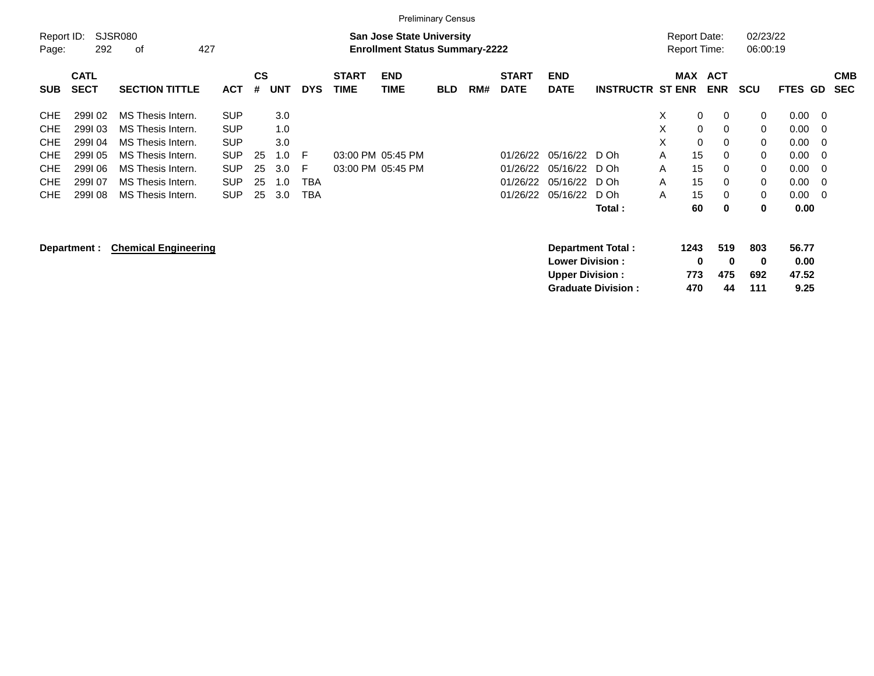|                                                                                                |                                                                    |                                                                                                                                                 |                                                                                                |                      |                                               |                                    |                             | <b>Preliminary Census</b>                                                 |            |     |                                              |                                              |                                        |                                 |                                                               |                                                           |                                      |                                                              |                                            |                          |
|------------------------------------------------------------------------------------------------|--------------------------------------------------------------------|-------------------------------------------------------------------------------------------------------------------------------------------------|------------------------------------------------------------------------------------------------|----------------------|-----------------------------------------------|------------------------------------|-----------------------------|---------------------------------------------------------------------------|------------|-----|----------------------------------------------|----------------------------------------------|----------------------------------------|---------------------------------|---------------------------------------------------------------|-----------------------------------------------------------|--------------------------------------|--------------------------------------------------------------|--------------------------------------------|--------------------------|
| Report ID:<br>Page:                                                                            | 292                                                                | <b>SJSR080</b><br>427<br>оf                                                                                                                     |                                                                                                |                      |                                               |                                    |                             | <b>San Jose State University</b><br><b>Enrollment Status Summary-2222</b> |            |     |                                              |                                              |                                        |                                 | <b>Report Date:</b><br>Report Time:                           |                                                           | 02/23/22<br>06:00:19                 |                                                              |                                            |                          |
| <b>SUB</b>                                                                                     | <b>CATL</b><br><b>SECT</b>                                         | <b>SECTION TITTLE</b>                                                                                                                           | <b>ACT</b>                                                                                     | CS<br>#              | <b>UNT</b>                                    | <b>DYS</b>                         | <b>START</b><br><b>TIME</b> | <b>END</b><br>TIME                                                        | <b>BLD</b> | RM# | <b>START</b><br><b>DATE</b>                  | <b>END</b><br><b>DATE</b>                    | <b>INSTRUCTR ST ENR</b>                |                                 | <b>MAX</b>                                                    | <b>ACT</b><br><b>ENR</b>                                  | <b>SCU</b>                           | FTES GD                                                      |                                            | <b>CMB</b><br><b>SEC</b> |
| <b>CHE</b><br><b>CHE</b><br><b>CHE</b><br><b>CHE</b><br><b>CHE</b><br><b>CHE</b><br><b>CHE</b> | 299102<br>299103<br>299104<br>299105<br>299106<br>299107<br>299108 | MS Thesis Intern.<br>MS Thesis Intern.<br>MS Thesis Intern.<br>MS Thesis Intern.<br>MS Thesis Intern.<br>MS Thesis Intern.<br>MS Thesis Intern. | <b>SUP</b><br><b>SUP</b><br><b>SUP</b><br><b>SUP</b><br><b>SUP</b><br><b>SUP</b><br><b>SUP</b> | 25<br>25<br>25<br>25 | 3.0<br>1.0<br>3.0<br>1.0<br>3.0<br>1.0<br>3.0 | F<br>F<br><b>TBA</b><br><b>TBA</b> |                             | 03:00 PM 05:45 PM<br>03:00 PM 05:45 PM                                    |            |     | 01/26/22<br>01/26/22<br>01/26/22<br>01/26/22 | 05/16/22<br>05/16/22<br>05/16/22<br>05/16/22 | D Oh<br>D Oh<br>D Oh<br>D Oh<br>Total: | X<br>X<br>X<br>A<br>A<br>A<br>A | 0<br>$\mathbf 0$<br>$\mathbf 0$<br>15<br>15<br>15<br>15<br>60 | 0<br>0<br>0<br>$\Omega$<br>0<br>$\Omega$<br>$\Omega$<br>0 | 0<br>0<br>0<br>0<br>0<br>0<br>0<br>0 | 0.00<br>0.00<br>0.00<br>0.00<br>0.00<br>0.00<br>0.00<br>0.00 | -0<br>0<br>0<br>0<br>0<br>$\mathbf 0$<br>0 |                          |
|                                                                                                | Department :                                                       | <b>Chemical Engineering</b>                                                                                                                     |                                                                                                |                      |                                               |                                    |                             |                                                                           |            |     |                                              | <b>Lower Division :</b>                      | Department Total:                      |                                 | 1243<br>0                                                     | 519<br>0                                                  | 803<br>0                             | 56.77<br>0.00                                                |                                            |                          |

**Upper Division : 773 475 692 47.52<br>
Graduate Division : 470 44 111 9.25 Graduate Division : 470 44 111 9.25**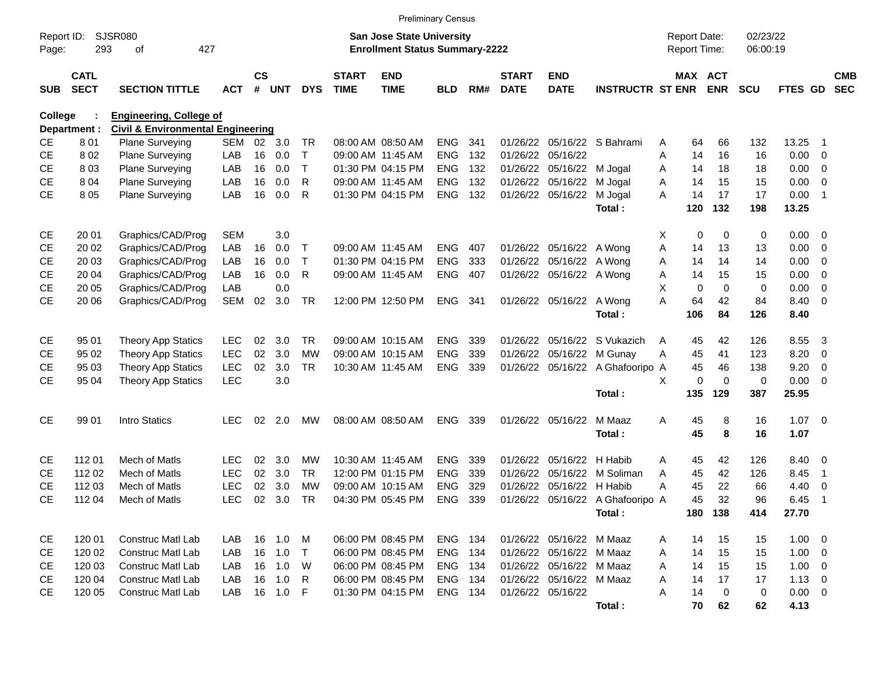|                     |                            |                                                                                |            |                    |            |              |                             |                                                                           | <b>Preliminary Census</b> |     |                             |                           |                                  |                                     |             |                       |                      |             |                          |                          |
|---------------------|----------------------------|--------------------------------------------------------------------------------|------------|--------------------|------------|--------------|-----------------------------|---------------------------------------------------------------------------|---------------------------|-----|-----------------------------|---------------------------|----------------------------------|-------------------------------------|-------------|-----------------------|----------------------|-------------|--------------------------|--------------------------|
| Report ID:<br>Page: | 293                        | SJSR080<br>427<br>οf                                                           |            |                    |            |              |                             | <b>San Jose State University</b><br><b>Enrollment Status Summary-2222</b> |                           |     |                             |                           |                                  | <b>Report Date:</b><br>Report Time: |             |                       | 02/23/22<br>06:00:19 |             |                          |                          |
| <b>SUB</b>          | <b>CATL</b><br><b>SECT</b> | <b>SECTION TITTLE</b>                                                          | ACT        | $\mathsf{cs}$<br># | <b>UNT</b> | <b>DYS</b>   | <b>START</b><br><b>TIME</b> | <b>END</b><br><b>TIME</b>                                                 | <b>BLD</b>                | RM# | <b>START</b><br><b>DATE</b> | <b>END</b><br><b>DATE</b> | <b>INSTRUCTR ST ENR</b>          |                                     |             | MAX ACT<br><b>ENR</b> | <b>SCU</b>           | FTES GD     |                          | <b>CMB</b><br><b>SEC</b> |
| <b>College</b>      | Department :               | <b>Engineering, College of</b><br><b>Civil &amp; Environmental Engineering</b> |            |                    |            |              |                             |                                                                           |                           |     |                             |                           |                                  |                                     |             |                       |                      |             |                          |                          |
| <b>CE</b>           | 801                        | <b>Plane Surveying</b>                                                         | SEM        | 02                 | 3.0        | TR.          |                             | 08:00 AM 08:50 AM                                                         | <b>ENG</b>                | 341 | 01/26/22                    |                           | 05/16/22 S Bahrami               | A                                   | 64          | 66                    | 132                  | 13.25       | - 1                      |                          |
| CE                  | 802                        | Plane Surveying                                                                | LAB        | 16                 | 0.0        | $\mathsf{T}$ |                             | 09:00 AM 11:45 AM                                                         | <b>ENG</b>                | 132 | 01/26/22                    | 05/16/22                  |                                  | A                                   | 14          | 16                    | 16                   | 0.00        | $\overline{0}$           |                          |
| <b>CE</b>           | 803                        | <b>Plane Surveying</b>                                                         | LAB        | 16                 | 0.0        | $\mathsf{T}$ |                             | 01:30 PM 04:15 PM                                                         | ENG                       | 132 | 01/26/22                    | 05/16/22                  | M Jogal                          | A                                   | 14          | 18                    | 18                   | 0.00        | $\overline{\mathbf{0}}$  |                          |
| <b>CE</b>           | 804                        | Plane Surveying                                                                | LAB        | 16                 | 0.0        | R            |                             | 09:00 AM 11:45 AM                                                         | ENG                       | 132 | 01/26/22                    | 05/16/22                  | M Jogal                          | A                                   | 14          | 15                    | 15                   | 0.00        | $\overline{0}$           |                          |
| CE                  | 8 0 5                      | Plane Surveying                                                                | LAB        | 16                 | 0.0        | R            |                             | 01:30 PM 04:15 PM                                                         | <b>ENG</b>                | 132 |                             | 01/26/22 05/16/22         | M Jogal                          | Α                                   | 14          | 17                    | 17                   | 0.00        | $\overline{\mathbf{1}}$  |                          |
|                     |                            |                                                                                |            |                    |            |              |                             |                                                                           |                           |     |                             |                           | Total:                           |                                     | 120         | 132                   | 198                  | 13.25       |                          |                          |
| CE                  | 20 01                      | Graphics/CAD/Prog                                                              | <b>SEM</b> |                    | 3.0        |              |                             |                                                                           |                           |     |                             |                           |                                  | Χ                                   | 0           | 0                     | 0                    | 0.00        | $\overline{\mathbf{0}}$  |                          |
| <b>CE</b>           | 20 02                      | Graphics/CAD/Prog                                                              | LAB        | 16                 | 0.0        | Т            |                             | 09:00 AM 11:45 AM                                                         | <b>ENG</b>                | 407 |                             | 01/26/22 05/16/22         | A Wong                           | A                                   | 14          | 13                    | 13                   | 0.00        | $\overline{0}$           |                          |
| <b>CE</b>           | 20 03                      | Graphics/CAD/Prog                                                              | LAB        | 16                 | 0.0        | $\mathsf{T}$ |                             | 01:30 PM 04:15 PM                                                         | ENG                       | 333 | 01/26/22                    | 05/16/22                  | A Wong                           | A                                   | 14          | 14                    | 14                   | 0.00        | 0                        |                          |
| <b>CE</b>           | 20 04                      | Graphics/CAD/Prog                                                              | LAB        | 16                 | 0.0        | R            |                             | 09:00 AM 11:45 AM                                                         | ENG                       | 407 |                             | 01/26/22 05/16/22 A Wong  |                                  | Α                                   | 14          | 15                    | 15                   | 0.00        | 0                        |                          |
| <b>CE</b>           | 20 05                      | Graphics/CAD/Prog                                                              | LAB        |                    | 0.0        |              |                             |                                                                           |                           |     |                             |                           |                                  | X                                   | $\mathbf 0$ | $\overline{0}$        | 0                    | 0.00        | 0                        |                          |
| CE                  | 20 06                      | Graphics/CAD/Prog                                                              | <b>SEM</b> | 02                 | 3.0        | TR           |                             | 12:00 PM 12:50 PM                                                         | <b>ENG</b>                | 341 |                             | 01/26/22 05/16/22 A Wong  |                                  | A                                   | 64          | 42                    | 84                   | 8.40        | $\overline{0}$           |                          |
|                     |                            |                                                                                |            |                    |            |              |                             |                                                                           |                           |     |                             |                           | Total:                           |                                     | 106         | 84                    | 126                  | 8.40        |                          |                          |
| <b>CE</b>           | 95 01                      | <b>Theory App Statics</b>                                                      | <b>LEC</b> | 02                 | 3.0        | <b>TR</b>    |                             | 09:00 AM 10:15 AM                                                         | <b>ENG</b>                | 339 | 01/26/22                    | 05/16/22                  | S Vukazich                       | A                                   | 45          | 42                    | 126                  | 8.55        | 3                        |                          |
| <b>CE</b>           | 95 02                      | <b>Theory App Statics</b>                                                      | <b>LEC</b> | 02                 | 3.0        | <b>MW</b>    |                             | 09:00 AM 10:15 AM                                                         | <b>ENG</b>                | 339 | 01/26/22                    | 05/16/22                  | M Gunay                          | Α                                   | 45          | 41                    | 123                  | 8.20        | 0                        |                          |
| <b>CE</b>           | 95 03                      | <b>Theory App Statics</b>                                                      | <b>LEC</b> | 02                 | 3.0        | <b>TR</b>    |                             | 10:30 AM 11:45 AM                                                         | ENG                       | 339 | 01/26/22                    | 05/16/22                  | A Ghafooripo A                   |                                     | 45          | 46                    | 138                  | 9.20        | 0                        |                          |
| <b>CE</b>           | 95 04                      | <b>Theory App Statics</b>                                                      | <b>LEC</b> |                    | 3.0        |              |                             |                                                                           |                           |     |                             |                           |                                  | X                                   | 0           | $\overline{0}$        | 0                    | 0.00        | $\overline{\mathbf{0}}$  |                          |
|                     |                            |                                                                                |            |                    |            |              |                             |                                                                           |                           |     |                             |                           | Total:                           |                                     | 135         | 129                   | 387                  | 25.95       |                          |                          |
| <b>CE</b>           | 99 01                      | Intro Statics                                                                  | <b>LEC</b> | 02                 | 2.0        | <b>MW</b>    |                             | 08:00 AM 08:50 AM                                                         | <b>ENG</b>                | 339 |                             | 01/26/22 05/16/22         | M Maaz                           | A                                   | 45          | 8                     | 16                   | 1.07        | $\overline{\phantom{0}}$ |                          |
|                     |                            |                                                                                |            |                    |            |              |                             |                                                                           |                           |     |                             |                           | Total:                           |                                     | 45          | 8                     | 16                   | 1.07        |                          |                          |
| <b>CE</b>           | 112 01                     | Mech of Matls                                                                  | <b>LEC</b> | 02                 | 3.0        | МW           |                             | 10:30 AM 11:45 AM                                                         | <b>ENG</b>                | 339 | 01/26/22                    | 05/16/22                  | H Habib                          | A                                   | 45          | 42                    | 126                  | 8.40        | $\overline{\mathbf{0}}$  |                          |
| <b>CE</b>           | 112 02                     | Mech of Matls                                                                  | <b>LEC</b> | 02                 | 3.0        | <b>TR</b>    |                             | 12:00 PM 01:15 PM                                                         | <b>ENG</b>                | 339 | 01/26/22                    | 05/16/22                  | M Soliman                        | A                                   | 45          | 42                    | 126                  | 8.45        | $\overline{\mathbf{1}}$  |                          |
| <b>CE</b>           | 112 03                     | Mech of Matls                                                                  | <b>LEC</b> | 02                 | 3.0        | <b>MW</b>    |                             | 09:00 AM 10:15 AM                                                         | <b>ENG</b>                | 329 | 01/26/22                    | 05/16/22                  | H Habib                          | Α                                   | 45          | 22                    | 66                   | 4.40        | 0                        |                          |
| <b>CE</b>           | 112 04                     | Mech of Matls                                                                  | <b>LEC</b> | 02                 | 3.0        | <b>TR</b>    |                             | 04:30 PM 05:45 PM                                                         | <b>ENG</b>                | 339 |                             |                           | 01/26/22 05/16/22 A Ghafooripo A |                                     | 45          | 32                    | 96                   | 6.45        | -1                       |                          |
|                     |                            |                                                                                |            |                    |            |              |                             |                                                                           |                           |     |                             |                           | Total:                           |                                     |             | 180 138               | 414                  | 27.70       |                          |                          |
| CE                  | 120 01                     | <b>Construc Matl Lab</b>                                                       | LAB        | 16                 | 1.0        | M            |                             | 06:00 PM 08:45 PM                                                         | ENG 134                   |     |                             | 01/26/22 05/16/22 M Maaz  |                                  | A                                   | 14          | 15                    | 15                   | $1.00 \t 0$ |                          |                          |
| CE                  | 120 02                     | <b>Construc Matl Lab</b>                                                       | LAB        | 16                 | 1.0        | T            |                             | 06:00 PM 08:45 PM                                                         | ENG 134                   |     |                             | 01/26/22 05/16/22 M Maaz  |                                  | A                                   | 14          | 15                    | 15                   | $1.00 \t 0$ |                          |                          |
| CE                  | 120 03                     | <b>Construc Matl Lab</b>                                                       | LAB        | 16                 | 1.0        | W            |                             | 06:00 PM 08:45 PM                                                         | ENG 134                   |     |                             | 01/26/22 05/16/22 M Maaz  |                                  | Α                                   | 14          | 15                    | 15                   | $1.00 \t 0$ |                          |                          |
| CE                  | 120 04                     | Construc Matl Lab                                                              | LAB        | 16                 | 1.0        | R            |                             | 06:00 PM 08:45 PM                                                         | ENG 134                   |     |                             | 01/26/22 05/16/22 M Maaz  |                                  | A                                   | 14          | 17                    | 17                   | $1.13 \ 0$  |                          |                          |
| <b>CE</b>           | 120 05                     | Construc Matl Lab                                                              | LAB        | 16                 | 1.0        | F            |                             | 01:30 PM 04:15 PM                                                         | ENG 134                   |     |                             | 01/26/22 05/16/22         |                                  | Α                                   | 14          | $\mathbf 0$           | 0                    | $0.00 \t 0$ |                          |                          |
|                     |                            |                                                                                |            |                    |            |              |                             |                                                                           |                           |     |                             |                           | Total:                           |                                     | 70          | 62                    | 62                   | 4.13        |                          |                          |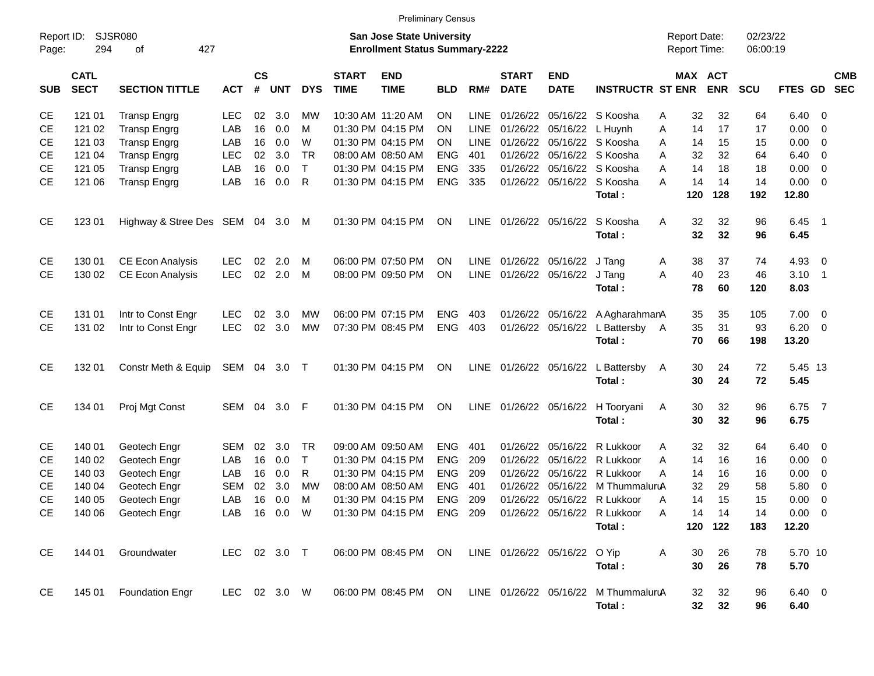|                     |                            |                                |              |                    |            |            |                             |                                                                    | <b>Preliminary Census</b> |             |                             |                               |                                                |                                            |            |                      |                   |                          |                          |
|---------------------|----------------------------|--------------------------------|--------------|--------------------|------------|------------|-----------------------------|--------------------------------------------------------------------|---------------------------|-------------|-----------------------------|-------------------------------|------------------------------------------------|--------------------------------------------|------------|----------------------|-------------------|--------------------------|--------------------------|
| Report ID:<br>Page: | 294                        | SJSR080<br>427<br>οf           |              |                    |            |            |                             | San Jose State University<br><b>Enrollment Status Summary-2222</b> |                           |             |                             |                               |                                                | <b>Report Date:</b><br><b>Report Time:</b> |            | 02/23/22<br>06:00:19 |                   |                          |                          |
| <b>SUB</b>          | <b>CATL</b><br><b>SECT</b> | <b>SECTION TITTLE</b>          | <b>ACT</b>   | $\mathsf{cs}$<br># | <b>UNT</b> | <b>DYS</b> | <b>START</b><br><b>TIME</b> | <b>END</b><br><b>TIME</b>                                          | <b>BLD</b>                | RM#         | <b>START</b><br><b>DATE</b> | <b>END</b><br><b>DATE</b>     | <b>INSTRUCTR ST ENR</b>                        | <b>MAX ACT</b>                             | <b>ENR</b> | <b>SCU</b>           | FTES GD           |                          | <b>CMB</b><br><b>SEC</b> |
| CE                  | 121 01                     | <b>Transp Engrg</b>            | LEC.         | 02                 | 3.0        | МW         |                             | 10:30 AM 11:20 AM                                                  | <b>ON</b>                 | <b>LINE</b> |                             |                               | 01/26/22 05/16/22 S Koosha                     | 32<br>Α                                    | 32         | 64                   | $6.40 \quad 0$    |                          |                          |
| <b>CE</b>           | 121 02                     | <b>Transp Engrg</b>            | LAB          | 16                 | 0.0        | M          |                             | 01:30 PM 04:15 PM                                                  | ON                        | LINE        |                             | 01/26/22 05/16/22 L Huynh     |                                                | 14<br>A                                    | 17         | 17                   | 0.00              | $\overline{\phantom{0}}$ |                          |
| <b>CE</b>           | 121 03                     | <b>Transp Engrg</b>            | LAB          | 16                 | 0.0        | W          |                             | 01:30 PM 04:15 PM                                                  | <b>ON</b>                 | LINE        |                             |                               | 01/26/22 05/16/22 S Koosha                     | 14<br>A                                    | 15         | 15                   | 0.00              | $\overline{\phantom{0}}$ |                          |
| <b>CE</b>           | 121 04                     | <b>Transp Engrg</b>            | <b>LEC</b>   | 02                 | 3.0        | TR         |                             | 08:00 AM 08:50 AM                                                  | <b>ENG</b>                | 401         | 01/26/22                    |                               | 05/16/22 S Koosha                              | Α<br>32                                    | 32         | 64                   | $6.40\ 0$         |                          |                          |
| <b>CE</b>           | 121 05                     | <b>Transp Engrg</b>            | LAB          | 16                 | 0.0        | $\top$     |                             | 01:30 PM 04:15 PM                                                  | <b>ENG</b>                | 335         |                             |                               | 01/26/22 05/16/22 S Koosha                     | Α<br>14                                    | 18         | 18                   | 0.00              | $\overline{\phantom{0}}$ |                          |
| <b>CE</b>           | 121 06                     | <b>Transp Engrg</b>            | LAB          | 16                 | 0.0        | R          |                             | 01:30 PM 04:15 PM                                                  | <b>ENG</b>                | 335         |                             |                               | 01/26/22 05/16/22 S Koosha                     | 14<br>A                                    | 14         | 14                   | $0.00 \t 0$       |                          |                          |
|                     |                            |                                |              |                    |            |            |                             |                                                                    |                           |             |                             |                               | Total:                                         | 120                                        | 128        | 192                  | 12.80             |                          |                          |
| <b>CE</b>           | 123 01                     | Highway & Stree Des SEM 04 3.0 |              |                    |            | M          |                             | 01:30 PM 04:15 PM                                                  | ON                        |             | LINE 01/26/22 05/16/22      |                               | S Koosha<br>Total:                             | 32<br>A<br>32                              | 32<br>32   | 96<br>96             | 6.45<br>6.45      | $\blacksquare$ 1         |                          |
|                     |                            |                                |              |                    |            |            |                             |                                                                    |                           |             |                             |                               |                                                |                                            |            |                      |                   |                          |                          |
| CE                  | 130 01                     | <b>CE Econ Analysis</b>        | <b>LEC</b>   | 02                 | 2.0        | M          |                             | 06:00 PM 07:50 PM                                                  | ON                        | LINE        |                             | 01/26/22 05/16/22             | J Tang                                         | 38<br>A                                    | 37         | 74                   | 4.93              | $\overline{\phantom{0}}$ |                          |
| <b>CE</b>           | 130 02                     | <b>CE Econ Analysis</b>        | <b>LEC</b>   | 02                 | 2.0        | M          |                             | 08:00 PM 09:50 PM                                                  | ON                        |             |                             | LINE 01/26/22 05/16/22 J Tang |                                                | 40<br>A                                    | 23         | 46                   | $3.10$ 1          |                          |                          |
|                     |                            |                                |              |                    |            |            |                             |                                                                    |                           |             |                             |                               | Total:                                         | 78                                         | 60         | 120                  | 8.03              |                          |                          |
| <b>CE</b>           | 131 01                     | Intr to Const Engr             | <b>LEC</b>   | 02                 | 3.0        | MW         |                             | 06:00 PM 07:15 PM                                                  | <b>ENG</b>                | 403         |                             | 01/26/22 05/16/22             | A AgharahmanA                                  | 35                                         | 35         | 105                  | $7.00 \t 0$       |                          |                          |
| <b>CE</b>           | 131 02                     | Intr to Const Engr             | <b>LEC</b>   |                    | 02 3.0     | <b>MW</b>  |                             | 07:30 PM 08:45 PM                                                  | <b>ENG</b>                | 403         |                             | 01/26/22 05/16/22             | L Battersby A                                  | 35                                         | 31         | 93                   | $6.20\ 0$         |                          |                          |
|                     |                            |                                |              |                    |            |            |                             |                                                                    |                           |             |                             |                               | Total:                                         | 70                                         | 66         | 198                  | 13.20             |                          |                          |
| <b>CE</b>           | 132 01                     |                                |              |                    |            |            |                             |                                                                    | ON                        |             | LINE 01/26/22 05/16/22      |                               |                                                |                                            | 24         |                      | 5.45 13           |                          |                          |
|                     |                            | Constr Meth & Equip            | SEM 04 3.0 T |                    |            |            |                             | 01:30 PM 04:15 PM                                                  |                           |             |                             |                               | L Battersby<br>Total:                          | 30<br>A<br>30                              | 24         | 72<br>72             | 5.45              |                          |                          |
|                     |                            |                                |              |                    |            |            |                             |                                                                    |                           |             |                             |                               |                                                |                                            |            |                      |                   |                          |                          |
| <b>CE</b>           | 134 01                     | Proj Mgt Const                 | SEM 04 3.0   |                    |            | - F        |                             | 01:30 PM 04:15 PM                                                  | ON                        |             | LINE 01/26/22 05/16/22      |                               | H Tooryani<br>Total:                           | 30<br>A<br>30                              | 32<br>32   | 96<br>96             | 6.75<br>6.75      | $\overline{7}$           |                          |
|                     |                            |                                |              |                    |            |            |                             |                                                                    |                           |             |                             |                               |                                                |                                            |            |                      |                   |                          |                          |
| <b>CE</b>           | 140 01                     | Geotech Engr                   | <b>SEM</b>   | 02                 | 3.0        | TR         |                             | 09:00 AM 09:50 AM                                                  | <b>ENG</b>                | 401         |                             | 01/26/22 05/16/22             | R Lukkoor                                      | 32<br>A                                    | 32         | 64                   | $6.40 \quad 0$    |                          |                          |
| <b>CE</b>           | 140 02                     | Geotech Engr                   | LAB          | 16                 | 0.0        | $\top$     |                             | 01:30 PM 04:15 PM                                                  | <b>ENG</b>                | 209         |                             | 01/26/22 05/16/22             | R Lukkoor                                      | 14<br>A                                    | 16         | 16                   | $0.00 \t 0$       |                          |                          |
| <b>CE</b>           | 140 03                     | Geotech Engr                   | LAB          | 16                 | 0.0        | R          |                             | 01:30 PM 04:15 PM                                                  | <b>ENG</b>                | 209         | 01/26/22                    | 05/16/22                      | R Lukkoor                                      | Α<br>14                                    | 16         | 16                   | 0.00              | $\overline{\phantom{0}}$ |                          |
| <b>CE</b>           | 140 04                     | Geotech Engr                   | <b>SEM</b>   | 02                 | 3.0        | МW         |                             | 08:00 AM 08:50 AM                                                  | <b>ENG</b>                | 401         | 01/26/22                    | 05/16/22                      | M ThummaluruA                                  | 32                                         | 29         | 58                   | 5.80              | $\overline{\phantom{0}}$ |                          |
| <b>CE</b>           | 140 05                     | Geotech Engr                   | LAB          | 16                 | 0.0        | M          |                             | 01:30 PM 04:15 PM                                                  | <b>ENG</b>                | 209         |                             |                               | 01/26/22 05/16/22 R Lukkoor                    | 14<br>Α                                    | 15         | 15                   | 0.00              | 0                        |                          |
| $\mathsf{CE}$       |                            | 140 06 Geotech Engr            |              |                    |            |            |                             | LAB 16 0.0 W 01:30 PM 04:15 PM ENG 209 01/26/22 05/16/22 R Lukkoor |                           |             |                             |                               |                                                | 14<br>Α                                    | 14         | 14                   | $0.00 \t 0$       |                          |                          |
|                     |                            |                                |              |                    |            |            |                             |                                                                    |                           |             |                             |                               | Total:                                         |                                            | 120 122    | 183                  | 12.20             |                          |                          |
| <b>CE</b>           | 144 01                     | Groundwater                    | LEC 02 3.0 T |                    |            |            |                             | 06:00 PM 08:45 PM ON LINE 01/26/22 05/16/22 O Yip                  |                           |             |                             |                               |                                                | A<br>30                                    | 26         | 78                   | 5.70 10           |                          |                          |
|                     |                            |                                |              |                    |            |            |                             |                                                                    |                           |             |                             |                               | Total:                                         | 30                                         | 26         | 78                   | 5.70              |                          |                          |
|                     |                            |                                |              |                    |            |            |                             |                                                                    |                           |             |                             |                               |                                                |                                            |            |                      |                   |                          |                          |
| CE                  |                            | 145 01 Foundation Engr         | LEC 02 3.0 W |                    |            |            |                             | 06:00 PM 08:45 PM ON                                               |                           |             |                             |                               | LINE 01/26/22 05/16/22 M ThummaluruA<br>Total: | 32<br>32 <sub>2</sub>                      | 32<br>32   | 96<br>96             | $6.40\ 0$<br>6.40 |                          |                          |
|                     |                            |                                |              |                    |            |            |                             |                                                                    |                           |             |                             |                               |                                                |                                            |            |                      |                   |                          |                          |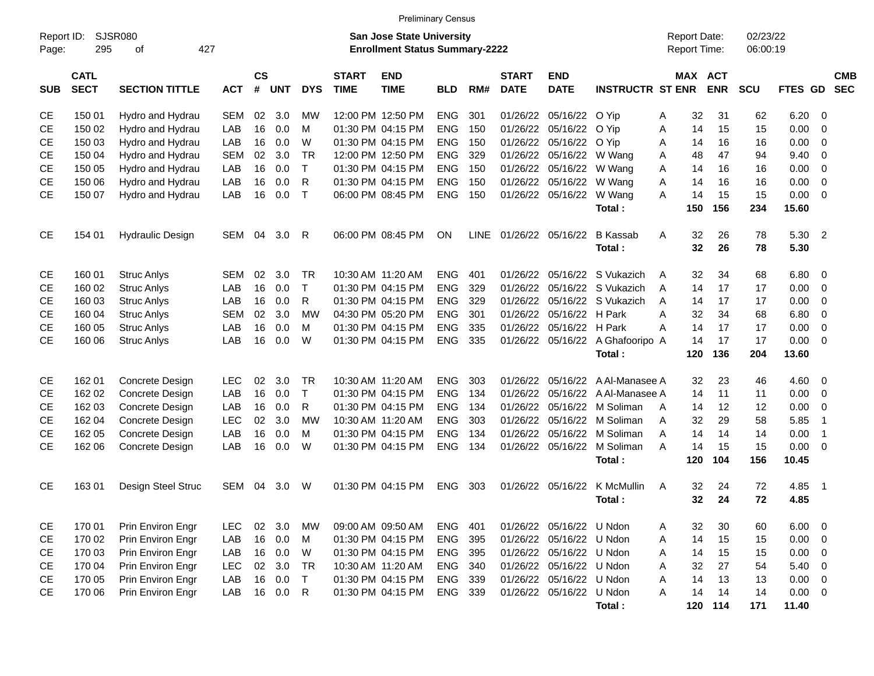|            | <b>Preliminary Census</b><br><b>SJSR080</b><br>Report Date:<br>Report ID:<br><b>San Jose State University</b> |                         |            |                |            |              |                             |                                       |            |             |                             |                           |                         |   |              |            |                      |             |                         |                          |
|------------|---------------------------------------------------------------------------------------------------------------|-------------------------|------------|----------------|------------|--------------|-----------------------------|---------------------------------------|------------|-------------|-----------------------------|---------------------------|-------------------------|---|--------------|------------|----------------------|-------------|-------------------------|--------------------------|
| Page:      | 295                                                                                                           | 427<br>οf               |            |                |            |              |                             | <b>Enrollment Status Summary-2222</b> |            |             |                             |                           |                         |   | Report Time: |            | 02/23/22<br>06:00:19 |             |                         |                          |
| <b>SUB</b> | <b>CATL</b><br><b>SECT</b>                                                                                    | <b>SECTION TITTLE</b>   | <b>ACT</b> | <b>CS</b><br># | <b>UNT</b> | <b>DYS</b>   | <b>START</b><br><b>TIME</b> | <b>END</b><br><b>TIME</b>             | <b>BLD</b> | RM#         | <b>START</b><br><b>DATE</b> | <b>END</b><br><b>DATE</b> | <b>INSTRUCTR ST ENR</b> |   | MAX ACT      | <b>ENR</b> | <b>SCU</b>           | FTES GD     |                         | <b>CMB</b><br><b>SEC</b> |
| СE         | 150 01                                                                                                        | Hydro and Hydrau        | SEM        | 02             | 3.0        | МW           |                             | 12:00 PM 12:50 PM                     | <b>ENG</b> | 301         |                             | 01/26/22 05/16/22         | O Yip                   | Α | 32           | 31         | 62                   | 6.20        | - 0                     |                          |
| <b>CE</b>  | 150 02                                                                                                        | Hydro and Hydrau        | LAB        | 16             | 0.0        | м            |                             | 01:30 PM 04:15 PM                     | <b>ENG</b> | 150         |                             | 01/26/22 05/16/22         | O Yip                   | A | 14           | 15         | 15                   | 0.00        | 0                       |                          |
| СE         | 150 03                                                                                                        | Hydro and Hydrau        | LAB        | 16             | 0.0        | W            |                             | 01:30 PM 04:15 PM                     | <b>ENG</b> | 150         |                             | 01/26/22 05/16/22         | O Yip                   | Α | 14           | 16         | 16                   | 0.00        | 0                       |                          |
| <b>CE</b>  | 150 04                                                                                                        | Hydro and Hydrau        | <b>SEM</b> | 02             | 3.0        | <b>TR</b>    |                             | 12:00 PM 12:50 PM                     | <b>ENG</b> | 329         | 01/26/22                    | 05/16/22                  | W Wang                  | Α | 48           | 47         | 94                   | 9.40        | 0                       |                          |
| <b>CE</b>  | 150 05                                                                                                        | Hydro and Hydrau        | LAB        | 16             | 0.0        | $\mathsf{T}$ |                             | 01:30 PM 04:15 PM                     | <b>ENG</b> | 150         |                             | 01/26/22 05/16/22         | W Wang                  | Α | 14           | 16         | 16                   | 0.00        | 0                       |                          |
| <b>CE</b>  | 150 06                                                                                                        | Hydro and Hydrau        | LAB        | 16             | 0.0        | R            |                             | 01:30 PM 04:15 PM                     | <b>ENG</b> | 150         |                             | 01/26/22 05/16/22         | W Wang                  | A | 14           | 16         | 16                   | 0.00        | 0                       |                          |
| <b>CE</b>  | 150 07                                                                                                        | Hydro and Hydrau        | LAB        | 16             | 0.0        | $\mathsf{T}$ |                             | 06:00 PM 08:45 PM                     | <b>ENG</b> | 150         |                             | 01/26/22 05/16/22         | W Wang                  | A | 14           | 15         | 15                   | 0.00        | - 0                     |                          |
|            |                                                                                                               |                         |            |                |            |              |                             |                                       |            |             |                             |                           | Total:                  |   | 150          | 156        | 234                  | 15.60       |                         |                          |
| CE         | 154 01                                                                                                        | <b>Hydraulic Design</b> | SEM        | 04             | 3.0        | R            |                             | 06:00 PM 08:45 PM                     | ON         | <b>LINE</b> |                             | 01/26/22 05/16/22         | <b>B</b> Kassab         | A | 32           | 26         | 78                   | 5.30        | -2                      |                          |
|            |                                                                                                               |                         |            |                |            |              |                             |                                       |            |             |                             |                           | Total:                  |   | 32           | 26         | 78                   | 5.30        |                         |                          |
|            |                                                                                                               |                         |            |                |            |              |                             |                                       |            |             |                             |                           |                         |   |              |            |                      |             |                         |                          |
| СE         | 160 01                                                                                                        | <b>Struc Anlys</b>      | SEM        | 02             | 3.0        | <b>TR</b>    |                             | 10:30 AM 11:20 AM                     | <b>ENG</b> | 401         | 01/26/22                    | 05/16/22                  | S Vukazich              | A | 32           | 34         | 68                   | 6.80        | - 0                     |                          |
| <b>CE</b>  | 160 02                                                                                                        | <b>Struc Anlys</b>      | LAB        | 16             | 0.0        | $\mathsf{T}$ |                             | 01:30 PM 04:15 PM                     | <b>ENG</b> | 329         |                             | 01/26/22 05/16/22         | S Vukazich              | A | 14           | 17         | 17                   | 0.00        | 0                       |                          |
| СE         | 160 03                                                                                                        | <b>Struc Anlys</b>      | LAB        | 16             | 0.0        | R            |                             | 01:30 PM 04:15 PM                     | <b>ENG</b> | 329         |                             | 01/26/22 05/16/22         | S Vukazich              | A | 14           | 17         | 17                   | 0.00        | 0                       |                          |
| СE         | 160 04                                                                                                        | <b>Struc Anlys</b>      | <b>SEM</b> | 02             | 3.0        | <b>MW</b>    |                             | 04:30 PM 05:20 PM                     | <b>ENG</b> | 301         |                             | 01/26/22 05/16/22         | H Park                  | Α | 32           | 34         | 68                   | 6.80        | 0                       |                          |
| <b>CE</b>  | 160 05                                                                                                        | <b>Struc Anlys</b>      | LAB        | 16             | 0.0        | м            |                             | 01:30 PM 04:15 PM                     | <b>ENG</b> | 335         |                             | 01/26/22 05/16/22         | H Park                  | Α | 14           | 17         | 17                   | 0.00        | $\mathbf 0$             |                          |
| <b>CE</b>  | 160 06                                                                                                        | <b>Struc Anlys</b>      | LAB        | 16             | 0.0        | W            |                             | 01:30 PM 04:15 PM                     | <b>ENG</b> | 335         |                             | 01/26/22 05/16/22         | A Ghafooripo A          |   | 14           | 17         | 17                   | 0.00        | - 0                     |                          |
|            |                                                                                                               |                         |            |                |            |              |                             |                                       |            |             |                             |                           | Total:                  |   | 120          | 136        | 204                  | 13.60       |                         |                          |
|            |                                                                                                               |                         |            |                |            |              |                             |                                       |            |             |                             |                           |                         |   |              |            |                      |             |                         |                          |
| СE         | 162 01                                                                                                        | Concrete Design         | <b>LEC</b> | 02             | 3.0        | <b>TR</b>    |                             | 10:30 AM 11:20 AM                     | <b>ENG</b> | 303         | 01/26/22                    | 05/16/22                  | A Al-Manasee A          |   | 32           | 23         | 46                   | 4.60        | - 0                     |                          |
| СE         | 162 02                                                                                                        | Concrete Design         | LAB        | 16             | 0.0        | $\top$       |                             | 01:30 PM 04:15 PM                     | <b>ENG</b> | 134         |                             | 01/26/22 05/16/22         | A Al-Manasee A          |   | 14           | 11         | 11                   | 0.00        | 0                       |                          |
| СE         | 162 03                                                                                                        | Concrete Design         | LAB        | 16             | 0.0        | R            |                             | 01:30 PM 04:15 PM                     | <b>ENG</b> | 134         |                             | 01/26/22 05/16/22         | M Soliman               | A | 14           | 12         | 12                   | 0.00        | - 0                     |                          |
| <b>CE</b>  | 162 04                                                                                                        | Concrete Design         | <b>LEC</b> | 02             | 3.0        | <b>MW</b>    |                             | 10:30 AM 11:20 AM                     | <b>ENG</b> | 303         |                             | 01/26/22 05/16/22         | M Soliman               | A | 32           | 29         | 58                   | 5.85        | $\overline{1}$          |                          |
| СE         | 162 05                                                                                                        | Concrete Design         | LAB        | 16             | 0.0        | M            |                             | 01:30 PM 04:15 PM                     | <b>ENG</b> | 134         | 01/26/22                    | 05/16/22                  | M Soliman               | A | 14           | 14         | 14                   | 0.00        | $\overline{1}$          |                          |
| <b>CE</b>  | 162 06                                                                                                        | Concrete Design         | LAB        | 16             | 0.0        | W            |                             | 01:30 PM 04:15 PM                     | <b>ENG</b> | 134         |                             | 01/26/22 05/16/22         | M Soliman               | A | 14           | 15         | 15                   | 0.00        | - 0                     |                          |
|            |                                                                                                               |                         |            |                |            |              |                             |                                       |            |             |                             |                           | Total:                  |   | 120          | 104        | 156                  | 10.45       |                         |                          |
| СE         | 16301                                                                                                         | Design Steel Struc      | SEM        | 04             | 3.0        | W            |                             | 01:30 PM 04:15 PM                     | <b>ENG</b> | 303         |                             | 01/26/22 05/16/22         | K McMullin              | A | 32           | 24         | 72                   | 4.85        | - 1                     |                          |
|            |                                                                                                               |                         |            |                |            |              |                             |                                       |            |             |                             |                           | Total:                  |   | 32           | 24         | 72                   | 4.85        |                         |                          |
|            |                                                                                                               |                         |            |                |            |              |                             |                                       |            |             |                             |                           |                         |   |              |            |                      |             |                         |                          |
| <b>CE</b>  | 170 01                                                                                                        | Prin Environ Engr       | <b>LEC</b> | 02             | 3.0        | MW           |                             | 09:00 AM 09:50 AM                     | ENG 401    |             |                             | 01/26/22 05/16/22 U Ndon  |                         | A | 32           | 30         | 60                   | 6.00        | $\overline{\mathbf{0}}$ |                          |
| CE         | 170 02                                                                                                        | Prin Environ Engr       | LAB        | 16             | 0.0        | M            |                             | 01:30 PM 04:15 PM                     | ENG 395    |             |                             | 01/26/22 05/16/22 U Ndon  |                         | A | 14           | 15         | 15                   | 0.00        | 0                       |                          |
| CE         | 170 03                                                                                                        | Prin Environ Engr       | LAB        | 16             | 0.0        | W            |                             | 01:30 PM 04:15 PM                     | ENG 395    |             |                             | 01/26/22 05/16/22 U Ndon  |                         | A | 14           | 15         | 15                   | 0.00        | $\overline{\mathbf{0}}$ |                          |
| CE         | 170 04                                                                                                        | Prin Environ Engr       | <b>LEC</b> | 02             | 3.0        | TR           |                             | 10:30 AM 11:20 AM                     | ENG 340    |             |                             | 01/26/22 05/16/22 U Ndon  |                         | Α | 32           | 27         | 54                   | 5.40        | - 0                     |                          |
| CE         | 170 05                                                                                                        | Prin Environ Engr       | LAB        | 16             | 0.0        | $\top$       |                             | 01:30 PM 04:15 PM                     | ENG 339    |             |                             | 01/26/22 05/16/22 U Ndon  |                         | A | 14           | 13         | 13                   | 0.00        | $\overline{0}$          |                          |
| <b>CE</b>  | 170 06                                                                                                        | Prin Environ Engr       | LAB        | 16             | 0.0        | $\mathsf{R}$ |                             | 01:30 PM 04:15 PM                     | ENG 339    |             |                             | 01/26/22 05/16/22 U Ndon  |                         | Α | 14           | 14         | 14                   | $0.00 \t 0$ |                         |                          |
|            |                                                                                                               |                         |            |                |            |              |                             |                                       |            |             |                             |                           | Total:                  |   |              | 120 114    | 171                  | 11.40       |                         |                          |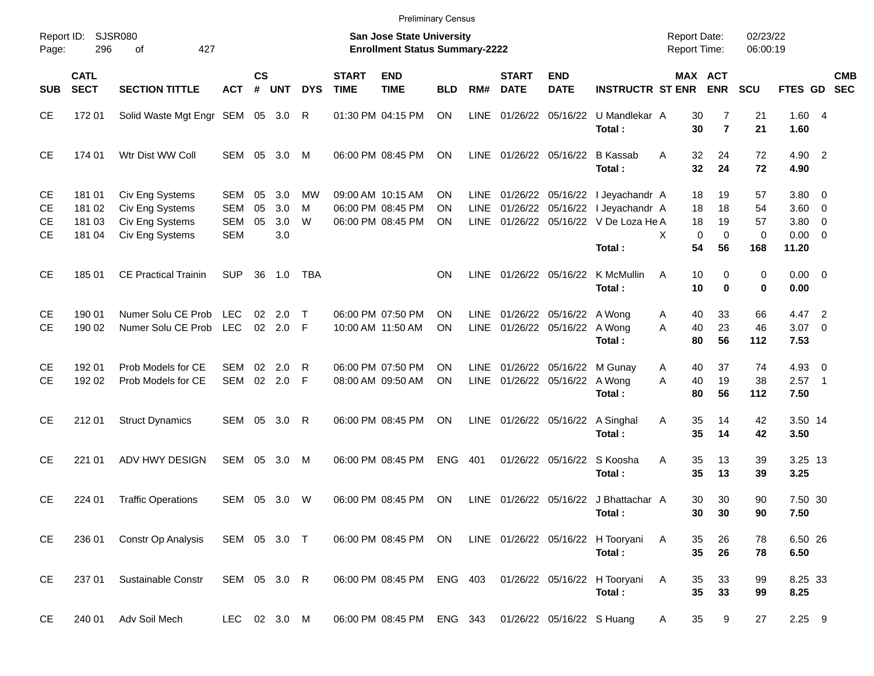|                             |                                      |                                                                          |                                               |                |                            |              |                             | <b>Preliminary Census</b>                                                 |                |                              |                             |                                                           |                                                                                                                    |                                            |                                                    |                            |                                                           |                          |            |
|-----------------------------|--------------------------------------|--------------------------------------------------------------------------|-----------------------------------------------|----------------|----------------------------|--------------|-----------------------------|---------------------------------------------------------------------------|----------------|------------------------------|-----------------------------|-----------------------------------------------------------|--------------------------------------------------------------------------------------------------------------------|--------------------------------------------|----------------------------------------------------|----------------------------|-----------------------------------------------------------|--------------------------|------------|
| Report ID:<br>Page:         | 296                                  | SJSR080<br>427<br>οf                                                     |                                               |                |                            |              |                             | <b>San Jose State University</b><br><b>Enrollment Status Summary-2222</b> |                |                              |                             |                                                           |                                                                                                                    | <b>Report Date:</b><br><b>Report Time:</b> |                                                    | 02/23/22<br>06:00:19       |                                                           |                          |            |
| <b>SUB</b>                  | <b>CATL</b><br><b>SECT</b>           | <b>SECTION TITTLE</b>                                                    | <b>ACT</b>                                    | <b>CS</b><br># | <b>UNT</b>                 | <b>DYS</b>   | <b>START</b><br><b>TIME</b> | <b>END</b><br><b>TIME</b>                                                 | <b>BLD</b>     | RM#                          | <b>START</b><br><b>DATE</b> | <b>END</b><br><b>DATE</b>                                 | <b>INSTRUCTR ST ENR</b>                                                                                            |                                            | MAX ACT<br><b>ENR</b>                              | <b>SCU</b>                 | FTES GD SEC                                               |                          | <b>CMB</b> |
| <b>CE</b>                   | 172 01                               | Solid Waste Mgt Engr SEM 05 3.0                                          |                                               |                |                            | R            |                             | 01:30 PM 04:15 PM                                                         | <b>ON</b>      | <b>LINE</b>                  |                             | 01/26/22 05/16/22                                         | U Mandlekar A<br>Total:                                                                                            | 30<br>30                                   | 7<br>$\overline{7}$                                | 21<br>21                   | 1.604<br>1.60                                             |                          |            |
| <b>CE</b>                   | 174 01                               | Wtr Dist WW Coll                                                         | SEM                                           | 05             | 3.0                        | M            |                             | 06:00 PM 08:45 PM                                                         | ΟN             |                              |                             | LINE 01/26/22 05/16/22                                    | B Kassab<br>Total:                                                                                                 | 32<br>A<br>32                              | 24<br>24                                           | 72<br>72                   | 4.90 2<br>4.90                                            |                          |            |
| <b>CE</b><br>СE<br>СE<br>СE | 181 01<br>181 02<br>181 03<br>181 04 | Civ Eng Systems<br>Civ Eng Systems<br>Civ Eng Systems<br>Civ Eng Systems | SEM<br><b>SEM</b><br><b>SEM</b><br><b>SEM</b> | 05<br>05<br>05 | 3.0<br>3.0<br>3.0<br>3.0   | мw<br>M<br>W |                             | 09:00 AM 10:15 AM<br>06:00 PM 08:45 PM<br>06:00 PM 08:45 PM               | ΟN<br>ΟN<br>ΟN | LINE.<br><b>LINE</b><br>LINE |                             |                                                           | 01/26/22 05/16/22 I Jeyachandr A<br>01/26/22 05/16/22 I Jeyachandr A<br>01/26/22 05/16/22 V De Loza He A<br>Total: | 18<br>18<br>18<br>X<br>54                  | 19<br>18<br>19<br>$\mathbf 0$<br>$\mathbf 0$<br>56 | 57<br>54<br>57<br>0<br>168 | 3.80 0<br>$3.60 \ 0$<br>$3.80\ 0$<br>$0.00 \t 0$<br>11.20 |                          |            |
| <b>CE</b>                   | 18501                                | <b>CE Practical Trainin</b>                                              | <b>SUP</b>                                    | 36             | 1.0                        | TBA          |                             |                                                                           | ON             | LINE                         |                             |                                                           | 01/26/22 05/16/22 K McMullin<br>Total:                                                                             | A<br>10<br>10                              | 0<br>$\bf{0}$                                      | $\mathbf 0$<br>0           | $0.00 \t 0$<br>0.00                                       |                          |            |
| СE<br><b>CE</b>             | 190 01<br>190 02                     | Numer Solu CE Prob LEC<br>Numer Solu CE Prob LEC                         |                                               |                | $02 \quad 2.0$<br>02 2.0 F | $\top$       |                             | 06:00 PM 07:50 PM<br>10:00 AM 11:50 AM                                    | ΟN<br>ON       | LINE                         |                             | 01/26/22 05/16/22 A Wong<br>LINE 01/26/22 05/16/22 A Wong | Total:                                                                                                             | 40<br>A<br>40<br>A<br>80                   | 33<br>23<br>56                                     | 66<br>46<br>112            | 4.47 2<br>$3.07$ 0<br>7.53                                |                          |            |
| СE<br><b>CE</b>             | 192 01<br>192 02                     | Prob Models for CE<br>Prob Models for CE                                 | <b>SEM</b><br>SEM                             | 02             | 2.0<br>02 2.0              | R<br>- F     |                             | 06:00 PM 07:50 PM<br>08:00 AM 09:50 AM                                    | ON<br>ON       | LINE                         |                             | LINE 01/26/22 05/16/22 A Wong                             | 01/26/22 05/16/22 M Gunay<br>Total:                                                                                | 40<br>A<br>40<br>A<br>80                   | 37<br>19<br>56                                     | 74<br>38<br>112            | $4.93$ 0<br>2.57<br>7.50                                  | $\overline{\phantom{1}}$ |            |
| <b>CE</b>                   | 212 01                               | <b>Struct Dynamics</b>                                                   |                                               |                | SEM 05 3.0                 | R            |                             | 06:00 PM 08:45 PM                                                         | ON             | LINE                         |                             | 01/26/22 05/16/22                                         | A Singhal<br>Total:                                                                                                | 35<br>Α<br>35                              | 14<br>14                                           | 42<br>42                   | 3.50 14<br>3.50                                           |                          |            |
| <b>CE</b>                   | 221 01                               | ADV HWY DESIGN                                                           | SEM                                           | 05             | 3.0                        | M            |                             | 06:00 PM 08:45 PM                                                         | <b>ENG</b>     | 401                          |                             | 01/26/22 05/16/22                                         | S Koosha<br>Total:                                                                                                 | 35<br>Α<br>35                              | 13<br>13                                           | 39<br>39                   | 3.25 13<br>3.25                                           |                          |            |
| <b>CE</b>                   | 224 01                               | <b>Traffic Operations</b>                                                | SEM 05 3.0                                    |                |                            | W            |                             | 06:00 PM 08:45 PM                                                         | ON             |                              |                             |                                                           | LINE 01/26/22 05/16/22 J Bhattachar A<br>Total:                                                                    | 30                                         | 30<br>30 <sub>o</sub><br>30                        | 90<br>90                   | 7.50 30<br>7.50                                           |                          |            |
| CE                          | 236 01                               | Constr Op Analysis                                                       | SEM 05 3.0 T                                  |                |                            |              |                             | 06:00 PM 08:45 PM ON                                                      |                |                              |                             |                                                           | LINE 01/26/22 05/16/22 H Tooryani<br>Total:                                                                        | 35<br>A<br>35                              | 26<br>26                                           | 78<br>78                   | 6.50 26<br>6.50                                           |                          |            |
| <b>CE</b>                   | 237 01                               | Sustainable Constr                                                       | SEM 05 3.0 R                                  |                |                            |              |                             |                                                                           |                |                              |                             |                                                           | 06:00 PM 08:45 PM ENG 403 01/26/22 05/16/22 H Tooryani<br>Total:                                                   | Α<br>35<br>35                              | 33<br>33                                           | 99<br>99                   | 8.25 33<br>8.25                                           |                          |            |
| <b>CE</b>                   | 240 01                               | Adv Soil Mech                                                            | LEC 02 3.0 M                                  |                |                            |              |                             | 06:00 PM 08:45 PM ENG 343 01/26/22 05/16/22 S Huang                       |                |                              |                             |                                                           |                                                                                                                    | 35<br>A                                    | 9                                                  | 27                         | $2.25$ 9                                                  |                          |            |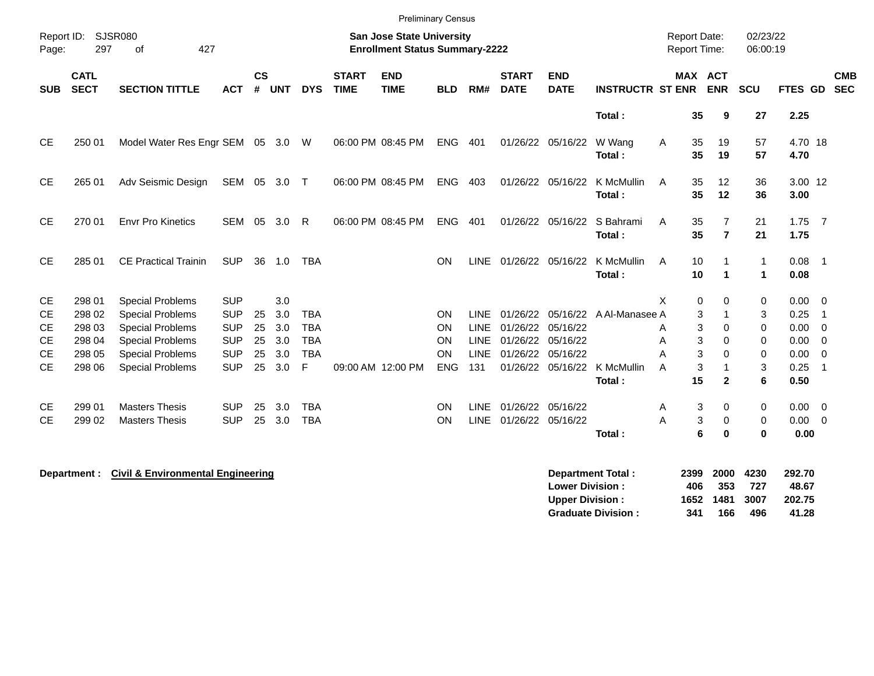|                        |                            |                                                    |                          |                |            |                 |                             | <b>Preliminary Census</b>                                                 |                 |                    |                             |                           |                         |                                            |                                  |                      |                  |                                  |
|------------------------|----------------------------|----------------------------------------------------|--------------------------|----------------|------------|-----------------|-----------------------------|---------------------------------------------------------------------------|-----------------|--------------------|-----------------------------|---------------------------|-------------------------|--------------------------------------------|----------------------------------|----------------------|------------------|----------------------------------|
| Report ID:<br>Page:    | 297                        | SJSR080<br>427<br>οf                               |                          |                |            |                 |                             | <b>San Jose State University</b><br><b>Enrollment Status Summary-2222</b> |                 |                    |                             |                           |                         | <b>Report Date:</b><br><b>Report Time:</b> |                                  | 02/23/22<br>06:00:19 |                  |                                  |
| <b>SUB</b>             | <b>CATL</b><br><b>SECT</b> | <b>SECTION TITTLE</b>                              | <b>ACT</b>               | <b>CS</b><br># | <b>UNT</b> | <b>DYS</b>      | <b>START</b><br><b>TIME</b> | <b>END</b><br><b>TIME</b>                                                 | <b>BLD</b>      | RM#                | <b>START</b><br><b>DATE</b> | <b>END</b><br><b>DATE</b> | <b>INSTRUCTR ST ENR</b> |                                            | <b>MAX ACT</b><br><b>ENR</b>     | SCU                  | FTES GD SEC      | <b>CMB</b>                       |
|                        |                            |                                                    |                          |                |            |                 |                             |                                                                           |                 |                    |                             |                           | Total:                  | 35                                         | 9                                | 27                   | 2.25             |                                  |
| <b>CE</b>              | 250 01                     | Model Water Res Engr SEM                           |                          |                | 05 3.0 W   |                 |                             | 06:00 PM 08:45 PM                                                         | <b>ENG</b>      | 401                | 01/26/22 05/16/22           |                           | W Wang<br>Total:        | A<br>35<br>35                              | 19<br>19                         | 57<br>57             | 4.70 18<br>4.70  |                                  |
| CE.                    | 265 01                     | Adv Seismic Design                                 | SEM 05                   |                | 3.0        | $\top$          |                             | 06:00 PM 08:45 PM                                                         | <b>ENG</b>      | 403                |                             | 01/26/22 05/16/22         | K McMullin<br>Total:    | 35<br>A<br>35                              | 12<br>12                         | 36<br>36             | 3.00 12<br>3.00  |                                  |
| <b>CE</b>              | 270 01                     | <b>Envr Pro Kinetics</b>                           | <b>SEM</b>               | 05             | 3.0        | R               |                             | 06:00 PM 08:45 PM                                                         | <b>ENG</b>      | 401                | 01/26/22                    | 05/16/22                  | S Bahrami<br>Total:     | A<br>35<br>35                              | $\overline{7}$<br>$\overline{7}$ | 21<br>21             | $1.75$ 7<br>1.75 |                                  |
| CE                     | 285 01                     | <b>CE Practical Trainin</b>                        | <b>SUP</b>               | 36             | 1.0        | <b>TBA</b>      |                             |                                                                           | ON              | <b>LINE</b>        | 01/26/22 05/16/22           |                           | K McMullin<br>Total:    | 10<br>A<br>10                              | -1<br>$\blacktriangleleft$       | 1<br>$\mathbf{1}$    | 0.08<br>0.08     | $\overline{\phantom{0}}$ 1       |
| <b>CE</b>              | 298 01                     | <b>Special Problems</b>                            | <b>SUP</b>               |                | 3.0        |                 |                             |                                                                           |                 |                    |                             |                           |                         | X<br>0                                     | 0                                | 0                    | 0.00             | $\overline{0}$                   |
| <b>CE</b>              | 298 02                     | <b>Special Problems</b>                            | <b>SUP</b>               | 25             | 3.0        | <b>TBA</b>      |                             |                                                                           | ON              | <b>LINE</b>        | 01/26/22                    | 05/16/22                  | A Al-Manasee A          |                                            | 3<br>-1                          | 3                    | 0.25             | -1                               |
| <b>CE</b>              | 298 03                     | <b>Special Problems</b>                            | <b>SUP</b>               | 25             | 3.0        | <b>TBA</b>      |                             |                                                                           | ON              | <b>LINE</b>        | 01/26/22 05/16/22           |                           |                         | 3<br>A                                     | 0                                | 0                    | 0.00             | - 0                              |
| <b>CE</b>              | 298 04                     | <b>Special Problems</b>                            | <b>SUP</b>               | 25             | 3.0        | <b>TBA</b>      |                             |                                                                           | <b>ON</b><br>ON | LINE               | 01/26/22                    | 05/16/22                  |                         | Α                                          | 3<br>0                           | 0                    | 0.00             | $\overline{0}$                   |
| <b>CE</b><br><b>CE</b> | 298 05<br>298 06           | <b>Special Problems</b><br><b>Special Problems</b> | <b>SUP</b><br><b>SUP</b> | 25<br>25       | 3.0<br>3.0 | <b>TBA</b><br>F |                             | 09:00 AM 12:00 PM                                                         | <b>ENG</b>      | <b>LINE</b><br>131 | 01/26/22 05/16/22           | 01/26/22 05/16/22         | K McMullin              | A<br>3<br>A                                | 3<br>0<br>-1                     | 0<br>3               | 0.00<br>0.25     | $\overline{0}$<br>$\overline{1}$ |
|                        |                            |                                                    |                          |                |            |                 |                             |                                                                           |                 |                    |                             |                           | Total:                  | 15                                         | $\mathbf{2}$                     | 6                    | 0.50             |                                  |
|                        |                            |                                                    |                          |                |            |                 |                             |                                                                           |                 |                    |                             |                           |                         |                                            |                                  |                      |                  |                                  |
| CE.                    | 299 01                     | <b>Masters Thesis</b>                              | <b>SUP</b>               | 25             | 3.0        | <b>TBA</b>      |                             |                                                                           | ON              | <b>LINE</b>        | 01/26/22                    | 05/16/22                  |                         | 3<br>A                                     | 0                                | 0                    | 0.00             | $\overline{0}$                   |
| <b>CE</b>              | 299 02                     | <b>Masters Thesis</b>                              | <b>SUP</b>               | 25             | 3.0        | <b>TBA</b>      |                             |                                                                           | ON              | <b>LINE</b>        | 01/26/22 05/16/22           |                           |                         | 3<br>A                                     | 0                                | 0                    | 0.00             | $\overline{0}$                   |
|                        |                            |                                                    |                          |                |            |                 |                             |                                                                           |                 |                    |                             |                           | Total:                  | 6                                          | $\bf{0}$                         | $\bf{0}$             | 0.00             |                                  |

**Department : Civil & Environmental Engineering** 

|     |     |       | 292.70                           |
|-----|-----|-------|----------------------------------|
| 406 | 353 | - 727 | 48.67                            |
|     |     |       | 202.75                           |
| 341 | 166 | 496   | 41.28                            |
|     |     |       | 2399 2000 4230<br>1652 1481 3007 |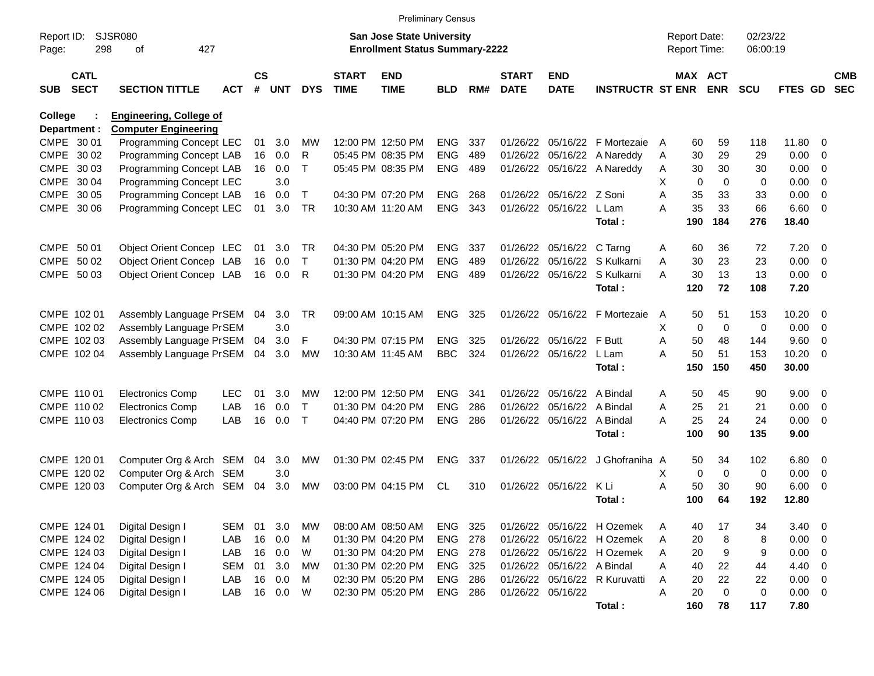|                                          | <b>Preliminary Census</b><br><b>SJSR080</b><br><b>San Jose State University</b><br>02/23/22<br><b>Report Date:</b><br><b>Enrollment Status Summary-2222</b> |            |                |            |              |                             |                           |                |     |                             |                            |                               |                  |             |            |                |                          |                          |
|------------------------------------------|-------------------------------------------------------------------------------------------------------------------------------------------------------------|------------|----------------|------------|--------------|-----------------------------|---------------------------|----------------|-----|-----------------------------|----------------------------|-------------------------------|------------------|-------------|------------|----------------|--------------------------|--------------------------|
| Report ID:<br>Page:                      | 427<br>298<br>оf                                                                                                                                            |            |                |            |              | Report Time:                |                           | 06:00:19       |     |                             |                            |                               |                  |             |            |                |                          |                          |
| <b>CATL</b><br><b>SECT</b><br><b>SUB</b> | <b>SECTION TITTLE</b>                                                                                                                                       | <b>ACT</b> | <b>CS</b><br># | <b>UNT</b> | <b>DYS</b>   | <b>START</b><br><b>TIME</b> | <b>END</b><br><b>TIME</b> | BLD            | RM# | <b>START</b><br><b>DATE</b> | <b>END</b><br><b>DATE</b>  | <b>INSTRUCTR ST ENR</b>       | MAX ACT          | <b>ENR</b>  | <b>SCU</b> | <b>FTES GD</b> |                          | <b>CMB</b><br><b>SEC</b> |
| College<br>Department :                  | <b>Engineering, College of</b><br><b>Computer Engineering</b>                                                                                               |            |                |            |              |                             |                           |                |     |                             |                            |                               |                  |             |            |                |                          |                          |
| CMPE 30 01                               | Programming Concept LEC                                                                                                                                     |            | 01             | 3.0        | MW           |                             | 12:00 PM 12:50 PM         | <b>ENG</b>     | 337 | 01/26/22                    | 05/16/22                   | F Mortezaie                   | 60<br>A          | 59          | 118        | 11.80          | - 0                      |                          |
| CMPE 30 02                               | <b>Programming Concept LAB</b>                                                                                                                              |            | 16             | 0.0        | R            |                             | 05:45 PM 08:35 PM         | <b>ENG</b>     | 489 | 01/26/22                    | 05/16/22                   | A Nareddy                     | 30<br>Α          | 29          | 29         | 0.00           | 0                        |                          |
| CMPE 30 03                               | Programming Concept LAB                                                                                                                                     |            | 16             | 0.0        | т            |                             | 05:45 PM 08:35 PM         | <b>ENG</b>     | 489 |                             |                            | 01/26/22 05/16/22 A Nareddy   | 30<br>Α          | 30          | 30         | 0.00           | 0                        |                          |
| CMPE 30 04                               | Programming Concept LEC                                                                                                                                     |            |                | 3.0        |              |                             |                           |                |     |                             |                            |                               | X<br>$\mathbf 0$ | $\mathbf 0$ | 0          | 0.00           | $\overline{0}$           |                          |
| CMPE 30 05                               | Programming Concept LAB                                                                                                                                     |            | 16             | 0.0        | $\mathsf{T}$ |                             | 04:30 PM 07:20 PM         | <b>ENG</b>     | 268 |                             | 01/26/22 05/16/22 Z Soni   |                               | 35<br>A          | 33          | 33         | 0.00           | $\overline{0}$           |                          |
| CMPE 30 06                               | Programming Concept LEC                                                                                                                                     |            | 01             | 3.0        | <b>TR</b>    |                             | 10:30 AM 11:20 AM         | <b>ENG</b>     | 343 |                             | 01/26/22 05/16/22          | L Lam                         | 35<br>A          | 33          | 66         | 6.60           | $\overline{0}$           |                          |
|                                          |                                                                                                                                                             |            |                |            |              |                             |                           |                |     |                             |                            | Total:                        | 190              | 184         | 276        | 18.40          |                          |                          |
| CMPE 50 01                               | Object Orient Concep LEC                                                                                                                                    |            | 01             | 3.0        | <b>TR</b>    |                             | 04:30 PM 05:20 PM         | <b>ENG</b>     | 337 |                             | 01/26/22 05/16/22          | C Tarng                       | 60<br>Α          | 36          | 72         | 7.20           | $\overline{\mathbf{0}}$  |                          |
| CMPE 50 02                               | Object Orient Concep LAB                                                                                                                                    |            | 16             | 0.0        | $\mathsf{T}$ |                             | 01:30 PM 04:20 PM         | <b>ENG</b>     | 489 | 01/26/22                    | 05/16/22                   | S Kulkarni                    | 30<br>A          | 23          | 23         | 0.00           | $\mathbf 0$              |                          |
| CMPE 50 03                               | Object Orient Concep LAB                                                                                                                                    |            | 16             | 0.0        | R            |                             | 01:30 PM 04:20 PM         | <b>ENG</b>     | 489 |                             |                            | 01/26/22 05/16/22 S Kulkarni  | 30<br>A          | 13          | 13         | 0.00           | $\overline{\mathbf{0}}$  |                          |
|                                          |                                                                                                                                                             |            |                |            |              |                             |                           |                |     |                             |                            | Total:                        | 120              | 72          | 108        | 7.20           |                          |                          |
| CMPE 102 01                              | Assembly Language PrSEM                                                                                                                                     |            | 04             | 3.0        | <b>TR</b>    |                             | 09:00 AM 10:15 AM         | <b>ENG</b>     | 325 |                             | 01/26/22 05/16/22          | F Mortezaie                   | 50<br>A          | 51          | 153        | 10.20          | $\overline{\mathbf{0}}$  |                          |
| CMPE 102 02                              | Assembly Language PrSEM                                                                                                                                     |            |                | 3.0        |              |                             |                           |                |     |                             |                            |                               | X<br>$\mathbf 0$ | $\mathbf 0$ | 0          | 0.00           | $\overline{\mathbf{0}}$  |                          |
| CMPE 102 03                              | Assembly Language PrSEM                                                                                                                                     |            | 04             | 3.0        | F            |                             | 04:30 PM 07:15 PM         | <b>ENG</b>     | 325 |                             | 01/26/22 05/16/22          | F Butt                        | A<br>50          | 48          | 144        | 9.60           | $\overline{0}$           |                          |
| CMPE 102 04                              | Assembly Language PrSEM                                                                                                                                     |            | 04             | 3.0        | MW           |                             | 10:30 AM 11:45 AM         | <b>BBC</b>     | 324 | 01/26/22                    | 05/16/22                   | L Lam                         | 50<br>A          | 51          | 153        | 10.20          | $\overline{0}$           |                          |
|                                          |                                                                                                                                                             |            |                |            |              |                             |                           |                |     |                             |                            | Total:                        | 150              | 150         | 450        | 30.00          |                          |                          |
| CMPE 110 01                              | <b>Electronics Comp</b>                                                                                                                                     | <b>LEC</b> | 01             | 3.0        | MW           |                             | 12:00 PM 12:50 PM         | <b>ENG</b>     | 341 | 01/26/22                    | 05/16/22                   | A Bindal                      | 50<br>Α          | 45          | 90         | 9.00           | $\overline{\mathbf{0}}$  |                          |
| CMPE 110 02                              | <b>Electronics Comp</b>                                                                                                                                     | LAB        | 16             | 0.0        | $\mathsf{T}$ |                             | 01:30 PM 04:20 PM         | <b>ENG</b>     | 286 | 01/26/22                    | 05/16/22                   | A Bindal                      | 25<br>A          | 21          | 21         | 0.00           | 0                        |                          |
| CMPE 110 03                              | <b>Electronics Comp</b>                                                                                                                                     | LAB        | 16             | 0.0        | $\mathsf{T}$ |                             | 04:40 PM 07:20 PM         | <b>ENG</b>     | 286 |                             | 01/26/22 05/16/22 A Bindal |                               | 25<br>А          | 24          | 24         | 0.00           | $\overline{\mathbf{0}}$  |                          |
|                                          |                                                                                                                                                             |            |                |            |              |                             |                           |                |     |                             |                            | Total:                        | 100              | 90          | 135        | 9.00           |                          |                          |
| CMPE 120 01                              | Computer Org & Arch SEM                                                                                                                                     |            | 04             | 3.0        | MW           |                             | 01:30 PM 02:45 PM         | <b>ENG</b>     | 337 |                             | 01/26/22 05/16/22          | J Ghofraniha A                | 50               | 34          | 102        | 6.80           | $\overline{\mathbf{0}}$  |                          |
| CMPE 120 02                              | Computer Org & Arch SEM                                                                                                                                     |            |                | 3.0        |              |                             |                           |                |     |                             |                            |                               | Х<br>0           | 0           | 0          | 0.00           | 0                        |                          |
| CMPE 120 03                              | Computer Org & Arch SEM                                                                                                                                     |            | 04             | 3.0        | MW           |                             | 03:00 PM 04:15 PM         | CL             | 310 |                             | 01/26/22 05/16/22          | K Li                          | 50<br>Α          | 30          | 90         | 6.00           | 0                        |                          |
|                                          |                                                                                                                                                             |            |                |            |              |                             |                           |                |     |                             |                            | Total:                        | 100              | 64          | 192        | 12.80          |                          |                          |
| CMPE 124 01                              | Digital Design I                                                                                                                                            | <b>SEM</b> | 01             | 3.0        | MW           |                             | 08:00 AM 08:50 AM         | ENG            | 325 |                             |                            | 01/26/22 05/16/22 H Ozemek    | 40<br>Α          | 17          | 34         | 3.40           | $\overline{0}$           |                          |
| CMPE 124 02                              | Digital Design I                                                                                                                                            | LAB        | 16             | 0.0        | M            |                             | 01:30 PM 04:20 PM         | ENG 278        |     |                             |                            | 01/26/22 05/16/22 H Ozemek    | 20<br>A          | 8           | 8          | $0.00 \t 0$    |                          |                          |
| CMPE 124 03                              | Digital Design I                                                                                                                                            | LAB        | 16             | 0.0        | W            |                             | 01:30 PM 04:20 PM         | ENG 278        |     |                             |                            | 01/26/22 05/16/22 H Ozemek    | 20<br>A          | 9           | 9          | 0.00           | $\overline{\mathbf{0}}$  |                          |
| CMPE 124 04                              | Digital Design I                                                                                                                                            | <b>SEM</b> | 01             | 3.0        | <b>MW</b>    |                             | 01:30 PM 02:20 PM         | ENG 325        |     |                             | 01/26/22 05/16/22 A Bindal |                               | 40<br>Α          | 22          | 44         | 4.40           | $\overline{\mathbf{0}}$  |                          |
| CMPE 124 05                              | Digital Design I                                                                                                                                            | LAB        | 16             | 0.0        | M            |                             | 02:30 PM 05:20 PM         | ENG            | 286 |                             |                            | 01/26/22 05/16/22 R Kuruvatti | 20<br>A          | 22          | 22         | 0.00           | $\overline{\phantom{0}}$ |                          |
| CMPE 124 06                              | Digital Design I                                                                                                                                            | LAB        | 16             | 0.0        | W            |                             | 02:30 PM 05:20 PM         | <b>ENG 286</b> |     |                             | 01/26/22 05/16/22          |                               | A<br>20          | $\mathbf 0$ | $\,0\,$    | $0.00 \t 0$    |                          |                          |
|                                          |                                                                                                                                                             |            |                |            |              |                             |                           |                |     |                             |                            | Total:                        | 160              | 78          | 117        | 7.80           |                          |                          |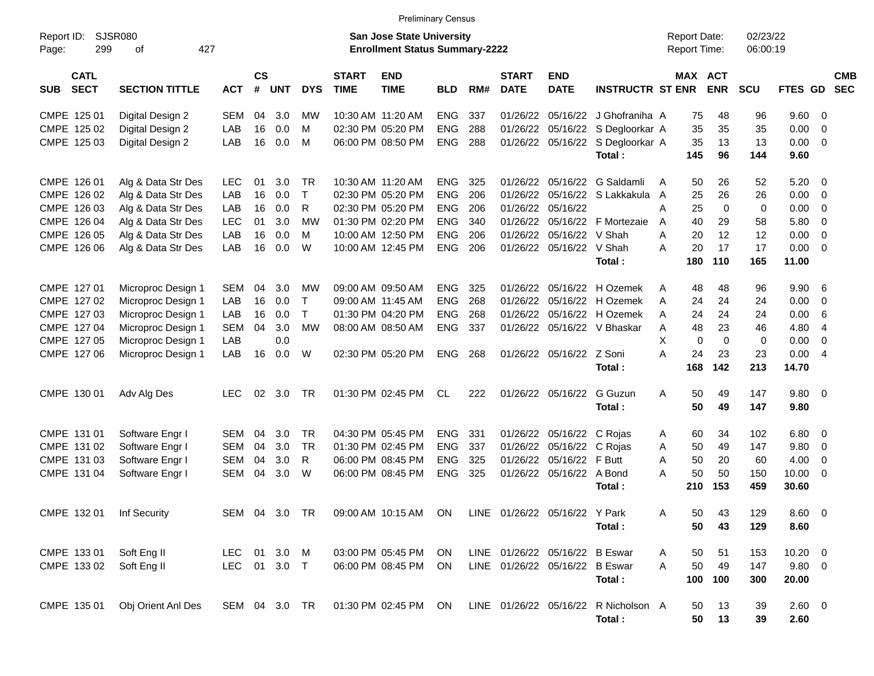|                                          | <b>Preliminary Census</b> |               |                             |               |              |                             |                                                                           |            |     |                                |                           |                                                |                                            |                         |                      |                  |                          |                          |
|------------------------------------------|---------------------------|---------------|-----------------------------|---------------|--------------|-----------------------------|---------------------------------------------------------------------------|------------|-----|--------------------------------|---------------------------|------------------------------------------------|--------------------------------------------|-------------------------|----------------------|------------------|--------------------------|--------------------------|
| Report ID:<br>299<br>Page:               | SJSR080<br>427<br>οf      |               |                             |               |              |                             | <b>San Jose State University</b><br><b>Enrollment Status Summary-2222</b> |            |     |                                |                           |                                                | <b>Report Date:</b><br><b>Report Time:</b> |                         | 02/23/22<br>06:00:19 |                  |                          |                          |
| <b>CATL</b><br><b>SECT</b><br><b>SUB</b> | <b>SECTION TITTLE</b>     | <b>ACT</b>    | $\mathsf{cs}$<br>$\pmb{\#}$ | <b>UNT</b>    | <b>DYS</b>   | <b>START</b><br><b>TIME</b> | <b>END</b><br><b>TIME</b>                                                 | <b>BLD</b> | RM# | <b>START</b><br><b>DATE</b>    | <b>END</b><br><b>DATE</b> | <b>INSTRUCTR ST ENR</b>                        |                                            | MAX ACT<br><b>ENR</b>   | SCU                  | FTES GD          |                          | <b>CMB</b><br><b>SEC</b> |
| CMPE 125 01                              | Digital Design 2          | <b>SEM</b>    | 04                          | 3.0           | <b>MW</b>    |                             | 10:30 AM 11:20 AM                                                         | <b>ENG</b> | 337 | 01/26/22                       | 05/16/22                  | J Ghofraniha A                                 | 75                                         | 48                      | 96                   | 9.60 0           |                          |                          |
| CMPE 125 02                              | Digital Design 2          | LAB           | 16                          | 0.0           | M            |                             | 02:30 PM 05:20 PM                                                         | <b>ENG</b> | 288 | 01/26/22                       |                           | 05/16/22 S Degloorkar A                        |                                            | 35<br>35                | 35                   | 0.00             | $\overline{0}$           |                          |
| CMPE 125 03                              | Digital Design 2          | LAB           | 16                          | 0.0           | M            |                             | 06:00 PM 08:50 PM                                                         | <b>ENG</b> | 288 | 01/26/22                       |                           | 05/16/22 S Degloorkar A                        | 35                                         | 13                      | 13                   | 0.00             | $\overline{0}$           |                          |
|                                          |                           |               |                             |               |              |                             |                                                                           |            |     |                                |                           | Total:                                         | 145                                        | 96                      | 144                  | 9.60             |                          |                          |
| CMPE 126 01                              | Alg & Data Str Des        | <b>LEC</b>    | 01                          | 3.0           | <b>TR</b>    |                             | 10:30 AM 11:20 AM                                                         | <b>ENG</b> | 325 | 01/26/22                       |                           | 05/16/22 G Saldamli                            | A<br>50                                    | 26                      | 52                   | $5.20 \ 0$       |                          |                          |
| CMPE 126 02                              | Alg & Data Str Des        | LAB           | 16                          | 0.0           | $\top$       |                             | 02:30 PM 05:20 PM                                                         | <b>ENG</b> | 206 | 01/26/22                       |                           | 05/16/22 S Lakkakula                           | A                                          | 25<br>26                | 26                   | 0.00             | $\overline{0}$           |                          |
| CMPE 126 03                              | Alg & Data Str Des        | LAB           | 16                          | 0.0           | $\mathsf{R}$ |                             | 02:30 PM 05:20 PM                                                         | <b>ENG</b> | 206 | 01/26/22                       | 05/16/22                  |                                                | 25<br>A                                    | 0                       | $\mathbf 0$          | 0.00             | $\overline{0}$           |                          |
| CMPE 126 04                              | Alg & Data Str Des        | <b>LEC</b>    | 01                          | 3.0           | <b>MW</b>    |                             | 01:30 PM 02:20 PM                                                         | <b>ENG</b> | 340 | 01/26/22                       |                           | 05/16/22 F Mortezaie                           | 40<br>A                                    | 29                      | 58                   | 5.80             | $\overline{0}$           |                          |
| CMPE 126 05                              | Alg & Data Str Des        | LAB           | 16                          | 0.0           | M            |                             | 10:00 AM 12:50 PM                                                         | <b>ENG</b> | 206 | 01/26/22                       | 05/16/22 V Shah           |                                                | 20<br>A                                    | 12                      | 12                   | 0.00             | $\overline{0}$           |                          |
| CMPE 126 06                              | Alg & Data Str Des        | LAB           | 16                          | 0.0           | W            |                             | 10:00 AM 12:45 PM                                                         | <b>ENG</b> | 206 | 01/26/22                       | 05/16/22 V Shah           |                                                | A<br>20                                    | 17                      | 17                   | 0.00             | $\overline{0}$           |                          |
|                                          |                           |               |                             |               |              |                             |                                                                           |            |     |                                |                           | Total:                                         | 180                                        | 110                     | 165                  | 11.00            |                          |                          |
| CMPE 127 01                              | Microproc Design 1        | <b>SEM</b>    | 04                          | 3.0           | МW           |                             | 09:00 AM 09:50 AM                                                         | <b>ENG</b> | 325 | 01/26/22                       |                           | 05/16/22 H Ozemek                              | 48<br>A                                    | 48                      | 96                   | 9.906            |                          |                          |
| CMPE 127 02                              | Microproc Design 1        | LAB           | 16                          | 0.0           | $\mathsf{T}$ |                             | 09:00 AM 11:45 AM                                                         | <b>ENG</b> | 268 | 01/26/22                       | 05/16/22                  | H Ozemek                                       | 24<br>A                                    | 24                      | 24                   | 0.00             | $\overline{0}$           |                          |
| CMPE 127 03                              | Microproc Design 1        | LAB           | 16                          | 0.0           | $\mathsf{T}$ |                             | 01:30 PM 04:20 PM                                                         | <b>ENG</b> | 268 | 01/26/22                       |                           | 05/16/22 H Ozemek                              | 24<br>A                                    | 24                      | 24                   | 0.00             | 6                        |                          |
| CMPE 127 04                              | Microproc Design 1        | <b>SEM</b>    | 04                          | 3.0           | MW           |                             | 08:00 AM 08:50 AM                                                         | <b>ENG</b> | 337 | 01/26/22                       |                           | 05/16/22 V Bhaskar                             | 48<br>A                                    | 23                      | 46                   | 4.80             | $\overline{4}$           |                          |
| CMPE 127 05                              | Microproc Design 1        | LAB           |                             | 0.0           |              |                             |                                                                           |            |     |                                |                           |                                                | X                                          | $\mathbf 0$<br>$\Omega$ | $\mathbf 0$          | 0.00             | $\overline{0}$           |                          |
| CMPE 127 06                              | Microproc Design 1        | LAB           | 16                          | 0.0           | W            |                             | 02:30 PM 05:20 PM                                                         | <b>ENG</b> | 268 |                                | 01/26/22 05/16/22 Z Soni  |                                                | A<br>24                                    | 23                      | 23                   | 0.004            |                          |                          |
|                                          |                           |               |                             |               |              |                             |                                                                           |            |     |                                |                           | Total:                                         | 168                                        | 142                     | 213                  | 14.70            |                          |                          |
| CMPE 130 01                              | Adv Alg Des               | <b>LEC</b>    | 02                          | 3.0           | <b>TR</b>    |                             | 01:30 PM 02:45 PM                                                         | <b>CL</b>  | 222 |                                | 01/26/22 05/16/22         | G Guzun<br>Total:                              | A<br>50                                    | 49<br>50<br>49          | 147<br>147           | 9.80 0<br>9.80   |                          |                          |
| CMPE 131 01                              | Software Engr I           | <b>SEM</b>    | 04                          | 3.0           | <b>TR</b>    |                             | 04:30 PM 05:45 PM                                                         | <b>ENG</b> | 331 | 01/26/22                       | 05/16/22 C Rojas          |                                                | Α                                          | 60<br>34                | 102                  | 6.80             | $\overline{\phantom{0}}$ |                          |
| CMPE 131 02                              | Software Engr I           | <b>SEM</b>    | 04                          | 3.0           | <b>TR</b>    |                             | 01:30 PM 02:45 PM                                                         | <b>ENG</b> | 337 | 01/26/22                       | 05/16/22                  | C Rojas                                        | A<br>50                                    | 49                      | 147                  | 9.80             | $\overline{0}$           |                          |
| CMPE 131 03                              | Software Engr I           | <b>SEM</b>    | 04                          | 3.0           | $\mathsf{R}$ |                             | 06:00 PM 08:45 PM                                                         | <b>ENG</b> | 325 | 01/26/22                       | 05/16/22                  | F Butt                                         | A<br>50                                    | 20                      | 60                   | 4.00             | $\overline{0}$           |                          |
| CMPE 131 04                              | Software Engr I           | <b>SEM</b>    | 04                          | 3.0           | W            |                             | 06:00 PM 08:45 PM                                                         | <b>ENG</b> | 325 | 01/26/22                       | 05/16/22                  | A Bond                                         | 50<br>A                                    | 50                      | 150                  | 10.00            | $\overline{\mathbf{0}}$  |                          |
|                                          |                           |               |                             |               |              |                             |                                                                           |            |     |                                |                           | Total:                                         | 210                                        | 153                     | 459                  | 30.60            |                          |                          |
| CMPE 132 01                              | Inf Security              |               |                             | SEM 04 3.0 TR |              |                             | 09:00 AM 10:15 AM                                                         | ON         |     | LINE 01/26/22 05/16/22 Y Park  |                           | Total:                                         | Α                                          | 50<br>43<br>50<br>43    | 129<br>129           | $8.60$ 0<br>8.60 |                          |                          |
| CMPE 133 01                              | Soft Eng II               | LEC           |                             | 01 3.0 M      |              |                             | 03:00 PM 05:45 PM                                                         | ON         |     | LINE 01/26/22 05/16/22 B Eswar |                           |                                                | 50<br>A                                    | 51                      | 153                  | $10.20 \t 0$     |                          |                          |
| CMPE 133 02                              | Soft Eng II               | LEC 01 3.0 T  |                             |               |              |                             | 06:00 PM 08:45 PM                                                         | ON.        |     | LINE 01/26/22 05/16/22 B Eswar |                           |                                                | 50<br>A                                    | 49                      | 147                  | 9.80 0           |                          |                          |
|                                          |                           |               |                             |               |              |                             |                                                                           |            |     |                                |                           | Total:                                         | 100                                        | 100                     | 300                  | 20.00            |                          |                          |
| CMPE 135 01                              | Obj Orient Anl Des        | SEM 04 3.0 TR |                             |               |              |                             | 01:30 PM 02:45 PM ON                                                      |            |     |                                |                           | LINE 01/26/22 05/16/22 R Nicholson A<br>Total: | 50                                         | 13<br>50<br>13          | 39<br>39             | 2.60 0<br>2.60   |                          |                          |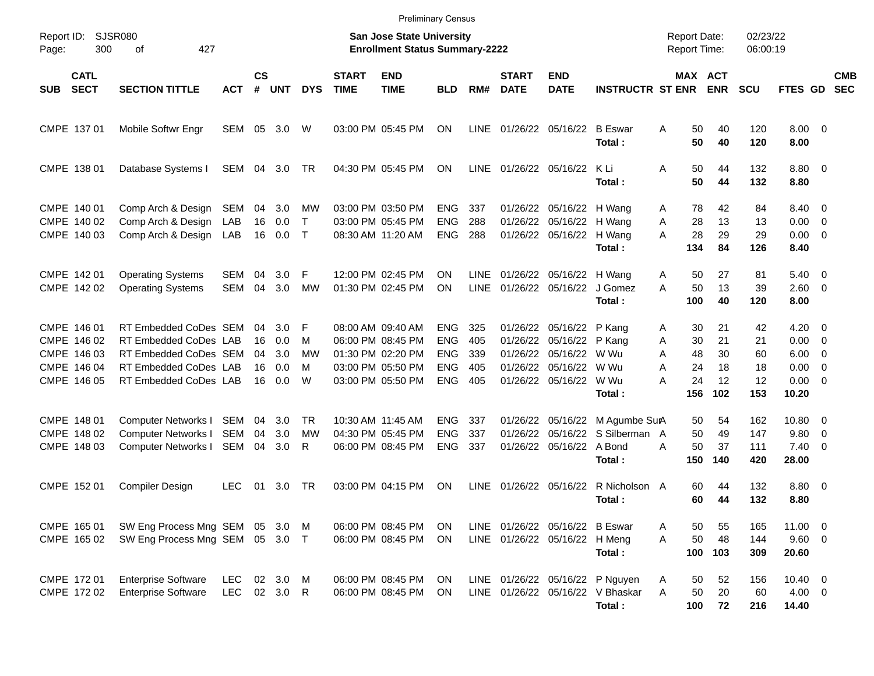|                                                                         | <b>Preliminary Census</b><br><b>SJSR080</b><br><b>San Jose State University</b><br>02/23/22<br><b>Report Date:</b>        |                          |                            |                                 |                              |                             |                                                                                                       |                                                                    |                                 |                                  |                                                                            |                                                                               |                                                            |                                   |                                   |                                               |                                               |                          |
|-------------------------------------------------------------------------|---------------------------------------------------------------------------------------------------------------------------|--------------------------|----------------------------|---------------------------------|------------------------------|-----------------------------|-------------------------------------------------------------------------------------------------------|--------------------------------------------------------------------|---------------------------------|----------------------------------|----------------------------------------------------------------------------|-------------------------------------------------------------------------------|------------------------------------------------------------|-----------------------------------|-----------------------------------|-----------------------------------------------|-----------------------------------------------|--------------------------|
| Report ID:<br>300<br>Page:                                              | 427<br>οf                                                                                                                 |                          |                            |                                 |                              |                             | <b>Enrollment Status Summary-2222</b>                                                                 |                                                                    |                                 |                                  |                                                                            |                                                                               | <b>Report Time:</b>                                        |                                   | 06:00:19                          |                                               |                                               |                          |
| <b>CATL</b><br><b>SECT</b><br><b>SUB</b>                                | <b>SECTION TITTLE</b>                                                                                                     | АСТ                      | $\mathsf{cs}$<br>#         | <b>UNT</b>                      | <b>DYS</b>                   | <b>START</b><br><b>TIME</b> | <b>END</b><br><b>TIME</b>                                                                             | <b>BLD</b>                                                         | RM#                             | <b>START</b><br><b>DATE</b>      | <b>END</b><br><b>DATE</b>                                                  | <b>INSTRUCTR ST ENR</b>                                                       | MAX ACT                                                    | <b>ENR</b>                        | <b>SCU</b>                        | FTES GD                                       |                                               | <b>CMB</b><br><b>SEC</b> |
| CMPE 137 01                                                             | Mobile Softwr Engr                                                                                                        | SEM                      | 05                         | 3.0                             | W                            |                             | 03:00 PM 05:45 PM                                                                                     | ΟN                                                                 | <b>LINE</b>                     |                                  | 01/26/22 05/16/22                                                          | <b>B</b> Eswar<br>Total:                                                      | 50<br>A<br>50                                              | 40<br>40                          | 120<br>120                        | $8.00 \t 0$<br>8.00                           |                                               |                          |
| CMPE 138 01                                                             | Database Systems I                                                                                                        | SEM                      | 04                         | 3.0                             | TR                           |                             | 04:30 PM 05:45 PM                                                                                     | ΟN                                                                 | <b>LINE</b>                     | 01/26/22 05/16/22                |                                                                            | K Li<br>Total:                                                                | 50<br>A<br>50                                              | 44<br>44                          | 132<br>132                        | 8.80 0<br>8.80                                |                                               |                          |
| CMPE 140 01<br>CMPE 140 02<br>CMPE 140 03                               | Comp Arch & Design<br>Comp Arch & Design<br>Comp Arch & Design                                                            | SEM<br>LAB<br>LAB        | 04<br>16<br>16             | 3.0<br>0.0<br>0.0               | МW<br>$\mathsf{T}$<br>$\top$ |                             | 03:00 PM 03:50 PM<br>03:00 PM 05:45 PM<br>08:30 AM 11:20 AM                                           | <b>ENG</b><br><b>ENG</b><br><b>ENG</b>                             | 337<br>288<br>288               | 01/26/22                         | 01/26/22 05/16/22 H Wang<br>05/16/22<br>01/26/22 05/16/22                  | H Wang<br>H Wang<br>Total:                                                    | 78<br>A<br>28<br>A<br>28<br>A<br>134                       | 42<br>13<br>29<br>84              | 84<br>13<br>29<br>126             | 8.40 0<br>0.00<br>0.00<br>8.40                | 0<br>$\overline{0}$                           |                          |
| CMPE 142 01<br>CMPE 142 02                                              | <b>Operating Systems</b><br><b>Operating Systems</b>                                                                      | SEM<br>SEM               | 04<br>04                   | 3.0 <sub>2</sub><br>3.0         | F<br>МW                      |                             | 12:00 PM 02:45 PM<br>01:30 PM 02:45 PM                                                                | ON<br>ON                                                           | LINE<br><b>LINE</b>             | 01/26/22                         | 01/26/22 05/16/22 H Wang<br>05/16/22                                       | J Gomez<br>Total:                                                             | Α<br>50<br>50<br>A<br>100                                  | 27<br>13<br>40                    | 81<br>39<br>120                   | 5.40<br>2.60<br>8.00                          | $\overline{\phantom{0}}$<br>- 0               |                          |
| CMPE 146 01<br>CMPE 146 02<br>CMPE 146 03<br>CMPE 146 04<br>CMPE 146 05 | RT Embedded CoDes SEM<br>RT Embedded CoDes LAB<br>RT Embedded CoDes SEM<br>RT Embedded CoDes LAB<br>RT Embedded CoDes LAB |                          | 04<br>16<br>04<br>16<br>16 | 3.0<br>0.0<br>3.0<br>0.0<br>0.0 | F<br>M<br>МW<br>M<br>W       |                             | 08:00 AM 09:40 AM<br>06:00 PM 08:45 PM<br>01:30 PM 02:20 PM<br>03:00 PM 05:50 PM<br>03:00 PM 05:50 PM | <b>ENG</b><br><b>ENG</b><br><b>ENG</b><br><b>ENG</b><br><b>ENG</b> | 325<br>405<br>339<br>405<br>405 | 01/26/22<br>01/26/22<br>01/26/22 | 01/26/22 05/16/22<br>05/16/22<br>05/16/22<br>05/16/22<br>01/26/22 05/16/22 | P Kang<br>P Kang<br>W Wu<br>W Wu<br>W Wu<br>Total:                            | 30<br>A<br>30<br>Α<br>48<br>A<br>24<br>Α<br>24<br>A<br>156 | 21<br>21<br>30<br>18<br>12<br>102 | 42<br>21<br>60<br>18<br>12<br>153 | 4.20<br>0.00<br>6.00<br>0.00<br>0.00<br>10.20 | $\overline{\mathbf{0}}$<br>0<br>0<br>0<br>- 0 |                          |
| CMPE 148 01<br>CMPE 148 02<br>CMPE 148 03                               | Computer Networks I<br>Computer Networks I<br>Computer Networks I                                                         | SEM<br>SEM<br>SEM        | 04<br>04<br>04             | 3.0<br>3.0<br>3.0               | <b>TR</b><br>МW<br>R         |                             | 10:30 AM 11:45 AM<br>04:30 PM 05:45 PM<br>06:00 PM 08:45 PM                                           | <b>ENG</b><br><b>ENG</b><br><b>ENG</b>                             | 337<br>337<br>337               | 01/26/22<br>01/26/22<br>01/26/22 | 05/16/22<br>05/16/22<br>05/16/22                                           | M Agumbe SurA<br>S Silberman A<br>A Bond<br>Total:                            | 50<br>50<br>50<br>Α<br>150                                 | 54<br>49<br>37<br>140             | 162<br>147<br>111<br>420          | 10.80<br>9.80<br>7.40<br>28.00                | $\overline{\mathbf{0}}$<br>0<br>0             |                          |
| CMPE 152 01                                                             | <b>Compiler Design</b>                                                                                                    | <b>LEC</b>               | 01                         | 3.0                             | TR                           |                             | 03:00 PM 04:15 PM                                                                                     | ΟN                                                                 | <b>LINE</b>                     | 01/26/22                         | 05/16/22                                                                   | R Nicholson A<br>Total:                                                       | 60<br>60                                                   | 44<br>44                          | 132<br>132                        | 8.80<br>8.80                                  | $\overline{\phantom{0}}$                      |                          |
| CMPE 165 01<br>CMPE 165 02                                              | SW Eng Process Mng SEM 05<br>SW Eng Process Mng SEM 05 3.0 T                                                              |                          |                            | 3.0                             | M                            |                             | 06:00 PM 08:45 PM<br>06:00 PM 08:45 PM                                                                | ON<br><b>ON</b>                                                    | <b>LINE</b>                     |                                  | 01/26/22 05/16/22 B Eswar<br>LINE 01/26/22 05/16/22 H Meng                 | Total:                                                                        | 50<br>Α<br>50<br>A<br>100                                  | 55<br>48<br>103                   | 165<br>144<br>309                 | 11.00 0<br>9.60 0<br>20.60                    |                                               |                          |
| CMPE 172 01<br>CMPE 172 02                                              | <b>Enterprise Software</b><br><b>Enterprise Software</b>                                                                  | <b>LEC</b><br><b>LEC</b> |                            | 02 3.0<br>02 3.0 R              | M                            |                             | 06:00 PM 08:45 PM<br>06:00 PM 08:45 PM                                                                | ON<br>ON.                                                          |                                 |                                  |                                                                            | LINE 01/26/22 05/16/22 P Nguyen<br>LINE 01/26/22 05/16/22 V Bhaskar<br>Total: | 50<br>Α<br>A<br>50<br>100                                  | 52<br>20<br>72                    | 156<br>60<br>216                  | $10.40 \ 0$<br>$4.00 \ 0$<br>14.40            |                                               |                          |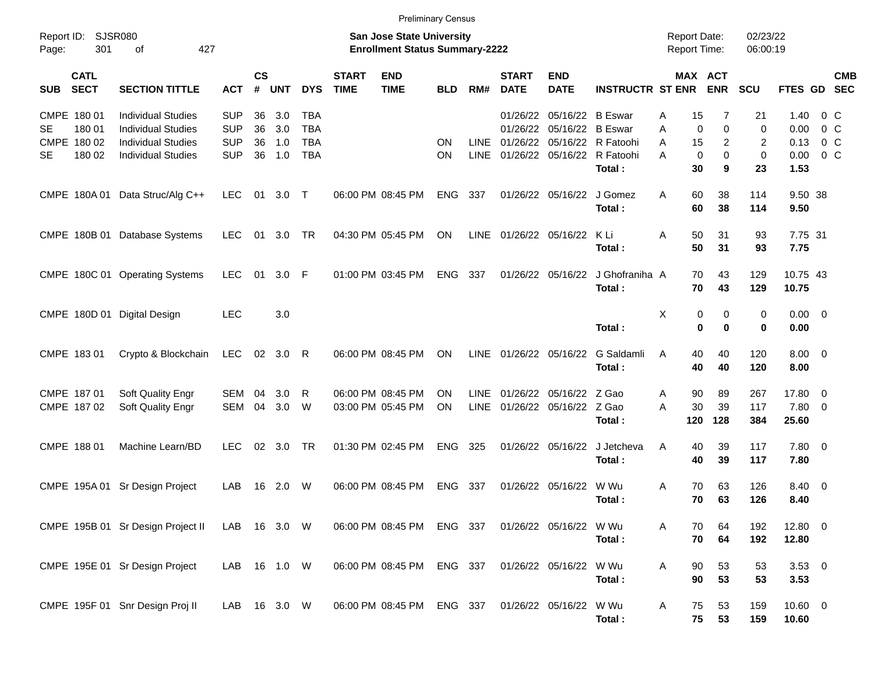|                     |                            | <b>Preliminary Census</b><br><b>SJSR080</b><br><b>San Jose State University</b> |            |                   |            |              |                             |                                       |            |             |                             |                           |                                       |   |                   |                                     |                      |                     |                |            |
|---------------------|----------------------------|---------------------------------------------------------------------------------|------------|-------------------|------------|--------------|-----------------------------|---------------------------------------|------------|-------------|-----------------------------|---------------------------|---------------------------------------|---|-------------------|-------------------------------------|----------------------|---------------------|----------------|------------|
| Report ID:<br>Page: | 301                        | 427<br>of                                                                       |            |                   |            |              |                             | <b>Enrollment Status Summary-2222</b> |            |             |                             |                           |                                       |   |                   | <b>Report Date:</b><br>Report Time: | 02/23/22<br>06:00:19 |                     |                |            |
| <b>SUB</b>          | <b>CATL</b><br><b>SECT</b> | <b>SECTION TITTLE</b>                                                           | <b>ACT</b> | <b>CS</b><br>$\#$ | <b>UNT</b> | <b>DYS</b>   | <b>START</b><br><b>TIME</b> | <b>END</b><br><b>TIME</b>             | <b>BLD</b> | RM#         | <b>START</b><br><b>DATE</b> | <b>END</b><br><b>DATE</b> | <b>INSTRUCTR ST ENR</b>               |   |                   | MAX ACT<br><b>ENR</b>               | SCU                  | FTES GD SEC         |                | <b>CMB</b> |
|                     | CMPE 180 01                | <b>Individual Studies</b>                                                       | <b>SUP</b> | 36                | 3.0        | TBA          |                             |                                       |            |             | 01/26/22                    | 05/16/22 B Eswar          |                                       | A | 15                | 7                                   | 21                   | 1.40                | 0 <sup>o</sup> |            |
| SE                  | 180 01                     | <b>Individual Studies</b>                                                       | <b>SUP</b> | 36                | 3.0        | <b>TBA</b>   |                             |                                       |            |             | 01/26/22                    | 05/16/22                  | <b>B</b> Eswar                        | Α | $\mathbf 0$       | $\mathbf 0$                         | $\mathbf 0$          | 0.00                | $0\,C$         |            |
|                     | CMPE 180 02                | <b>Individual Studies</b>                                                       | <b>SUP</b> | 36                | 1.0        | <b>TBA</b>   |                             |                                       | ON         | <b>LINE</b> |                             |                           | 01/26/22 05/16/22 R Fatoohi           | A | 15                | 2                                   | 2                    | 0.13                | 0 <sup>o</sup> |            |
| SE                  | 180 02                     | <b>Individual Studies</b>                                                       | <b>SUP</b> | 36                | 1.0        | <b>TBA</b>   |                             |                                       | ΟN         | <b>LINE</b> |                             |                           | 01/26/22 05/16/22 R Fatoohi<br>Total: | Α | $\mathbf 0$<br>30 | $\mathbf 0$<br>9                    | 0<br>23              | 0.00<br>1.53        | $0\,C$         |            |
|                     |                            | CMPE 180A 01 Data Struc/Alg C++                                                 | <b>LEC</b> | 01                | $3.0$ T    |              |                             | 06:00 PM 08:45 PM                     | <b>ENG</b> | 337         |                             | 01/26/22 05/16/22         | J Gomez<br>Total:                     | A | 60<br>60          | 38<br>38                            | 114<br>114           | 9.50 38<br>9.50     |                |            |
|                     |                            |                                                                                 |            |                   |            |              |                             |                                       |            |             |                             |                           |                                       |   |                   |                                     |                      |                     |                |            |
|                     |                            | CMPE 180B 01 Database Systems                                                   | <b>LEC</b> | 01                | 3.0        | TR           |                             | 04:30 PM 05:45 PM                     | <b>ON</b>  | LINE        | 01/26/22 05/16/22           |                           | KLi<br>Total:                         | A | 50<br>50          | 31<br>31                            | 93<br>93             | 7.75 31<br>7.75     |                |            |
|                     |                            | CMPE 180C 01 Operating Systems                                                  | <b>LEC</b> | 01                | 3.0        | -F           |                             | 01:00 PM 03:45 PM                     | <b>ENG</b> | 337         |                             | 01/26/22 05/16/22         | J Ghofraniha A<br>Total:              |   | 70<br>70          | 43<br>43                            | 129<br>129           | 10.75 43<br>10.75   |                |            |
|                     |                            |                                                                                 |            |                   |            |              |                             |                                       |            |             |                             |                           |                                       |   |                   |                                     |                      |                     |                |            |
|                     |                            | CMPE 180D 01 Digital Design                                                     | <b>LEC</b> |                   | 3.0        |              |                             |                                       |            |             |                             |                           | Total:                                | X | 0<br>$\bf{0}$     | 0<br>$\bf{0}$                       | 0<br>$\bf{0}$        | $0.00 \t 0$<br>0.00 |                |            |
|                     | CMPE 183 01                | Crypto & Blockchain                                                             | <b>LEC</b> | 02                | 3.0        | R            |                             | 06:00 PM 08:45 PM                     | <b>ON</b>  | <b>LINE</b> | 01/26/22 05/16/22           |                           | G Saldamli<br>Total:                  | A | 40<br>40          | 40<br>40                            | 120<br>120           | $8.00 \t 0$<br>8.00 |                |            |
|                     | CMPE 187 01                | Soft Quality Engr                                                               | SEM        | 04                | 3.0        | $\mathsf{R}$ |                             | 06:00 PM 08:45 PM                     | ΟN         | <b>LINE</b> |                             | 01/26/22 05/16/22 Z Gao   |                                       | A | 90                | 89                                  | 267                  | 17.80 0             |                |            |
|                     | CMPE 187 02                | Soft Quality Engr                                                               | <b>SEM</b> | 04                | 3.0        | W            |                             | 03:00 PM 05:45 PM                     | ΟN         | <b>LINE</b> | 01/26/22                    | 05/16/22 Z Gao            |                                       | A | 30                | 39                                  | 117                  | 7.80 0              |                |            |
|                     |                            |                                                                                 |            |                   |            |              |                             |                                       |            |             |                             |                           | Total:                                |   | 120               | 128                                 | 384                  | 25.60               |                |            |
|                     | CMPE 188 01                | Machine Learn/BD                                                                | <b>LEC</b> | 02                | 3.0        | <b>TR</b>    |                             | 01:30 PM 02:45 PM                     | <b>ENG</b> | 325         |                             | 01/26/22 05/16/22         | J Jetcheva<br>Total:                  | A | 40<br>40          | 39<br>39                            | 117<br>117           | 7.80 0<br>7.80      |                |            |
|                     |                            | CMPE 195A 01 Sr Design Project                                                  | LAB        | 16                | 2.0        | W            |                             | 06:00 PM 08:45 PM                     | <b>ENG</b> | 337         |                             | 01/26/22 05/16/22         | W Wu                                  | A | 70                | 63                                  | 126                  | 8.40 0              |                |            |
|                     |                            |                                                                                 |            |                   |            |              |                             |                                       |            |             |                             |                           | Total:                                |   | 70                | 63                                  | 126                  | 8.40                |                |            |
|                     |                            | CMPE 195B 01 Sr Design Project II                                               | LAB        |                   | 16 3.0 W   |              |                             | 06:00 PM 08:45 PM                     | ENG 337    |             |                             | 01/26/22 05/16/22         | W Wu<br>Total:                        | Α | 70<br>70          | 64<br>64                            | 192<br>192           | 12.80 0<br>12.80    |                |            |
|                     |                            | CMPE 195E 01 Sr Design Project                                                  | LAB        |                   | 16  1.0  W |              |                             | 06:00 PM 08:45 PM                     | ENG 337    |             |                             | 01/26/22 05/16/22         | W Wu<br>Total:                        | A | 90<br>90          | 53<br>53                            | 53<br>53             | $3.53$ 0<br>3.53    |                |            |
|                     |                            | CMPE 195F 01 Snr Design Proj II                                                 | LAB        |                   | 16 3.0 W   |              |                             | 06:00 PM 08:45 PM                     | ENG 337    |             |                             | 01/26/22 05/16/22         | W Wu<br>Total:                        | Α | 75<br>75          | 53<br>53                            | 159<br>159           | $10.60$ 0<br>10.60  |                |            |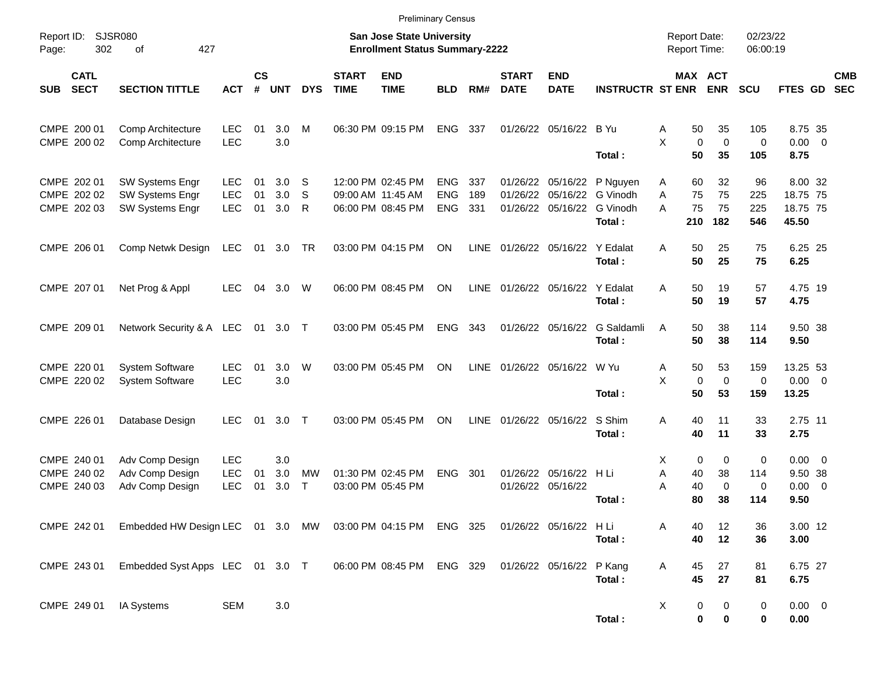|                                           | <b>Preliminary Census</b><br><b>SJSR080</b><br>02/23/22<br><b>San Jose State University</b><br><b>Report Date:</b> |                                                                        |                                        |                |                   |             |                             |                                                             |                                        |                   |                             |                                           |                                            |             |                         |                              |                              |                                          |                         |                          |
|-------------------------------------------|--------------------------------------------------------------------------------------------------------------------|------------------------------------------------------------------------|----------------------------------------|----------------|-------------------|-------------|-----------------------------|-------------------------------------------------------------|----------------------------------------|-------------------|-----------------------------|-------------------------------------------|--------------------------------------------|-------------|-------------------------|------------------------------|------------------------------|------------------------------------------|-------------------------|--------------------------|
| Report ID:<br>Page:                       | 302                                                                                                                | 427<br>of                                                              |                                        |                |                   |             |                             | <b>Enrollment Status Summary-2222</b>                       |                                        |                   |                             |                                           |                                            |             |                         | Report Time:                 | 06:00:19                     |                                          |                         |                          |
| <b>SUB</b>                                | <b>CATL</b><br><b>SECT</b>                                                                                         | <b>SECTION TITTLE</b>                                                  | <b>ACT</b>                             | <b>CS</b><br># | <b>UNT</b>        | <b>DYS</b>  | <b>START</b><br><b>TIME</b> | <b>END</b><br><b>TIME</b>                                   | <b>BLD</b>                             | RM#               | <b>START</b><br><b>DATE</b> | <b>END</b><br><b>DATE</b>                 | <b>INSTRUCTR ST ENR</b>                    |             |                         | MAX ACT<br><b>ENR</b>        | SCU                          | FTES GD                                  |                         | <b>CMB</b><br><b>SEC</b> |
| CMPE 200 01<br>CMPE 200 02                |                                                                                                                    | Comp Architecture<br><b>Comp Architecture</b>                          | <b>LEC</b><br>LEC                      | 01             | 3.0<br>3.0        | M           |                             | 06:30 PM 09:15 PM                                           | <b>ENG</b>                             | 337               |                             | 01/26/22 05/16/22                         | B Yu<br>Total :                            | Α<br>X      | 50<br>$\mathbf 0$<br>50 | 35<br>$\mathbf 0$<br>35      | 105<br>$\pmb{0}$<br>105      | 8.75 35<br>$0.00 \t 0$<br>8.75           |                         |                          |
| CMPE 202 01<br>CMPE 202 02<br>CMPE 202 03 |                                                                                                                    | SW Systems Engr<br>SW Systems Engr<br>SW Systems Engr                  | <b>LEC</b><br><b>LEC</b><br><b>LEC</b> | 01<br>01<br>01 | 3.0<br>3.0<br>3.0 | S<br>S<br>R |                             | 12:00 PM 02:45 PM<br>09:00 AM 11:45 AM<br>06:00 PM 08:45 PM | <b>ENG</b><br><b>ENG</b><br><b>ENG</b> | 337<br>189<br>331 | 01/26/22<br>01/26/22        | 01/26/22 05/16/22<br>05/16/22<br>05/16/22 | P Nguyen<br>G Vinodh<br>G Vinodh<br>Total: | A<br>A<br>A | 60<br>75<br>75<br>210   | 32<br>75<br>75<br>182        | 96<br>225<br>225<br>546      | 8.00 32<br>18.75 75<br>18.75 75<br>45.50 |                         |                          |
| CMPE 206 01                               |                                                                                                                    | Comp Netwk Design                                                      | <b>LEC</b>                             | 01             | 3.0               | TR          |                             | 03:00 PM 04:15 PM                                           | ΟN                                     | <b>LINE</b>       |                             | 01/26/22 05/16/22                         | Y Edalat<br>Total:                         | A           | 50<br>50                | 25<br>25                     | 75<br>75                     | 6.25 25<br>6.25                          |                         |                          |
| CMPE 207 01                               |                                                                                                                    | Net Prog & Appl                                                        | <b>LEC</b>                             | 04             | 3.0               | W           |                             | 06:00 PM 08:45 PM                                           | ΟN                                     | <b>LINE</b>       |                             | 01/26/22 05/16/22                         | Y Edalat<br>Total:                         | A           | 50<br>50                | 19<br>19                     | 57<br>57                     | 4.75 19<br>4.75                          |                         |                          |
| CMPE 209 01                               |                                                                                                                    | Network Security & A LEC                                               |                                        | -01            | 3.0               | $\top$      |                             | 03:00 PM 05:45 PM                                           | <b>ENG</b>                             | 343               |                             | 01/26/22 05/16/22                         | G Saldamli<br>Total:                       | A           | 50<br>50                | 38<br>38                     | 114<br>114                   | 9.50 38<br>9.50                          |                         |                          |
| CMPE 220 01<br>CMPE 220 02                |                                                                                                                    | <b>System Software</b><br><b>System Software</b>                       | <b>LEC</b><br><b>LEC</b>               | 01             | 3.0<br>3.0        | W           |                             | 03:00 PM 05:45 PM                                           | ON                                     | <b>LINE</b>       | 01/26/22 05/16/22           |                                           | W Yu<br>Total:                             | Α<br>X      | 50<br>$\mathbf 0$<br>50 | 53<br>$\mathbf 0$<br>53      | 159<br>$\mathbf 0$<br>159    | 13.25 53<br>$0.00 \t 0$<br>13.25         |                         |                          |
| CMPE 226 01                               |                                                                                                                    | Database Design                                                        | <b>LEC</b>                             | 01             | 3.0               | $\top$      |                             | 03:00 PM 05:45 PM                                           | ON                                     | <b>LINE</b>       |                             | 01/26/22 05/16/22                         | S Shim<br>Total:                           | A           | 40<br>40                | 11<br>11                     | 33<br>33                     | 2.75 11<br>2.75                          |                         |                          |
| CMPE 240 01<br>CMPE 240 02<br>CMPE 240 03 |                                                                                                                    | Adv Comp Design<br>Adv Comp Design<br>Adv Comp Design                  | <b>LEC</b><br><b>LEC</b><br><b>LEC</b> | 01<br>01       | 3.0<br>3.0<br>3.0 | MW<br>T     |                             | 01:30 PM 02:45 PM<br>03:00 PM 05:45 PM                      | <b>ENG</b>                             | 301               | 01/26/22                    | 01/26/22 05/16/22<br>05/16/22             | H Li<br>Total:                             | Χ<br>Α<br>Α | 0<br>40<br>40<br>80     | 0<br>38<br>$\mathbf 0$<br>38 | $\pmb{0}$<br>114<br>0<br>114 | $0.00 \t 0$<br>9.50 38<br>0.00<br>9.50   | $\overline{\mathbf{0}}$ |                          |
|                                           |                                                                                                                    | CMPE 242 01 Embedded HW Design LEC 01 3.0 MW 03:00 PM 04:15 PM ENG 325 |                                        |                |                   |             |                             |                                                             |                                        |                   |                             | 01/26/22 05/16/22 HLi                     | Total:                                     |             | 40<br>40                | 12<br>12                     | 36<br>36                     | 3.00 12<br>3.00                          |                         |                          |
| CMPE 243 01                               |                                                                                                                    | Embedded Syst Apps LEC 01 3.0 T                                        |                                        |                |                   |             |                             | 06:00 PM 08:45 PM ENG 329                                   |                                        |                   |                             | 01/26/22 05/16/22 P Kang                  | Total:                                     | A           | 45<br>45                | 27<br>27                     | 81<br>81                     | 6.75 27<br>6.75                          |                         |                          |
| CMPE 249 01                               |                                                                                                                    | IA Systems                                                             | <b>SEM</b>                             |                | $3.0\,$           |             |                             |                                                             |                                        |                   |                             |                                           | Total:                                     | X           | 0<br>$\pmb{0}$          | 0<br>$\pmb{0}$               | $\pmb{0}$<br>0               | $0.00 \t 0$<br>0.00                      |                         |                          |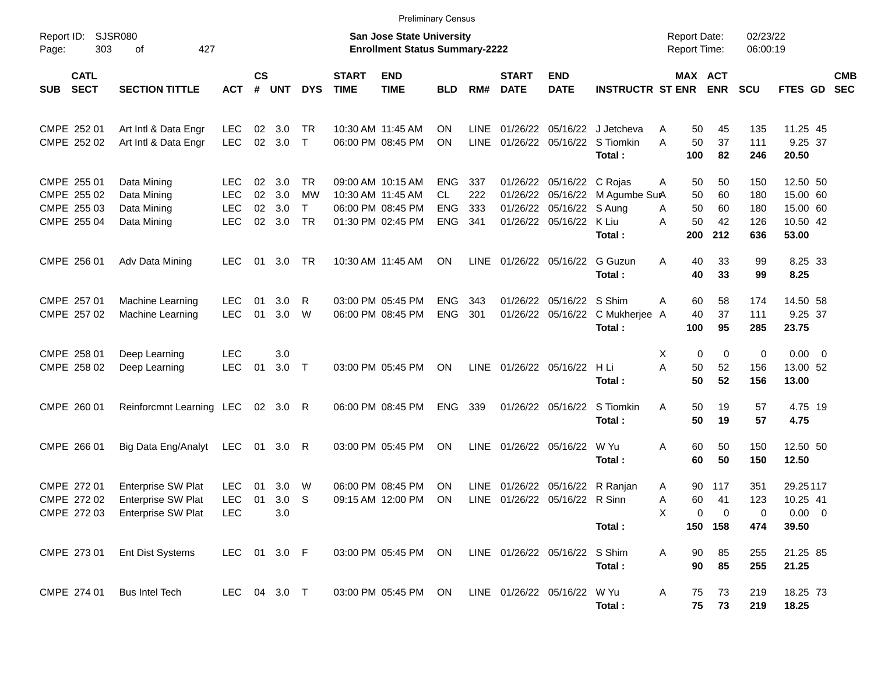|                                                          | <b>Preliminary Census</b><br><b>SJSR080</b><br><b>San Jose State University</b><br>02/23/22<br><b>Report Date:</b> |                                                      |                      |                          |                                                     |                             |                                                                                  |                                               |                          |                             |                                                                               |                                                                       |             |                             |                                     |                                 |                                                       |                          |
|----------------------------------------------------------|--------------------------------------------------------------------------------------------------------------------|------------------------------------------------------|----------------------|--------------------------|-----------------------------------------------------|-----------------------------|----------------------------------------------------------------------------------|-----------------------------------------------|--------------------------|-----------------------------|-------------------------------------------------------------------------------|-----------------------------------------------------------------------|-------------|-----------------------------|-------------------------------------|---------------------------------|-------------------------------------------------------|--------------------------|
| Report ID:<br>303<br>Page:                               | 427<br>of                                                                                                          |                                                      |                      |                          |                                                     |                             | <b>Enrollment Status Summary-2222</b>                                            |                                               |                          |                             |                                                                               |                                                                       |             | Report Time:                |                                     | 06:00:19                        |                                                       |                          |
| <b>CATL</b><br><b>SECT</b><br>SUB                        | <b>SECTION TITTLE</b>                                                                                              | <b>ACT</b>                                           | $\mathsf{cs}$<br>#   | <b>UNT</b>               | <b>DYS</b>                                          | <b>START</b><br><b>TIME</b> | <b>END</b><br><b>TIME</b>                                                        | <b>BLD</b>                                    | RM#                      | <b>START</b><br><b>DATE</b> | <b>END</b><br><b>DATE</b>                                                     | <b>INSTRUCTR ST ENR</b>                                               |             | MAX ACT                     | <b>ENR</b>                          | <b>SCU</b>                      | <b>FTES GD</b>                                        | <b>CMB</b><br><b>SEC</b> |
| CMPE 252 01<br>CMPE 252 02                               | Art Intl & Data Engr<br>Art Intl & Data Engr                                                                       | <b>LEC</b><br><b>LEC</b>                             | 02<br>02             | 3.0<br>3.0               | TR.<br>$\mathsf{T}$                                 |                             | 10:30 AM 11:45 AM<br>06:00 PM 08:45 PM                                           | ΟN<br>ΟN                                      | LINE<br><b>LINE</b>      |                             |                                                                               | 01/26/22 05/16/22 J Jetcheva<br>01/26/22 05/16/22 S Tiomkin<br>Total: | A<br>A      | 50<br>50<br>100             | 45<br>37<br>82                      | 135<br>111<br>246               | 11.25 45<br>9.25 37<br>20.50                          |                          |
| CMPE 255 01<br>CMPE 255 02<br>CMPE 255 03<br>CMPE 255 04 | Data Mining<br>Data Mining<br>Data Mining<br>Data Mining                                                           | <b>LEC</b><br><b>LEC</b><br><b>LEC</b><br><b>LEC</b> | 02<br>02<br>02<br>02 | 3.0<br>3.0<br>3.0<br>3.0 | <b>TR</b><br><b>MW</b><br>$\mathsf{T}$<br><b>TR</b> |                             | 09:00 AM 10:15 AM<br>10:30 AM 11:45 AM<br>06:00 PM 08:45 PM<br>01:30 PM 02:45 PM | <b>ENG</b><br>CL.<br><b>ENG</b><br><b>ENG</b> | 337<br>222<br>333<br>341 | 01/26/22<br>01/26/22        | 01/26/22 05/16/22 C Rojas<br>05/16/22<br>05/16/22 S Aung<br>01/26/22 05/16/22 | M Agumbe SurA<br>K Liu<br>Total:                                      | Α<br>A<br>A | 50<br>50<br>50<br>50<br>200 | 50<br>60<br>60<br>42<br>212         | 150<br>180<br>180<br>126<br>636 | 12.50 50<br>15.00 60<br>15.00 60<br>10.50 42<br>53.00 |                          |
| CMPE 256 01                                              | Adv Data Mining                                                                                                    | LEC.                                                 | 01                   | 3.0                      | TR.                                                 |                             | 10:30 AM 11:45 AM                                                                | <b>ON</b>                                     | <b>LINE</b>              | 01/26/22 05/16/22           |                                                                               | <b>G</b> Guzun<br>Total:                                              | A           | 40<br>40                    | 33<br>33                            | 99<br>99                        | 8.25 33<br>8.25                                       |                          |
| CMPE 257 01<br>CMPE 257 02                               | Machine Learning<br><b>Machine Learning</b>                                                                        | LEC.<br><b>LEC</b>                                   | 01<br>01             | 3.0<br>3.0               | $\mathsf{R}$<br>W                                   |                             | 03:00 PM 05:45 PM<br>06:00 PM 08:45 PM                                           | <b>ENG</b><br><b>ENG</b>                      | 343<br>301               |                             | 01/26/22 05/16/22 S Shim<br>01/26/22 05/16/22                                 | C Mukherjee A<br>Total:                                               | A           | 60<br>40<br>100             | 58<br>37<br>95                      | 174<br>111<br>285               | 14.50 58<br>9.25 37<br>23.75                          |                          |
| CMPE 258 01<br>CMPE 258 02                               | Deep Learning<br>Deep Learning                                                                                     | <b>LEC</b><br><b>LEC</b>                             | 01                   | 3.0<br>3.0               | $\top$                                              |                             | 03:00 PM 05:45 PM                                                                | <b>ON</b>                                     | <b>LINE</b>              |                             | 01/26/22 05/16/22 H Li                                                        | Total:                                                                | Χ<br>A      | 0<br>50<br>50               | 0<br>52<br>52                       | 0<br>156<br>156                 | $0.00 \t 0$<br>13.00 52<br>13.00                      |                          |
| CMPE 260 01                                              | Reinforcmnt Learning LEC                                                                                           |                                                      |                      | 02 3.0 R                 |                                                     |                             | 06:00 PM 08:45 PM                                                                | <b>ENG</b>                                    | 339                      |                             | 01/26/22 05/16/22                                                             | S Tiomkin<br>Total:                                                   | A           | 50<br>50                    | 19<br>19                            | 57<br>57                        | 4.75 19<br>4.75                                       |                          |
| CMPE 266 01                                              | Big Data Eng/Analyt                                                                                                | <b>LEC</b>                                           | 01                   | 3.0                      | -R                                                  |                             | 03:00 PM 05:45 PM                                                                | ΟN                                            | LINE                     | 01/26/22 05/16/22           |                                                                               | W Yu<br>Total:                                                        | A           | 60<br>60                    | 50<br>50                            | 150<br>150                      | 12.50 50<br>12.50                                     |                          |
| CMPE 272 01<br>CMPE 272 02                               | <b>Enterprise SW Plat</b><br><b>Enterprise SW Plat</b><br>CMPE 272 03 Enterprise SW Plat                           | <b>LEC</b><br><b>LEC</b><br><b>LEC</b>               | 01<br>01             | 3.0<br>3.0<br>3.0        | W<br>S                                              |                             | 06:00 PM 08:45 PM<br>09:15 AM 12:00 PM                                           | ΟN<br>ON                                      | <b>LINE</b><br>LINE      | 01/26/22                    | 05/16/22<br>01/26/22 05/16/22 R Sinn                                          | R Ranjan<br>Total:                                                    | A<br>A<br>X | 90<br>60<br>$\pmb{0}$       | 117<br>41<br>$\mathbf 0$<br>150 158 | 351<br>123<br>0<br>474          | 29.25117<br>10.25 41<br>$0.00 \t 0$<br>39.50          |                          |
| CMPE 273 01                                              | <b>Ent Dist Systems</b>                                                                                            | LEC 01 3.0 F                                         |                      |                          |                                                     |                             | 03:00 PM 05:45 PM ON                                                             |                                               |                          |                             | LINE 01/26/22 05/16/22 S Shim                                                 | Total:                                                                | A           | 90<br>90                    | 85<br>85                            | 255<br>255                      | 21.25 85<br>21.25                                     |                          |
| CMPE 274 01                                              | <b>Bus Intel Tech</b>                                                                                              | LEC 04 3.0 T                                         |                      |                          |                                                     |                             | 03:00 PM 05:45 PM ON                                                             |                                               |                          | LINE 01/26/22 05/16/22      |                                                                               | W Yu<br>Total:                                                        | A           | 75<br>75                    | 73<br>73                            | 219<br>219                      | 18.25 73<br>18.25                                     |                          |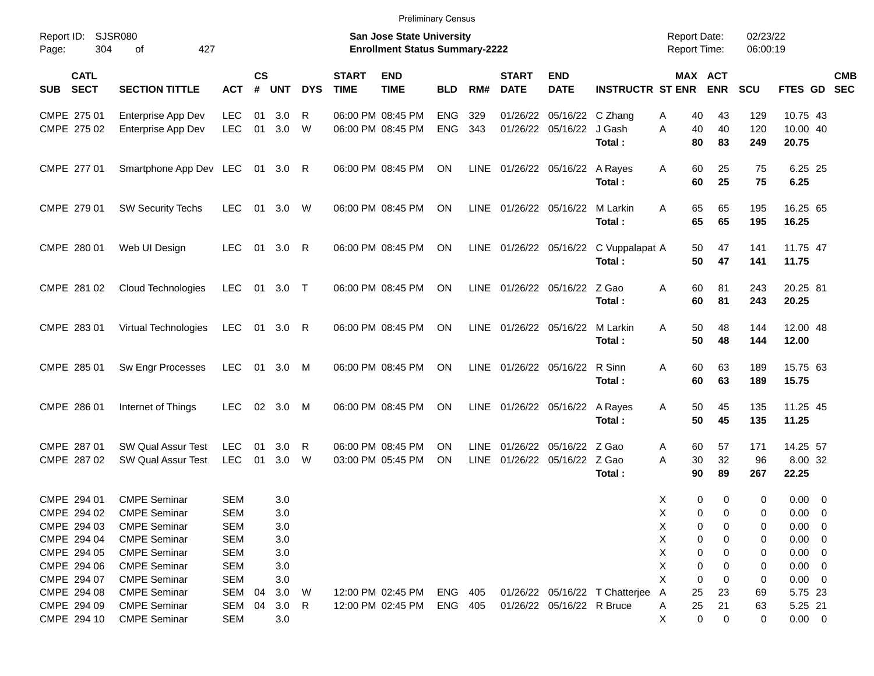|                                          |                                                 |                          |                    |                         |              |                             |                                                                           | <b>Preliminary Census</b> |                     |                             |                                                    |                                                 |                                            |                       |                      |                                 |            |
|------------------------------------------|-------------------------------------------------|--------------------------|--------------------|-------------------------|--------------|-----------------------------|---------------------------------------------------------------------------|---------------------------|---------------------|-----------------------------|----------------------------------------------------|-------------------------------------------------|--------------------------------------------|-----------------------|----------------------|---------------------------------|------------|
| Report ID:<br>Page:                      | SJSR080<br>304<br>427<br>οf                     |                          |                    |                         |              |                             | <b>San Jose State University</b><br><b>Enrollment Status Summary-2222</b> |                           |                     |                             |                                                    |                                                 | <b>Report Date:</b><br><b>Report Time:</b> |                       | 02/23/22<br>06:00:19 |                                 |            |
| <b>CATL</b><br><b>SECT</b><br><b>SUB</b> | <b>SECTION TITTLE</b>                           | <b>ACT</b>               | $\mathsf{cs}$<br># | <b>UNT</b>              | <b>DYS</b>   | <b>START</b><br><b>TIME</b> | <b>END</b><br><b>TIME</b>                                                 | <b>BLD</b>                | RM#                 | <b>START</b><br><b>DATE</b> | <b>END</b><br><b>DATE</b>                          | <b>INSTRUCTR ST ENR</b>                         |                                            | MAX ACT<br><b>ENR</b> | <b>SCU</b>           | FTES GD SEC                     | <b>CMB</b> |
| CMPE 275 01                              | Enterprise App Dev                              | <b>LEC</b>               | 01                 | 3.0                     | R            |                             | 06:00 PM 08:45 PM                                                         | <b>ENG</b>                | 329                 | 01/26/22                    | 05/16/22 C Zhang                                   |                                                 | 40<br>Α                                    | 43                    | 129                  | 10.75 43                        |            |
| CMPE 275 02                              | Enterprise App Dev                              | <b>LEC</b>               | 01                 | 3.0                     | W            |                             | 06:00 PM 08:45 PM                                                         | <b>ENG</b>                | 343                 |                             | 01/26/22 05/16/22 J Gash                           | Total:                                          | 40<br>A<br>80                              | 40<br>83              | 120<br>249           | 10.00 40<br>20.75               |            |
| CMPE 277 01                              | Smartphone App Dev LEC                          |                          |                    | 01 3.0                  | R            |                             | 06:00 PM 08:45 PM                                                         | <b>ON</b>                 |                     |                             | LINE 01/26/22 05/16/22 A Rayes                     | Total:                                          | 60<br>A<br>60                              | 25<br>25              | 75<br>75             | 6.25 25<br>6.25                 |            |
| CMPE 279 01                              | <b>SW Security Techs</b>                        | <b>LEC</b>               | 01                 | 3.0                     | W            |                             | 06:00 PM 08:45 PM                                                         | <b>ON</b>                 |                     |                             | LINE 01/26/22 05/16/22 M Larkin                    | Total:                                          | 65<br>A<br>65                              | 65<br>65              | 195<br>195           | 16.25 65<br>16.25               |            |
| CMPE 280 01                              | Web UI Design                                   | <b>LEC</b>               | 01                 | 3.0                     | R            |                             | 06:00 PM 08:45 PM                                                         | <b>ON</b>                 |                     |                             |                                                    | LINE 01/26/22 05/16/22 C Vuppalapat A<br>Total: | 50<br>50                                   | 47<br>47              | 141<br>141           | 11.75 47<br>11.75               |            |
| CMPE 281 02                              | <b>Cloud Technologies</b>                       | <b>LEC</b>               |                    | 01 3.0 T                |              |                             | 06:00 PM 08:45 PM                                                         | <b>ON</b>                 | <b>LINE</b>         |                             | 01/26/22 05/16/22 Z Gao                            | Total:                                          | 60<br>A<br>60                              | 81<br>81              | 243<br>243           | 20.25 81<br>20.25               |            |
| CMPE 283 01                              | Virtual Technologies                            | <b>LEC</b>               |                    | 01 3.0                  | R            |                             | 06:00 PM 08:45 PM                                                         | <b>ON</b>                 | <b>LINE</b>         |                             | 01/26/22 05/16/22 M Larkin                         | Total:                                          | 50<br>A<br>50                              | 48<br>48              | 144<br>144           | 12.00 48<br>12.00               |            |
| CMPE 285 01                              | Sw Engr Processes                               | <b>LEC</b>               |                    | 01 3.0                  | M            |                             | 06:00 PM 08:45 PM                                                         | <b>ON</b>                 | <b>LINE</b>         |                             | 01/26/22 05/16/22 R Sinn                           | Total:                                          | 60<br>A<br>60                              | 63<br>63              | 189<br>189           | 15.75 63<br>15.75               |            |
| CMPE 286 01                              | Internet of Things                              | <b>LEC</b>               | 02                 | 3.0                     | M            |                             | 06:00 PM 08:45 PM                                                         | <b>ON</b>                 | <b>LINE</b>         |                             | 01/26/22 05/16/22 A Rayes                          | Total:                                          | 50<br>A<br>50                              | 45<br>45              | 135<br>135           | 11.25 45<br>11.25               |            |
| CMPE 287 01<br>CMPE 287 02               | <b>SW Qual Assur Test</b><br>SW Qual Assur Test | <b>LEC</b><br><b>LEC</b> | 01<br>01           | 3.0 <sub>2</sub><br>3.0 | R<br>W       |                             | 06:00 PM 08:45 PM<br>03:00 PM 05:45 PM                                    | <b>ON</b><br><b>ON</b>    | LINE<br><b>LINE</b> |                             | 01/26/22 05/16/22 Z Gao<br>01/26/22 05/16/22 Z Gao | Total:                                          | 60<br>A<br>30<br>A<br>90                   | 57<br>32<br>89        | 171<br>96<br>267     | 14.25 57<br>8.00 32<br>22.25    |            |
| CMPE 294 01                              | <b>CMPE Seminar</b>                             | <b>SEM</b>               |                    | 3.0                     |              |                             |                                                                           |                           |                     |                             |                                                    |                                                 | X<br>0                                     | 0                     | 0                    | $0.00 \t 0$                     |            |
| CMPE 294 02                              | <b>CMPE Seminar</b>                             | <b>SEM</b>               |                    | 3.0                     |              |                             |                                                                           |                           |                     |                             |                                                    |                                                 | 0<br>х                                     | 0                     | 0                    | 0.00<br>$\overline{\mathbf{0}}$ |            |
| CMPE 294 03                              | <b>CMPE Seminar</b>                             | SEM                      |                    | 3.0                     |              |                             |                                                                           |                           |                     |                             |                                                    |                                                 | Χ<br>0                                     | 0                     | 0                    | $0.00 \t 0$                     |            |
| CMPE 294 04                              | <b>CMPE Seminar</b>                             | SEM                      |                    | 3.0                     |              |                             |                                                                           |                           |                     |                             |                                                    |                                                 | Χ<br>0                                     | 0                     | 0                    | $0.00 \t 0$                     |            |
| CMPE 294 05                              | <b>CMPE Seminar</b>                             | SEM                      |                    | 3.0                     |              |                             |                                                                           |                           |                     |                             |                                                    |                                                 | Χ<br>0                                     | 0                     | 0                    | $0.00 \t 0$                     |            |
| CMPE 294 06                              | <b>CMPE Seminar</b>                             | SEM                      |                    | 3.0                     |              |                             |                                                                           |                           |                     |                             |                                                    |                                                 | Χ<br>0                                     | 0                     | 0                    | $0.00 \t 0$                     |            |
| CMPE 294 07                              | <b>CMPE Seminar</b>                             | <b>SEM</b>               |                    | 3.0                     |              |                             |                                                                           |                           |                     |                             |                                                    |                                                 | X<br>0                                     | 0                     | 0                    | $0.00 \t 0$                     |            |
| CMPE 294 08                              | <b>CMPE Seminar</b>                             | SEM                      | 04                 | 3.0                     | W            |                             | 12:00 PM 02:45 PM                                                         | ENG                       | 405                 |                             |                                                    | 01/26/22 05/16/22 T Chatterjee                  | A<br>25                                    | 23                    | 69                   | 5.75 23                         |            |
| CMPE 294 09                              | <b>CMPE Seminar</b>                             | SEM                      | 04                 | 3.0                     | $\mathsf{R}$ |                             | 12:00 PM 02:45 PM                                                         | ENG 405                   |                     |                             | 01/26/22 05/16/22 R Bruce                          |                                                 | 25<br>A                                    | 21                    | 63                   | 5.25 21                         |            |
| CMPE 294 10                              | <b>CMPE Seminar</b>                             | <b>SEM</b>               |                    | 3.0                     |              |                             |                                                                           |                           |                     |                             |                                                    |                                                 | Х<br>0                                     | 0                     | 0                    | $0.00 \t 0$                     |            |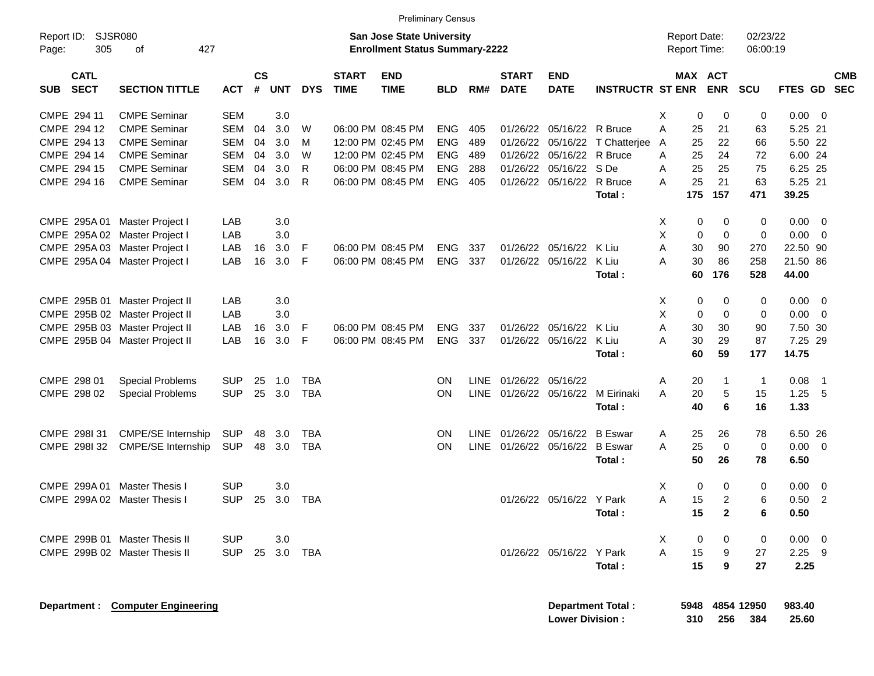|                                          |                                  |            |                         |            |              |                             |                                                                           | <b>Preliminary Census</b> |             |                             |                           |                          |   |                                     |                |                        |                 |                            |                          |
|------------------------------------------|----------------------------------|------------|-------------------------|------------|--------------|-----------------------------|---------------------------------------------------------------------------|---------------------------|-------------|-----------------------------|---------------------------|--------------------------|---|-------------------------------------|----------------|------------------------|-----------------|----------------------------|--------------------------|
| Report ID:<br>305<br>Page:               | <b>SJSR080</b><br>427<br>οf      |            |                         |            |              |                             | <b>San Jose State University</b><br><b>Enrollment Status Summary-2222</b> |                           |             |                             |                           |                          |   | <b>Report Date:</b><br>Report Time: |                | 02/23/22<br>06:00:19   |                 |                            |                          |
| <b>CATL</b><br><b>SECT</b><br><b>SUB</b> | <b>SECTION TITTLE</b>            | <b>ACT</b> | <b>CS</b><br>$\pmb{\#}$ | <b>UNT</b> | <b>DYS</b>   | <b>START</b><br><b>TIME</b> | <b>END</b><br><b>TIME</b>                                                 | <b>BLD</b>                | RM#         | <b>START</b><br><b>DATE</b> | <b>END</b><br><b>DATE</b> | <b>INSTRUCTR ST ENR</b>  |   | MAX ACT                             | <b>ENR</b>     | <b>SCU</b>             | <b>FTES GD</b>  |                            | <b>CMB</b><br><b>SEC</b> |
| CMPE 294 11                              | <b>CMPE Seminar</b>              | <b>SEM</b> |                         | 3.0        |              |                             |                                                                           |                           |             |                             |                           |                          | X | 0                                   | 0              | 0                      | 0.00            | $\overline{\mathbf{0}}$    |                          |
| CMPE 294 12                              | <b>CMPE Seminar</b>              | <b>SEM</b> | 04                      | 3.0        | W            |                             | 06:00 PM 08:45 PM                                                         | <b>ENG</b>                | 405         |                             | 01/26/22 05/16/22 R Bruce |                          | A | 25                                  | 21             | 63                     | 5.25 21         |                            |                          |
| CMPE 294 13                              | <b>CMPE Seminar</b>              | <b>SEM</b> | 04                      | 3.0        | м            |                             | 12:00 PM 02:45 PM                                                         | <b>ENG</b>                | 489         | 01/26/22                    | 05/16/22                  | T Chatterjee             | A | 25                                  | 22             | 66                     | 5.50 22         |                            |                          |
| CMPE 294 14                              | <b>CMPE Seminar</b>              | <b>SEM</b> | 04                      | 3.0        | W            |                             | 12:00 PM 02:45 PM                                                         | <b>ENG</b>                | 489         | 01/26/22                    | 05/16/22                  | R Bruce                  | Α | 25                                  | 24             | 72                     | 6.00 24         |                            |                          |
| CMPE 294 15                              | <b>CMPE Seminar</b>              | <b>SEM</b> | 04                      | 3.0        | $\mathsf{R}$ |                             | 06:00 PM 08:45 PM                                                         | <b>ENG</b>                | 288         | 01/26/22                    | 05/16/22 SDe              |                          | A | 25                                  | 25             | 75                     | 6.25 25         |                            |                          |
| CMPE 294 16                              | <b>CMPE Seminar</b>              | <b>SEM</b> | 04                      | 3.0        | R            |                             | 06:00 PM 08:45 PM                                                         | <b>ENG</b>                | 405         |                             | 01/26/22 05/16/22 R Bruce |                          | A | 25                                  | 21             | 63                     | 5.25 21         |                            |                          |
|                                          |                                  |            |                         |            |              |                             |                                                                           |                           |             |                             |                           | Total:                   |   | 175                                 | 157            | 471                    | 39.25           |                            |                          |
| CMPE 295A 01 Master Project I            |                                  | LAB        |                         | 3.0        |              |                             |                                                                           |                           |             |                             |                           |                          | X | 0                                   | 0              | 0                      | 0.00            | $\overline{\mathbf{0}}$    |                          |
| CMPE 295A 02 Master Project I            |                                  | LAB        |                         | 3.0        |              |                             |                                                                           |                           |             |                             |                           |                          | X | $\mathbf 0$                         | $\mathbf 0$    | $\mathbf 0$            | 0.00            | $\overline{0}$             |                          |
| CMPE 295A 03 Master Project I            |                                  | LAB        | 16                      | 3.0        | F            |                             | 06:00 PM 08:45 PM                                                         | <b>ENG</b>                | 337         |                             | 01/26/22 05/16/22         | K Liu                    | A | 30                                  | 90             | 270                    | 22.50 90        |                            |                          |
| CMPE 295A 04 Master Project I            |                                  | LAB        | 16                      | 3.0        | F            |                             | 06:00 PM 08:45 PM                                                         | <b>ENG</b>                | 337         |                             | 01/26/22 05/16/22         | K Liu                    | A | 30                                  | 86             | 258                    | 21.50 86        |                            |                          |
|                                          |                                  |            |                         |            |              |                             |                                                                           |                           |             |                             |                           | Total:                   |   | 60                                  | 176            | 528                    | 44.00           |                            |                          |
|                                          | CMPE 295B 01 Master Project II   | LAB        |                         | 3.0        |              |                             |                                                                           |                           |             |                             |                           |                          | Х | 0                                   | 0              | 0                      | 0.00            | $\overline{\mathbf{0}}$    |                          |
|                                          | CMPE 295B 02 Master Project II   | LAB        |                         | 3.0        |              |                             |                                                                           |                           |             |                             |                           |                          | X | 0                                   | $\mathbf 0$    | 0                      | 0.00            | $\overline{0}$             |                          |
|                                          | CMPE 295B 03 Master Project II   | LAB        | 16                      | 3.0        | F            |                             | 06:00 PM 08:45 PM                                                         | <b>ENG</b>                | 337         |                             | 01/26/22 05/16/22         | K Liu                    | A | 30                                  | 30             | 90                     | 7.50 30         |                            |                          |
|                                          | CMPE 295B 04 Master Project II   | LAB        | 16                      | 3.0        | F            |                             | 06:00 PM 08:45 PM                                                         | <b>ENG</b>                | 337         | 01/26/22                    | 05/16/22                  | K Liu                    | A | 30                                  | 29             | 87                     | 7.25 29         |                            |                          |
|                                          |                                  |            |                         |            |              |                             |                                                                           |                           |             |                             |                           | Total:                   |   | 60                                  | 59             | 177                    | 14.75           |                            |                          |
| CMPE 298 01                              | <b>Special Problems</b>          | <b>SUP</b> | 25                      | 1.0        | <b>TBA</b>   |                             |                                                                           | OΝ                        | LINE        | 01/26/22 05/16/22           |                           |                          | Α | 20                                  | 1              | $\mathbf{1}$           | 0.08            | $\overline{\phantom{0}}$ 1 |                          |
| CMPE 298 02                              | <b>Special Problems</b>          | <b>SUP</b> | 25                      | 3.0        | <b>TBA</b>   |                             |                                                                           | ON                        | <b>LINE</b> |                             | 01/26/22 05/16/22         | M Eirinaki               | A | 20                                  | 5              | 15                     | 1.25            | 5                          |                          |
|                                          |                                  |            |                         |            |              |                             |                                                                           |                           |             |                             |                           | Total:                   |   | 40                                  | 6              | 16                     | 1.33            |                            |                          |
| CMPE 298131                              | <b>CMPE/SE Internship</b>        | <b>SUP</b> | 48                      | 3.0        | <b>TBA</b>   |                             |                                                                           | OΝ                        | LINE        |                             | 01/26/22 05/16/22         | <b>B</b> Eswar           | Α | 25                                  | 26             | 78                     | 6.50 26         |                            |                          |
| CMPE 2981 32                             | <b>CMPE/SE Internship</b>        | <b>SUP</b> | 48                      | 3.0        | <b>TBA</b>   |                             |                                                                           | ON                        | <b>LINE</b> |                             | 01/26/22 05/16/22 B Eswar |                          | A | 25                                  | $\mathbf 0$    | 0                      | 0.00            | $\overline{\mathbf{0}}$    |                          |
|                                          |                                  |            |                         |            |              |                             |                                                                           |                           |             |                             |                           | Total:                   |   | 50                                  | 26             | 78                     | 6.50            |                            |                          |
| CMPE 299A 01                             | Master Thesis I                  | <b>SUP</b> |                         | 3.0        |              |                             |                                                                           |                           |             |                             |                           |                          | X | 0                                   | 0              | 0                      | 0.00            | $\overline{0}$             |                          |
| CMPE 299A 02 Master Thesis I             |                                  | <b>SUP</b> | 25                      | 3.0        | <b>TBA</b>   |                             |                                                                           |                           |             |                             | 01/26/22 05/16/22 Y Park  |                          | A | 15                                  | $\overline{2}$ | 6                      | 0.50            | $\overline{2}$             |                          |
|                                          |                                  |            |                         |            |              |                             |                                                                           |                           |             |                             |                           | Total:                   |   | 15                                  | $\overline{2}$ | 6                      | 0.50            |                            |                          |
|                                          | CMPE 299B 01 Master Thesis II    | <b>SUP</b> |                         | 3.0        |              |                             |                                                                           |                           |             |                             |                           |                          | X | 0                                   | 0              | 0                      | $0.00 \t 0$     |                            |                          |
|                                          | CMPE 299B 02 Master Thesis II    | <b>SUP</b> |                         | 25 3.0     | <b>TBA</b>   |                             |                                                                           |                           |             |                             | 01/26/22 05/16/22 Y Park  |                          | A | 15                                  | 9              | 27                     | $2.25$ 9        |                            |                          |
|                                          |                                  |            |                         |            |              |                             |                                                                           |                           |             |                             |                           | Total:                   |   | 15                                  | 9              | 27                     | 2.25            |                            |                          |
|                                          |                                  |            |                         |            |              |                             |                                                                           |                           |             |                             |                           |                          |   |                                     |                |                        |                 |                            |                          |
|                                          | Department: Computer Engineering |            |                         |            |              |                             |                                                                           |                           |             |                             | <b>Lower Division:</b>    | <b>Department Total:</b> |   | 310                                 | 256            | 5948 4854 12950<br>384 | 983.40<br>25.60 |                            |                          |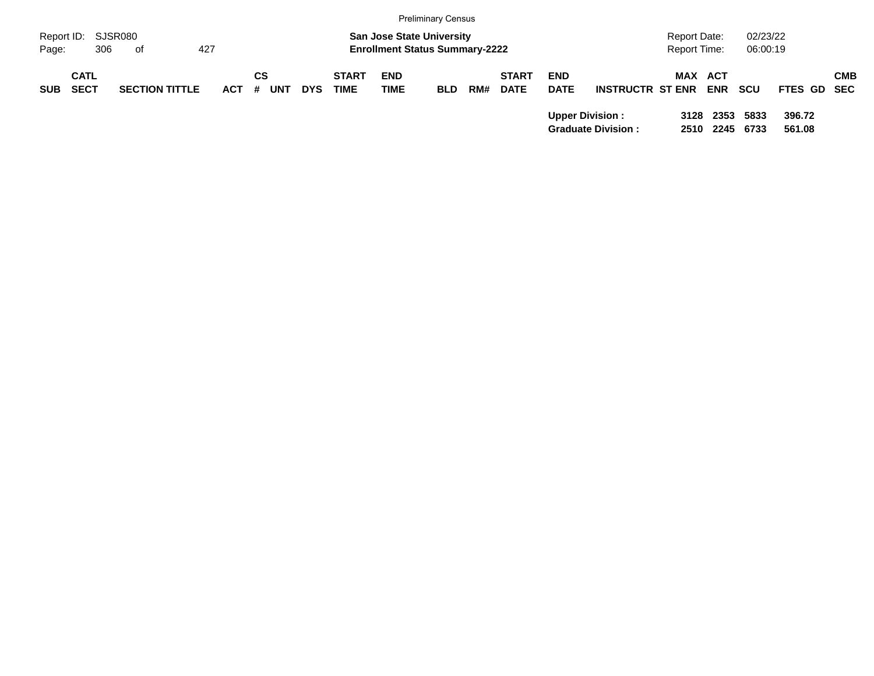|            |             |                       |         |            |            |              |                                       | <b>Preliminary Census</b> |     |              |             |                           |                     |            |          |             |            |
|------------|-------------|-----------------------|---------|------------|------------|--------------|---------------------------------------|---------------------------|-----|--------------|-------------|---------------------------|---------------------|------------|----------|-------------|------------|
| Report ID: |             | SJSR080               |         |            |            |              | <b>San Jose State University</b>      |                           |     |              |             |                           | <b>Report Date:</b> |            | 02/23/22 |             |            |
| Page:      | 306         | of                    | 427     |            |            |              | <b>Enrollment Status Summary-2222</b> |                           |     |              |             |                           | <b>Report Time:</b> |            | 06:00:19 |             |            |
|            | <b>CATL</b> |                       |         | СS         |            | <b>START</b> | <b>END</b>                            |                           |     | <b>START</b> | <b>END</b>  |                           | MAX ACT             |            |          |             | <b>CMB</b> |
| <b>SUB</b> | <b>SECT</b> | <b>SECTION TITTLE</b> | $ACT$ # | <b>UNT</b> | <b>DYS</b> | <b>TIME</b>  | <b>TIME</b>                           | <b>BLD</b>                | RM# | <b>DATE</b>  | <b>DATE</b> | <b>INSTRUCTR ST ENR</b>   |                     | <b>ENR</b> | scu      | FTES GD SEC |            |
|            |             |                       |         |            |            |              |                                       |                           |     |              |             | <b>Upper Division:</b>    |                     | 3128 2353  | 5833     | 396.72      |            |
|            |             |                       |         |            |            |              |                                       |                           |     |              |             | <b>Graduate Division:</b> | 2510                | 2245       | 6733     | 561.08      |            |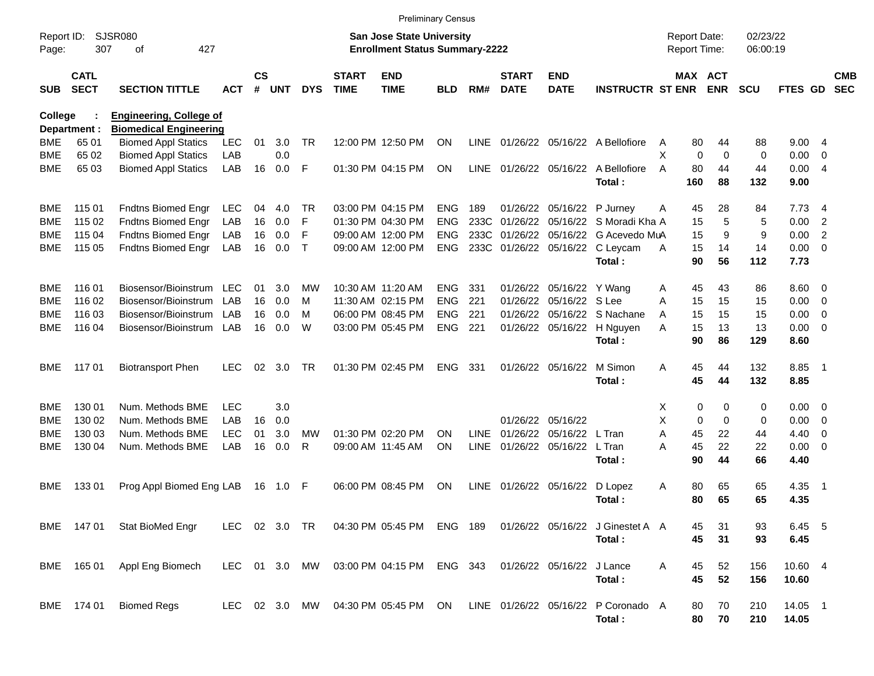|                     |                            |                                |               |                    |            |              |                             | <b>Preliminary Census</b>                                                 |            |             |                             |                            |                                          |   |                                     |             |                      |               |                          |                          |
|---------------------|----------------------------|--------------------------------|---------------|--------------------|------------|--------------|-----------------------------|---------------------------------------------------------------------------|------------|-------------|-----------------------------|----------------------------|------------------------------------------|---|-------------------------------------|-------------|----------------------|---------------|--------------------------|--------------------------|
| Report ID:<br>Page: | 307                        | <b>SJSR080</b><br>427<br>οf    |               |                    |            |              |                             | <b>San Jose State University</b><br><b>Enrollment Status Summary-2222</b> |            |             |                             |                            |                                          |   | <b>Report Date:</b><br>Report Time: |             | 02/23/22<br>06:00:19 |               |                          |                          |
| <b>SUB</b>          | <b>CATL</b><br><b>SECT</b> | <b>SECTION TITTLE</b>          | <b>ACT</b>    | $\mathsf{cs}$<br># | <b>UNT</b> | <b>DYS</b>   | <b>START</b><br><b>TIME</b> | <b>END</b><br><b>TIME</b>                                                 | BLD        | RM#         | <b>START</b><br><b>DATE</b> | <b>END</b><br><b>DATE</b>  | <b>INSTRUCTR ST ENR</b>                  |   | MAX ACT                             | <b>ENR</b>  | <b>SCU</b>           | FTES GD       |                          | <b>CMB</b><br><b>SEC</b> |
| College             |                            | <b>Engineering, College of</b> |               |                    |            |              |                             |                                                                           |            |             |                             |                            |                                          |   |                                     |             |                      |               |                          |                          |
|                     | Department :               | <b>Biomedical Engineering</b>  |               |                    |            |              |                             |                                                                           |            |             |                             |                            |                                          |   |                                     |             |                      |               |                          |                          |
| BME                 | 65 01                      | <b>Biomed Appl Statics</b>     | LEC           | 01                 | 3.0        | <b>TR</b>    |                             | 12:00 PM 12:50 PM                                                         | ON         | LINE        |                             |                            | 01/26/22 05/16/22 A Bellofiore           | A | 80                                  | 44          | 88                   | 9.004         |                          |                          |
| <b>BME</b>          | 65 02                      | <b>Biomed Appl Statics</b>     | LAB           |                    | 0.0        |              |                             |                                                                           |            |             |                             |                            |                                          | X | $\mathbf 0$                         | $\mathbf 0$ | 0                    | 0.00          | 0                        |                          |
| <b>BME</b>          | 65 03                      | <b>Biomed Appl Statics</b>     | LAB           | 16                 | 0.0        | F            |                             | 01:30 PM 04:15 PM                                                         | ON         | LINE        |                             |                            | 01/26/22 05/16/22 A Bellofiore<br>Total: | A | 80<br>160                           | 44<br>88    | 44<br>132            | 0.004<br>9.00 |                          |                          |
| <b>BME</b>          | 115 01                     | Fndtns Biomed Engr             | <b>LEC</b>    | 04                 | 4.0        | TR.          |                             | 03:00 PM 04:15 PM                                                         | <b>ENG</b> | 189         |                             | 01/26/22 05/16/22 P Jurney |                                          | Α | 45                                  | 28          | 84                   | 7.73          | - 4                      |                          |
| <b>BME</b>          | 115 02                     | Fndtns Biomed Engr             | LAB           | 16                 | 0.0        | F            |                             | 01:30 PM 04:30 PM                                                         | <b>ENG</b> | 233C        | 01/26/22                    | 05/16/22                   | S Moradi Kha A                           |   | 15                                  | 5           | 5                    | 0.00          | $\overline{2}$           |                          |
| <b>BME</b>          | 115 04                     | Fndtns Biomed Engr             | LAB           | 16                 | 0.0        | F            |                             | 09:00 AM 12:00 PM                                                         | <b>ENG</b> | 233C        | 01/26/22                    | 05/16/22                   | G Acevedo MuA                            |   | 15                                  | 9           | 9                    | 0.00          | $\overline{2}$           |                          |
| <b>BME</b>          | 115 05                     | Fndtns Biomed Engr             | LAB           | 16                 | 0.0        | $\mathsf{T}$ |                             | 09:00 AM 12:00 PM                                                         | <b>ENG</b> |             |                             |                            | 233C 01/26/22 05/16/22 C Leycam          | A | 15                                  | 14          | 14                   | 0.00          | $\overline{\phantom{0}}$ |                          |
|                     |                            |                                |               |                    |            |              |                             |                                                                           |            |             |                             |                            | Total:                                   |   | 90                                  | 56          | 112                  | 7.73          |                          |                          |
| <b>BME</b>          | 116 01                     | Biosensor/Bioinstrum           | <b>LEC</b>    | 01                 | 3.0        | МW           |                             | 10:30 AM 11:20 AM                                                         | <b>ENG</b> | 331         |                             | 01/26/22 05/16/22 Y Wang   |                                          | Α | 45                                  | 43          | 86                   | $8.60 \ 0$    |                          |                          |
| <b>BME</b>          | 116 02                     | Biosensor/Bioinstrum           | LAB           | 16                 | 0.0        | м            |                             | 11:30 AM 02:15 PM                                                         | <b>ENG</b> | 221         | 01/26/22                    | 05/16/22                   | S Lee                                    | A | 15                                  | 15          | 15                   | 0.00          | $\overline{\mathbf{0}}$  |                          |
| <b>BME</b>          | 116 03                     | Biosensor/Bioinstrum           | LAB           | 16                 | 0.0        | м            |                             | 06:00 PM 08:45 PM                                                         | <b>ENG</b> | 221         | 01/26/22                    |                            | 05/16/22 S Nachane                       | A | 15                                  | 15          | 15                   | 0.00          | $\overline{\mathbf{0}}$  |                          |
| <b>BME</b>          | 116 04                     | Biosensor/Bioinstrum           | LAB           | 16                 | 0.0        | W            |                             | 03:00 PM 05:45 PM                                                         | <b>ENG</b> | 221         |                             |                            | 01/26/22 05/16/22 H Nguyen               | A | 15                                  | 13          | 13                   | 0.00          | $\overline{\phantom{0}}$ |                          |
|                     |                            |                                |               |                    |            |              |                             |                                                                           |            |             |                             |                            | Total:                                   |   | 90                                  | 86          | 129                  | 8.60          |                          |                          |
| <b>BME</b>          | 117 01                     | <b>Biotransport Phen</b>       | <b>LEC</b>    | 02                 | 3.0        | <b>TR</b>    |                             | 01:30 PM 02:45 PM                                                         | <b>ENG</b> | 331         |                             | 01/26/22 05/16/22          | M Simon                                  | A | 45                                  | 44          | 132                  | 8.85          | $\overline{\phantom{1}}$ |                          |
|                     |                            |                                |               |                    |            |              |                             |                                                                           |            |             |                             |                            | Total:                                   |   | 45                                  | 44          | 132                  | 8.85          |                          |                          |
| <b>BME</b>          | 130 01                     | Num. Methods BME               | <b>LEC</b>    |                    | 3.0        |              |                             |                                                                           |            |             |                             |                            |                                          | х | 0                                   | 0           | 0                    | $0.00 \ 0$    |                          |                          |
| <b>BME</b>          | 130 02                     | Num. Methods BME               | LAB           | 16                 | 0.0        |              |                             |                                                                           |            |             |                             | 01/26/22 05/16/22          |                                          | X | $\mathbf 0$                         | $\mathbf 0$ | 0                    | 0.00          | $\overline{\mathbf{0}}$  |                          |
| <b>BME</b>          | 130 03                     | Num. Methods BME               | <b>LEC</b>    | 01                 | 3.0        | <b>MW</b>    |                             | 01:30 PM 02:20 PM                                                         | <b>ON</b>  | <b>LINE</b> | 01/26/22                    | 05/16/22                   | L Tran                                   | A | 45                                  | 22          | 44                   | 4.40          | - 0                      |                          |
| <b>BME</b>          | 130 04                     | Num. Methods BME               | LAB           | 16                 | 0.0        | R            |                             | 09:00 AM 11:45 AM                                                         | <b>ON</b>  | LINE        |                             | 01/26/22 05/16/22          | L Tran                                   | Α | 45                                  | 22          | 22                   | 0.00          | - 0                      |                          |
|                     |                            |                                |               |                    |            |              |                             |                                                                           |            |             |                             |                            | Total:                                   |   | 90                                  | 44          | 66                   | 4.40          |                          |                          |
| <b>BME</b>          | 13301                      | Prog Appl Biomed Eng LAB       |               | 16                 | 1.0        | -F           |                             | 06:00 PM 08:45 PM                                                         | <b>ON</b>  | LINE        |                             | 01/26/22 05/16/22          | D Lopez                                  | A | 80                                  | 65          | 65                   | 4.35          | - 1                      |                          |
|                     |                            |                                |               |                    |            |              |                             |                                                                           |            |             |                             |                            | Total:                                   |   | 80                                  | 65          | 65                   | 4.35          |                          |                          |
|                     | BME 147 01                 | Stat BioMed Engr               | LEC           |                    | 02 3.0 TR  |              |                             | 04:30 PM 05:45 PM ENG 189                                                 |            |             |                             |                            | 01/26/22 05/16/22 J Ginestet A A         |   | 45                                  | 31          | 93                   | 6.45 5        |                          |                          |
|                     |                            |                                |               |                    |            |              |                             |                                                                           |            |             |                             |                            | Total:                                   |   | 45                                  | 31          | 93                   | 6.45          |                          |                          |
|                     | BME 165 01                 | Appl Eng Biomech               | LEC           |                    | 01 3.0 MW  |              |                             | 03:00 PM 04:15 PM                                                         | ENG 343    |             |                             | 01/26/22 05/16/22          | J Lance                                  | A | 45                                  | 52          | 156                  | 10.60 4       |                          |                          |
|                     |                            |                                |               |                    |            |              |                             |                                                                           |            |             |                             |                            | Total:                                   |   | 45                                  | 52          | 156                  | 10.60         |                          |                          |
|                     | BME 174 01                 | <b>Biomed Regs</b>             | LEC 02 3.0 MW |                    |            |              |                             | 04:30 PM 05:45 PM ON                                                      |            |             |                             | LINE 01/26/22 05/16/22     | P Coronado A                             |   | 80                                  | 70          | 210                  | 14.05 1       |                          |                          |
|                     |                            |                                |               |                    |            |              |                             |                                                                           |            |             |                             |                            | Total:                                   |   | 80                                  | 70          | 210                  | 14.05         |                          |                          |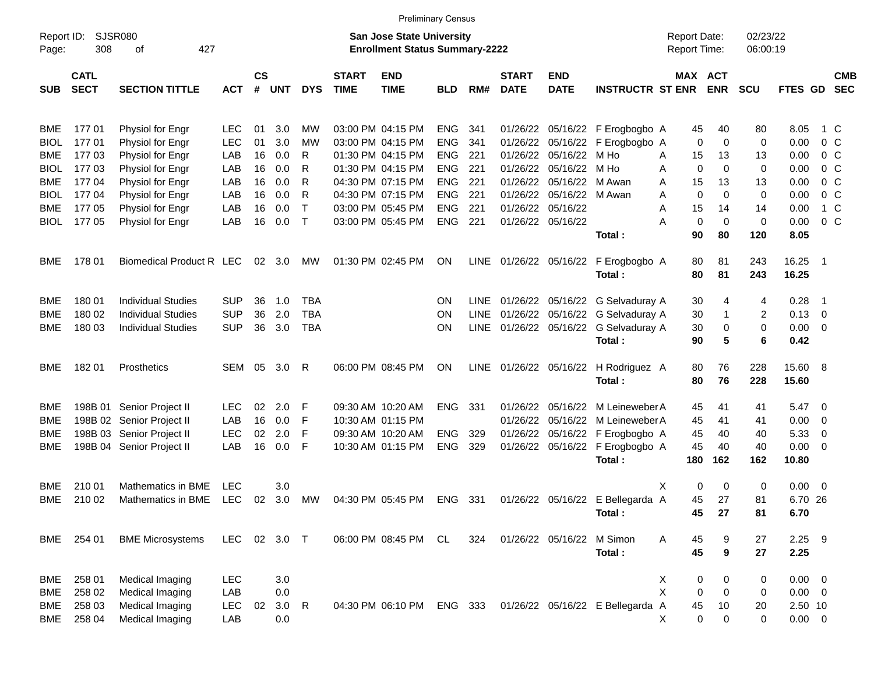|                           |                            |                                      |            |                             |            |                   |                             |                                                                           | <b>Preliminary Census</b> |             |                             |                               |                                  |                                     |             |                      |                  |                          |                          |
|---------------------------|----------------------------|--------------------------------------|------------|-----------------------------|------------|-------------------|-----------------------------|---------------------------------------------------------------------------|---------------------------|-------------|-----------------------------|-------------------------------|----------------------------------|-------------------------------------|-------------|----------------------|------------------|--------------------------|--------------------------|
| Report ID:<br>Page:       | 308                        | SJSR080<br>427<br>οf                 |            |                             |            |                   |                             | <b>San Jose State University</b><br><b>Enrollment Status Summary-2222</b> |                           |             |                             |                               |                                  | <b>Report Date:</b><br>Report Time: |             | 02/23/22<br>06:00:19 |                  |                          |                          |
| <b>SUB</b>                | <b>CATL</b><br><b>SECT</b> | <b>SECTION TITTLE</b>                | <b>ACT</b> | $\mathbf{c}\mathbf{s}$<br># | <b>UNT</b> | <b>DYS</b>        | <b>START</b><br><b>TIME</b> | <b>END</b><br><b>TIME</b>                                                 | <b>BLD</b>                | RM#         | <b>START</b><br><b>DATE</b> | <b>END</b><br><b>DATE</b>     | <b>INSTRUCTR ST ENR</b>          | <b>MAX ACT</b>                      | <b>ENR</b>  | <b>SCU</b>           | FTES GD          |                          | <b>CMB</b><br><b>SEC</b> |
| BME                       | 17701                      | Physiol for Engr                     | <b>LEC</b> | 01                          | 3.0        | МW                |                             | 03:00 PM 04:15 PM                                                         | <b>ENG</b>                | 341         | 01/26/22                    |                               | 05/16/22 F Erogbogbo A           | 45                                  | 40          | 80                   | 8.05             | 1 C                      |                          |
| <b>BIOL</b>               | 17701                      | Physiol for Engr                     | <b>LEC</b> | 01                          | 3.0        | МW                |                             | 03:00 PM 04:15 PM                                                         | <b>ENG</b>                | 341         | 01/26/22                    | 05/16/22                      | F Erogbogbo A                    | 0                                   | 0           | 0                    | 0.00             |                          | 0 <sup>o</sup>           |
| <b>BME</b>                | 17703                      | Physiol for Engr                     | LAB        | 16                          | 0.0        | R                 |                             | 01:30 PM 04:15 PM                                                         | <b>ENG</b>                | 221         | 01/26/22                    | 05/16/22                      | M Ho                             | A<br>15                             | 13          | 13                   | 0.00             | $0\,$ C                  |                          |
| <b>BIOL</b>               | 177 03                     | Physiol for Engr                     | LAB        | 16                          | 0.0        | R                 |                             | 01:30 PM 04:15 PM                                                         | <b>ENG</b>                | 221         | 01/26/22                    | 05/16/22                      | M Ho                             | 0<br>Α                              | 0           | 0                    | 0.00             | 0 <sup>o</sup>           |                          |
| <b>BME</b>                | 177 04                     | Physiol for Engr                     | LAB        | 16                          | 0.0        | R                 |                             | 04:30 PM 07:15 PM                                                         | <b>ENG</b>                | 221         | 01/26/22                    | 05/16/22                      | M Awan                           | 15<br>Α                             | 13          | 13                   | 0.00             | 0 <sup>o</sup>           |                          |
| <b>BIOL</b><br><b>BME</b> | 17704<br>177 05            | Physiol for Engr<br>Physiol for Engr | LAB<br>LAB | 16<br>16                    | 0.0<br>0.0 | R<br>$\mathsf{T}$ |                             | 04:30 PM 07:15 PM<br>03:00 PM 05:45 PM                                    | <b>ENG</b><br><b>ENG</b>  | 221<br>221  | 01/26/22                    | 05/16/22<br>01/26/22 05/16/22 | M Awan                           | 0<br>Α<br>Α<br>15                   | 0<br>14     | 0<br>14              | 0.00<br>0.00     | 0 <sup>o</sup>           | 1 C                      |
| <b>BIOL</b>               | 177 05                     | Physiol for Engr                     | LAB        | 16                          | 0.0        | $\mathsf{T}$      |                             | 03:00 PM 05:45 PM                                                         | <b>ENG</b>                | 221         |                             | 01/26/22 05/16/22             |                                  | 0<br>А                              | 0           | 0                    | 0.00             | 0 <sup>o</sup>           |                          |
|                           |                            |                                      |            |                             |            |                   |                             |                                                                           |                           |             |                             |                               | Total:                           | 90                                  | 80          | 120                  | 8.05             |                          |                          |
| BME                       | 178 01                     | Biomedical Product R LEC             |            | 02                          | 3.0        | МW                |                             | 01:30 PM 02:45 PM                                                         | ΟN                        | <b>LINE</b> |                             | 01/26/22 05/16/22             | F Erogbogbo A<br>Total:          | 80<br>80                            | 81<br>81    | 243<br>243           | 16.25<br>16.25   | $\overline{\phantom{1}}$ |                          |
| BME                       | 18001                      | <b>Individual Studies</b>            | <b>SUP</b> | 36                          | 1.0        | <b>TBA</b>        |                             |                                                                           | ΟN                        | LINE        |                             | 01/26/22 05/16/22             | G Selvaduray A                   | 30                                  | 4           | 4                    | 0.28             | - 1                      |                          |
| <b>BME</b>                | 180 02                     | <b>Individual Studies</b>            | <b>SUP</b> | 36                          | 2.0        | <b>TBA</b>        |                             |                                                                           | ΟN                        | <b>LINE</b> | 01/26/22                    | 05/16/22                      | G Selvaduray A                   | 30                                  | $\mathbf 1$ | 2                    | 0.13             | 0                        |                          |
| <b>BME</b>                | 180 03                     | <b>Individual Studies</b>            | <b>SUP</b> | 36                          | 3.0        | <b>TBA</b>        |                             |                                                                           | ON                        | <b>LINE</b> |                             | 01/26/22 05/16/22             | G Selvaduray A                   | 30                                  | 0           | 0                    | 0.00             | 0                        |                          |
|                           |                            |                                      |            |                             |            |                   |                             |                                                                           |                           |             |                             |                               | Total:                           | 90                                  | 5           | 6                    | 0.42             |                          |                          |
| <b>BME</b>                | 18201                      | Prosthetics                          | SEM        | 05                          | 3.0        | R                 |                             | 06:00 PM 08:45 PM                                                         | ΟN                        | <b>LINE</b> | 01/26/22 05/16/22           |                               | H Rodriguez A<br>Total:          | 80<br>80                            | 76<br>76    | 228<br>228           | 15.60 8<br>15.60 |                          |                          |
| BME                       | 198B 01                    | Senior Project II                    | <b>LEC</b> | 02                          | 2.0        | F                 |                             | 09:30 AM 10:20 AM                                                         | <b>ENG</b>                | 331         |                             | 01/26/22 05/16/22             | M Leineweber A                   | 45                                  | 41          | 41                   | 5.47             | $\overline{\phantom{0}}$ |                          |
| <b>BME</b>                |                            | 198B 02 Senior Project II            | LAB        | 16                          | 0.0        | F                 |                             | 10:30 AM 01:15 PM                                                         |                           |             | 01/26/22                    | 05/16/22                      | M Leineweber A                   | 45                                  | 41          | 41                   | 0.00             | 0                        |                          |
| BME                       |                            | 198B 03 Senior Project II            | <b>LEC</b> | 02                          | 2.0        | F                 |                             | 09:30 AM 10:20 AM                                                         | <b>ENG</b>                | 329         | 01/26/22                    | 05/16/22                      | F Erogbogbo A                    | 45                                  | 40          | 40                   | 5.33             | 0                        |                          |
| <b>BME</b>                |                            | 198B 04 Senior Project II            | LAB        | 16                          | 0.0        | F                 |                             | 10:30 AM 01:15 PM                                                         | <b>ENG</b>                | 329         |                             | 01/26/22 05/16/22             | F Erogbogbo A                    | 45                                  | 40          | 40                   | 0.00             | 0                        |                          |
|                           |                            |                                      |            |                             |            |                   |                             |                                                                           |                           |             |                             |                               | Total:                           | 180                                 | 162         | 162                  | 10.80            |                          |                          |
| BME                       | 210 01                     | Mathematics in BME                   | LEC        |                             | 3.0        |                   |                             |                                                                           |                           |             |                             |                               |                                  | Х<br>0                              | 0           | 0                    | 0.00             | $\overline{\phantom{0}}$ |                          |
| <b>BME</b>                | 210 02                     | Mathematics in BME                   | <b>LEC</b> | 02                          | 3.0        | MW                |                             | 04:30 PM 05:45 PM                                                         | ENG                       | 331         |                             |                               | 01/26/22 05/16/22 E Bellegarda A | 45                                  | 27          | 81                   | 6.70 26          |                          |                          |
|                           |                            |                                      |            |                             |            |                   |                             |                                                                           |                           |             |                             |                               | Total:                           | 45                                  | 27          | 81                   | 6.70             |                          |                          |
| <b>BME</b>                | 254 01                     | <b>BME Microsystems</b>              | <b>LEC</b> |                             | 02 3.0 T   |                   |                             | 06:00 PM 08:45 PM                                                         | CL                        | 324         |                             | 01/26/22 05/16/22             | M Simon<br>Total:                | Α<br>45<br>45                       | 9<br>9      | 27<br>27             | $2.25$ 9<br>2.25 |                          |                          |
| <b>BME</b>                | 258 01                     | Medical Imaging                      | LEC        |                             | 3.0        |                   |                             |                                                                           |                           |             |                             |                               |                                  | х<br>0                              | 0           | 0                    | $0.00 \t 0$      |                          |                          |
| <b>BME</b>                | 258 02                     | Medical Imaging                      | LAB        |                             | 0.0        |                   |                             |                                                                           |                           |             |                             |                               |                                  | X<br>0                              | 0           | 0                    | $0.00 \t 0$      |                          |                          |
| <b>BME</b>                | 258 03                     | Medical Imaging                      | <b>LEC</b> | 02                          | 3.0        | $\mathsf{R}$      |                             | 04:30 PM 06:10 PM                                                         | ENG                       | 333         |                             |                               | 01/26/22 05/16/22 E Bellegarda A | 45                                  | 10          | 20                   | 2.50 10          |                          |                          |
| <b>BME</b>                | 258 04                     | Medical Imaging                      | LAB        |                             | 0.0        |                   |                             |                                                                           |                           |             |                             |                               |                                  | 0<br>X                              | 0           | 0                    | $0.00 \t 0$      |                          |                          |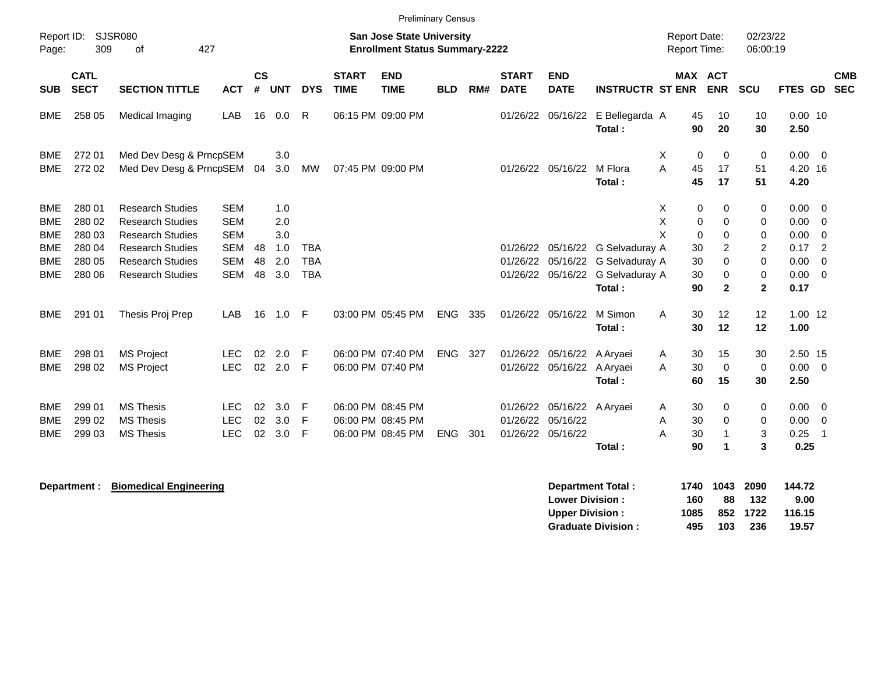|                                                      | <b>Preliminary Census</b><br>02/23/22<br>Report ID:<br><b>Report Date:</b> |                                                                                                          |                                                      |                    |                          |                          |                             |                                                             |            |     |                                  |                                  |                                            |                                     |                                                                                      |                                           |                              |                                                    |            |
|------------------------------------------------------|----------------------------------------------------------------------------|----------------------------------------------------------------------------------------------------------|------------------------------------------------------|--------------------|--------------------------|--------------------------|-----------------------------|-------------------------------------------------------------|------------|-----|----------------------------------|----------------------------------|--------------------------------------------|-------------------------------------|--------------------------------------------------------------------------------------|-------------------------------------------|------------------------------|----------------------------------------------------|------------|
| Page:                                                | 309                                                                        | SJSR080<br><b>San Jose State University</b><br>427<br>of<br><b>Enrollment Status Summary-2222</b>        |                                                      |                    |                          |                          |                             |                                                             |            |     |                                  |                                  |                                            |                                     | Report Time:                                                                         | 06:00:19                                  |                              |                                                    |            |
| <b>SUB</b>                                           | <b>CATL</b><br><b>SECT</b>                                                 | <b>SECTION TITTLE</b>                                                                                    | <b>ACT</b>                                           | $\mathsf{cs}$<br># | <b>UNT</b>               | <b>DYS</b>               | <b>START</b><br><b>TIME</b> | <b>END</b><br><b>TIME</b>                                   | <b>BLD</b> | RM# | <b>START</b><br><b>DATE</b>      | <b>END</b><br><b>DATE</b>        | <b>INSTRUCTR ST ENR</b>                    |                                     | <b>MAX ACT</b><br><b>ENR</b>                                                         | SCU                                       | FTES GD                      | <b>SEC</b>                                         | <b>CMB</b> |
| <b>BME</b>                                           | 258 05                                                                     | Medical Imaging                                                                                          | LAB                                                  | 16                 | 0.0                      | R                        |                             | 06:15 PM 09:00 PM                                           |            |     | 01/26/22                         | 05/16/22                         | E Bellegarda A<br>Total:                   | 45<br>90                            | 10<br>20                                                                             | 10<br>30                                  | $0.00$ 10<br>2.50            |                                                    |            |
| <b>BME</b><br><b>BME</b>                             | 272 01<br>272 02                                                           | Med Dev Desg & PrncpSEM<br>Med Dev Desg & PrncpSEM                                                       |                                                      | 04                 | 3.0<br>3.0               | MW                       |                             | 07:45 PM 09:00 PM                                           |            |     |                                  | 01/26/22 05/16/22                | M Flora<br>Total:                          | X<br>A<br>45<br>45                  | $\mathbf 0$<br>$\mathbf 0$<br>17<br>17                                               | 0<br>51<br>51                             | 0.00<br>4.20 16<br>4.20      | - 0                                                |            |
| <b>BME</b><br><b>BME</b><br><b>BME</b><br><b>BME</b> | 280 01<br>280 02<br>280 03<br>280 04                                       | <b>Research Studies</b><br><b>Research Studies</b><br><b>Research Studies</b><br><b>Research Studies</b> | <b>SEM</b><br><b>SEM</b><br><b>SEM</b><br><b>SEM</b> | 48                 | 1.0<br>2.0<br>3.0<br>1.0 | <b>TBA</b>               |                             |                                                             |            |     | 01/26/22                         | 05/16/22                         | G Selvaduray A                             | X<br>X<br>X<br>30                   | 0<br>0<br>$\mathbf 0$<br>$\mathbf 0$<br>$\mathbf 0$<br>$\mathbf 0$<br>$\overline{c}$ | 0<br>0<br>0<br>$\overline{2}$             | 0.00<br>0.00<br>0.00<br>0.17 | $\Omega$<br>$\Omega$<br>$\Omega$<br>$\overline{2}$ |            |
| <b>BME</b><br><b>BME</b>                             | 280 05<br>280 06                                                           | <b>Research Studies</b><br><b>Research Studies</b>                                                       | <b>SEM</b><br><b>SEM</b>                             | 48<br>48           | 2.0<br>3.0               | <b>TBA</b><br><b>TBA</b> |                             |                                                             |            |     | 01/26/22<br>01/26/22             | 05/16/22<br>05/16/22             | G Selvaduray A<br>G Selvaduray A<br>Total: | 30<br>30<br>90                      | $\Omega$<br>$\mathbf 0$<br>$\mathbf{2}$                                              | $\Omega$<br>$\mathbf 0$<br>$\overline{2}$ | 0.00<br>0.00<br>0.17         | $\Omega$<br>$\Omega$                               |            |
| <b>BME</b>                                           | 291 01                                                                     | Thesis Proj Prep                                                                                         | LAB                                                  | 16                 | 1.0                      | -F                       |                             | 03:00 PM 05:45 PM                                           | <b>ENG</b> | 335 | 01/26/22                         | 05/16/22                         | M Simon<br>Total:                          | A<br>30<br>30                       | 12<br>12                                                                             | 12<br>12                                  | $1.00$ 12<br>1.00            |                                                    |            |
| BME<br><b>BME</b>                                    | 298 01<br>298 02                                                           | <b>MS Project</b><br><b>MS Project</b>                                                                   | <b>LEC</b><br><b>LEC</b>                             | 02<br>02           | 2.0<br>2.0               | F<br>F                   |                             | 06:00 PM 07:40 PM<br>06:00 PM 07:40 PM                      | <b>ENG</b> | 327 | 01/26/22<br>01/26/22             | 05/16/22<br>05/16/22             | A Aryaei<br>A Aryaei<br>Total:             | 30<br>A<br>30<br>A<br>60            | 15<br>$\mathbf 0$<br>15                                                              | 30<br>$\Omega$<br>30                      | 2.50 15<br>0.00<br>2.50      | $\overline{0}$                                     |            |
| BME<br><b>BME</b><br><b>BME</b>                      | 299 01<br>299 02<br>299 03                                                 | <b>MS Thesis</b><br><b>MS Thesis</b><br><b>MS Thesis</b>                                                 | <b>LEC</b><br><b>LEC</b><br><b>LEC</b>               | 02<br>02<br>02     | 3.0<br>3.0<br>3.0        | F<br>F<br>F              |                             | 06:00 PM 08:45 PM<br>06:00 PM 08:45 PM<br>06:00 PM 08:45 PM | <b>ENG</b> | 301 | 01/26/22<br>01/26/22<br>01/26/22 | 05/16/22<br>05/16/22<br>05/16/22 | A Aryaei<br>Total:                         | 30<br>A<br>30<br>A<br>A<br>30<br>90 | 0<br>$\mathbf 0$<br>$\mathbf{1}$<br>1                                                | 0<br>0<br>3<br>3                          | 0.00<br>0.00<br>0.25<br>0.25 | 0<br>$\overline{0}$<br>$\overline{1}$              |            |
|                                                      |                                                                            |                                                                                                          |                                                      |                    |                          |                          |                             |                                                             |            |     |                                  |                                  |                                            |                                     |                                                                                      |                                           |                              |                                                    |            |

**Department : Biomedical Engineering 300 144.72 Separtment Total : 1740 1043 2090 144.72 Lower Division : 160 88 132 9.00 Upper Division : 1085 852 1722 116.15 Graduate Division : 495 103 236 19.57**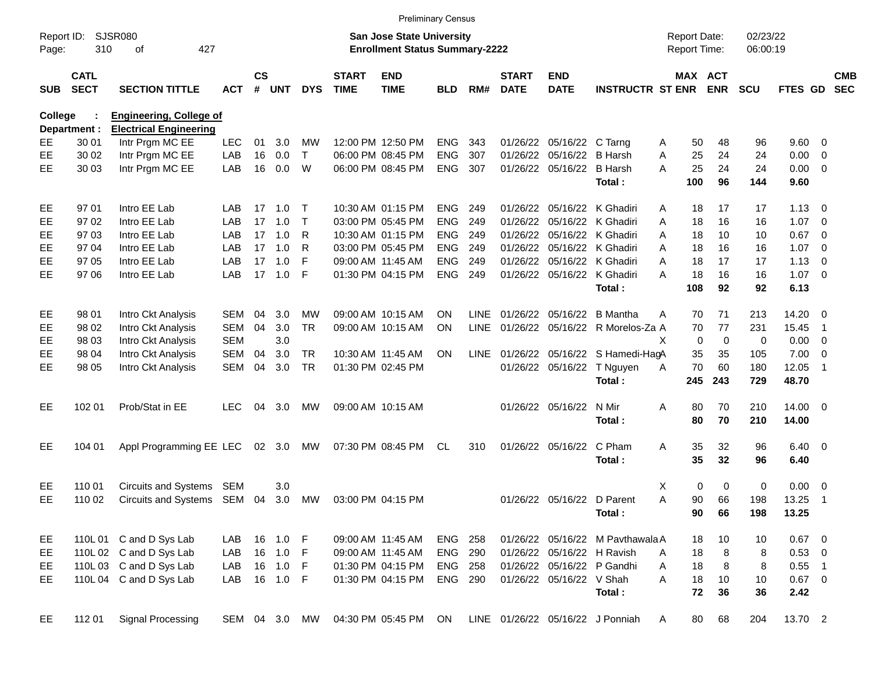|                     |                            |                                |               |                    |            |              |                             | <b>Preliminary Census</b>                                                 |                |             |                             |                            |                                      |   |                                     |                       |                      |                |                          |                          |
|---------------------|----------------------------|--------------------------------|---------------|--------------------|------------|--------------|-----------------------------|---------------------------------------------------------------------------|----------------|-------------|-----------------------------|----------------------------|--------------------------------------|---|-------------------------------------|-----------------------|----------------------|----------------|--------------------------|--------------------------|
| Report ID:<br>Page: | 310                        | <b>SJSR080</b><br>427<br>οf    |               |                    |            |              |                             | <b>San Jose State University</b><br><b>Enrollment Status Summary-2222</b> |                |             |                             |                            |                                      |   | <b>Report Date:</b><br>Report Time: |                       | 02/23/22<br>06:00:19 |                |                          |                          |
| <b>SUB</b>          | <b>CATL</b><br><b>SECT</b> | <b>SECTION TITTLE</b>          | <b>ACT</b>    | $\mathsf{cs}$<br># | <b>UNT</b> | <b>DYS</b>   | <b>START</b><br><b>TIME</b> | <b>END</b><br><b>TIME</b>                                                 | <b>BLD</b>     | RM#         | <b>START</b><br><b>DATE</b> | <b>END</b><br><b>DATE</b>  | <b>INSTRUCTR ST ENR</b>              |   |                                     | MAX ACT<br><b>ENR</b> | <b>SCU</b>           | <b>FTES GD</b> |                          | <b>CMB</b><br><b>SEC</b> |
| <b>College</b>      |                            | <b>Engineering, College of</b> |               |                    |            |              |                             |                                                                           |                |             |                             |                            |                                      |   |                                     |                       |                      |                |                          |                          |
|                     | Department :               | <b>Electrical Engineering</b>  |               |                    |            |              |                             |                                                                           |                |             |                             |                            |                                      |   |                                     |                       |                      |                |                          |                          |
| EE                  | 30 01                      | Intr Prgm MC EE                | <b>LEC</b>    | 01                 | 3.0        | <b>MW</b>    |                             | 12:00 PM 12:50 PM                                                         | <b>ENG</b>     | 343         |                             | 01/26/22 05/16/22 C Tarng  |                                      | Α | 50                                  | 48                    | 96                   | 9.60           | $\overline{\phantom{0}}$ |                          |
| EE                  | 30 02                      | Intr Prgm MC EE                | LAB           | 16                 | 0.0        | $\mathsf{T}$ |                             | 06:00 PM 08:45 PM                                                         | <b>ENG</b>     | 307         | 01/26/22                    | 05/16/22                   | <b>B</b> Harsh                       | A | 25                                  | 24                    | 24                   | 0.00           | 0                        |                          |
| EE                  | 30 03                      | Intr Prgm MC EE                | LAB           | 16                 | 0.0        | W            |                             | 06:00 PM 08:45 PM                                                         | <b>ENG</b>     | 307         |                             | 01/26/22 05/16/22          | <b>B</b> Harsh                       | A | 25                                  | 24                    | 24                   | 0.00           | $\overline{\mathbf{0}}$  |                          |
|                     |                            |                                |               |                    |            |              |                             |                                                                           |                |             |                             |                            | Total:                               |   | 100                                 | 96                    | 144                  | 9.60           |                          |                          |
| EE                  | 97 01                      | Intro EE Lab                   | LAB           | 17                 | 1.0        | т            |                             | 10:30 AM 01:15 PM                                                         | <b>ENG</b>     | 249         | 01/26/22                    |                            | 05/16/22 K Ghadiri                   | A | 18                                  | 17                    | 17                   | 1.13           | $\overline{\mathbf{0}}$  |                          |
| EE                  | 97 02                      | Intro EE Lab                   | LAB           | 17                 | 1.0        | $\mathsf T$  |                             | 03:00 PM 05:45 PM                                                         | ENG            | 249         | 01/26/22                    | 05/16/22                   | K Ghadiri                            | A | 18                                  | 16                    | 16                   | 1.07           | $\overline{\mathbf{0}}$  |                          |
| EE                  | 97 03                      | Intro EE Lab                   | LAB           | 17                 | 1.0        | R            |                             | 10:30 AM 01:15 PM                                                         | <b>ENG</b>     | 249         | 01/26/22                    |                            | 05/16/22 K Ghadiri                   | A | 18                                  | 10                    | 10                   | 0.67           | $\mathbf 0$              |                          |
| EE                  | 97 04                      | Intro EE Lab                   | LAB           | 17                 | 1.0        | R            |                             | 03:00 PM 05:45 PM                                                         | <b>ENG</b>     | 249         | 01/26/22                    |                            | 05/16/22 K Ghadiri                   | A | 18                                  | 16                    | 16                   | 1.07           | $\overline{\mathbf{0}}$  |                          |
| EE                  | 97 05                      | Intro EE Lab                   | LAB           | 17                 | 1.0        | F            |                             | 09:00 AM 11:45 AM                                                         | ENG            | 249         | 01/26/22                    |                            | 05/16/22 K Ghadiri                   | A | 18                                  | 17                    | 17                   | 1.13           | $\overline{0}$           |                          |
| EE                  | 97 06                      | Intro EE Lab                   | LAB           | 17                 | 1.0        | F            |                             | 01:30 PM 04:15 PM                                                         | <b>ENG</b>     | 249         |                             |                            | 01/26/22 05/16/22 K Ghadiri          | A | 18                                  | 16                    | 16                   | 1.07           | $\overline{\phantom{0}}$ |                          |
|                     |                            |                                |               |                    |            |              |                             |                                                                           |                |             |                             |                            | Total:                               |   | 108                                 | 92                    | 92                   | 6.13           |                          |                          |
| EE                  | 98 01                      | Intro Ckt Analysis             | SEM           | 04                 | 3.0        | <b>MW</b>    |                             | 09:00 AM 10:15 AM                                                         | <b>ON</b>      | <b>LINE</b> |                             | 01/26/22 05/16/22          | <b>B</b> Mantha                      | A | 70                                  | 71                    | 213                  | 14.20          | - 0                      |                          |
| EE                  | 98 02                      | Intro Ckt Analysis             | SEM           | 04                 | 3.0        | <b>TR</b>    |                             | 09:00 AM 10:15 AM                                                         | <b>ON</b>      | <b>LINE</b> |                             | 01/26/22 05/16/22          | R Morelos-Za A                       |   | 70                                  | 77                    | 231                  | 15.45          | -1                       |                          |
| EE                  | 98 03                      | Intro Ckt Analysis             | <b>SEM</b>    |                    | 3.0        |              |                             |                                                                           |                |             |                             |                            |                                      | X | 0                                   | $\mathbf 0$           | 0                    | 0.00           | $\overline{0}$           |                          |
| EE                  | 98 04                      | Intro Ckt Analysis             | <b>SEM</b>    | 04                 | 3.0        | <b>TR</b>    |                             | 10:30 AM 11:45 AM                                                         | <b>ON</b>      |             |                             |                            | LINE 01/26/22 05/16/22 S Hamedi-HagA |   | 35                                  | 35                    | 105                  | 7.00           | $\overline{0}$           |                          |
| EE                  | 98 05                      | Intro Ckt Analysis             | SEM           | 04                 | 3.0        | <b>TR</b>    |                             | 01:30 PM 02:45 PM                                                         |                |             |                             | 01/26/22 05/16/22          | T Nguyen                             | A | 70                                  | 60                    | 180                  | 12.05          | $\overline{\mathbf{1}}$  |                          |
|                     |                            |                                |               |                    |            |              |                             |                                                                           |                |             |                             |                            | Total:                               |   | 245                                 | 243                   | 729                  | 48.70          |                          |                          |
| EE                  | 102 01                     | Prob/Stat in EE                | <b>LEC</b>    | 04                 | 3.0        | <b>MW</b>    |                             | 09:00 AM 10:15 AM                                                         |                |             |                             | 01/26/22 05/16/22          | N Mir                                | A | 80                                  | 70                    | 210                  | 14.00 0        |                          |                          |
|                     |                            |                                |               |                    |            |              |                             |                                                                           |                |             |                             |                            | Total:                               |   | 80                                  | 70                    | 210                  | 14.00          |                          |                          |
| EE                  | 104 01                     | Appl Programming EE LEC        |               |                    | 02 3.0     | MW           |                             | 07:30 PM 08:45 PM                                                         | CL             | 310         |                             | 01/26/22 05/16/22          | C Pham                               | A | 35                                  | 32                    | 96                   | 6.40           | $\overline{\mathbf{0}}$  |                          |
|                     |                            |                                |               |                    |            |              |                             |                                                                           |                |             |                             |                            | Total:                               |   | 35                                  | 32                    | 96                   | 6.40           |                          |                          |
| EE                  | 110 01                     | <b>Circuits and Systems</b>    | <b>SEM</b>    |                    | 3.0        |              |                             |                                                                           |                |             |                             |                            |                                      | X | 0                                   | 0                     | 0                    | 0.00           | $\overline{\mathbf{0}}$  |                          |
| EE                  | 110 02                     | <b>Circuits and Systems</b>    | SEM 04        |                    | 3.0        | MW           |                             | 03:00 PM 04:15 PM                                                         |                |             |                             | 01/26/22 05/16/22 D Parent |                                      | A | 90                                  | 66                    | 198                  | 13.25          | -1                       |                          |
|                     |                            |                                |               |                    |            |              |                             |                                                                           |                |             |                             |                            | Total:                               |   | 90                                  | 66                    | 198                  | 13.25          |                          |                          |
| EE                  |                            | 110L 01 C and D Sys Lab        | LAB           |                    | 16 1.0 F   |              |                             | 09:00 AM 11:45 AM                                                         | <b>ENG 258</b> |             |                             |                            | 01/26/22 05/16/22 M Pavthawala A     |   | 18                                  | 10                    | 10                   | $0.67$ 0       |                          |                          |
| EE.                 |                            | 110L 02 C and D Sys Lab        | LAB           |                    | 16 1.0     | -F           |                             | 09:00 AM 11:45 AM                                                         | <b>ENG 290</b> |             |                             | 01/26/22 05/16/22 H Ravish |                                      | A | 18                                  | 8                     | 8                    | $0.53$ 0       |                          |                          |
| EE                  |                            | 110L 03 C and D Sys Lab        | LAB           |                    | 16 1.0     | -F           |                             | 01:30 PM 04:15 PM                                                         | <b>ENG 258</b> |             |                             |                            | 01/26/22 05/16/22 P Gandhi           | A | 18                                  | 8                     | 8                    | $0.55$ 1       |                          |                          |
| EE                  |                            | 110L 04 C and D Sys Lab        | LAB           |                    | 16 1.0     | -F           |                             | 01:30 PM 04:15 PM                                                         | ENG 290        |             |                             | 01/26/22 05/16/22 V Shah   |                                      | A | 18                                  | 10                    | 10                   | $0.67$ 0       |                          |                          |
|                     |                            |                                |               |                    |            |              |                             |                                                                           |                |             |                             |                            | Total:                               |   | 72                                  | 36                    | 36                   | 2.42           |                          |                          |
| EE                  | 112 01                     | Signal Processing              | SEM 04 3.0 MW |                    |            |              |                             | 04:30 PM 05:45 PM ON                                                      |                |             |                             |                            | LINE 01/26/22 05/16/22 J Ponniah     | A | 80                                  | 68                    | 204                  | 13.70 2        |                          |                          |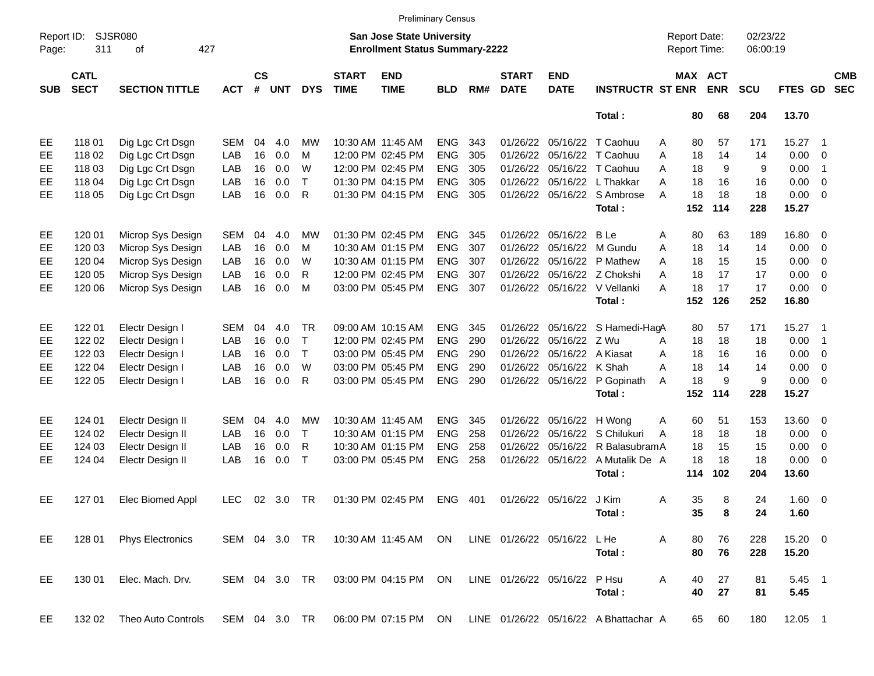|                     |                            |                             |               |                    |            |              |                             |                                                                           | <b>Preliminary Census</b> |     |                             |                           |                                       |   |                                     |                       |                      |             |                            |                          |
|---------------------|----------------------------|-----------------------------|---------------|--------------------|------------|--------------|-----------------------------|---------------------------------------------------------------------------|---------------------------|-----|-----------------------------|---------------------------|---------------------------------------|---|-------------------------------------|-----------------------|----------------------|-------------|----------------------------|--------------------------|
| Report ID:<br>Page: | 311                        | <b>SJSR080</b><br>427<br>οf |               |                    |            |              |                             | <b>San Jose State University</b><br><b>Enrollment Status Summary-2222</b> |                           |     |                             |                           |                                       |   | <b>Report Date:</b><br>Report Time: |                       | 02/23/22<br>06:00:19 |             |                            |                          |
| <b>SUB</b>          | <b>CATL</b><br><b>SECT</b> | <b>SECTION TITTLE</b>       | <b>ACT</b>    | $\mathsf{cs}$<br># | <b>UNT</b> | <b>DYS</b>   | <b>START</b><br><b>TIME</b> | <b>END</b><br><b>TIME</b>                                                 | <b>BLD</b>                | RM# | <b>START</b><br><b>DATE</b> | <b>END</b><br><b>DATE</b> | <b>INSTRUCTR ST ENR</b>               |   |                                     | MAX ACT<br><b>ENR</b> | SCU                  | FTES GD     |                            | <b>CMB</b><br><b>SEC</b> |
|                     |                            |                             |               |                    |            |              |                             |                                                                           |                           |     |                             |                           | Total:                                |   | 80                                  | 68                    | 204                  | 13.70       |                            |                          |
| EE                  | 118 01                     | Dig Lgc Crt Dsgn            | <b>SEM</b>    | 04                 | 4.0        | МW           |                             | 10:30 AM 11:45 AM                                                         | <b>ENG</b>                | 343 | 01/26/22                    | 05/16/22                  | T Caohuu                              | A | 80                                  | 57                    | 171                  | 15.27       | $\overline{\phantom{0}}$ 1 |                          |
| EE                  | 118 02                     | Dig Lgc Crt Dsgn            | LAB           | 16                 | 0.0        | M            |                             | 12:00 PM 02:45 PM                                                         | <b>ENG</b>                | 305 | 01/26/22                    | 05/16/22                  | T Caohuu                              | Α | 18                                  | 14                    | 14                   | 0.00        | $\overline{0}$             |                          |
| EE                  | 11803                      | Dig Lgc Crt Dsgn            | LAB           | 16                 | 0.0        | W            |                             | 12:00 PM 02:45 PM                                                         | <b>ENG</b>                | 305 | 01/26/22                    | 05/16/22                  | T Caohuu                              | Α | 18                                  | 9                     | 9                    | 0.00        | $\overline{1}$             |                          |
| EE                  | 118 04                     | Dig Lgc Crt Dsgn            | LAB           | 16                 | 0.0        | $\top$       |                             | 01:30 PM 04:15 PM                                                         | <b>ENG</b>                | 305 | 01/26/22                    | 05/16/22                  | L Thakkar                             | Α | 18                                  | 16                    | 16                   | 0.00        | $\overline{0}$             |                          |
| EE                  | 118 05                     | Dig Lgc Crt Dsgn            | LAB           | 16                 | 0.0        | R            |                             | 01:30 PM 04:15 PM                                                         | <b>ENG</b>                | 305 | 01/26/22                    |                           | 05/16/22 S Ambrose                    | A | 18                                  | 18                    | 18                   | 0.00        | $\overline{\phantom{0}}$   |                          |
|                     |                            |                             |               |                    |            |              |                             |                                                                           |                           |     |                             |                           | Total:                                |   | 152                                 | 114                   | 228                  | 15.27       |                            |                          |
| EE                  | 120 01                     | Microp Sys Design           | SEM           | 04                 | 4.0        | MW           |                             | 01:30 PM 02:45 PM                                                         | <b>ENG</b>                | 345 | 01/26/22                    | 05/16/22                  | B Le                                  | Α | 80                                  | 63                    | 189                  | 16.80 0     |                            |                          |
| EE                  | 120 03                     | Microp Sys Design           | LAB           | 16                 | 0.0        | M            |                             | 10:30 AM 01:15 PM                                                         | <b>ENG</b>                | 307 | 01/26/22                    | 05/16/22                  | M Gundu                               | Α | 18                                  | 14                    | 14                   | 0.00        | - 0                        |                          |
| EE                  | 120 04                     | Microp Sys Design           | LAB           | 16                 | 0.0        | W            |                             | 10:30 AM 01:15 PM                                                         | <b>ENG</b>                | 307 | 01/26/22                    | 05/16/22                  | P Mathew                              | Α | 18                                  | 15                    | 15                   | 0.00        | $\overline{\mathbf{0}}$    |                          |
| EE                  | 120 05                     | Microp Sys Design           | LAB           | 16                 | 0.0        | R            |                             | 12:00 PM 02:45 PM                                                         | <b>ENG</b>                | 307 | 01/26/22                    |                           | 05/16/22 Z Chokshi                    | A | 18                                  | 17                    | 17                   | 0.00        | $\overline{0}$             |                          |
| EE                  | 120 06                     | Microp Sys Design           | LAB           | 16                 | 0.0        | M            |                             | 03:00 PM 05:45 PM                                                         | <b>ENG</b>                | 307 | 01/26/22                    |                           | 05/16/22 V Vellanki                   | Α | 18                                  | 17                    | 17                   | 0.00        | $\overline{0}$             |                          |
|                     |                            |                             |               |                    |            |              |                             |                                                                           |                           |     |                             |                           | Total:                                |   | 152                                 | 126                   | 252                  | 16.80       |                            |                          |
| EE                  | 122 01                     | Electr Design I             | <b>SEM</b>    | 04                 | 4.0        | <b>TR</b>    |                             | 09:00 AM 10:15 AM                                                         | <b>ENG</b>                | 345 | 01/26/22                    | 05/16/22                  | S Hamedi-HagA                         |   | 80                                  | 57                    | 171                  | 15.27       | $\overline{\phantom{1}}$   |                          |
| EE                  | 122 02                     | Electr Design I             | LAB           | 16                 | 0.0        | $\top$       |                             | 12:00 PM 02:45 PM                                                         | <b>ENG</b>                | 290 | 01/26/22                    | 05/16/22                  | Z Wu                                  | A | 18                                  | 18                    | 18                   | 0.00        | $\overline{1}$             |                          |
| EE                  | 122 03                     | Electr Design I             | LAB           | 16                 | 0.0        | $\top$       |                             | 03:00 PM 05:45 PM                                                         | <b>ENG</b>                | 290 | 01/26/22                    | 05/16/22                  | A Kiasat                              | A | 18                                  | 16                    | 16                   | 0.00        | $\overline{\phantom{0}}$   |                          |
| EE                  | 122 04                     | Electr Design I             | LAB           | 16                 | 0.0        | W            |                             | 03:00 PM 05:45 PM                                                         | <b>ENG</b>                | 290 | 01/26/22                    | 05/16/22                  | K Shah                                | Α | 18                                  | 14                    | 14                   | 0.00        | $\overline{0}$             |                          |
| EE                  | 122 05                     | Electr Design I             | LAB           | 16                 | 0.0        | R            |                             | 03:00 PM 05:45 PM                                                         | <b>ENG</b>                | 290 |                             | 01/26/22 05/16/22         | P Gopinath                            | A | 18                                  | 9                     | 9                    | 0.00        | $\overline{\phantom{0}}$   |                          |
|                     |                            |                             |               |                    |            |              |                             |                                                                           |                           |     |                             |                           | Total:                                |   | 152                                 | 114                   | 228                  | 15.27       |                            |                          |
| EE                  | 124 01                     | Electr Design II            | <b>SEM</b>    | 04                 | 4.0        | <b>MW</b>    |                             | 10:30 AM 11:45 AM                                                         | <b>ENG</b>                | 345 | 01/26/22                    | 05/16/22                  | H Wong                                | Α | 60                                  | 51                    | 153                  | 13.60 0     |                            |                          |
| EE                  | 124 02                     | Electr Design II            | LAB           | 16                 | 0.0        | $\mathsf{T}$ |                             | 10:30 AM 01:15 PM                                                         | <b>ENG</b>                | 258 | 01/26/22                    | 05/16/22                  | S Chilukuri                           | A | 18                                  | 18                    | 18                   | 0.00        | $\overline{\mathbf{0}}$    |                          |
| EE                  | 124 03                     | Electr Design II            | LAB           | 16                 | 0.0        | R            |                             | 10:30 AM 01:15 PM                                                         | <b>ENG</b>                | 258 | 01/26/22                    | 05/16/22                  | R BalasubramA                         |   | 18                                  | 15                    | 15                   | 0.00        | 0                          |                          |
| EE                  | 124 04                     | Electr Design II            | LAB           | 16                 | 0.0        | $\top$       |                             | 03:00 PM 05:45 PM                                                         | <b>ENG</b>                | 258 | 01/26/22                    | 05/16/22                  | A Mutalik De A                        |   | 18                                  | 18                    | 18                   | 0.00        | - 0                        |                          |
|                     |                            |                             |               |                    |            |              |                             |                                                                           |                           |     |                             |                           | Total:                                |   | 114                                 | 102                   | 204                  | 13.60       |                            |                          |
| EE.                 | 127 01                     | Elec Biomed Appl            | <b>LEC</b>    | 02                 | 3.0        | <b>TR</b>    |                             | 01:30 PM 02:45 PM                                                         | <b>ENG</b>                | 401 |                             | 01/26/22 05/16/22         | J Kim                                 | Α | 35                                  | 8                     | 24                   | $1.60 \t 0$ |                            |                          |
|                     |                            |                             |               |                    |            |              |                             |                                                                           |                           |     |                             |                           | Total:                                |   | 35                                  | 8                     | 24                   | 1.60        |                            |                          |
| EE                  | 128 01                     | <b>Phys Electronics</b>     | SEM 04 3.0 TR |                    |            |              |                             | 10:30 AM 11:45 AM                                                         | ON                        |     | LINE 01/26/22 05/16/22      |                           | L He                                  | A | 80                                  | 76                    | 228                  | 15.20 0     |                            |                          |
|                     |                            |                             |               |                    |            |              |                             |                                                                           |                           |     |                             |                           | Total:                                |   | 80                                  | 76                    | 228                  | 15.20       |                            |                          |
| EE                  | 130 01                     | Elec. Mach. Drv.            | SEM 04 3.0 TR |                    |            |              |                             | 03:00 PM 04:15 PM                                                         | ON                        |     | LINE 01/26/22 05/16/22      |                           | P Hsu                                 | A | 40                                  | 27                    | 81                   | 5.45 1      |                            |                          |
|                     |                            |                             |               |                    |            |              |                             |                                                                           |                           |     |                             |                           | Total:                                |   | 40                                  | 27                    | 81                   | 5.45        |                            |                          |
| EE                  | 132 02                     | Theo Auto Controls          | SEM 04 3.0 TR |                    |            |              |                             | 06:00 PM 07:15 PM ON                                                      |                           |     |                             |                           | LINE 01/26/22 05/16/22 A Bhattachar A |   | 65                                  | 60                    | 180                  | 12.05 1     |                            |                          |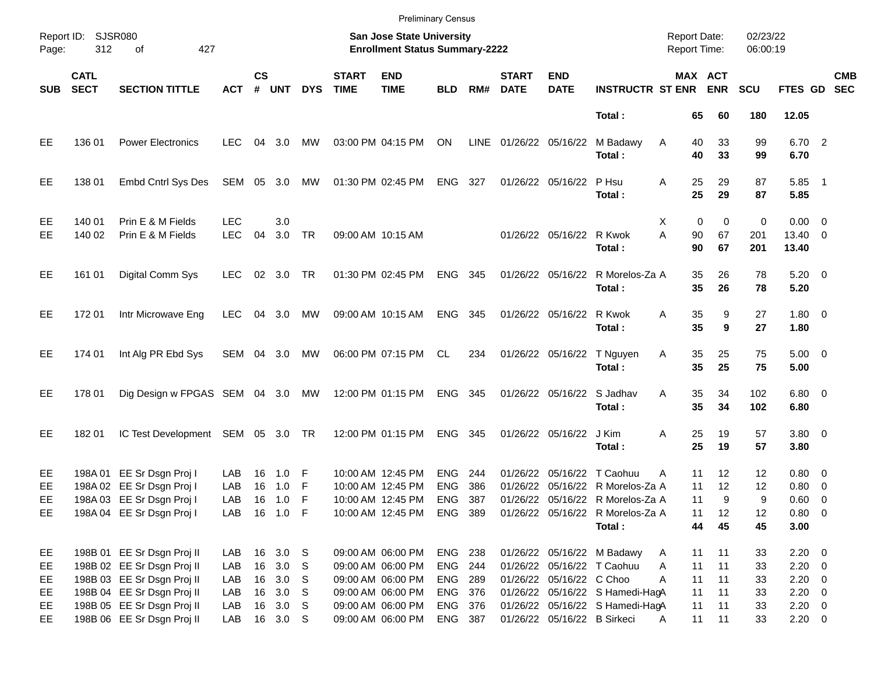|                       |                            |                                                                                                                      |                          |                |                                        |                 |                             | <b>Preliminary Census</b>                                                                |                                                 |                   |                             |                             |                                                                                                                                                  |                                     |                           |                           |                                                          |            |
|-----------------------|----------------------------|----------------------------------------------------------------------------------------------------------------------|--------------------------|----------------|----------------------------------------|-----------------|-----------------------------|------------------------------------------------------------------------------------------|-------------------------------------------------|-------------------|-----------------------------|-----------------------------|--------------------------------------------------------------------------------------------------------------------------------------------------|-------------------------------------|---------------------------|---------------------------|----------------------------------------------------------|------------|
| Page:                 | Report ID: SJSR080<br>312  | 427<br>of                                                                                                            |                          |                |                                        |                 |                             | <b>San Jose State University</b><br><b>Enrollment Status Summary-2222</b>                |                                                 |                   |                             |                             |                                                                                                                                                  | <b>Report Date:</b><br>Report Time: |                           | 02/23/22<br>06:00:19      |                                                          |            |
| <b>SUB</b>            | <b>CATL</b><br><b>SECT</b> | <b>SECTION TITTLE</b>                                                                                                | <b>ACT</b>               | $\mathsf{cs}$  | # UNT                                  | <b>DYS</b>      | <b>START</b><br><b>TIME</b> | <b>END</b><br><b>TIME</b>                                                                | <b>BLD</b>                                      | RM#               | <b>START</b><br><b>DATE</b> | <b>END</b><br><b>DATE</b>   | <b>INSTRUCTR ST ENR ENR</b>                                                                                                                      |                                     | MAX ACT                   | <b>SCU</b>                | FTES GD SEC                                              | <b>CMB</b> |
|                       |                            |                                                                                                                      |                          |                |                                        |                 |                             |                                                                                          |                                                 |                   |                             |                             | Total:                                                                                                                                           | 65                                  | 60                        | 180                       | 12.05                                                    |            |
| EЕ                    | 136 01                     | <b>Power Electronics</b>                                                                                             | <b>LEC</b>               | 04             | 3.0                                    | МW              |                             | 03:00 PM 04:15 PM                                                                        | ON                                              |                   | LINE 01/26/22 05/16/22      |                             | M Badawy<br>Total:                                                                                                                               | 40<br>A<br>40                       | 33<br>33                  | 99<br>99                  | 6.70 2<br>6.70                                           |            |
| EE.                   | 138 01                     | Embd Cntrl Sys Des                                                                                                   | SEM 05 3.0               |                |                                        | MW              |                             | 01:30 PM 02:45 PM                                                                        | ENG 327                                         |                   |                             | 01/26/22 05/16/22           | P Hsu<br>Total:                                                                                                                                  | 25<br>Α<br>25                       | 29<br>29                  | 87<br>87                  | $5.85$ 1<br>5.85                                         |            |
| EE<br>EЕ              | 140 01<br>140 02           | Prin E & M Fields<br>Prin E & M Fields                                                                               | <b>LEC</b><br><b>LEC</b> | 04             | 3.0<br>3.0                             | <b>TR</b>       |                             | 09:00 AM 10:15 AM                                                                        |                                                 |                   |                             | 01/26/22 05/16/22 R Kwok    | Total:                                                                                                                                           | $\mathbf 0$<br>X<br>A<br>90<br>90   | $\mathbf 0$<br>67<br>67   | 0<br>201<br>201           | $0.00 \t 0$<br>13.40 0<br>13.40                          |            |
| EE                    | 161 01                     | Digital Comm Sys                                                                                                     | <b>LEC</b>               |                | 02 3.0                                 | TR              |                             | 01:30 PM 02:45 PM                                                                        | ENG 345                                         |                   |                             |                             | 01/26/22 05/16/22 R Morelos-Za A<br>Total:                                                                                                       | 35<br>35                            | 26<br>26                  | 78<br>78                  | $5.20 \ 0$<br>5.20                                       |            |
| EE                    | 17201                      | Intr Microwave Eng                                                                                                   | <b>LEC</b>               |                | 04 3.0                                 | MW              |                             | 09:00 AM 10:15 AM                                                                        | ENG 345                                         |                   |                             | 01/26/22 05/16/22 R Kwok    | Total:                                                                                                                                           | 35<br>Α<br>35                       | 9<br>9                    | 27<br>27                  | $1.80 \ 0$<br>1.80                                       |            |
| EE.                   | 174 01                     | Int Alg PR Ebd Sys                                                                                                   | SEM 04 3.0               |                |                                        | MW              |                             | 06:00 PM 07:15 PM                                                                        | CL                                              | 234               |                             | 01/26/22 05/16/22           | T Nguyen<br>Total:                                                                                                                               | 35<br>Α<br>35                       | 25<br>25                  | 75<br>75                  | $5.00 \t 0$<br>5.00                                      |            |
| EE.                   | 178 01                     | Dig Design w FPGAS SEM 04 3.0 MW                                                                                     |                          |                |                                        |                 |                             | 12:00 PM 01:15 PM                                                                        | ENG 345                                         |                   |                             | 01/26/22 05/16/22 S Jadhav  | Total:                                                                                                                                           | 35<br>Α<br>35                       | 34<br>34                  | 102<br>102                | $6.80$ 0<br>6.80                                         |            |
| EE.                   | 18201                      | IC Test Development SEM 05 3.0 TR                                                                                    |                          |                |                                        |                 |                             | 12:00 PM 01:15 PM                                                                        | ENG 345                                         |                   |                             | 01/26/22 05/16/22 J Kim     | Total:                                                                                                                                           | 25<br>Α<br>25                       | 19<br>19                  | 57<br>57                  | $3.80\ 0$<br>3.80                                        |            |
| EE<br>EЕ<br>EE.<br>EE |                            | 198A 01 EE Sr Dsgn Proj I<br>198A 02 EE Sr Dsgn Proj I<br>198A 03 EE Sr Dsgn Proj I<br>198A 04 EE Sr Dsgn Proj I     | LAB<br>LAB<br>LAB<br>LAB | 16<br>16<br>16 | 1.0<br>1.0<br>1.0<br>16 1.0 F          | F<br>F<br>F     |                             | 10:00 AM 12:45 PM<br>10:00 AM 12:45 PM<br>10:00 AM 12:45 PM<br>10:00 AM 12:45 PM ENG 389 | <b>ENG</b><br><b>ENG</b><br><b>ENG</b>          | 244<br>386<br>387 |                             |                             | 01/26/22 05/16/22 T Caohuu<br>01/26/22 05/16/22 R Morelos-Za A<br>01/26/22 05/16/22 R Morelos-Za A<br>01/26/22 05/16/22 R Morelos-Za A<br>Total: | 11<br>A<br>11<br>11<br>11<br>44     | 12<br>12<br>9<br>12<br>45 | 12<br>12<br>9<br>12<br>45 | $0.80 \ 0$<br>$0.80 \ 0$<br>0.60 0<br>$0.80 \ 0$<br>3.00 |            |
| EE<br>EE<br>EE.<br>EE |                            | 198B 01 EE Sr Dsgn Proj II<br>198B 02 EE Sr Dsgn Proj II<br>198B 03 EE Sr Dsgn Proj II<br>198B 04 EE Sr Dsgn Proj II | LAB<br>LAB<br>LAB<br>LAB |                | 16 3.0 S<br>16 3.0<br>16 3.0<br>16 3.0 | - S<br>-S<br>-S |                             | 09:00 AM 06:00 PM<br>09:00 AM 06:00 PM<br>09:00 AM 06:00 PM<br>09:00 AM 06:00 PM         | <b>ENG 238</b><br>ENG 244<br>ENG 289<br>ENG 376 |                   |                             | 01/26/22 05/16/22 C Choo    | 01/26/22 05/16/22 M Badawy<br>01/26/22 05/16/22 T Caohuu<br>01/26/22 05/16/22 S Hamedi-HagA                                                      | 11<br>A<br>11<br>A<br>11<br>A<br>11 | 11<br>11<br>11<br>11      | 33<br>33<br>33<br>33      | $2.20 \t 0$<br>$2.20 \t 0$<br>$2.20 \t 0$<br>$2.20 \t 0$ |            |
| EE<br>EE.             |                            | 198B 05 EE Sr Dsgn Proj II<br>198B 06 EE Sr Dsgn Proj II                                                             | LAB<br>LAB               |                | 16 3.0<br>16 3.0 S                     | - S             |                             | 09:00 AM 06:00 PM<br>09:00 AM 06:00 PM                                                   | ENG 376<br>ENG 387                              |                   |                             | 01/26/22 05/16/22 B Sirkeci | 01/26/22 05/16/22 S Hamedi-HagA                                                                                                                  | 11<br>11<br>A                       | 11<br>11                  | 33<br>33                  | $2.20 \t 0$<br>$2.20 \t 0$                               |            |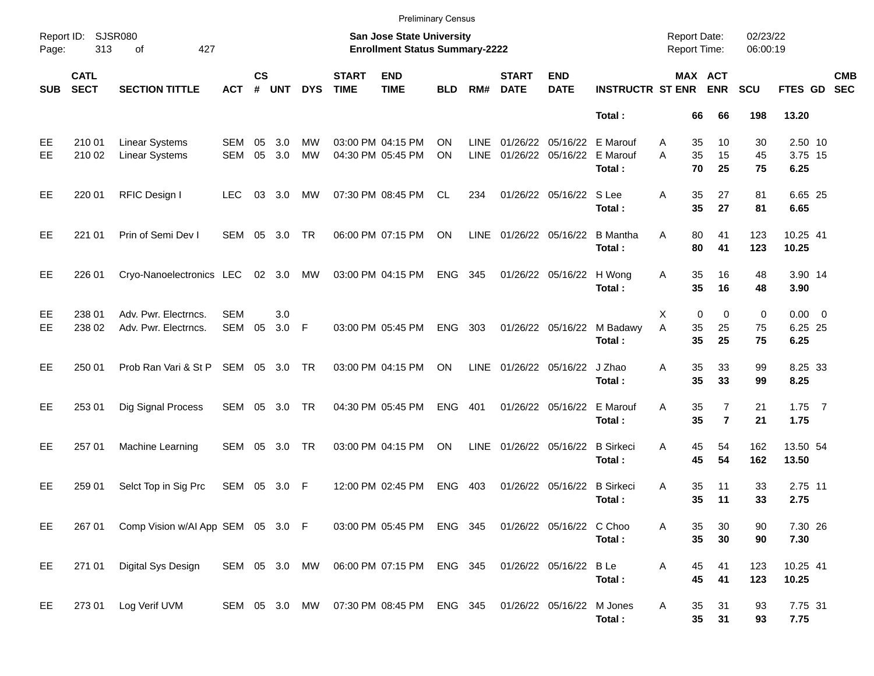|            |                            |                                                |                          |                    |                |                 |                             | <b>Preliminary Census</b>                                          |            |                     |                               |                           |                                |                                            |                                  |                      |                                |                          |
|------------|----------------------------|------------------------------------------------|--------------------------|--------------------|----------------|-----------------|-----------------------------|--------------------------------------------------------------------|------------|---------------------|-------------------------------|---------------------------|--------------------------------|--------------------------------------------|----------------------------------|----------------------|--------------------------------|--------------------------|
| Page:      | Report ID: SJSR080<br>313  | 427<br>of                                      |                          |                    |                |                 |                             | San Jose State University<br><b>Enrollment Status Summary-2222</b> |            |                     |                               |                           |                                | <b>Report Date:</b><br><b>Report Time:</b> |                                  | 02/23/22<br>06:00:19 |                                |                          |
| <b>SUB</b> | <b>CATL</b><br><b>SECT</b> | <b>SECTION TITTLE</b>                          | <b>ACT</b>               | $\mathsf{cs}$<br># | <b>UNT</b>     | <b>DYS</b>      | <b>START</b><br><b>TIME</b> | <b>END</b><br><b>TIME</b>                                          | <b>BLD</b> | RM#                 | <b>START</b><br><b>DATE</b>   | <b>END</b><br><b>DATE</b> | <b>INSTRUCTR ST ENR</b>        | MAX ACT                                    | <b>ENR</b>                       | <b>SCU</b>           | <b>FTES GD</b>                 | <b>CMB</b><br><b>SEC</b> |
|            |                            |                                                |                          |                    |                |                 |                             |                                                                    |            |                     |                               |                           | Total:                         | 66                                         | 66                               | 198                  | 13.20                          |                          |
| EE<br>EE   | 210 01<br>210 02           | <b>Linear Systems</b><br><b>Linear Systems</b> | <b>SEM</b><br><b>SEM</b> | 05<br>05           | 3.0<br>3.0     | MW<br><b>MW</b> |                             | 03:00 PM 04:15 PM<br>04:30 PM 05:45 PM                             | OΝ<br>ON   | <b>LINE</b><br>LINE | 01/26/22<br>01/26/22 05/16/22 | 05/16/22                  | E Marouf<br>E Marouf<br>Total: | 35<br>A<br>A<br>35<br>70                   | 10<br>15<br>25                   | 30<br>45<br>75       | 2.50 10<br>3.75 15<br>6.25     |                          |
| EE         | 220 01                     | RFIC Design I                                  | <b>LEC</b>               |                    | 03 3.0         | МW              |                             | 07:30 PM 08:45 PM                                                  | CL.        | 234                 |                               | 01/26/22 05/16/22 S Lee   | Total:                         | A<br>35<br>35                              | 27<br>27                         | 81<br>81             | 6.65 25<br>6.65                |                          |
| EE         | 221 01                     | Prin of Semi Dev I                             | SEM 05 3.0               |                    |                | <b>TR</b>       |                             | 06:00 PM 07:15 PM                                                  | ON         | LINE                | 01/26/22 05/16/22             |                           | <b>B</b> Mantha<br>Total:      | 80<br>A<br>80                              | 41<br>41                         | 123<br>123           | 10.25 41<br>10.25              |                          |
| EE         | 226 01                     | Cryo-Nanoelectronics LEC                       |                          |                    | 02 3.0         | MW              |                             | 03:00 PM 04:15 PM                                                  | <b>ENG</b> | 345                 |                               | 01/26/22 05/16/22         | H Wong<br>Total:               | 35<br>Α<br>35                              | 16<br>16                         | 48<br>48             | 3.90 14<br>3.90                |                          |
| EE<br>EE   | 238 01<br>238 02           | Adv. Pwr. Electrncs.<br>Adv. Pwr. Electrncs.   | <b>SEM</b><br>SEM        | 05                 | 3.0<br>$3.0$ F |                 |                             | 03:00 PM 05:45 PM                                                  | <b>ENG</b> | 303                 |                               | 01/26/22 05/16/22         | M Badawy<br>Total:             | 0<br>Х<br>A<br>35<br>35                    | 0<br>25<br>25                    | 0<br>75<br>75        | $0.00 \t 0$<br>6.25 25<br>6.25 |                          |
| EE         | 250 01                     | Prob Ran Vari & St P                           | SEM 05 3.0 TR            |                    |                |                 |                             | 03:00 PM 04:15 PM                                                  | ON         |                     | LINE 01/26/22 05/16/22        |                           | J Zhao<br>Total:               | A<br>35<br>35                              | 33<br>33                         | 99<br>99             | 8.25 33<br>8.25                |                          |
| EE         | 253 01                     | Dig Signal Process                             | SEM 05 3.0 TR            |                    |                |                 |                             | 04:30 PM 05:45 PM                                                  | <b>ENG</b> | 401                 |                               | 01/26/22 05/16/22         | E Marouf<br>Total:             | 35<br>A<br>35                              | $\overline{7}$<br>$\overline{7}$ | 21<br>21             | $1.75$ 7<br>1.75               |                          |
| EE         | 257 01                     | Machine Learning                               | SEM 05 3.0               |                    |                | <b>TR</b>       |                             | 03:00 PM 04:15 PM                                                  | ON         | LINE                | 01/26/22 05/16/22             |                           | <b>B</b> Sirkeci<br>Total:     | 45<br>A<br>45                              | 54<br>54                         | 162<br>162           | 13.50 54<br>13.50              |                          |
| EE         | 259 01                     | Selct Top in Sig Prc                           | SEM 05                   |                    | 3.0            | F               |                             | 12:00 PM 02:45 PM                                                  | <b>ENG</b> | 403                 |                               | 01/26/22 05/16/22         | <b>B</b> Sirkeci<br>Total:     | 35<br>Α<br>35                              | 11<br>11                         | 33<br>33             | 2.75 11<br>2.75                |                          |
| EE         | 267 01                     | Comp Vision w/AI App SEM 05 3.0 F              |                          |                    |                |                 |                             | 03:00 PM 05:45 PM ENG 345                                          |            |                     |                               | 01/26/22 05/16/22 C Choo  | Total:                         | 35<br>A<br>35                              | 30<br>30                         | 90<br>90             | 7.30 26<br>7.30                |                          |
| EE         | 271 01                     | Digital Sys Design                             |                          |                    |                |                 |                             | SEM 05 3.0 MW 06:00 PM 07:15 PM ENG 345                            |            |                     |                               | 01/26/22 05/16/22 B Le    | Total:                         | 45<br>Α<br>45                              | 41<br>41                         | 123<br>123           | 10.25 41<br>10.25              |                          |
| EE         | 273 01                     | Log Verif UVM                                  |                          |                    |                |                 |                             | SEM 05 3.0 MW 07:30 PM 08:45 PM ENG 345                            |            |                     | 01/26/22 05/16/22             |                           | M Jones<br>Total:              | Α<br>35<br>$35\phantom{a}$                 | 31<br>31                         | 93<br>93             | 7.75 31<br>7.75                |                          |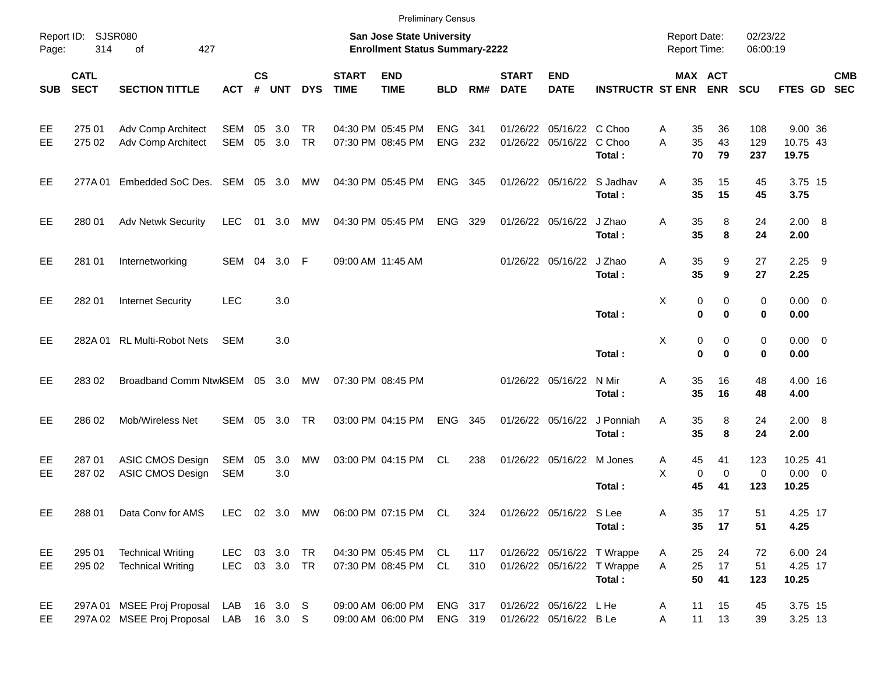|            |                            |                                                          |                              |                    |            |                        |                             | <b>Preliminary Census</b>                                          |                          |            |                             |                                                 |                                                                    |                                            |                                |                      |                                  |            |
|------------|----------------------------|----------------------------------------------------------|------------------------------|--------------------|------------|------------------------|-----------------------------|--------------------------------------------------------------------|--------------------------|------------|-----------------------------|-------------------------------------------------|--------------------------------------------------------------------|--------------------------------------------|--------------------------------|----------------------|----------------------------------|------------|
| Page:      | Report ID: SJSR080<br>314  | 427<br>of                                                |                              |                    |            |                        |                             | San Jose State University<br><b>Enrollment Status Summary-2222</b> |                          |            |                             |                                                 |                                                                    | <b>Report Date:</b><br><b>Report Time:</b> |                                | 02/23/22<br>06:00:19 |                                  |            |
| <b>SUB</b> | <b>CATL</b><br><b>SECT</b> | <b>SECTION TITTLE</b>                                    | <b>ACT</b>                   | $\mathsf{cs}$<br># | <b>UNT</b> | <b>DYS</b>             | <b>START</b><br><b>TIME</b> | <b>END</b><br><b>TIME</b>                                          | <b>BLD</b>               | RM#        | <b>START</b><br><b>DATE</b> | <b>END</b><br><b>DATE</b>                       | <b>INSTRUCTR ST ENR</b>                                            |                                            | MAX ACT<br><b>ENR</b>          | <b>SCU</b>           | FTES GD SEC                      | <b>CMB</b> |
| EE<br>EE   | 275 01<br>275 02           | <b>Adv Comp Architect</b><br><b>Adv Comp Architect</b>   | SEM<br>SEM                   | 05<br>05           | 3.0<br>3.0 | <b>TR</b><br><b>TR</b> |                             | 04:30 PM 05:45 PM<br>07:30 PM 08:45 PM                             | <b>ENG</b><br><b>ENG</b> | 341<br>232 | 01/26/22                    | 05/16/22 C Choo<br>01/26/22 05/16/22            | C Choo<br>Total:                                                   | Α<br>35<br>35<br>A<br>70                   | 36<br>43<br>79                 | 108<br>129<br>237    | 9.00 36<br>10.75 43<br>19.75     |            |
| EE         | 277A 01                    | Embedded SoC Des. SEM 05 3.0                             |                              |                    |            | МW                     |                             | 04:30 PM 05:45 PM                                                  | <b>ENG</b>               | 345        |                             | 01/26/22 05/16/22                               | S Jadhav<br>Total:                                                 | 35<br>A<br>35                              | 15<br>15                       | 45<br>45             | 3.75 15<br>3.75                  |            |
| EE         | 280 01                     | <b>Adv Netwk Security</b>                                | <b>LEC</b>                   | 01                 | 3.0        | МW                     |                             | 04:30 PM 05:45 PM                                                  | <b>ENG</b>               | 329        |                             | 01/26/22 05/16/22                               | J Zhao<br>Total:                                                   | 35<br>Α<br>35                              | 8<br>8                         | 24<br>24             | 2.00 8<br>2.00                   |            |
| EE         | 281 01                     | Internetworking                                          | SEM 04                       |                    | 3.0        | F                      |                             | 09:00 AM 11:45 AM                                                  |                          |            |                             | 01/26/22 05/16/22                               | J Zhao<br>Total:                                                   | 35<br>Α<br>35                              | 9<br>9                         | 27<br>27             | $2.25$ 9<br>2.25                 |            |
| EE         | 282 01                     | <b>Internet Security</b>                                 | <b>LEC</b>                   |                    | 3.0        |                        |                             |                                                                    |                          |            |                             |                                                 | Total:                                                             | X                                          | 0<br>0<br>$\bf{0}$<br>$\bf{0}$ | 0<br>0               | $0.00 \t 0$<br>0.00              |            |
| EE         |                            | 282A 01 RL Multi-Robot Nets                              | <b>SEM</b>                   |                    | 3.0        |                        |                             |                                                                    |                          |            |                             |                                                 | Total:                                                             | Χ<br>$\bf{0}$                              | 0<br>0<br>$\bf{0}$             | 0<br>0               | $0.00 \t 0$<br>0.00              |            |
| EE         | 283 02                     | Broadband Comm NtwISEM 05 3.0                            |                              |                    |            | МW                     |                             | 07:30 PM 08:45 PM                                                  |                          |            |                             | 01/26/22 05/16/22                               | N Mir<br>Total:                                                    | 35<br>Α<br>35                              | 16<br>16                       | 48<br>48             | 4.00 16<br>4.00                  |            |
| EE         | 286 02                     | Mob/Wireless Net                                         | <b>SEM</b>                   | 05                 | 3.0        | <b>TR</b>              |                             | 03:00 PM 04:15 PM                                                  | <b>ENG</b>               | 345        |                             | 01/26/22 05/16/22                               | J Ponniah<br>Total:                                                | 35<br>A<br>35                              | 8<br>8                         | 24<br>24             | 2.00 8<br>2.00                   |            |
| EE<br>EE   | 287 01<br>287 02           | <b>ASIC CMOS Design</b><br>ASIC CMOS Design              | SEM<br>SEM                   | 05                 | 3.0<br>3.0 | <b>MW</b>              |                             | 03:00 PM 04:15 PM                                                  | CL.                      | 238        |                             | 01/26/22 05/16/22                               | M Jones<br>Total:                                                  | 45<br>A<br>X<br>0<br>45                    | 41<br>0<br>41                  | 123<br>0<br>123      | 10.25 41<br>$0.00 \t 0$<br>10.25 |            |
| EE         | 288 01                     | Data Conv for AMS                                        |                              |                    |            |                        |                             | LEC 02 3.0 MW 06:00 PM 07:15 PM CL                                 |                          | 324        |                             | 01/26/22 05/16/22 S Lee                         | Total:                                                             | Α<br>35<br>35                              | 17<br>17                       | 51<br>51             | 4.25 17<br>4.25                  |            |
| EE<br>EE   | 295 01<br>295 02           | <b>Technical Writing</b><br><b>Technical Writing</b>     | LEC<br>LEC 03 3.0 TR         |                    | 03 3.0 TR  |                        |                             | 04:30 PM 05:45 PM CL<br>07:30 PM 08:45 PM CL                       |                          | 117<br>310 |                             |                                                 | 01/26/22 05/16/22 T Wrappe<br>01/26/22 05/16/22 T Wrappe<br>Total: | 25<br>A<br>25<br>A<br>50                   | 24<br>17<br>41                 | 72<br>51<br>123      | 6.00 24<br>4.25 17<br>10.25      |            |
| EE<br>EE   |                            | 297A 01 MSEE Proj Proposal<br>297A 02 MSEE Proj Proposal | LAB 16 3.0 S<br>LAB 16 3.0 S |                    |            |                        |                             | 09:00 AM 06:00 PM<br>09:00 AM 06:00 PM                             | ENG 317<br>ENG 319       |            |                             | 01/26/22 05/16/22 LHe<br>01/26/22 05/16/22 B Le |                                                                    | 11<br>A<br>11<br>Α                         | 15<br>13                       | 45<br>39             | 3.75 15<br>3.25 13               |            |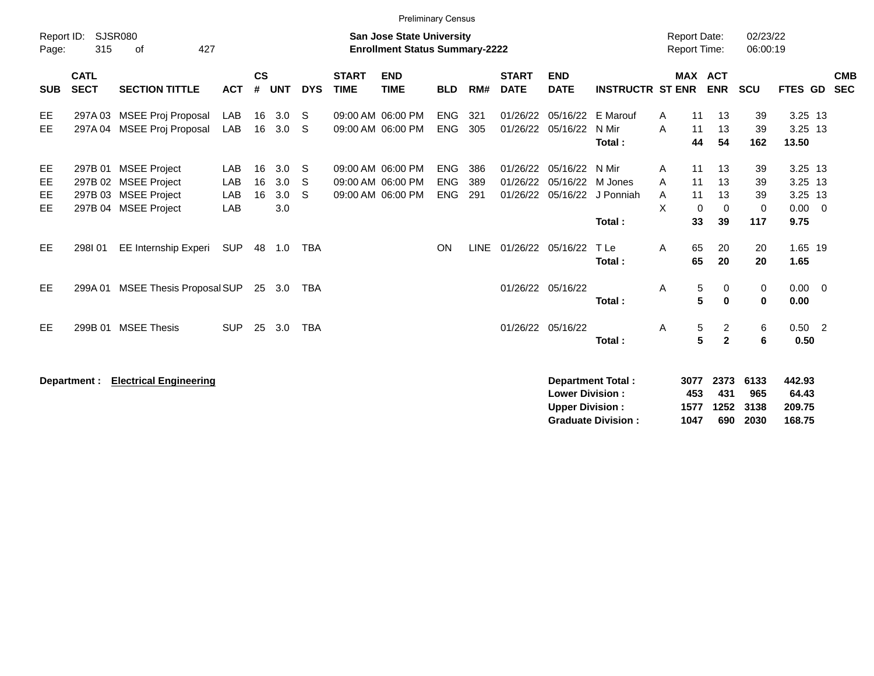|                       |                            |                                                                                              |                          |                    |                          |                     |                             |                                                                           | <b>Preliminary Census</b>              |                   |                             |                                                  |                                                       |                                     |                                  |                                  |                                   |                                                      |                          |
|-----------------------|----------------------------|----------------------------------------------------------------------------------------------|--------------------------|--------------------|--------------------------|---------------------|-----------------------------|---------------------------------------------------------------------------|----------------------------------------|-------------------|-----------------------------|--------------------------------------------------|-------------------------------------------------------|-------------------------------------|----------------------------------|----------------------------------|-----------------------------------|------------------------------------------------------|--------------------------|
| Report ID:<br>Page:   | 315                        | SJSR080<br>427<br>of                                                                         |                          |                    |                          |                     |                             | <b>San Jose State University</b><br><b>Enrollment Status Summary-2222</b> |                                        |                   |                             |                                                  |                                                       | <b>Report Date:</b><br>Report Time: |                                  |                                  | 02/23/22<br>06:00:19              |                                                      |                          |
| <b>SUB</b>            | <b>CATL</b><br><b>SECT</b> | <b>SECTION TITTLE</b>                                                                        | <b>ACT</b>               | $\mathsf{cs}$<br># | <b>UNT</b>               | <b>DYS</b>          | <b>START</b><br><b>TIME</b> | <b>END</b><br><b>TIME</b>                                                 | <b>BLD</b>                             | RM#               | <b>START</b><br><b>DATE</b> | <b>END</b><br><b>DATE</b>                        | <b>INSTRUCTR ST ENR</b>                               |                                     |                                  | MAX ACT<br><b>ENR</b>            | <b>SCU</b>                        | <b>FTES GD</b>                                       | <b>CMB</b><br><b>SEC</b> |
| EE<br>EE.             |                            | 297A 03 MSEE Proj Proposal<br>297A 04 MSEE Proj Proposal                                     | LAB<br>LAB               | 16                 | 16 3.0<br>3.0            | - S<br><sub>S</sub> |                             | 09:00 AM 06:00 PM<br>09:00 AM 06:00 PM                                    | <b>ENG</b><br><b>ENG</b>               | 321<br>305        |                             | 01/26/22 05/16/22 E Marouf<br>01/26/22 05/16/22  | N Mir<br>Total:                                       | A<br>A                              | 11<br>11<br>44                   | 13<br>13<br>54                   | 39<br>39<br>162                   | $3.25$ 13<br>3.25 13<br>13.50                        |                          |
| EE<br>EE<br>EE<br>EE. |                            | 297B 01 MSEE Project<br>297B 02 MSEE Project<br>297B 03 MSEE Project<br>297B 04 MSEE Project | LAB<br>LAB<br>LAB<br>LAB | 16<br>16<br>16     | 3.0<br>3.0<br>3.0<br>3.0 | S<br>S<br>S         |                             | 09:00 AM 06:00 PM<br>09:00 AM 06:00 PM<br>09:00 AM 06:00 PM               | <b>ENG</b><br><b>ENG</b><br><b>ENG</b> | 386<br>389<br>291 |                             | 01/26/22 05/16/22<br>01/26/22 05/16/22 M Jones   | N Mir<br>01/26/22 05/16/22 J Ponniah<br>Total:        | A<br>A<br>A<br>X                    | 11<br>11<br>11<br>$\Omega$<br>33 | 13<br>13<br>13<br>$\Omega$<br>39 | 39<br>39<br>39<br>$\Omega$<br>117 | 3.25 13<br>3.25 13<br>3.25 13<br>$0.00 \t 0$<br>9.75 |                          |
| EE.                   | 298101                     | EE Internship Experi                                                                         | <b>SUP</b>               | 48                 | 1.0                      | <b>TBA</b>          |                             |                                                                           | ON                                     | <b>LINE</b>       |                             | 01/26/22 05/16/22                                | T Le<br>Total:                                        | A                                   | 65<br>65                         | 20<br>20                         | 20<br>20                          | 1.65 19<br>1.65                                      |                          |
| EE.                   | 299A 01                    | MSEE Thesis Proposal SUP                                                                     |                          |                    | 25 3.0                   | TBA                 |                             |                                                                           |                                        |                   |                             | 01/26/22 05/16/22                                | Total:                                                | Α                                   | 5<br>5                           | 0<br>0                           | 0<br>$\bf{0}$                     | $0.00 \t 0$<br>0.00                                  |                          |
| EE.                   | 299B 01                    | <b>MSEE Thesis</b>                                                                           | <b>SUP</b>               | 25                 | 3.0                      | TBA                 |                             |                                                                           |                                        |                   |                             | 01/26/22 05/16/22                                | Total:                                                | A                                   | $\sqrt{5}$<br>5                  | $\overline{2}$<br>$\overline{2}$ | 6<br>6                            | $0.50$ 2<br>0.50                                     |                          |
|                       | Department :               | <b>Electrical Engineering</b>                                                                |                          |                    |                          |                     |                             |                                                                           |                                        |                   |                             | <b>Lower Division:</b><br><b>Upper Division:</b> | <b>Department Total:</b><br><b>Graduate Division:</b> |                                     | 3077<br>453<br>1577<br>1047      | 2373<br>431<br>1252<br>690       | 6133<br>965<br>3138<br>2030       | 442.93<br>64.43<br>209.75<br>168.75                  |                          |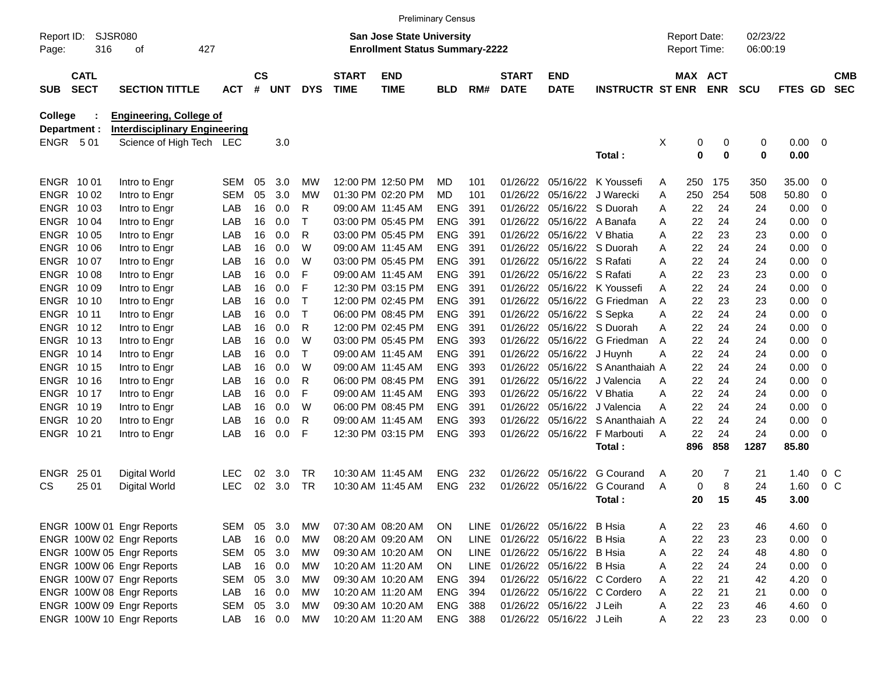|                         |                            |                                                                        |            |                    |            |            |                             | <b>Preliminary Census</b>                                                 |            |     |                               |                           |                             |   |                                            |             |                      |             |                         |                          |
|-------------------------|----------------------------|------------------------------------------------------------------------|------------|--------------------|------------|------------|-----------------------------|---------------------------------------------------------------------------|------------|-----|-------------------------------|---------------------------|-----------------------------|---|--------------------------------------------|-------------|----------------------|-------------|-------------------------|--------------------------|
| Report ID:<br>Page:     | SJSR080<br>316             | 427<br>οf                                                              |            |                    |            |            |                             | <b>San Jose State University</b><br><b>Enrollment Status Summary-2222</b> |            |     |                               |                           |                             |   | <b>Report Date:</b><br><b>Report Time:</b> |             | 02/23/22<br>06:00:19 |             |                         |                          |
| <b>SUB</b>              | <b>CATL</b><br><b>SECT</b> | <b>SECTION TITTLE</b>                                                  | <b>ACT</b> | $\mathsf{cs}$<br># | <b>UNT</b> | <b>DYS</b> | <b>START</b><br><b>TIME</b> | <b>END</b><br><b>TIME</b>                                                 | <b>BLD</b> | RM# | <b>START</b><br><b>DATE</b>   | <b>END</b><br><b>DATE</b> | <b>INSTRUCTR ST ENR</b>     |   | MAX ACT                                    | <b>ENR</b>  | <b>SCU</b>           | FTES GD     |                         | <b>CMB</b><br><b>SEC</b> |
| College<br>Department : |                            | <b>Engineering, College of</b><br><b>Interdisciplinary Engineering</b> |            |                    |            |            |                             |                                                                           |            |     |                               |                           |                             |   |                                            |             |                      |             |                         |                          |
| <b>ENGR 501</b>         |                            | Science of High Tech LEC                                               |            |                    | 3.0        |            |                             |                                                                           |            |     |                               |                           |                             | X | 0                                          | 0           | 0                    | 0.00        | - 0                     |                          |
|                         |                            |                                                                        |            |                    |            |            |                             |                                                                           |            |     |                               |                           | Total:                      |   | 0                                          | $\mathbf 0$ | 0                    | 0.00        |                         |                          |
| ENGR 1001               |                            | Intro to Engr                                                          | <b>SEM</b> | 05                 | 3.0        | МW         |                             | 12:00 PM 12:50 PM                                                         | MD         | 101 | 01/26/22                      | 05/16/22                  | K Youssefi                  | A | 250                                        | 175         | 350                  | 35.00       | - 0                     |                          |
| ENGR 1002               |                            | Intro to Engr                                                          | <b>SEM</b> | 05                 | 3.0        | МW         |                             | 01:30 PM 02:20 PM                                                         | <b>MD</b>  | 101 | 01/26/22                      | 05/16/22                  | J Warecki                   | A | 250                                        | 254         | 508                  | 50.80       | 0                       |                          |
| <b>ENGR</b>             | 10 03                      | Intro to Engr                                                          | LAB        | 16                 | 0.0        | R          |                             | 09:00 AM 11:45 AM                                                         | <b>ENG</b> | 391 | 01/26/22                      | 05/16/22                  | S Duorah                    | A | 22                                         | 24          | 24                   | 0.00        | 0                       |                          |
| <b>ENGR</b>             | 10 04                      | Intro to Engr                                                          | LAB        | 16                 | 0.0        | Т          |                             | 03:00 PM 05:45 PM                                                         | <b>ENG</b> | 391 | 01/26/22                      | 05/16/22                  | A Banafa                    | A | 22                                         | 24          | 24                   | 0.00        | $\overline{0}$          |                          |
| <b>ENGR</b>             | 10 05                      | Intro to Engr                                                          | LAB        | 16                 | 0.0        | R          |                             | 03:00 PM 05:45 PM                                                         | <b>ENG</b> | 391 | 01/26/22                      | 05/16/22                  | V Bhatia                    | A | 22                                         | 23          | 23                   | 0.00        | 0                       |                          |
| <b>ENGR</b>             | 10 06                      | Intro to Engr                                                          | LAB        | 16                 | 0.0        | W          |                             | 09:00 AM 11:45 AM                                                         | <b>ENG</b> | 391 | 01/26/22                      | 05/16/22                  | S Duorah                    | A | 22                                         | 24          | 24                   | 0.00        | 0                       |                          |
| <b>ENGR</b>             | 10 07                      | Intro to Engr                                                          | LAB        | 16                 | 0.0        | W          |                             | 03:00 PM 05:45 PM                                                         | <b>ENG</b> | 391 | 01/26/22                      | 05/16/22 S Rafati         |                             | A | 22                                         | 24          | 24                   | 0.00        | $\overline{0}$          |                          |
| <b>ENGR</b>             | 10 08                      | Intro to Engr                                                          | LAB        | 16                 | 0.0        | F          |                             | 09:00 AM 11:45 AM                                                         | <b>ENG</b> | 391 | 01/26/22                      | 05/16/22 S Rafati         |                             | A | 22                                         | 23          | 23                   | 0.00        | $\overline{0}$          |                          |
| <b>ENGR</b>             | 10 09                      | Intro to Engr                                                          | LAB        | 16                 | 0.0        | F          |                             | 12:30 PM 03:15 PM                                                         | <b>ENG</b> | 391 | 01/26/22                      | 05/16/22                  | K Youssefi                  | A | 22                                         | 24          | 24                   | 0.00        | 0                       |                          |
| ENGR                    | 10 10                      | Intro to Engr                                                          | LAB        | 16                 | 0.0        | Т          |                             | 12:00 PM 02:45 PM                                                         | <b>ENG</b> | 391 | 01/26/22                      | 05/16/22                  | G Friedman                  | A | 22                                         | 23          | 23                   | 0.00        | $\mathbf 0$             |                          |
| ENGR 10 11              |                            | Intro to Engr                                                          | LAB        | 16                 | 0.0        | Т          |                             | 06:00 PM 08:45 PM                                                         | <b>ENG</b> | 391 | 01/26/22                      | 05/16/22 S Sepka          |                             | A | 22                                         | 24          | 24                   | 0.00        | $\overline{0}$          |                          |
| ENGR 1012               |                            | Intro to Engr                                                          | LAB        | 16                 | 0.0        | R          |                             | 12:00 PM 02:45 PM                                                         | <b>ENG</b> | 391 | 01/26/22                      | 05/16/22                  | S Duorah                    | A | 22                                         | 24          | 24                   | 0.00        | 0                       |                          |
| ENGR 1013               |                            | Intro to Engr                                                          | LAB        | 16                 | 0.0        | W          |                             | 03:00 PM 05:45 PM                                                         | <b>ENG</b> | 393 | 01/26/22                      | 05/16/22                  | G Friedman                  | A | 22                                         | 24          | 24                   | 0.00        | $\mathbf 0$             |                          |
| ENGR 1014               |                            | Intro to Engr                                                          | LAB        | 16                 | 0.0        | Т          |                             | 09:00 AM 11:45 AM                                                         | <b>ENG</b> | 391 | 01/26/22                      | 05/16/22                  | J Huynh                     | A | 22                                         | 24          | 24                   | 0.00        | $\overline{0}$          |                          |
| ENGR 1015               |                            | Intro to Engr                                                          | LAB        | 16                 | 0.0        | W          |                             | 09:00 AM 11:45 AM                                                         | <b>ENG</b> | 393 | 01/26/22                      | 05/16/22                  | S Ananthaiah A              |   | 22                                         | 24          | 24                   | 0.00        | 0                       |                          |
| ENGR 1016               |                            | Intro to Engr                                                          | LAB        | 16                 | 0.0        | R          |                             | 06:00 PM 08:45 PM                                                         | <b>ENG</b> | 391 | 01/26/22                      | 05/16/22                  | J Valencia                  | A | 22                                         | 24          | 24                   | 0.00        | $\mathbf 0$             |                          |
| ENGR 1017               |                            | Intro to Engr                                                          | LAB        | 16                 | 0.0        | F          |                             | 09:00 AM 11:45 AM                                                         | <b>ENG</b> | 393 | 01/26/22                      | 05/16/22                  | V Bhatia                    | A | 22                                         | 24          | 24                   | 0.00        | $\mathbf 0$             |                          |
| ENGR 1019               |                            | Intro to Engr                                                          | LAB        | 16                 | 0.0        | W          |                             | 06:00 PM 08:45 PM                                                         | <b>ENG</b> | 391 | 01/26/22                      | 05/16/22                  | J Valencia                  | A | 22                                         | 24          | 24                   | 0.00        | $\overline{0}$          |                          |
| ENGR 10 20              |                            | Intro to Engr                                                          | LAB        | 16                 | 0.0        | R          |                             | 09:00 AM 11:45 AM                                                         | <b>ENG</b> | 393 | 01/26/22                      | 05/16/22                  | S Ananthaiah A              |   | 22                                         | 24          | 24                   | 0.00        | 0                       |                          |
| ENGR 1021               |                            | Intro to Engr                                                          | LAB        | 16                 | 0.0        | F          |                             | 12:30 PM 03:15 PM                                                         | <b>ENG</b> | 393 | 01/26/22                      | 05/16/22                  | F Marbouti                  | A | 22                                         | 24          | 24                   | 0.00        | 0                       |                          |
|                         |                            |                                                                        |            |                    |            |            |                             |                                                                           |            |     |                               |                           | Total:                      |   | 896                                        | 858         | 1287                 | 85.80       |                         |                          |
| ENGR                    | 25 01                      | <b>Digital World</b>                                                   | <b>LEC</b> | 02                 | 3.0        | TR.        | 10:30 AM 11:45 AM           |                                                                           | <b>ENG</b> | 232 | 01/26/22                      | 05/16/22                  | <b>G</b> Courand            | A | 20                                         | 7           | 21                   | 1.40        |                         | $0\,C$                   |
| CS                      | 25 01                      | Digital World                                                          | <b>LEC</b> | 02                 | 3.0        | <b>TR</b>  |                             | 10:30 AM 11:45 AM                                                         | <b>ENG</b> | 232 | 01/26/22                      | 05/16/22                  | G Courand                   | A | 0                                          | 8           | 24                   | 1.60        | 0 <sup>C</sup>          |                          |
|                         |                            |                                                                        |            |                    |            |            |                             |                                                                           |            |     |                               |                           | Total:                      |   | 20                                         | 15          | 45                   | 3.00        |                         |                          |
|                         |                            | ENGR 100W 01 Engr Reports                                              | <b>SEM</b> | 05                 | 3.0        | <b>MW</b>  |                             | 07:30 AM 08:20 AM                                                         | ON         |     | LINE 01/26/22 05/16/22 B Hsia |                           |                             | A | 22                                         | 23          | 46                   | 4.60        | $\overline{\mathbf{0}}$ |                          |
|                         |                            | ENGR 100W 02 Engr Reports                                              | LAB        | 16                 | 0.0        | <b>MW</b>  |                             | 08:20 AM 09:20 AM                                                         | ON         |     | LINE 01/26/22 05/16/22 B Hsia |                           |                             | A | 22                                         | 23          | 23                   | $0.00 \t 0$ |                         |                          |
|                         |                            | ENGR 100W 05 Engr Reports                                              | <b>SEM</b> | 05                 | 3.0        | <b>MW</b>  |                             | 09:30 AM 10:20 AM                                                         | ON         |     | LINE 01/26/22 05/16/22 B Hsia |                           |                             | A | 22                                         | 24          | 48                   | 4.80 0      |                         |                          |
|                         |                            | ENGR 100W 06 Engr Reports                                              | LAB        | 16                 | 0.0        | <b>MW</b>  |                             | 10:20 AM 11:20 AM                                                         | ON         |     | LINE 01/26/22 05/16/22 B Hsia |                           |                             | Α | 22                                         | 24          | 24                   | $0.00 \t 0$ |                         |                          |
|                         |                            | ENGR 100W 07 Engr Reports                                              | <b>SEM</b> | 05                 | 3.0        | <b>MW</b>  |                             | 09:30 AM 10:20 AM                                                         | <b>ENG</b> | 394 |                               |                           | 01/26/22 05/16/22 C Cordero | A | 22                                         | 21          | 42                   | $4.20 \ 0$  |                         |                          |
|                         |                            | ENGR 100W 08 Engr Reports                                              | LAB        | 16                 | 0.0        | MW         |                             | 10:20 AM 11:20 AM                                                         | <b>ENG</b> | 394 |                               |                           | 01/26/22 05/16/22 C Cordero | A | 22                                         | 21          | 21                   | $0.00 \t 0$ |                         |                          |
|                         |                            | ENGR 100W 09 Engr Reports                                              | <b>SEM</b> | 05                 | 3.0        | <b>MW</b>  |                             | 09:30 AM 10:20 AM                                                         | ENG        | 388 |                               | 01/26/22 05/16/22 J Leih  |                             | Α | 22                                         | 23          | 46                   | $4.60$ 0    |                         |                          |
|                         |                            | ENGR 100W 10 Engr Reports                                              | LAB        |                    | 16 0.0     | MW         |                             | 10:20 AM 11:20 AM                                                         | ENG 388    |     |                               | 01/26/22 05/16/22 J Leih  |                             | Α | 22                                         | 23          | 23                   | $0.00 \t 0$ |                         |                          |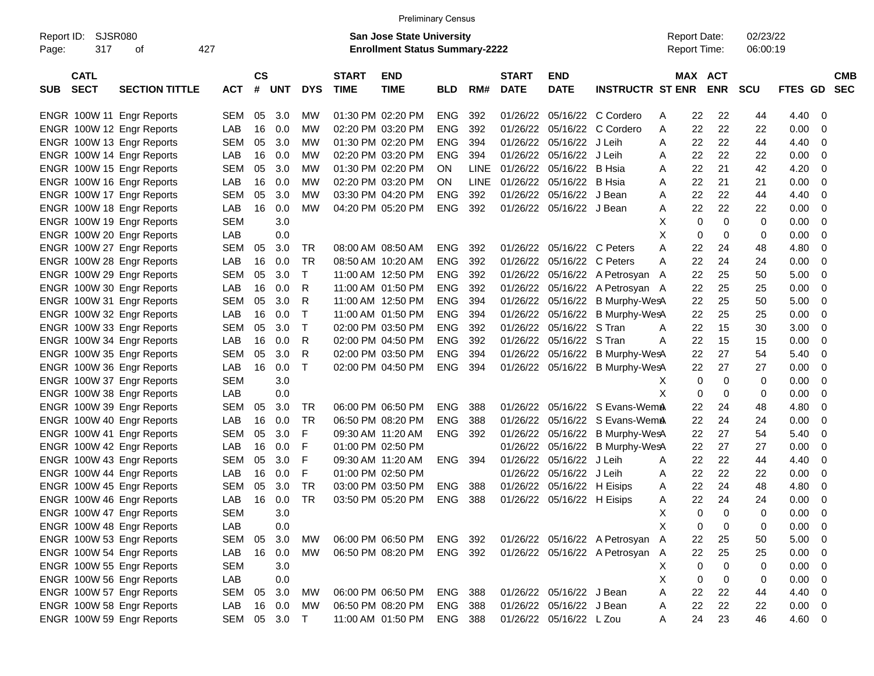|                     |                            |                                                        |                   |                    |               |                        |                             | <b>Preliminary Census</b>                                                 |                    |             |                             |                                        |                                                                    |        |          |                                            |                      |              |                          |
|---------------------|----------------------------|--------------------------------------------------------|-------------------|--------------------|---------------|------------------------|-----------------------------|---------------------------------------------------------------------------|--------------------|-------------|-----------------------------|----------------------------------------|--------------------------------------------------------------------|--------|----------|--------------------------------------------|----------------------|--------------|--------------------------|
| Report ID:<br>Page: | <b>SJSR080</b><br>317      | οf                                                     | 427               |                    |               |                        |                             | <b>San Jose State University</b><br><b>Enrollment Status Summary-2222</b> |                    |             |                             |                                        |                                                                    |        |          | <b>Report Date:</b><br><b>Report Time:</b> | 02/23/22<br>06:00:19 |              |                          |
| <b>SUB</b>          | <b>CATL</b><br><b>SECT</b> | <b>SECTION TITTLE</b>                                  | <b>ACT</b>        | $\mathsf{cs}$<br># | UNT           | <b>DYS</b>             | <b>START</b><br><b>TIME</b> | <b>END</b><br><b>TIME</b>                                                 | <b>BLD</b>         | RM#         | <b>START</b><br><b>DATE</b> | <b>END</b><br><b>DATE</b>              | <b>INSTRUCTR ST ENR</b>                                            |        |          | MAX ACT<br><b>ENR</b>                      | SCU                  | FTES GD      | <b>CMB</b><br><b>SEC</b> |
|                     |                            | ENGR 100W 11 Engr Reports                              | SEM               | 05                 | 3.0           | MW                     |                             | 01:30 PM 02:20 PM                                                         | <b>ENG</b>         | 392         | 01/26/22                    |                                        | 05/16/22 C Cordero                                                 | A      | 22       | 22                                         | 44                   | 4.40         | 0                        |
|                     |                            | ENGR 100W 12 Engr Reports                              | LAB               | 16                 | 0.0           | <b>MW</b>              |                             | 02:20 PM 03:20 PM                                                         | <b>ENG</b>         | 392         | 01/26/22                    | 05/16/22                               | C Cordero                                                          | Α      | 22       | 22                                         | 22                   | 0.00         | 0                        |
|                     |                            | ENGR 100W 13 Engr Reports                              | SEM               | 05                 | 3.0           | <b>MW</b>              |                             | 01:30 PM 02:20 PM                                                         | <b>ENG</b>         | 394         | 01/26/22                    | 05/16/22                               | J Leih                                                             | Α      | 22       | 22                                         | 44                   | 4.40         | 0                        |
|                     |                            | ENGR 100W 14 Engr Reports                              | LAB               | 16                 | 0.0           | <b>MW</b>              |                             | 02:20 PM 03:20 PM                                                         | <b>ENG</b>         | 394         | 01/26/22                    | 05/16/22                               | J Leih                                                             | Α      | 22       | 22                                         | 22                   | 0.00         | 0                        |
|                     |                            | ENGR 100W 15 Engr Reports                              | <b>SEM</b>        | 05                 | 3.0           | <b>MW</b>              |                             | 01:30 PM 02:20 PM                                                         | <b>ON</b>          | <b>LINE</b> | 01/26/22                    | 05/16/22                               | B Hsia                                                             | Α      | 22       | 21                                         | 42                   | 4.20         | 0                        |
|                     |                            | ENGR 100W 16 Engr Reports                              | LAB               | 16                 | 0.0           | <b>MW</b>              |                             | 02:20 PM 03:20 PM                                                         | <b>ON</b>          | LINE        | 01/26/22                    | 05/16/22                               | B Hsia                                                             | Α      | 22       | 21                                         | 21                   | 0.00         | 0                        |
|                     |                            | ENGR 100W 17 Engr Reports                              | SEM               | 05                 | 3.0           | <b>MW</b>              |                             | 03:30 PM 04:20 PM                                                         | <b>ENG</b>         | 392         | 01/26/22                    | 05/16/22                               | J Bean                                                             | Α      | 22       | 22                                         | 44                   | 4.40         | 0                        |
|                     |                            | ENGR 100W 18 Engr Reports                              | LAB               | 16                 | 0.0           | <b>MW</b>              |                             | 04:20 PM 05:20 PM                                                         | <b>ENG</b>         | 392         | 01/26/22                    | 05/16/22 J Bean                        |                                                                    | Α      | 22       | 22                                         | 22                   | 0.00         | 0                        |
|                     |                            | ENGR 100W 19 Engr Reports                              | <b>SEM</b>        |                    | 3.0           |                        |                             |                                                                           |                    |             |                             |                                        |                                                                    | X      | 0        | 0                                          | 0                    | 0.00         | 0                        |
|                     |                            | ENGR 100W 20 Engr Reports                              | LAB               |                    | 0.0           |                        |                             |                                                                           |                    |             |                             |                                        |                                                                    | X      | 0        | 0                                          | 0                    | 0.00         | 0                        |
|                     |                            | ENGR 100W 27 Engr Reports                              | SEM               | 05                 | 3.0           | TR                     |                             | 08:00 AM 08:50 AM                                                         | <b>ENG</b>         | 392         | 01/26/22                    | 05/16/22 C Peters                      |                                                                    | Α      | 22       | 24                                         | 48                   | 4.80         | 0                        |
|                     |                            | ENGR 100W 28 Engr Reports                              | LAB               | 16                 | 0.0           | <b>TR</b>              |                             | 08:50 AM 10:20 AM                                                         | <b>ENG</b>         | 392         | 01/26/22                    | 05/16/22                               | C Peters                                                           | A      | 22       | 24                                         | 24                   | 0.00         | 0                        |
|                     |                            | ENGR 100W 29 Engr Reports                              | SEM               | 05                 | 3.0           | Τ                      |                             | 11:00 AM 12:50 PM                                                         | <b>ENG</b>         | 392         | 01/26/22                    |                                        | 05/16/22 A Petrosyan A                                             |        | 22       | 25                                         | 50                   | 5.00         | 0                        |
|                     |                            | ENGR 100W 30 Engr Reports                              | LAB               | 16                 | 0.0           | R                      |                             | 11:00 AM 01:50 PM                                                         | <b>ENG</b>         | 392         | 01/26/22                    | 05/16/22                               | A Petrosyan A                                                      |        | 22       | 25                                         | 25                   | 0.00         | 0                        |
|                     |                            | ENGR 100W 31 Engr Reports                              | SEM               | 05                 | 3.0           | R                      |                             | 11:00 AM 12:50 PM                                                         | <b>ENG</b>         | 394         | 01/26/22                    | 05/16/22                               | B Murphy-WesA                                                      |        | 22       | 25                                         | 50                   | 5.00         | 0                        |
|                     |                            | ENGR 100W 32 Engr Reports                              | LAB               | 16                 | 0.0           | Τ                      |                             | 11:00 AM 01:50 PM                                                         | <b>ENG</b>         | 394         | 01/26/22                    | 05/16/22                               | B Murphy-WesA                                                      |        | 22       | 25                                         | 25                   | 0.00         | 0                        |
|                     |                            | ENGR 100W 33 Engr Reports                              | SEM               | 05                 | 3.0           | $\mathsf{T}$           |                             | 02:00 PM 03:50 PM                                                         | <b>ENG</b>         | 392         | 01/26/22                    | 05/16/22                               | S Tran                                                             | A      | 22       | 15                                         | 30                   | 3.00         | 0                        |
|                     |                            | ENGR 100W 34 Engr Reports                              | LAB               | 16                 | 0.0           | R                      |                             | 02:00 PM 04:50 PM                                                         | <b>ENG</b>         | 392         | 01/26/22                    | 05/16/22                               | S Tran                                                             | A      | 22       | 15                                         | 15                   | 0.00         | 0                        |
|                     |                            | ENGR 100W 35 Engr Reports                              | SEM               | 05                 | 3.0           | R                      |                             | 02:00 PM 03:50 PM                                                         | <b>ENG</b>         | 394         | 01/26/22                    | 05/16/22                               | B Murphy-WesA                                                      |        | 22       | 27                                         | 54                   | 5.40         | 0                        |
|                     |                            | ENGR 100W 36 Engr Reports                              | LAB               | 16                 | 0.0           | T                      |                             | 02:00 PM 04:50 PM                                                         | <b>ENG</b>         | 394         | 01/26/22                    | 05/16/22                               | B Murphy-WesA                                                      |        | 22       | 27                                         | 27                   | 0.00         | 0                        |
|                     |                            | ENGR 100W 37 Engr Reports                              | <b>SEM</b>        |                    | 3.0           |                        |                             |                                                                           |                    |             |                             |                                        |                                                                    | Х      | 0        | 0                                          | 0                    | 0.00         | 0                        |
|                     |                            | ENGR 100W 38 Engr Reports                              | LAB               |                    | 0.0           |                        |                             |                                                                           |                    |             |                             |                                        |                                                                    | X      | 0        | 0                                          | 0                    | 0.00         | 0                        |
|                     |                            | ENGR 100W 39 Engr Reports                              | SEM               | 05                 | 3.0           | TR                     |                             | 06:00 PM 06:50 PM                                                         | <b>ENG</b>         | 388         | 01/26/22                    |                                        | 05/16/22 S Evans-WemA                                              |        | 22       | 24                                         | 48                   | 4.80         | 0                        |
|                     |                            | ENGR 100W 40 Engr Reports                              | LAB               | 16                 | 0.0           | <b>TR</b>              |                             | 06:50 PM 08:20 PM                                                         | <b>ENG</b>         | 388         | 01/26/22                    | 05/16/22                               | S Evans-WemA                                                       |        | 22       | 24                                         | 24                   | 0.00         | 0                        |
|                     |                            | ENGR 100W 41 Engr Reports                              | SEM               | 05                 | 3.0           | F                      |                             | 09:30 AM 11:20 AM                                                         | <b>ENG</b>         | 392         | 01/26/22                    | 05/16/22                               | B Murphy-WesA                                                      |        | 22       | 27                                         | 54                   | 5.40         | 0                        |
|                     |                            | ENGR 100W 42 Engr Reports                              | LAB               | 16                 | 0.0           | F                      |                             | 01:00 PM 02:50 PM                                                         |                    |             | 01/26/22                    | 05/16/22                               | B Murphy-WesA                                                      |        | 22       | 27                                         | 27                   | 0.00         | 0                        |
|                     |                            | ENGR 100W 43 Engr Reports                              | <b>SEM</b>        | 05                 | 3.0           | F                      |                             | 09:30 AM 11:20 AM                                                         | <b>ENG</b>         | 394         | 01/26/22                    | 05/16/22                               | J Leih                                                             | Α      | 22       | 22                                         | 44                   | 4.40         | 0                        |
|                     |                            | ENGR 100W 44 Engr Reports                              | LAB               | 16                 | 0.0           | F                      |                             | 01:00 PM 02:50 PM                                                         |                    |             | 01/26/22                    | 05/16/22                               | J Leih                                                             | Α      | 22       | 22                                         | 22                   | 0.00         | 0                        |
|                     |                            | ENGR 100W 45 Engr Reports                              | <b>SEM</b>        | 05                 | 3.0           | <b>TR</b><br><b>TR</b> |                             | 03:00 PM 03:50 PM                                                         | <b>ENG</b>         | 388<br>388  | 01/26/22                    | 05/16/22<br>01/26/22 05/16/22 H Eisips | H Eisips                                                           | Α      | 22<br>22 | 24<br>24                                   | 48<br>24             | 4.80         | 0                        |
|                     |                            | ENGR 100W 46 Engr Reports                              | LAB               | 16                 | 0.0           |                        |                             | 03:50 PM 05:20 PM                                                         | <b>ENG</b>         |             |                             |                                        |                                                                    | Α      |          |                                            | 0                    | 0.00         | $\Omega$                 |
|                     |                            | ENGR 100W 47 Engr Reports                              | <b>SEM</b>        |                    | 3.0           |                        |                             |                                                                           |                    |             |                             |                                        |                                                                    | Х<br>X | 0<br>0   | 0<br>0                                     |                      | 0.00         | $\overline{0}$           |
|                     |                            | ENGR 100W 48 Engr Reports                              | LAB               |                    | $0.0\,$       |                        |                             |                                                                           |                    |             |                             |                                        |                                                                    |        |          |                                            |                      | 0.00         | 0                        |
|                     |                            | ENGR 100W 53 Engr Reports                              | SEM<br>LAB        | 05                 | 3.0<br>16 0.0 | MW<br><b>MW</b>        |                             | 06:00 PM 06:50 PM<br>06:50 PM 08:20 PM                                    | ENG 392<br>ENG 392 |             |                             |                                        | 01/26/22 05/16/22 A Petrosyan A<br>01/26/22 05/16/22 A Petrosyan A |        | 22<br>22 | 25<br>25                                   | 50                   | 5.00         | 0                        |
|                     |                            | ENGR 100W 54 Engr Reports                              |                   |                    |               |                        |                             |                                                                           |                    |             |                             |                                        |                                                                    |        |          |                                            | 25                   | 0.00         | 0                        |
|                     |                            | ENGR 100W 55 Engr Reports<br>ENGR 100W 56 Engr Reports | <b>SEM</b><br>LAB |                    | 3.0<br>0.0    |                        |                             |                                                                           |                    |             |                             |                                        |                                                                    | Χ<br>X | 0<br>0   | 0<br>0                                     | 0                    | 0.00         | 0<br>0                   |
|                     |                            | ENGR 100W 57 Engr Reports                              | SEM               | 05                 | 3.0           | MW                     |                             | 06:00 PM 06:50 PM                                                         | ENG                | 388         |                             | 01/26/22 05/16/22 J Bean               |                                                                    | Α      | 22       | 22                                         | 0<br>44              | 0.00<br>4.40 | 0                        |
|                     |                            | ENGR 100W 58 Engr Reports                              | LAB               | 16                 | 0.0           | MW                     |                             | 06:50 PM 08:20 PM                                                         | ENG 388            |             |                             | 01/26/22 05/16/22 J Bean               |                                                                    | Α      | 22       | 22                                         | 22                   | 0.00         | 0                        |
|                     |                            | ENGR 100W 59 Engr Reports                              | SEM 05 3.0 T      |                    |               |                        |                             | 11:00 AM 01:50 PM                                                         | <b>ENG 388</b>     |             |                             | 01/26/22 05/16/22 L Zou                |                                                                    | Α      | 24       | 23                                         | 46                   | $4.60$ 0     |                          |
|                     |                            |                                                        |                   |                    |               |                        |                             |                                                                           |                    |             |                             |                                        |                                                                    |        |          |                                            |                      |              |                          |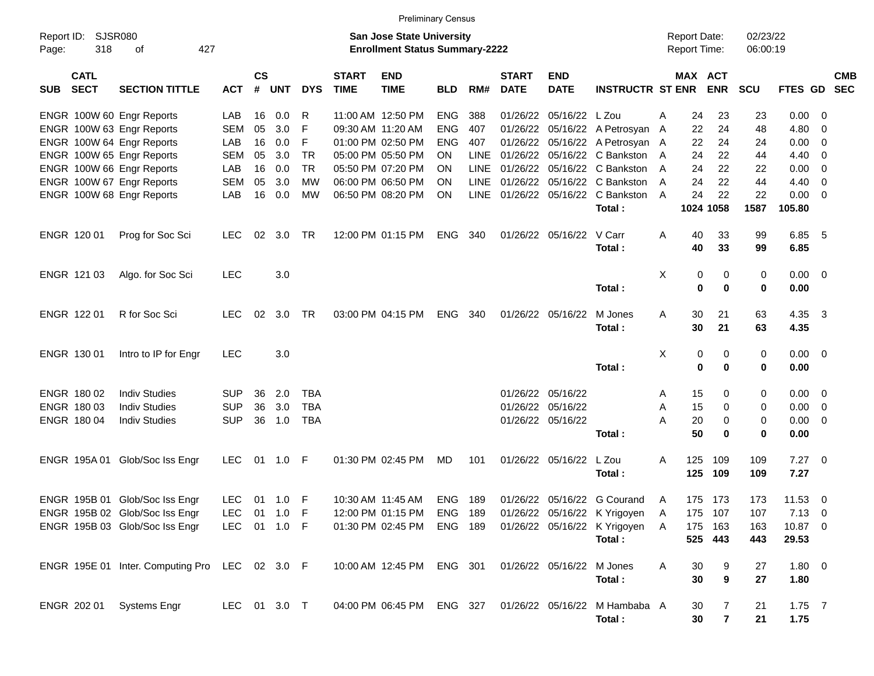|                     |                            |                                                |            |                    |              |            |                             | <b>Preliminary Census</b>                                                 |            |             |                             |                           |                                   |   |                                     |                       |                      |                |                          |                          |
|---------------------|----------------------------|------------------------------------------------|------------|--------------------|--------------|------------|-----------------------------|---------------------------------------------------------------------------|------------|-------------|-----------------------------|---------------------------|-----------------------------------|---|-------------------------------------|-----------------------|----------------------|----------------|--------------------------|--------------------------|
| Report ID:<br>Page: | SJSR080<br>318             | οf                                             | 427        |                    |              |            |                             | <b>San Jose State University</b><br><b>Enrollment Status Summary-2222</b> |            |             |                             |                           |                                   |   | <b>Report Date:</b><br>Report Time: |                       | 02/23/22<br>06:00:19 |                |                          |                          |
| <b>SUB</b>          | <b>CATL</b><br><b>SECT</b> | <b>SECTION TITTLE</b>                          | <b>ACT</b> | $\mathsf{cs}$<br># | <b>UNT</b>   | <b>DYS</b> | <b>START</b><br><b>TIME</b> | <b>END</b><br><b>TIME</b>                                                 | <b>BLD</b> | RM#         | <b>START</b><br><b>DATE</b> | <b>END</b><br><b>DATE</b> | <b>INSTRUCTR ST ENR</b>           |   |                                     | MAX ACT<br><b>ENR</b> | <b>SCU</b>           | <b>FTES GD</b> |                          | <b>CMB</b><br><b>SEC</b> |
|                     |                            | ENGR 100W 60 Engr Reports                      | LAB        | 16                 | 0.0          | R          |                             | 11:00 AM 12:50 PM                                                         | <b>ENG</b> | 388         | 01/26/22                    | 05/16/22 L Zou            |                                   | A | 24                                  | 23                    | 23                   | 0.00           | $\overline{\mathbf{0}}$  |                          |
|                     |                            | ENGR 100W 63 Engr Reports                      | <b>SEM</b> | 05                 | 3.0          | F          | 09:30 AM 11:20 AM           |                                                                           | <b>ENG</b> | 407         | 01/26/22                    |                           | 05/16/22 A Petrosyan              | A | 22                                  | 24                    | 48                   | 4.80           | 0                        |                          |
|                     |                            | ENGR 100W 64 Engr Reports                      | LAB        | 16                 | 0.0          | F          |                             | 01:00 PM 02:50 PM                                                         | <b>ENG</b> | 407         | 01/26/22                    |                           | 05/16/22 A Petrosyan A            |   | 22                                  | 24                    | 24                   | 0.00           | 0                        |                          |
|                     |                            | ENGR 100W 65 Engr Reports                      | <b>SEM</b> | 05                 | 3.0          | <b>TR</b>  |                             | 05:00 PM 05:50 PM                                                         | <b>ON</b>  | <b>LINE</b> | 01/26/22                    |                           | 05/16/22 C Bankston               | A | 24                                  | 22                    | 44                   | 4.40           | - 0                      |                          |
|                     |                            | ENGR 100W 66 Engr Reports                      | LAB        | 16                 | 0.0          | <b>TR</b>  |                             | 05:50 PM 07:20 PM                                                         | <b>ON</b>  | <b>LINE</b> | 01/26/22                    |                           | 05/16/22 C Bankston               | A | 24                                  | 22                    | 22                   | 0.00           | 0                        |                          |
|                     |                            | ENGR 100W 67 Engr Reports                      | <b>SEM</b> | 05                 | 3.0          | <b>MW</b>  |                             | 06:00 PM 06:50 PM                                                         | <b>ON</b>  | <b>LINE</b> | 01/26/22                    | 05/16/22                  | C Bankston                        | A | 24                                  | 22                    | 44                   | 4.40           | 0                        |                          |
|                     |                            | ENGR 100W 68 Engr Reports                      | LAB        | 16                 | 0.0          | <b>MW</b>  |                             | 06:50 PM 08:20 PM                                                         | <b>ON</b>  |             |                             |                           | LINE 01/26/22 05/16/22 C Bankston | A | 24                                  | 22                    | 22                   | 0.00           | - 0                      |                          |
|                     |                            |                                                |            |                    |              |            |                             |                                                                           |            |             |                             |                           | Total:                            |   |                                     | 1024 1058             | 1587                 | 105.80         |                          |                          |
|                     | ENGR 120 01                | Prog for Soc Sci                               | <b>LEC</b> | 02                 | 3.0          | TR         |                             | 12:00 PM 01:15 PM                                                         | ENG        | 340         |                             | 01/26/22 05/16/22         | V Carr                            | A | 40                                  | 33                    | 99                   | 6.85 5         |                          |                          |
|                     |                            |                                                |            |                    |              |            |                             |                                                                           |            |             |                             |                           | Total:                            |   | 40                                  | 33                    | 99                   | 6.85           |                          |                          |
|                     | ENGR 121 03                | Algo. for Soc Sci                              | <b>LEC</b> |                    | 3.0          |            |                             |                                                                           |            |             |                             |                           |                                   | Χ | 0                                   | 0                     | 0                    | $0.00 \t 0$    |                          |                          |
|                     |                            |                                                |            |                    |              |            |                             |                                                                           |            |             |                             |                           | Total:                            |   | $\mathbf 0$                         | $\bf{0}$              | 0                    | 0.00           |                          |                          |
|                     | ENGR 122 01                | R for Soc Sci                                  | <b>LEC</b> | 02                 | 3.0          | TR         |                             | 03:00 PM 04:15 PM                                                         | ENG        | 340         |                             | 01/26/22 05/16/22         | M Jones                           | A | 30                                  | 21                    | 63                   | 4.35 3         |                          |                          |
|                     |                            |                                                |            |                    |              |            |                             |                                                                           |            |             |                             |                           | Total:                            |   | 30                                  | 21                    | 63                   | 4.35           |                          |                          |
|                     | ENGR 130 01                | Intro to IP for Engr                           | <b>LEC</b> |                    | 3.0          |            |                             |                                                                           |            |             |                             |                           |                                   | X | 0                                   | 0                     | 0                    | $0.00 \t 0$    |                          |                          |
|                     |                            |                                                |            |                    |              |            |                             |                                                                           |            |             |                             |                           | Total:                            |   | $\mathbf 0$                         | 0                     | 0                    | 0.00           |                          |                          |
|                     | ENGR 180 02                | <b>Indiv Studies</b>                           | <b>SUP</b> | 36                 | 2.0          | <b>TBA</b> |                             |                                                                           |            |             |                             | 01/26/22 05/16/22         |                                   | Α | 15                                  | 0                     | 0                    | 0.00           | $\overline{\phantom{0}}$ |                          |
|                     | ENGR 180 03                | <b>Indiv Studies</b>                           | <b>SUP</b> | 36                 | 3.0          | <b>TBA</b> |                             |                                                                           |            |             |                             | 01/26/22 05/16/22         |                                   | Α | 15                                  | 0                     | 0                    | 0.00           | - 0                      |                          |
|                     | ENGR 180 04                | <b>Indiv Studies</b>                           | <b>SUP</b> | 36                 | 1.0          | <b>TBA</b> |                             |                                                                           |            |             |                             | 01/26/22 05/16/22         |                                   | A | 20                                  | 0                     | 0                    | 0.00           | $\overline{\phantom{0}}$ |                          |
|                     |                            |                                                |            |                    |              |            |                             |                                                                           |            |             |                             |                           | Total:                            |   | 50                                  | $\bf{0}$              | $\bf{0}$             | 0.00           |                          |                          |
|                     |                            | ENGR 195A 01 Glob/Soc Iss Engr                 | LEC.       | 01                 | 1.0          | -F         |                             | 01:30 PM 02:45 PM                                                         | MD         | 101         |                             | 01/26/22 05/16/22         | L Zou                             | A | 125                                 | 109                   | 109                  | $7.27$ 0       |                          |                          |
|                     |                            |                                                |            |                    |              |            |                             |                                                                           |            |             |                             |                           | Total:                            |   | 125                                 | 109                   | 109                  | 7.27           |                          |                          |
|                     |                            | ENGR 195B 01 Glob/Soc Iss Engr                 | <b>LEC</b> |                    | 01 1.0 F     |            |                             | 10:30 AM 11:45 AM                                                         | ENG        | 189         |                             |                           | 01/26/22 05/16/22 G Courand       | A |                                     | 175 173               | 173                  | $11.53 \t 0$   |                          |                          |
|                     |                            | ENGR 195B 02 Glob/Soc Iss Engr                 | LEC        |                    | 01 1.0 F     |            |                             | 12:00 PM 01:15 PM ENG 189                                                 |            |             |                             |                           | 01/26/22 05/16/22 K Yrigoyen      | A |                                     | 175 107               | 107                  | $7.13 \ 0$     |                          |                          |
|                     |                            | ENGR 195B 03 Glob/Soc Iss Engr                 |            |                    | LEC 01 1.0 F |            |                             | 01:30 PM 02:45 PM                                                         | ENG 189    |             |                             |                           | 01/26/22 05/16/22 K Yrigoyen      | A |                                     | 175 163               | 163                  | 10.87 0        |                          |                          |
|                     |                            |                                                |            |                    |              |            |                             |                                                                           |            |             |                             |                           | Total:                            |   |                                     | 525 443               | 443                  | 29.53          |                          |                          |
|                     |                            | ENGR 195E 01 Inter. Computing Pro LEC 02 3.0 F |            |                    |              |            |                             | 10:00 AM 12:45 PM ENG 301                                                 |            |             |                             | 01/26/22 05/16/22 M Jones |                                   | A | 30                                  | 9                     | 27                   | 1.80 0         |                          |                          |
|                     |                            |                                                |            |                    |              |            |                             |                                                                           |            |             |                             |                           | Total:                            |   | 30                                  | $\boldsymbol{9}$      | 27                   | 1.80           |                          |                          |
|                     | ENGR 202 01                | <b>Systems Engr</b>                            |            |                    | LEC 01 3.0 T |            |                             | 04:00 PM 06:45 PM                                                         | ENG 327    |             |                             |                           | 01/26/22 05/16/22 M Hambaba A     |   | 30                                  |                       | 21                   | $1.75$ 7       |                          |                          |
|                     |                            |                                                |            |                    |              |            |                             |                                                                           |            |             |                             |                           | Total:                            |   | $30\,$                              | $\overline{7}$        | 21                   | 1.75           |                          |                          |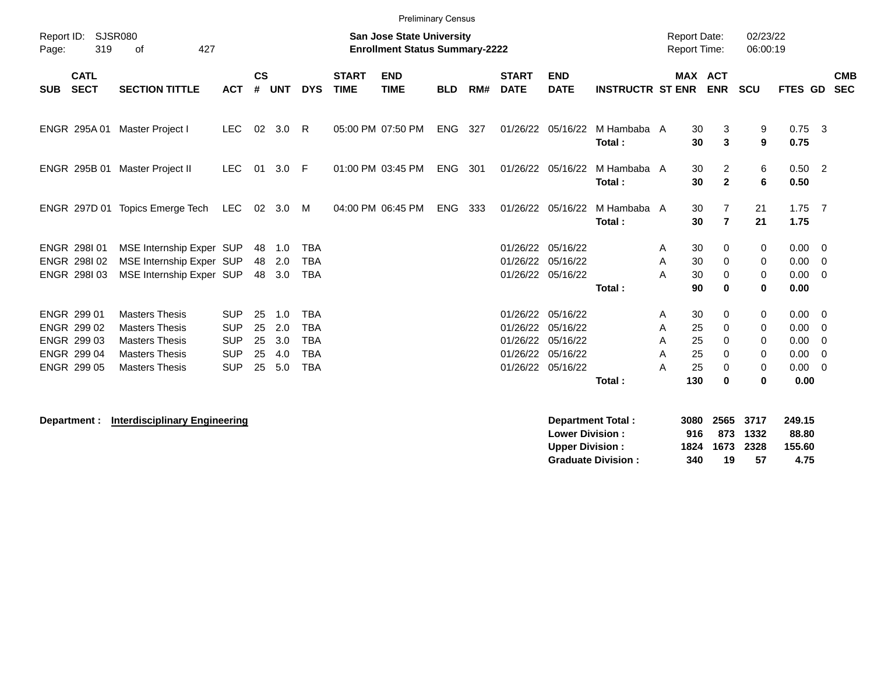|            |                                                                                                                        |                                 |            |                    |            |            |                             | <b>Preliminary Census</b> |            |     |                             |                           |                         |          |                                     |                      |                  |                          |
|------------|------------------------------------------------------------------------------------------------------------------------|---------------------------------|------------|--------------------|------------|------------|-----------------------------|---------------------------|------------|-----|-----------------------------|---------------------------|-------------------------|----------|-------------------------------------|----------------------|------------------|--------------------------|
| Page:      | Report ID:<br>SJSR080<br><b>San Jose State University</b><br>319<br>427<br>of<br><b>Enrollment Status Summary-2222</b> |                                 |            |                    |            |            |                             |                           |            |     |                             |                           |                         |          | <b>Report Date:</b><br>Report Time: | 02/23/22<br>06:00:19 |                  |                          |
| <b>SUB</b> | <b>CATL</b><br><b>SECT</b>                                                                                             | <b>SECTION TITTLE</b>           | <b>ACT</b> | $\mathsf{cs}$<br># | <b>UNT</b> | <b>DYS</b> | <b>START</b><br><b>TIME</b> | <b>END</b><br><b>TIME</b> | <b>BLD</b> | RM# | <b>START</b><br><b>DATE</b> | <b>END</b><br><b>DATE</b> | <b>INSTRUCTR ST ENR</b> |          | <b>MAX ACT</b><br><b>ENR</b>        | <b>SCU</b>           | FTES GD          | <b>CMB</b><br><b>SEC</b> |
|            |                                                                                                                        | ENGR 295A 01 Master Project I   | <b>LEC</b> | 02                 | 3.0        | R          |                             | 05:00 PM 07:50 PM         | <b>ENG</b> | 327 |                             | 01/26/22 05/16/22         | M Hambaba A<br>Total:   | 30<br>30 | 3<br>$\mathbf{3}$                   | 9<br>9               | $0.75$ 3<br>0.75 |                          |
|            | ENGR 295B 01                                                                                                           | Master Project II               | <b>LEC</b> | 01                 | 3.0        | -F         |                             | 01:00 PM 03:45 PM         | ENG        | 301 |                             | 01/26/22 05/16/22         | M Hambaba A<br>Total:   | 30<br>30 | $\overline{2}$<br>$\overline{2}$    | 6<br>6               | $0.50$ 2<br>0.50 |                          |
|            |                                                                                                                        | ENGR 297D 01 Topics Emerge Tech | <b>LEC</b> | 02                 | 3.0        | M          |                             | 04:00 PM 06:45 PM         | <b>ENG</b> | 333 |                             | 01/26/22 05/16/22         | M Hambaba A<br>Total:   | 30<br>30 | 7<br>$\overline{7}$                 | 21<br>21             | $1.75$ 7<br>1.75 |                          |
|            | ENGR 298101                                                                                                            | MSE Internship Exper SUP        |            | 48                 | 1.0        | <b>TBA</b> |                             |                           |            |     |                             | 01/26/22 05/16/22         |                         | 30<br>A  | 0                                   | 0                    | $0.00 \t 0$      |                          |
|            | ENGR 298102                                                                                                            | MSE Internship Exper SUP        |            | 48                 | 2.0        | <b>TBA</b> |                             |                           |            |     |                             | 01/26/22 05/16/22         |                         | 30<br>A  | $\mathbf 0$                         | 0                    | $0.00 \t 0$      |                          |
|            | ENGR 298103                                                                                                            | MSE Internship Exper SUP        |            | 48                 | 3.0        | <b>TBA</b> |                             |                           |            |     |                             | 01/26/22 05/16/22         |                         | 30<br>А  | $\mathbf 0$                         | 0                    | $0.00 \t 0$      |                          |
|            |                                                                                                                        |                                 |            |                    |            |            |                             |                           |            |     |                             |                           | Total:                  | 90       | $\bf{0}$                            | $\mathbf 0$          | 0.00             |                          |
|            | ENGR 299 01                                                                                                            | <b>Masters Thesis</b>           | <b>SUP</b> | 25                 | 1.0        | <b>TBA</b> |                             |                           |            |     |                             | 01/26/22 05/16/22         |                         | 30<br>A  | 0                                   | 0                    | $0.00 \t 0$      |                          |
|            | ENGR 299 02                                                                                                            | <b>Masters Thesis</b>           | <b>SUP</b> | 25                 | 2.0        | <b>TBA</b> |                             |                           |            |     |                             | 01/26/22 05/16/22         |                         | 25<br>A  | 0                                   | 0                    | 0.00             | $\overline{\mathbf{0}}$  |
|            | ENGR 299 03                                                                                                            | <b>Masters Thesis</b>           | <b>SUP</b> | 25                 | 3.0        | <b>TBA</b> |                             |                           |            |     |                             | 01/26/22 05/16/22         |                         | 25<br>A  | $\mathbf 0$                         | 0                    | 0.00             | - 0                      |
|            | ENGR 299 04                                                                                                            | <b>Masters Thesis</b>           | <b>SUP</b> | 25                 | 4.0        | <b>TBA</b> |                             |                           |            |     |                             | 01/26/22 05/16/22         |                         | 25<br>A  | $\mathbf 0$                         | 0                    | 0.00             | $\overline{0}$           |
|            | ENGR 299 05                                                                                                            | <b>Masters Thesis</b>           | <b>SUP</b> | 25                 | 5.0        | <b>TBA</b> |                             |                           |            |     |                             | 01/26/22 05/16/22         |                         | 25<br>А  | 0                                   | 0                    | 0.00             | $\overline{\mathbf{0}}$  |
|            |                                                                                                                        |                                 |            |                    |            |            |                             |                           |            |     |                             |                           | Total:                  | 130      | $\bf{0}$                            | 0                    | 0.00             |                          |
|            |                                                                                                                        |                                 |            |                    |            |            |                             |                           |            |     |                             |                           |                         |          |                                     |                      |                  |                          |

**Department : Interdisciplinary Engineering Department Total : 3080 2565 3717 249.15 Lower Division : 916 873 1332 88.80 Upper Division : 1824 1673 2328 155.60 Graduate Division : 340 19 57 4.75**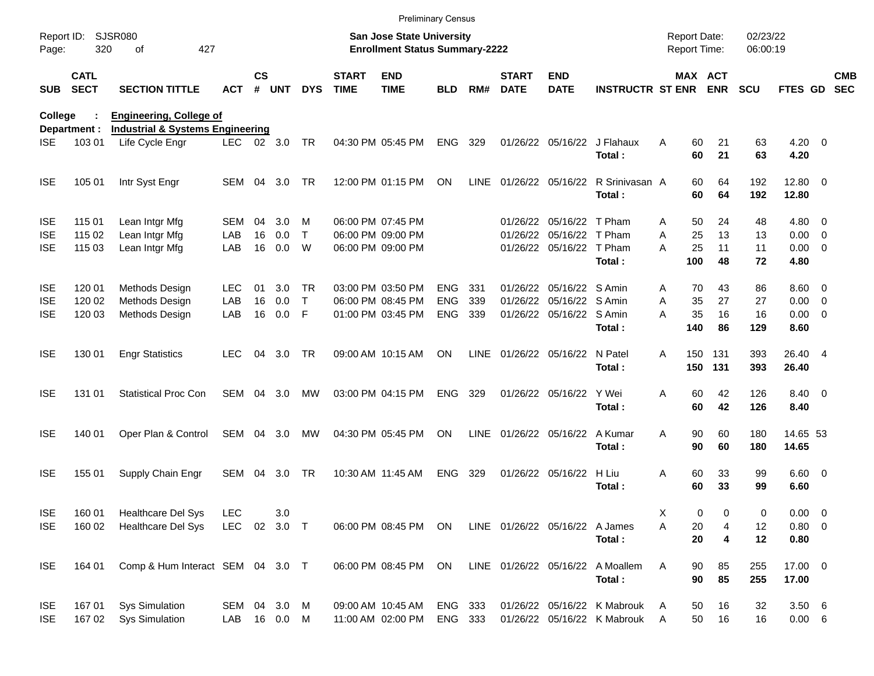|                     |                            |                                             |            |               |            |              |                             | <b>Preliminary Census</b>                                                 |            |             |                             |                                |                                  |                                     |                      |                      |                    |                          |
|---------------------|----------------------------|---------------------------------------------|------------|---------------|------------|--------------|-----------------------------|---------------------------------------------------------------------------|------------|-------------|-----------------------------|--------------------------------|----------------------------------|-------------------------------------|----------------------|----------------------|--------------------|--------------------------|
| Report ID:<br>Page: | 320                        | <b>SJSR080</b><br>427<br>of                 |            |               |            |              |                             | <b>San Jose State University</b><br><b>Enrollment Status Summary-2222</b> |            |             |                             |                                |                                  | <b>Report Date:</b><br>Report Time: |                      | 02/23/22<br>06:00:19 |                    |                          |
| <b>SUB</b>          | <b>CATL</b><br><b>SECT</b> | <b>SECTION TITTLE</b>                       | <b>ACT</b> | $\mathsf{cs}$ | # UNT      | <b>DYS</b>   | <b>START</b><br><b>TIME</b> | <b>END</b><br><b>TIME</b>                                                 | <b>BLD</b> | RM#         | <b>START</b><br><b>DATE</b> | <b>END</b><br><b>DATE</b>      | <b>INSTRUCTR ST ENR ENR</b>      |                                     | MAX ACT              | <b>SCU</b>           | FTES GD            | <b>CMB</b><br><b>SEC</b> |
| College             |                            | <b>Engineering, College of</b>              |            |               |            |              |                             |                                                                           |            |             |                             |                                |                                  |                                     |                      |                      |                    |                          |
|                     | Department :               | <b>Industrial &amp; Systems Engineering</b> |            |               |            |              |                             |                                                                           |            |             |                             |                                |                                  |                                     |                      |                      |                    |                          |
| <b>ISE</b>          | 103 01                     | Life Cycle Engr                             | LEC.       |               | 02 3.0     | <b>TR</b>    |                             | 04:30 PM 05:45 PM                                                         | ENG        | 329         |                             | 01/26/22 05/16/22              | J Flahaux<br>Total:              | Α                                   | 21<br>60<br>60<br>21 | 63<br>63             | $4.20 \ 0$<br>4.20 |                          |
| <b>ISE</b>          | 105 01                     | Intr Syst Engr                              | SEM        | 04            | 3.0        | TR           |                             | 12:00 PM 01:15 PM                                                         | ON         | <b>LINE</b> |                             |                                | 01/26/22 05/16/22 R Srinivasan A |                                     | 60<br>64             | 192                  | 12.80 0            |                          |
|                     |                            |                                             |            |               |            |              |                             |                                                                           |            |             |                             |                                | Total:                           |                                     | 60<br>64             | 192                  | 12.80              |                          |
| <b>ISE</b>          | 115 01                     | Lean Intgr Mfg                              | SEM        | 04            | 3.0        | м            |                             | 06:00 PM 07:45 PM                                                         |            |             |                             | 01/26/22 05/16/22 T Pham       |                                  | A                                   | 50<br>24             | 48                   | $4.80$ 0           |                          |
| <b>ISE</b>          | 115 02                     | Lean Intgr Mfg                              | LAB        | 16            | 0.0        | $\mathsf{T}$ |                             | 06:00 PM 09:00 PM                                                         |            |             |                             | 01/26/22 05/16/22 T Pham       |                                  | 25<br>Α                             | 13                   | 13                   | $0.00 \t 0$        |                          |
| <b>ISE</b>          | 115 03                     | Lean Intgr Mfg                              | LAB        | 16            | 0.0        | W            |                             | 06:00 PM 09:00 PM                                                         |            |             |                             | 01/26/22 05/16/22 T Pham       |                                  | 25<br>A                             | 11                   | 11                   | $0.00 \t 0$        |                          |
|                     |                            |                                             |            |               |            |              |                             |                                                                           |            |             |                             |                                | Total:                           | 100                                 | 48                   | 72                   | 4.80               |                          |
| <b>ISE</b>          | 120 01                     | Methods Design                              | LEC.       | 01            | 3.0        | <b>TR</b>    |                             | 03:00 PM 03:50 PM                                                         | ENG.       | 331         |                             | 01/26/22 05/16/22 S Amin       |                                  | A                                   | 43<br>70             | 86                   | $8.60 \quad 0$     |                          |
| <b>ISE</b>          | 120 02                     | Methods Design                              | LAB        | 16            | 0.0        | T            |                             | 06:00 PM 08:45 PM                                                         | <b>ENG</b> | 339         |                             | 01/26/22 05/16/22 S Amin       |                                  | A<br>35                             | 27                   | 27                   | $0.00 \t 0$        |                          |
| <b>ISE</b>          | 120 03                     | Methods Design                              | LAB        | 16            | 0.0        | F            |                             | 01:00 PM 03:45 PM                                                         | <b>ENG</b> | 339         |                             | 01/26/22 05/16/22 S Amin       |                                  | 35<br>A                             | 16                   | 16                   | $0.00 \t 0$        |                          |
|                     |                            |                                             |            |               |            |              |                             |                                                                           |            |             |                             |                                | Total:                           | 140                                 | 86                   | 129                  | 8.60               |                          |
| <b>ISE</b>          | 130 01                     | <b>Engr Statistics</b>                      | <b>LEC</b> | 04            | 3.0        | <b>TR</b>    |                             | 09:00 AM 10:15 AM                                                         | <b>ON</b>  | <b>LINE</b> |                             | 01/26/22 05/16/22              | N Patel                          | 150<br>A                            | 131                  | 393                  | 26.40 4            |                          |
|                     |                            |                                             |            |               |            |              |                             |                                                                           |            |             |                             |                                | Total:                           | 150                                 | 131                  | 393                  | 26.40              |                          |
| <b>ISE</b>          | 131 01                     | <b>Statistical Proc Con</b>                 | SEM        | 04            | 3.0        | MW           |                             | 03:00 PM 04:15 PM                                                         | <b>ENG</b> | 329         |                             | 01/26/22 05/16/22 Y Wei        |                                  | A                                   | 60<br>42             | 126                  | 8.40 0             |                          |
|                     |                            |                                             |            |               |            |              |                             |                                                                           |            |             |                             |                                | Total:                           |                                     | 60<br>42             | 126                  | 8.40               |                          |
| <b>ISE</b>          | 140 01                     | Oper Plan & Control                         | SEM        | 04            | 3.0        | МW           |                             | 04:30 PM 05:45 PM                                                         | ON         | <b>LINE</b> |                             | 01/26/22 05/16/22              | A Kumar                          | 90<br>A                             | 60                   | 180                  | 14.65 53           |                          |
|                     |                            |                                             |            |               |            |              |                             |                                                                           |            |             |                             |                                | Total:                           |                                     | 90<br>60             | 180                  | 14.65              |                          |
| <b>ISE</b>          | 155 01                     | Supply Chain Engr                           | SEM        | 04            | 3.0        | TR           |                             | 10:30 AM 11:45 AM                                                         | <b>ENG</b> | 329         |                             | 01/26/22 05/16/22              | H Liu                            | Α                                   | 33<br>60             | 99                   | $6.60$ 0           |                          |
|                     |                            |                                             |            |               |            |              |                             |                                                                           |            |             |                             |                                | Total:                           |                                     | 60<br>33             | 99                   | 6.60               |                          |
| <b>ISE</b>          | 160 01                     | Healthcare Del Sys                          | <b>LEC</b> |               | 3.0        |              |                             |                                                                           |            |             |                             |                                |                                  | Х                                   | 0<br>0               | 0                    | $0.00 \t 0$        |                          |
| <b>ISE</b>          | 160 02                     | Healthcare Del Sys                          | <b>LEC</b> |               | 02 3.0 T   |              |                             | 06:00 PM 08:45 PM ON                                                      |            |             |                             | LINE 01/26/22 05/16/22 A James |                                  | Α                                   | 20<br>4              | 12                   | 0.80 0             |                          |
|                     |                            |                                             |            |               |            |              |                             |                                                                           |            |             |                             |                                | Total:                           |                                     | 20<br>4              | 12                   | 0.80               |                          |
| <b>ISE</b>          | 164 01                     | Comp & Hum Interact SEM 04 3.0 T            |            |               |            |              |                             | 06:00 PM 08:45 PM                                                         | ON         |             |                             |                                | LINE 01/26/22 05/16/22 A Moallem | Α<br>90                             | 85                   | 255                  | 17.00 0            |                          |
|                     |                            |                                             |            |               |            |              |                             |                                                                           |            |             |                             |                                | Total:                           |                                     | 90<br>85             | 255                  | 17.00              |                          |
| <b>ISE</b>          | 167 01                     | <b>Sys Simulation</b>                       | SEM 04 3.0 |               |            | M            |                             | 09:00 AM 10:45 AM                                                         | ENG 333    |             |                             |                                | 01/26/22 05/16/22 K Mabrouk      | 50<br>A                             | 16                   | 32                   | 3.506              |                          |
| <b>ISE</b>          | 167 02                     | <b>Sys Simulation</b>                       | LAB        |               | 16  0.0  M |              |                             | 11:00 AM 02:00 PM                                                         | ENG 333    |             |                             |                                | 01/26/22 05/16/22 K Mabrouk      | A                                   | 50<br>16             | 16                   | $0.00\quad 6$      |                          |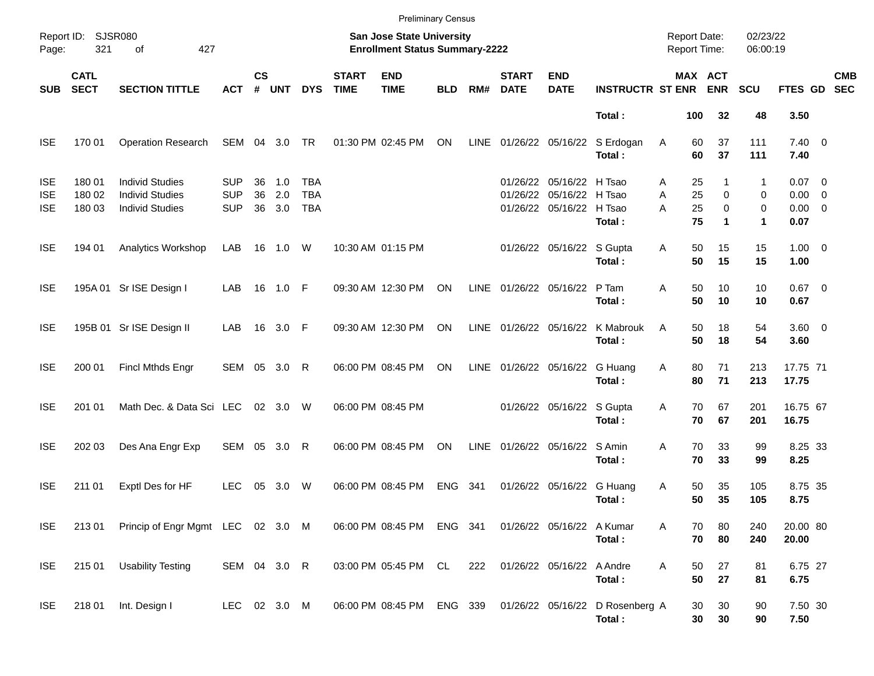|                                        |                            |                                                                            |                                        |                |                   |                                        |                             | <b>Preliminary Census</b>                                          |            |             |                             |                                                                                  |                                            |                                     |                                 |                            |                                                |            |
|----------------------------------------|----------------------------|----------------------------------------------------------------------------|----------------------------------------|----------------|-------------------|----------------------------------------|-----------------------------|--------------------------------------------------------------------|------------|-------------|-----------------------------|----------------------------------------------------------------------------------|--------------------------------------------|-------------------------------------|---------------------------------|----------------------------|------------------------------------------------|------------|
| Page:                                  | Report ID: SJSR080<br>321  | 427<br>of                                                                  |                                        |                |                   |                                        |                             | San Jose State University<br><b>Enrollment Status Summary-2222</b> |            |             |                             |                                                                                  |                                            | <b>Report Date:</b><br>Report Time: |                                 | 02/23/22<br>06:00:19       |                                                |            |
| <b>SUB</b>                             | <b>CATL</b><br><b>SECT</b> | <b>SECTION TITTLE</b>                                                      | <b>ACT</b>                             | $\mathsf{cs}$  | # UNT             | <b>DYS</b>                             | <b>START</b><br><b>TIME</b> | <b>END</b><br><b>TIME</b>                                          | <b>BLD</b> | RM#         | <b>START</b><br><b>DATE</b> | <b>END</b><br><b>DATE</b>                                                        | <b>INSTRUCTR ST ENR ENR</b>                | MAX ACT                             |                                 | <b>SCU</b>                 | FTES GD SEC                                    | <b>CMB</b> |
|                                        |                            |                                                                            |                                        |                |                   |                                        |                             |                                                                    |            |             |                             |                                                                                  | Total:                                     | 100                                 | 32                              | 48                         | 3.50                                           |            |
| <b>ISE</b>                             | 170 01                     | <b>Operation Research</b>                                                  | SEM 04 3.0                             |                |                   | <b>TR</b>                              |                             | 01:30 PM 02:45 PM                                                  | ON         | LINE        |                             |                                                                                  | 01/26/22 05/16/22 S Erdogan<br>Total:      | 60<br>Α<br>60                       | 37<br>37                        | 111<br>111                 | $7.40 \quad 0$<br>7.40                         |            |
| <b>ISE</b><br><b>ISE</b><br><b>ISE</b> | 180 01<br>180 02<br>180 03 | <b>Individ Studies</b><br><b>Individ Studies</b><br><b>Individ Studies</b> | <b>SUP</b><br><b>SUP</b><br><b>SUP</b> | 36<br>36<br>36 | 1.0<br>2.0<br>3.0 | <b>TBA</b><br><b>TBA</b><br><b>TBA</b> |                             |                                                                    |            |             |                             | 01/26/22 05/16/22 H Tsao<br>01/26/22 05/16/22 H Tsao<br>01/26/22 05/16/22 H Tsao | Total:                                     | 25<br>Α<br>25<br>A<br>A<br>25<br>75 | $\mathbf 0$<br>$\mathbf 0$<br>1 | 1<br>0<br>0<br>$\mathbf 1$ | $0.07$ 0<br>$0.00 \t 0$<br>$0.00 \t 0$<br>0.07 |            |
| <b>ISE</b>                             | 194 01                     | Analytics Workshop                                                         | LAB                                    |                | 16 1.0            | W                                      |                             | 10:30 AM 01:15 PM                                                  |            |             |                             | 01/26/22 05/16/22 S Gupta                                                        | Total:                                     | 50<br>Α<br>50                       | 15<br>15                        | 15<br>15                   | $1.00 \t 0$<br>1.00                            |            |
| <b>ISE</b>                             |                            | 195A 01 Sr ISE Design I                                                    | LAB                                    |                | 16  1.0  F        |                                        |                             | 09:30 AM 12:30 PM                                                  | ON         |             |                             | LINE 01/26/22 05/16/22 P Tam                                                     | Total:                                     | A<br>50<br>50                       | 10<br>10                        | 10<br>10                   | $0.67$ 0<br>0.67                               |            |
| <b>ISE</b>                             |                            | 195B 01 Sr ISE Design II                                                   | LAB                                    |                | 16 3.0 F          |                                        |                             | 09:30 AM 12:30 PM                                                  | ON         |             |                             |                                                                                  | LINE 01/26/22 05/16/22 K Mabrouk<br>Total: | 50<br>A<br>50                       | 18<br>18                        | 54<br>54                   | $3.60 \ 0$<br>3.60                             |            |
| <b>ISE</b>                             | 200 01                     | <b>Fincl Mthds Engr</b>                                                    | SEM 05 3.0                             |                |                   | R                                      |                             | 06:00 PM 08:45 PM                                                  | ON         |             |                             | LINE 01/26/22 05/16/22 G Huang                                                   | Total:                                     | Α<br>80<br>80                       | 71<br>71                        | 213<br>213                 | 17.75 71<br>17.75                              |            |
| <b>ISE</b>                             | 201 01                     | Math Dec. & Data Sci LEC                                                   |                                        |                | 02 3.0            | W                                      |                             | 06:00 PM 08:45 PM                                                  |            |             |                             | 01/26/22 05/16/22 S Gupta                                                        | Total:                                     | Α<br>70<br>70                       | 67<br>67                        | 201<br>201                 | 16.75 67<br>16.75                              |            |
| <b>ISE</b>                             | 202 03                     | Des Ana Engr Exp                                                           | SEM 05 3.0                             |                |                   | R                                      |                             | 06:00 PM 08:45 PM                                                  | ON         | <b>LINE</b> |                             | 01/26/22 05/16/22 S Amin                                                         | Total:                                     | A<br>70<br>70                       | 33<br>33                        | 99<br>99                   | 8.25 33<br>8.25                                |            |
| <b>ISE</b>                             | 211 01                     | Exptl Des for HF                                                           | <b>LEC</b>                             | 05             | 3.0               | W                                      |                             | 06:00 PM 08:45 PM                                                  | <b>ENG</b> | - 341       |                             | 01/26/22 05/16/22 G Huang                                                        | Total:                                     | 50<br>Α<br>50                       | 35<br>35                        | 105<br>105                 | 8.75 35<br>8.75                                |            |
| <b>ISE</b>                             | 21301                      | Princip of Engr Mgmt LEC 02 3.0 M                                          |                                        |                |                   |                                        |                             | 06:00 PM 08:45 PM ENG 341                                          |            |             |                             | 01/26/22 05/16/22 A Kumar                                                        | Total:                                     | 70<br>Α<br>70                       | 80<br>80                        | 240<br>240                 | 20.00 80<br>20.00                              |            |
| <b>ISE</b>                             | 215 01                     | <b>Usability Testing</b>                                                   | SEM 04 3.0 R                           |                |                   |                                        |                             | 03:00 PM 05:45 PM CL                                               |            | 222         |                             | 01/26/22 05/16/22 A Andre                                                        | Total:                                     | Α<br>50<br>50                       | 27<br>27                        | 81<br>81                   | 6.75 27<br>6.75                                |            |
| ISE.                                   | 218 01                     | Int. Design I                                                              | LEC 02 3.0 M                           |                |                   |                                        |                             | 06:00 PM 08:45 PM ENG 339                                          |            |             |                             |                                                                                  | 01/26/22 05/16/22 D Rosenberg A<br>Total:  | 30<br>30                            | 30<br>30                        | 90<br>90                   | 7.50 30<br>7.50                                |            |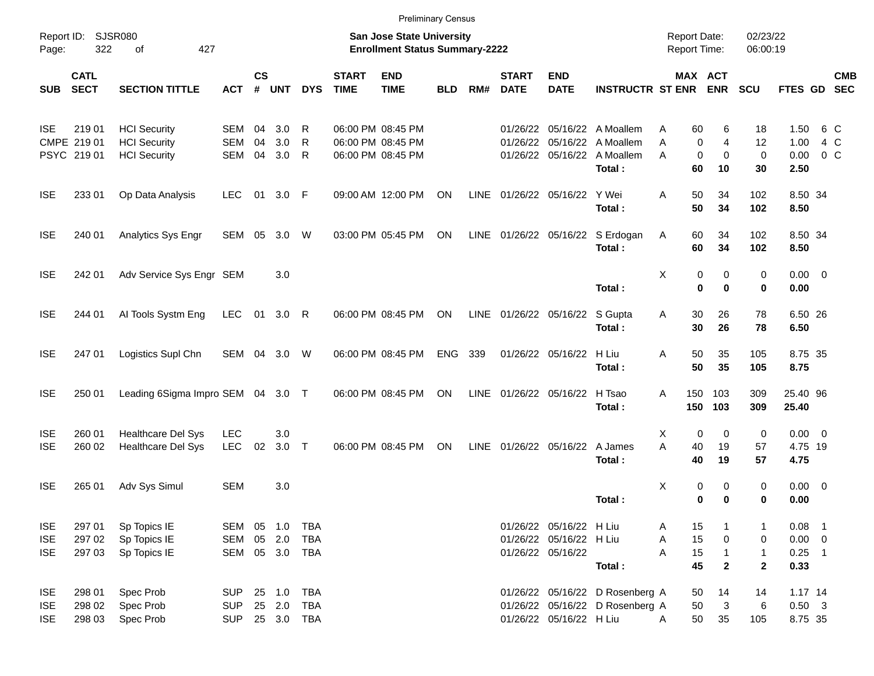|                                        |                            |                                                 |                                        |                    |                                    |            |                             | <b>Preliminary Census</b>                                          |            |      |                             |                                                    |                                                                    |                                            |                              |                              |                                  |         |            |
|----------------------------------------|----------------------------|-------------------------------------------------|----------------------------------------|--------------------|------------------------------------|------------|-----------------------------|--------------------------------------------------------------------|------------|------|-----------------------------|----------------------------------------------------|--------------------------------------------------------------------|--------------------------------------------|------------------------------|------------------------------|----------------------------------|---------|------------|
| Page:                                  | Report ID: SJSR080<br>322  | 427<br>of                                       |                                        |                    |                                    |            |                             | San Jose State University<br><b>Enrollment Status Summary-2222</b> |            |      |                             |                                                    |                                                                    | <b>Report Date:</b><br><b>Report Time:</b> |                              | 02/23/22<br>06:00:19         |                                  |         |            |
| <b>SUB</b>                             | <b>CATL</b><br><b>SECT</b> | <b>SECTION TITTLE</b>                           | <b>ACT</b>                             | $\mathsf{cs}$<br># | <b>UNT</b>                         | <b>DYS</b> | <b>START</b><br><b>TIME</b> | <b>END</b><br><b>TIME</b>                                          | <b>BLD</b> | RM#  | <b>START</b><br><b>DATE</b> | <b>END</b><br><b>DATE</b>                          | <b>INSTRUCTR ST ENR</b>                                            | MAX ACT                                    | <b>ENR</b>                   | <b>SCU</b>                   | FTES GD SEC                      |         | <b>CMB</b> |
| <b>ISE</b>                             | 219 01                     | <b>HCI Security</b>                             | SEM                                    | 04                 | 3.0                                | R          |                             | 06:00 PM 08:45 PM                                                  |            |      | 01/26/22                    |                                                    | 05/16/22 A Moallem                                                 | Α<br>60                                    | 6                            | 18                           | 1.50                             | 6 C     |            |
|                                        | CMPE 219 01<br>PSYC 219 01 | <b>HCI</b> Security<br><b>HCI</b> Security      | <b>SEM</b><br>SEM                      | 04<br>04           | 3.0<br>3.0                         | R<br>R     |                             | 06:00 PM 08:45 PM<br>06:00 PM 08:45 PM                             |            |      | 01/26/22                    |                                                    | 05/16/22 A Moallem<br>01/26/22 05/16/22 A Moallem<br>Total:        | A<br>0<br>$\mathbf 0$<br>A<br>60           | 4<br>$\mathbf 0$<br>10       | 12<br>$\mathbf 0$<br>30      | 1.00<br>0.00<br>2.50             | $0\,$ C | 4 C        |
| <b>ISE</b>                             | 233 01                     | Op Data Analysis                                | <b>LEC</b>                             | 01                 | 3.0 F                              |            |                             | 09:00 AM 12:00 PM                                                  | ON         | LINE | 01/26/22 05/16/22           |                                                    | Y Wei<br>Total:                                                    | Α<br>50<br>50                              | 34<br>34                     | 102<br>102                   | 8.50 34<br>8.50                  |         |            |
| <b>ISE</b>                             | 240 01                     | Analytics Sys Engr                              | SEM 05                                 |                    | 3.0                                | W          |                             | 03:00 PM 05:45 PM                                                  | ON         |      |                             |                                                    | LINE 01/26/22 05/16/22 S Erdogan<br>Total:                         | 60<br>Α<br>60                              | 34<br>34                     | 102<br>102                   | 8.50 34<br>8.50                  |         |            |
| <b>ISE</b>                             | 242 01                     | Adv Service Sys Engr SEM                        |                                        |                    | 3.0                                |            |                             |                                                                    |            |      |                             |                                                    | Total:                                                             | X<br>0<br>$\bf{0}$                         | 0<br>$\bf{0}$                | 0<br>0                       | $0.00 \t 0$<br>0.00              |         |            |
| <b>ISE</b>                             | 244 01                     | Al Tools Systm Eng                              | LEC                                    | 01                 | $3.0 \quad R$                      |            |                             | 06:00 PM 08:45 PM                                                  | ON         |      | LINE 01/26/22 05/16/22      |                                                    | S Gupta<br>Total:                                                  | 30<br>Α<br>30                              | 26<br>26                     | 78<br>78                     | 6.50 26<br>6.50                  |         |            |
| <b>ISE</b>                             | 247 01                     | Logistics Supl Chn                              | SEM 04 3.0                             |                    |                                    | W          | 06:00 PM 08:45 PM           |                                                                    | <b>ENG</b> | 339  |                             | 01/26/22 05/16/22                                  | H Liu<br>Total:                                                    | Α<br>50<br>50                              | 35<br>35                     | 105<br>105                   | 8.75 35<br>8.75                  |         |            |
| <b>ISE</b>                             | 250 01                     | Leading 6Sigma Impro SEM 04 3.0 T               |                                        |                    |                                    |            | 06:00 PM 08:45 PM           |                                                                    | ON         |      | LINE 01/26/22 05/16/22      |                                                    | H Tsao<br>Total:                                                   | A<br>150<br>150                            | 103<br>103                   | 309<br>309                   | 25.40 96<br>25.40                |         |            |
| <b>ISE</b><br><b>ISE</b>               | 260 01<br>260 02           | Healthcare Del Sys<br><b>Healthcare Del Sys</b> | <b>LEC</b><br><b>LEC</b>               | 02                 | 3.0<br>$3.0$ T                     |            | 06:00 PM 08:45 PM           |                                                                    | ON         |      | LINE 01/26/22 05/16/22      |                                                    | A James<br>Total:                                                  | X<br>0<br>A<br>40<br>40                    | $\mathbf 0$<br>19<br>19      | 0<br>57<br>57                | $0.00 \t 0$<br>4.75 19<br>4.75   |         |            |
| <b>ISE</b>                             | 265 01                     | Adv Sys Simul                                   | <b>SEM</b>                             |                    | 3.0                                |            |                             |                                                                    |            |      |                             |                                                    | Total:                                                             | X<br>0<br>0                                | 0<br>$\bf{0}$                | 0<br>0                       | $0.00 \t 0$<br>0.00              |         |            |
| <b>ISE</b><br><b>ISE</b>               | 297 01<br>297 02           | Sp Topics IE<br>Sp Topics IE                    | SEM 05 1.0<br>SEM                      |                    | 05 2.0                             | TBA<br>TBA |                             |                                                                    |            |      |                             | 01/26/22 05/16/22 H Liu<br>01/26/22 05/16/22 H Liu |                                                                    | 15<br>A<br>15<br>Α                         | 0                            | 1<br>0                       | $0.08$ 1<br>$0.00 \t 0$          |         |            |
| <b>ISE</b>                             | 297 03                     | Sp Topics IE                                    | SEM                                    |                    | 05 3.0 TBA                         |            |                             |                                                                    |            |      |                             | 01/26/22 05/16/22                                  | Total:                                                             | 15<br>A<br>45                              | $\mathbf{1}$<br>$\mathbf{2}$ | $\mathbf{1}$<br>$\mathbf{2}$ | $0.25$ 1<br>0.33                 |         |            |
| <b>ISE</b><br><b>ISE</b><br><b>ISE</b> | 298 01<br>298 02<br>298 03 | Spec Prob<br>Spec Prob<br>Spec Prob             | <b>SUP</b><br><b>SUP</b><br><b>SUP</b> |                    | 25 1.0 TBA<br>25 2.0<br>25 3.0 TBA | <b>TBA</b> |                             |                                                                    |            |      |                             | 01/26/22 05/16/22 H Liu                            | 01/26/22 05/16/22 D Rosenberg A<br>01/26/22 05/16/22 D Rosenberg A | 50<br>50<br>50<br>A                        | 14<br>3<br>35                | 14<br>6<br>105               | $1.17$ 14<br>$0.50$ 3<br>8.75 35 |         |            |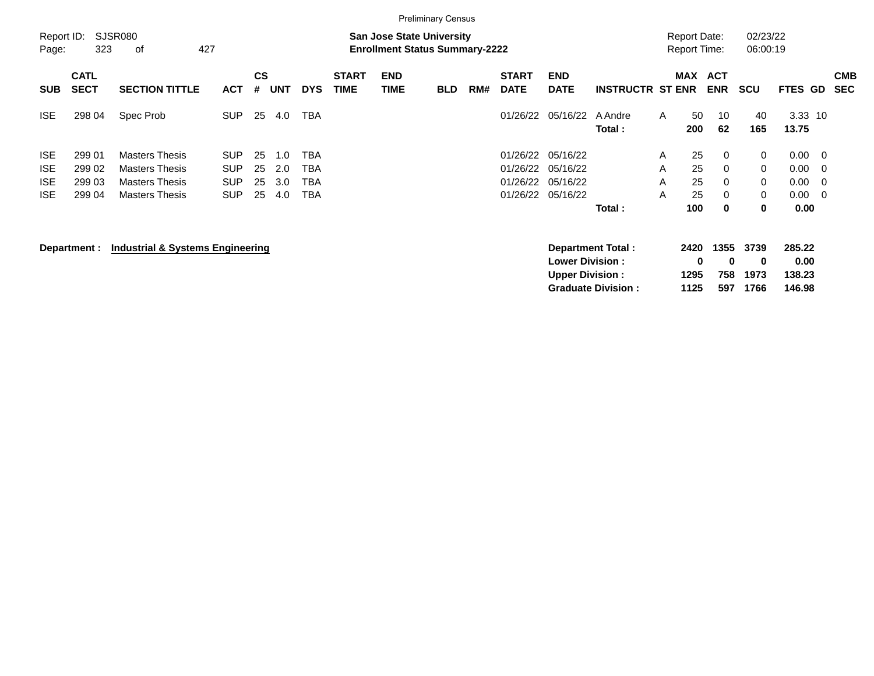|                                                      |                                      |                                                                                                  |                                                      |                      |                          |                                 |                             |                                                                           | <b>Preliminary Census</b> |     |                                              |                                                  |                         |                  |                                            |                                 |                       |                                      |                                |                          |
|------------------------------------------------------|--------------------------------------|--------------------------------------------------------------------------------------------------|------------------------------------------------------|----------------------|--------------------------|---------------------------------|-----------------------------|---------------------------------------------------------------------------|---------------------------|-----|----------------------------------------------|--------------------------------------------------|-------------------------|------------------|--------------------------------------------|---------------------------------|-----------------------|--------------------------------------|--------------------------------|--------------------------|
| Report ID:<br>Page:                                  | 323                                  | SJSR080<br>427<br>οf                                                                             |                                                      |                      |                          |                                 |                             | <b>San Jose State University</b><br><b>Enrollment Status Summary-2222</b> |                           |     |                                              |                                                  |                         |                  | <b>Report Date:</b><br><b>Report Time:</b> |                                 | 02/23/22<br>06:00:19  |                                      |                                |                          |
| <b>SUB</b>                                           | <b>CATL</b><br><b>SECT</b>           | <b>SECTION TITTLE</b>                                                                            | <b>ACT</b>                                           | <b>CS</b><br>#       | UNT                      | <b>DYS</b>                      | <b>START</b><br><b>TIME</b> | <b>END</b><br>TIME                                                        | <b>BLD</b>                | RM# | <b>START</b><br><b>DATE</b>                  | <b>END</b><br><b>DATE</b>                        | <b>INSTRUCTR ST ENR</b> |                  | <b>MAX</b>                                 | <b>ACT</b><br><b>ENR</b>        | <b>SCU</b>            | FTES GD                              |                                | <b>CMB</b><br><b>SEC</b> |
| ISE.                                                 | 298 04                               | Spec Prob                                                                                        | <b>SUP</b>                                           | 25                   | 4.0                      | <b>TBA</b>                      |                             |                                                                           |                           |     | 01/26/22                                     | 05/16/22                                         | A Andre<br>Total:       | A                | 50<br>200                                  | 10<br>62                        | 40<br>165             | $3.33$ 10<br>13.75                   |                                |                          |
| <b>ISE</b><br><b>ISE</b><br><b>ISE</b><br><b>ISE</b> | 299 01<br>299 02<br>299 03<br>299 04 | <b>Masters Thesis</b><br><b>Masters Thesis</b><br><b>Masters Thesis</b><br><b>Masters Thesis</b> | <b>SUP</b><br><b>SUP</b><br><b>SUP</b><br><b>SUP</b> | 25<br>25<br>25<br>25 | 1.0<br>2.0<br>3.0<br>4.0 | TBA<br><b>TBA</b><br>TBA<br>TBA |                             |                                                                           |                           |     | 01/26/22<br>01/26/22<br>01/26/22<br>01/26/22 | 05/16/22<br>05/16/22<br>05/16/22<br>05/16/22     | Total:                  | A<br>A<br>A<br>A | 25<br>25<br>25<br>25<br>100                | $\mathbf 0$<br>0<br>0<br>0<br>0 | 0<br>0<br>0<br>0<br>0 | 0.00<br>0.00<br>0.00<br>0.00<br>0.00 | - 0<br>0<br>$\mathbf 0$<br>- 0 |                          |
|                                                      | Department :                         | <b>Industrial &amp; Systems Engineering</b>                                                      |                                                      |                      |                          |                                 |                             |                                                                           |                           |     |                                              | <b>Lower Division:</b><br><b>Upper Division:</b> | Department Total:       |                  | 2420<br>0<br>1295                          | 1355<br>0<br>758                | 3739<br>0<br>1973     | 285.22<br>0.00<br>138.23             |                                |                          |

**Graduate Division : 1125 597 1766 146.98**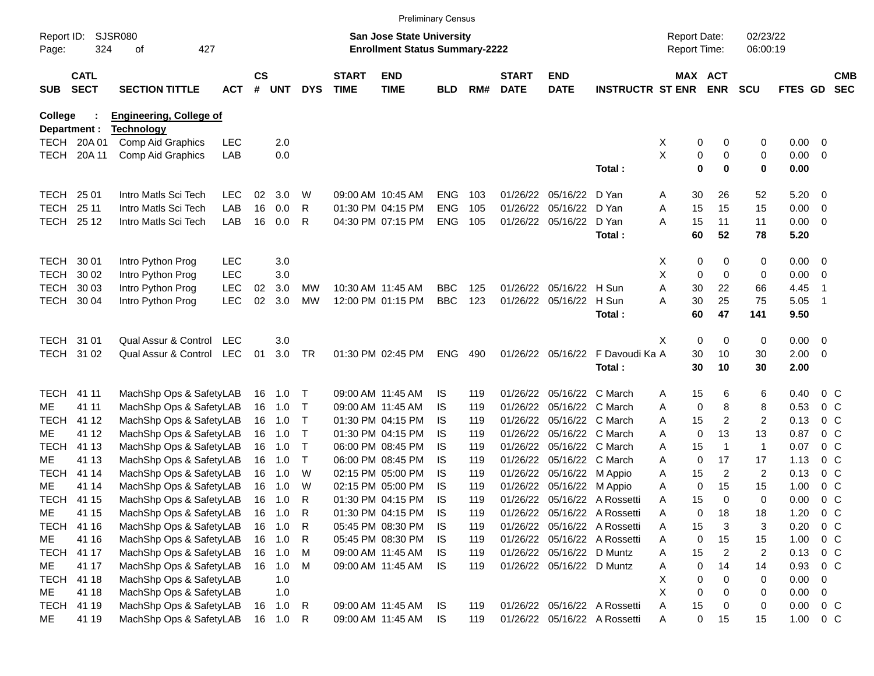|                     |                            |                                                    |            |                    |                  |                   |                             |                                                                           | <b>Preliminary Census</b> |            |                             |                                                        |                              |                                     |             |                      |                      |              |                |                                  |
|---------------------|----------------------------|----------------------------------------------------|------------|--------------------|------------------|-------------------|-----------------------------|---------------------------------------------------------------------------|---------------------------|------------|-----------------------------|--------------------------------------------------------|------------------------------|-------------------------------------|-------------|----------------------|----------------------|--------------|----------------|----------------------------------|
| Report ID:<br>Page: | 324                        | <b>SJSR080</b><br>427<br>of                        |            |                    |                  |                   |                             | <b>San Jose State University</b><br><b>Enrollment Status Summary-2222</b> |                           |            |                             |                                                        |                              | <b>Report Date:</b><br>Report Time: |             |                      | 02/23/22<br>06:00:19 |              |                |                                  |
| <b>SUB</b>          | <b>CATL</b><br><b>SECT</b> | <b>SECTION TITTLE</b>                              | <b>ACT</b> | $\mathsf{cs}$<br># | <b>UNT</b>       | <b>DYS</b>        | <b>START</b><br><b>TIME</b> | <b>END</b><br><b>TIME</b>                                                 | <b>BLD</b>                | RM#        | <b>START</b><br><b>DATE</b> | <b>END</b><br><b>DATE</b>                              | <b>INSTRUCTR ST ENR</b>      | MAX ACT                             |             | <b>ENR</b>           | <b>SCU</b>           | FTES GD      |                | <b>CMB</b><br><b>SEC</b>         |
| <b>College</b>      |                            | <b>Engineering, College of</b>                     |            |                    |                  |                   |                             |                                                                           |                           |            |                             |                                                        |                              |                                     |             |                      |                      |              |                |                                  |
|                     | Department :               | <b>Technology</b>                                  |            |                    |                  |                   |                             |                                                                           |                           |            |                             |                                                        |                              |                                     |             |                      |                      |              |                |                                  |
|                     | TECH 20A01                 | Comp Aid Graphics                                  | <b>LEC</b> |                    | 2.0              |                   |                             |                                                                           |                           |            |                             |                                                        |                              | X                                   | 0           | 0                    | 0                    | 0.00         | 0              |                                  |
| TECH                | 20A 11                     | Comp Aid Graphics                                  | LAB        |                    | 0.0              |                   |                             |                                                                           |                           |            |                             |                                                        | Total:                       | X                                   | 0<br>0      | 0<br>$\bf{0}$        | 0<br>$\mathbf 0$     | 0.00<br>0.00 | 0              |                                  |
| <b>TECH</b>         | 25 01                      | Intro Matls Sci Tech                               | <b>LEC</b> | 02                 | 3.0              | W                 |                             | 09:00 AM 10:45 AM                                                         | <b>ENG</b>                | 103        |                             | 01/26/22 05/16/22                                      | D Yan                        | A                                   | 30          | 26                   | 52                   | 5.20         | $\overline{0}$ |                                  |
| <b>TECH</b>         | 25 11                      | Intro Matls Sci Tech                               | LAB        | 16                 | 0.0              | R                 |                             | 01:30 PM 04:15 PM                                                         | <b>ENG</b>                | 105        |                             | 01/26/22 05/16/22                                      | D Yan                        | Α                                   | 15          | 15                   | 15                   | 0.00         | 0              |                                  |
|                     | TECH 25 12                 | Intro Matls Sci Tech                               | LAB        | 16                 | 0.0              | R                 |                             | 04:30 PM 07:15 PM                                                         | ENG                       | 105        |                             | 01/26/22 05/16/22                                      | D Yan                        | A                                   | 15          | 11                   | 11                   | 0.00         | 0              |                                  |
|                     |                            |                                                    |            |                    |                  |                   |                             |                                                                           |                           |            |                             |                                                        | Total:                       |                                     | 60          | 52                   | 78                   | 5.20         |                |                                  |
| TECH                | 30 01                      | Intro Python Prog                                  | <b>LEC</b> |                    | 3.0              |                   |                             |                                                                           |                           |            |                             |                                                        |                              | X                                   | 0           | 0                    | 0                    | 0.00         | $\overline{0}$ |                                  |
| <b>TECH</b>         | 30 02                      | Intro Python Prog                                  | <b>LEC</b> |                    | 3.0              |                   |                             |                                                                           |                           |            |                             |                                                        |                              | X                                   | 0           | 0                    | 0                    | 0.00         | 0              |                                  |
| <b>TECH</b>         | 30 03                      | Intro Python Prog                                  | <b>LEC</b> | 02                 | 3.0              | MW                |                             | 10:30 AM 11:45 AM                                                         | <b>BBC</b>                | 125        |                             | 01/26/22 05/16/22 H Sun                                |                              | Α                                   | 30          | 22                   | 66                   | 4.45         | $\overline{1}$ |                                  |
| TECH                | 30 04                      | Intro Python Prog                                  | <b>LEC</b> | 02                 | 3.0              | <b>MW</b>         |                             | 12:00 PM 01:15 PM                                                         | <b>BBC</b>                | 123        |                             | 01/26/22 05/16/22                                      | H Sun                        | Α                                   | 30          | 25                   | 75                   | 5.05         | $\overline{1}$ |                                  |
|                     |                            |                                                    |            |                    |                  |                   |                             |                                                                           |                           |            |                             |                                                        | Total:                       |                                     | 60          | 47                   | 141                  | 9.50         |                |                                  |
|                     | TECH 31 01                 | Qual Assur & Control                               | LEC        |                    | 3.0              |                   |                             |                                                                           |                           |            |                             |                                                        |                              | X.                                  | 0           | 0                    | 0                    | 0.00         | $\overline{0}$ |                                  |
|                     | TECH 31 02                 | Qual Assur & Control                               | LEC        | 01                 | 3.0              | <b>TR</b>         |                             | 01:30 PM 02:45 PM                                                         | <b>ENG</b>                | 490        |                             | 01/26/22 05/16/22                                      | F Davoudi Ka A               |                                     | 30          | 10                   | 30                   | 2.00         | $\overline{0}$ |                                  |
|                     |                            |                                                    |            |                    |                  |                   |                             |                                                                           |                           |            |                             |                                                        | Total:                       |                                     | 30          | 10                   | 30                   | 2.00         |                |                                  |
| <b>TECH</b>         | 41 11                      | MachShp Ops & SafetyLAB                            |            |                    | 16 1.0           | $\top$            |                             | 09:00 AM 11:45 AM                                                         | IS.                       | 119        |                             | 01/26/22 05/16/22 C March                              |                              | A                                   | 15          | 6                    | 6                    | 0.40         | 0 <sup>C</sup> |                                  |
| ME                  | 41 11                      | MachShp Ops & SafetyLAB                            |            |                    | 16 1.0           | $\top$            |                             | 09:00 AM 11:45 AM                                                         | IS.                       | 119        |                             | 01/26/22 05/16/22 C March                              |                              | A                                   | 0           | 8                    | 8                    | 0.53         | 0 <sup>C</sup> |                                  |
| <b>TECH</b>         | 41 12                      | MachShp Ops & SafetyLAB                            |            |                    | 16 1.0           | $\top$            |                             | 01:30 PM 04:15 PM                                                         | IS.                       | 119        |                             | 01/26/22 05/16/22 C March                              |                              | A                                   | 15          | 2                    | $\overline{c}$       | 0.13         |                | 0 <sup>C</sup>                   |
| ME                  | 41 12                      | MachShp Ops & SafetyLAB                            |            |                    | 16 1.0           | $\top$            |                             | 01:30 PM 04:15 PM                                                         | IS.                       | 119        |                             | 01/26/22 05/16/22 C March                              |                              | A                                   | 0           | 13                   | 13                   | 0.87         |                | 0 <sup>C</sup>                   |
| <b>TECH</b>         | 41 13                      | MachShp Ops & SafetyLAB                            |            |                    | 16 1.0           | $\mathsf{T}$      |                             | 06:00 PM 08:45 PM                                                         | IS.                       | 119        |                             | 01/26/22 05/16/22 C March                              |                              | A                                   | 15          | $\mathbf 1$          | $\mathbf{1}$         | 0.07         | 0 <sup>o</sup> |                                  |
| ME<br><b>TECH</b>   | 41 13<br>41 14             | MachShp Ops & SafetyLAB                            |            |                    | 16 1.0<br>16 1.0 | $\mathsf{T}$<br>W |                             | 06:00 PM 08:45 PM<br>02:15 PM 05:00 PM                                    | IS.<br>IS.                | 119<br>119 |                             | 01/26/22 05/16/22 C March                              |                              | A                                   | 0<br>15     | 17<br>$\overline{2}$ | 17<br>$\overline{2}$ | 1.13<br>0.13 |                | 0 <sup>C</sup><br>0 <sup>C</sup> |
| ME                  | 41 14                      | MachShp Ops & SafetyLAB<br>MachShp Ops & SafetyLAB |            |                    | 16 1.0           | W                 |                             | 02:15 PM 05:00 PM                                                         | IS                        | 119        |                             | 01/26/22 05/16/22 M Appio<br>01/26/22 05/16/22 M Appio |                              | Α<br>A                              | 0           | 15                   | 15                   | 1.00         |                | 0 <sup>C</sup>                   |
| TECH                | 41 15                      | MachShp Ops & SafetyLAB                            |            |                    | 16 1.0           | R                 |                             | 01:30 PM 04:15 PM                                                         | IS                        | 119        |                             |                                                        | 01/26/22 05/16/22 A Rossetti | Α                                   | 15          | $\Omega$             | 0                    | 0.00         | 0 <sub>c</sub> |                                  |
| ME                  | 41 15                      | MachShp Ops & SafetyLAB                            |            | 16                 | 1.0              | R                 |                             | 01:30 PM 04:15 PM                                                         | IS                        | 119        |                             |                                                        | 01/26/22 05/16/22 A Rossetti | A                                   | 0           | 18                   | 18                   | 1.20         | 0 <sup>o</sup> |                                  |
|                     | TECH 41 16                 | MachShp Ops & SafetyLAB                            |            |                    | 16 1.0           | R                 |                             | 05:45 PM 08:30 PM                                                         | IS                        | 119        |                             |                                                        | 01/26/22 05/16/22 A Rossetti | Α                                   | 15          | 3                    | 3                    | 0.20         | 0 <sup>o</sup> |                                  |
| ME                  | 41 16                      | MachShp Ops & SafetyLAB                            |            |                    | 16 1.0           | R                 |                             | 05:45 PM 08:30 PM                                                         | IS.                       | 119        |                             |                                                        | 01/26/22 05/16/22 A Rossetti | A                                   | 0           | 15                   | 15                   | 1.00         | $0\,C$         |                                  |
|                     | TECH 41 17                 | MachShp Ops & SafetyLAB                            |            |                    | 16 1.0           | M                 |                             | 09:00 AM 11:45 AM                                                         | IS.                       | 119        |                             | 01/26/22 05/16/22 D Muntz                              |                              | Α                                   | 15          | 2                    | 2                    | 0.13         | $0\,C$         |                                  |
| ME                  | 41 17                      | MachShp Ops & SafetyLAB                            |            |                    | 16 1.0           | M                 |                             | 09:00 AM 11:45 AM                                                         | <b>IS</b>                 | 119        |                             | 01/26/22 05/16/22 D Muntz                              |                              | Α                                   | 0           | 14                   | 14                   | 0.93         | $0\,C$         |                                  |
| <b>TECH</b>         | 41 18                      | MachShp Ops & SafetyLAB                            |            |                    | 1.0              |                   |                             |                                                                           |                           |            |                             |                                                        |                              | X.                                  | 0           | 0                    | 0                    | 0.00         | 0              |                                  |
| ME                  | 41 18                      | MachShp Ops & SafetyLAB                            |            |                    | 1.0              |                   |                             |                                                                           |                           |            |                             |                                                        |                              | X                                   | 0           | $\Omega$             | 0                    | 0.00         | 0              |                                  |
|                     | TECH 41 19                 | MachShp Ops & SafetyLAB                            |            |                    | 16 1.0           | R                 |                             | 09:00 AM 11:45 AM                                                         | IS                        | 119        |                             |                                                        | 01/26/22 05/16/22 A Rossetti | Α                                   | 15          | 0                    | 0                    | 0.00         | $0\,C$         |                                  |
| ME                  | 41 19                      | MachShp Ops & SafetyLAB                            |            |                    | 16  1.0  R       |                   |                             | 09:00 AM 11:45 AM                                                         | IS                        | 119        |                             |                                                        | 01/26/22 05/16/22 A Rossetti | Α                                   | $\mathbf 0$ | 15                   | 15                   | 1.00         | $0\,C$         |                                  |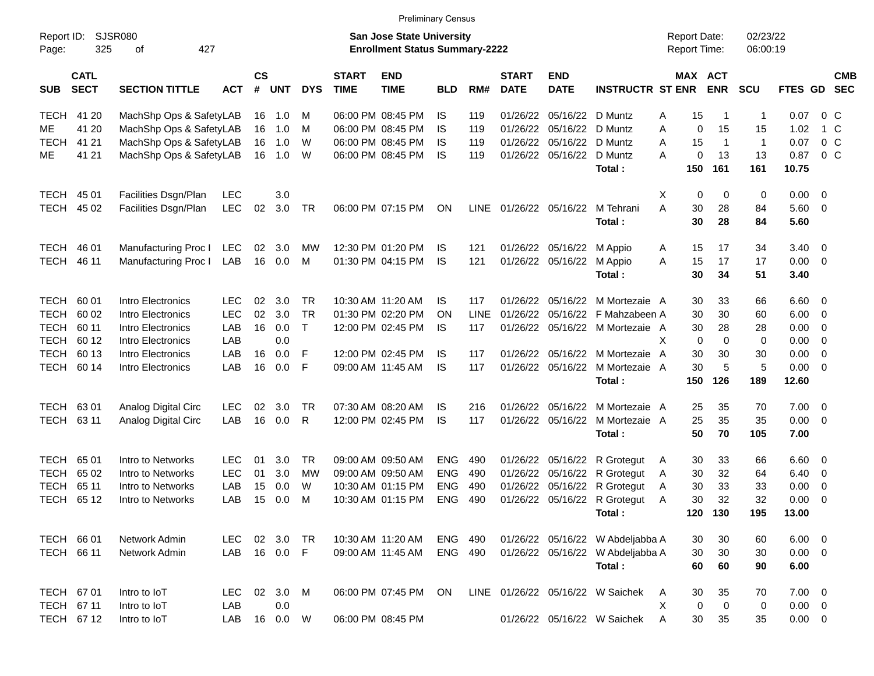|                     |                            |                                        |                   |                |            |                           |                             | <b>Preliminary Census</b>                                                 |                          |             |                             |                           |                                                     |                                     |                |                      |              |                              |                          |
|---------------------|----------------------------|----------------------------------------|-------------------|----------------|------------|---------------------------|-----------------------------|---------------------------------------------------------------------------|--------------------------|-------------|-----------------------------|---------------------------|-----------------------------------------------------|-------------------------------------|----------------|----------------------|--------------|------------------------------|--------------------------|
| Report ID:<br>Page: | 325                        | <b>SJSR080</b><br>427<br>οf            |                   |                |            |                           |                             | <b>San Jose State University</b><br><b>Enrollment Status Summary-2222</b> |                          |             |                             |                           |                                                     | <b>Report Date:</b><br>Report Time: |                | 02/23/22<br>06:00:19 |              |                              |                          |
| <b>SUB</b>          | <b>CATL</b><br><b>SECT</b> | <b>SECTION TITTLE</b>                  | <b>ACT</b>        | <b>CS</b><br># | <b>UNT</b> | <b>DYS</b>                | <b>START</b><br><b>TIME</b> | <b>END</b><br><b>TIME</b>                                                 | <b>BLD</b>               | RM#         | <b>START</b><br><b>DATE</b> | <b>END</b><br><b>DATE</b> | <b>INSTRUCTR ST ENR</b>                             | MAX ACT                             | <b>ENR</b>     | <b>SCU</b>           | FTES GD      |                              | <b>CMB</b><br><b>SEC</b> |
| <b>TECH</b>         | 41 20                      | MachShp Ops & SafetyLAB                |                   |                | 16 1.0     | м                         |                             | 06:00 PM 08:45 PM                                                         | IS                       | 119         | 01/26/22                    | 05/16/22 D Muntz          |                                                     | 15<br>Α                             | -1             | $\mathbf 1$          | 0.07         | 0 C                          |                          |
| ME.                 | 41 20                      | MachShp Ops & SafetyLAB                |                   | 16             | 1.0        | м                         |                             | 06:00 PM 08:45 PM                                                         | IS                       | 119         | 01/26/22                    | 05/16/22 D Muntz          |                                                     | Α<br>0                              | 15             | 15                   | 1.02         | 1 C                          |                          |
| <b>TECH</b>         | 41 21                      | MachShp Ops & SafetyLAB                |                   | 16             | 1.0        | W                         |                             | 06:00 PM 08:45 PM                                                         | IS                       | 119         | 01/26/22                    | 05/16/22                  | D Muntz                                             | 15<br>A                             | $\overline{1}$ | $\overline{1}$       | 0.07         | 0 <sup>o</sup>               |                          |
| ME                  | 41 21                      | MachShp Ops & SafetyLAB                |                   |                | 16 1.0     | W                         |                             | 06:00 PM 08:45 PM                                                         | IS                       | 119         | 01/26/22                    | 05/16/22                  | D Muntz                                             | A<br>0                              | 13             | 13                   | 0.87         | $0\,C$                       |                          |
|                     |                            |                                        |                   |                |            |                           |                             |                                                                           |                          |             |                             |                           | Total:                                              | 150                                 | 161            | 161                  | 10.75        |                              |                          |
| <b>TECH</b>         | 45 01                      | Facilities Dsgn/Plan                   | <b>LEC</b>        |                | 3.0        |                           |                             |                                                                           |                          |             |                             |                           |                                                     | х<br>0                              | 0              | 0                    | 0.00         | $\overline{\phantom{0}}$     |                          |
| <b>TECH</b>         | 45 02                      | Facilities Dsgn/Plan                   | <b>LEC</b>        | 02             | 3.0        | TR                        |                             | 06:00 PM 07:15 PM                                                         | ON                       | LINE        |                             | 01/26/22 05/16/22         | M Tehrani                                           | A<br>30                             | 28             | 84                   | 5.60         | $\overline{\phantom{0}}$     |                          |
|                     |                            |                                        |                   |                |            |                           |                             |                                                                           |                          |             |                             |                           | Total:                                              | 30                                  | 28             | 84                   | 5.60         |                              |                          |
| <b>TECH</b>         | 46 01                      | Manufacturing Proc I                   | LEC               | 02             | 3.0        | MW                        |                             | 12:30 PM 01:20 PM                                                         | IS                       | 121         |                             | 01/26/22 05/16/22 M Appio |                                                     | 15<br>A                             | 17             | 34                   | 3.40         | $\overline{\mathbf{0}}$      |                          |
| <b>TECH</b>         | 46 11                      | Manufacturing Proc I                   | LAB               | 16             | 0.0        | М                         |                             | 01:30 PM 04:15 PM                                                         | IS                       | 121         |                             | 01/26/22 05/16/22         | M Appio                                             | A<br>15                             | 17             | 17                   | 0.00         | $\overline{\mathbf{0}}$      |                          |
|                     |                            |                                        |                   |                |            |                           |                             |                                                                           |                          |             |                             |                           | Total:                                              | 30                                  | 34             | 51                   | 3.40         |                              |                          |
|                     |                            |                                        |                   |                |            |                           |                             |                                                                           |                          |             |                             |                           |                                                     |                                     |                |                      |              |                              |                          |
| TECH                | 60 01                      | Intro Electronics                      | LEC.              | 02             | 3.0        | TR                        |                             | 10:30 AM 11:20 AM                                                         | IS                       | 117         | 01/26/22<br>01/26/22        |                           | 05/16/22 M Mortezaie A                              | 30                                  | 33             | 66                   | $6.60$ 0     |                              |                          |
| TECH                | 60 02<br>60 11             | Intro Electronics                      | <b>LEC</b><br>LAB | 02             | 3.0        | <b>TR</b><br>$\mathsf{T}$ |                             | 01:30 PM 02:20 PM                                                         | ON                       | <b>LINE</b> |                             |                           | 05/16/22 F Mahzabeen A                              | 30                                  | 30             | 60                   | 6.00         | $\overline{\mathbf{0}}$      |                          |
| TECH<br>TECH        | 60 12                      | Intro Electronics<br>Intro Electronics | LAB               | 16             | 0.0<br>0.0 |                           |                             | 12:00 PM 02:45 PM                                                         | IS.                      | 117         |                             |                           | 01/26/22 05/16/22 M Mortezaie A                     | 30<br>X<br>0                        | 28<br>0        | 28<br>0              | 0.00<br>0.00 | 0<br>0                       |                          |
| TECH                | 60 13                      | Intro Electronics                      | LAB               | 16             | 0.0        | F                         |                             | 12:00 PM 02:45 PM                                                         | IS                       | 117         |                             |                           | 01/26/22 05/16/22 M Mortezaie                       | 30<br>A                             | 30             | 30                   | 0.00         | 0                            |                          |
| <b>TECH</b>         | 60 14                      | Intro Electronics                      | LAB               | 16             | 0.0        | F                         |                             | 09:00 AM 11:45 AM                                                         | <b>IS</b>                | 117         |                             |                           | 01/26/22 05/16/22 M Mortezaie A                     | 30                                  | 5              | 5                    | 0.00         | $\overline{\mathbf{0}}$      |                          |
|                     |                            |                                        |                   |                |            |                           |                             |                                                                           |                          |             |                             |                           | Total:                                              | 150                                 | 126            | 189                  | 12.60        |                              |                          |
| <b>TECH</b>         | 6301                       | Analog Digital Circ                    | <b>LEC</b>        | 02             | 3.0        | <b>TR</b>                 |                             | 07:30 AM 08:20 AM                                                         | IS                       | 216         | 01/26/22                    |                           | 05/16/22 M Mortezaie A                              | 25                                  | 35             | 70                   | 7.00         | $\overline{\mathbf{0}}$      |                          |
| TECH                | 63 11                      | Analog Digital Circ                    | LAB               | 16             | 0.0        | R                         |                             | 12:00 PM 02:45 PM                                                         | IS                       | 117         |                             |                           | 01/26/22 05/16/22 M Mortezaie A                     | 25                                  | 35             | 35                   | 0.00         | $\overline{\mathbf{0}}$      |                          |
|                     |                            |                                        |                   |                |            |                           |                             |                                                                           |                          |             |                             |                           | Total:                                              | 50                                  | 70             | 105                  | 7.00         |                              |                          |
|                     |                            |                                        |                   |                |            |                           |                             |                                                                           |                          |             |                             |                           |                                                     |                                     |                |                      |              |                              |                          |
| TECH                | 65 01                      | Intro to Networks                      | LEC.              | 01             | 3.0        | <b>TR</b>                 |                             | 09:00 AM 09:50 AM                                                         | <b>ENG</b>               | 490         | 01/26/22                    |                           | 05/16/22 R Grotegut                                 | 30<br>$\mathsf{A}$                  | 33             | 66                   | 6.60         | $\overline{\phantom{0}}$     |                          |
| <b>TECH</b>         | 65 02                      | Intro to Networks                      | <b>LEC</b>        | 01             | 3.0        | МW                        |                             | 09:00 AM 09:50 AM                                                         | <b>ENG</b>               | 490         | 01/26/22                    |                           | 05/16/22 R Grotegut                                 | 30<br>A                             | 32             | 64                   | 6.40         | 0                            |                          |
| <b>TECH</b><br>TECH | 65 11<br>65 12             | Intro to Networks                      | LAB<br>LAB        | 15<br>15       | 0.0<br>0.0 | W<br>M                    |                             | 10:30 AM 01:15 PM<br>10:30 AM 01:15 PM                                    | <b>ENG</b><br><b>ENG</b> | 490<br>490  | 01/26/22                    |                           | 05/16/22 R Grotegut<br>01/26/22 05/16/22 R Grotegut | 30<br>A<br>30                       | 33<br>32       | 33<br>32             | 0.00<br>0.00 | 0<br>$\overline{\mathbf{0}}$ |                          |
|                     |                            | Intro to Networks                      |                   |                |            |                           |                             |                                                                           |                          |             |                             |                           | Total :                                             | A                                   | 120 130        | 195                  | 13.00        |                              |                          |
|                     |                            |                                        |                   |                |            |                           |                             |                                                                           |                          |             |                             |                           |                                                     |                                     |                |                      |              |                              |                          |
| TECH 66 01          |                            | Network Admin                          | <b>LEC</b>        |                | 02 3.0 TR  |                           |                             | 10:30 AM 11:20 AM                                                         | ENG 490                  |             |                             |                           | 01/26/22 05/16/22 W Abdeljabba A                    | 30                                  | 30             | 60                   | $6.00 \t 0$  |                              |                          |
| TECH 66 11          |                            | Network Admin                          | LAB               |                | 16  0.0  F |                           |                             | 09:00 AM 11:45 AM                                                         | ENG 490                  |             |                             |                           | 01/26/22 05/16/22 W Abdeljabba A                    | 30                                  | 30             | 30                   | $0.00 \t 0$  |                              |                          |
|                     |                            |                                        |                   |                |            |                           |                             |                                                                           |                          |             |                             |                           | Total:                                              | 60                                  | 60             | 90                   | 6.00         |                              |                          |
| TECH 67 01          |                            | Intro to IoT                           | <b>LEC</b>        |                | 02 3.0 M   |                           |                             | 06:00 PM 07:45 PM                                                         | ON                       |             |                             |                           | LINE 01/26/22 05/16/22 W Saichek                    | 30<br>A                             | 35             | 70                   | $7.00 \t 0$  |                              |                          |
| TECH 67 11          |                            | Intro to IoT                           | LAB               |                | 0.0        |                           |                             |                                                                           |                          |             |                             |                           |                                                     | Χ<br>0                              | $\mathbf 0$    | 0                    | $0.00 \t 0$  |                              |                          |
|                     | TECH 67 12                 | Intro to IoT                           | LAB               |                | 16  0.0  W |                           |                             | 06:00 PM 08:45 PM                                                         |                          |             |                             |                           | 01/26/22 05/16/22 W Saichek                         | 30<br>Α                             | 35             | 35                   | $0.00 \t 0$  |                              |                          |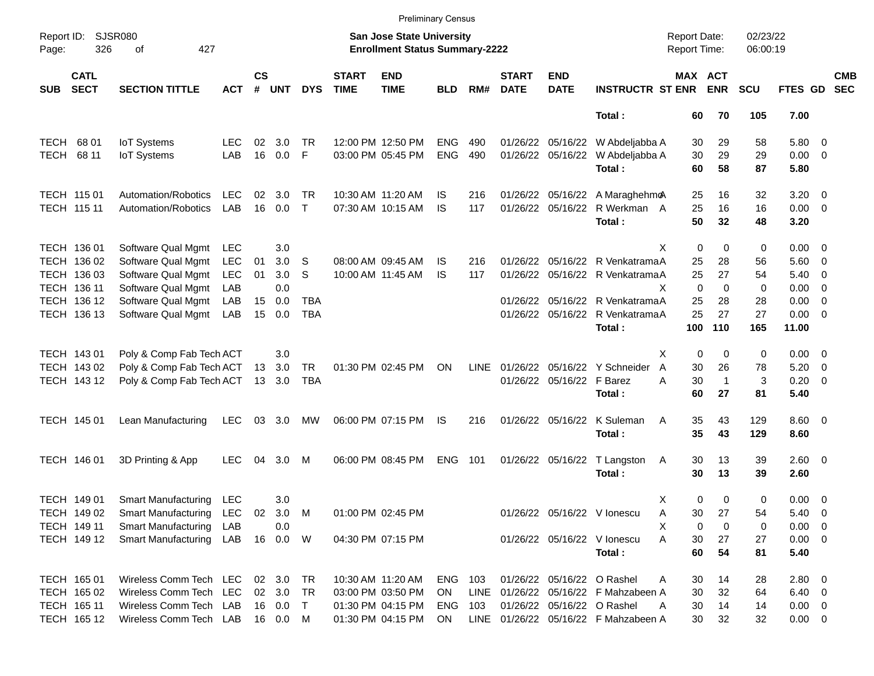|                     |                            |                                  |            |                    |            |              |                             |                                                                           | <b>Preliminary Census</b> |      |                             |                           |                                      |                                            |              |                      |                |                          |                          |
|---------------------|----------------------------|----------------------------------|------------|--------------------|------------|--------------|-----------------------------|---------------------------------------------------------------------------|---------------------------|------|-----------------------------|---------------------------|--------------------------------------|--------------------------------------------|--------------|----------------------|----------------|--------------------------|--------------------------|
| Report ID:<br>Page: | 326                        | SJSR080<br>427<br>of             |            |                    |            |              |                             | <b>San Jose State University</b><br><b>Enrollment Status Summary-2222</b> |                           |      |                             |                           |                                      | <b>Report Date:</b><br><b>Report Time:</b> |              | 02/23/22<br>06:00:19 |                |                          |                          |
| <b>SUB</b>          | <b>CATL</b><br><b>SECT</b> | <b>SECTION TITTLE</b>            | ACT        | $\mathsf{cs}$<br># | <b>UNT</b> | <b>DYS</b>   | <b>START</b><br><b>TIME</b> | <b>END</b><br><b>TIME</b>                                                 | <b>BLD</b>                | RM#  | <b>START</b><br><b>DATE</b> | <b>END</b><br><b>DATE</b> | <b>INSTRUCTR ST ENR</b>              | MAX ACT                                    | <b>ENR</b>   | <b>SCU</b>           | FTES GD        |                          | <b>CMB</b><br><b>SEC</b> |
|                     |                            |                                  |            |                    |            |              |                             |                                                                           |                           |      |                             |                           | Total:                               | 60                                         | 70           | 105                  | 7.00           |                          |                          |
| <b>TECH</b>         | 68 01                      | <b>IoT</b> Systems               | LEC        | 02                 | 3.0        | TR.          |                             | 12:00 PM 12:50 PM                                                         | <b>ENG</b>                | 490  |                             | 01/26/22 05/16/22         | W Abdeljabba A                       | 30                                         | 29           | 58                   | 5.80 0         |                          |                          |
|                     | <b>TECH 68 11</b>          | <b>IoT Systems</b>               | LAB        | 16                 | 0.0        | F            |                             | 03:00 PM 05:45 PM                                                         | <b>ENG</b>                | 490  |                             | 01/26/22 05/16/22         | W Abdeljabba A                       | 30                                         | 29           | 29                   | $0.00 \t 0$    |                          |                          |
|                     |                            |                                  |            |                    |            |              |                             |                                                                           |                           |      |                             |                           | Total:                               | 60                                         | 58           | 87                   | 5.80           |                          |                          |
|                     | TECH 115 01                | Automation/Robotics              | <b>LEC</b> | 02                 | 3.0        | TR.          |                             | 10:30 AM 11:20 AM                                                         | IS                        | 216  |                             |                           | 01/26/22 05/16/22 A MaraghehmoA      | 25                                         | 16           | 32                   | $3.20 \ 0$     |                          |                          |
|                     | TECH 115 11                | Automation/Robotics              | LAB        | 16                 | 0.0        | $\mathsf{T}$ |                             | 07:30 AM 10:15 AM                                                         | <b>IS</b>                 | 117  |                             |                           | 01/26/22 05/16/22 R Werkman A        | 25                                         | 16           | 16                   | $0.00 \t 0$    |                          |                          |
|                     |                            |                                  |            |                    |            |              |                             |                                                                           |                           |      |                             |                           | Total:                               | 50                                         | 32           | 48                   | 3.20           |                          |                          |
|                     | TECH 136 01                | Software Qual Mgmt               | LEC        |                    | 3.0        |              |                             |                                                                           |                           |      |                             |                           |                                      | $\mathbf 0$<br>X                           | 0            | 0                    | $0.00 \t 0$    |                          |                          |
|                     | TECH 136 02                | Software Qual Mgmt               | <b>LEC</b> | 01                 | 3.0        | S            |                             | 08:00 AM 09:45 AM                                                         | IS                        | 216  |                             |                           | 01/26/22 05/16/22 R VenkatramaA      | 25                                         | 28           | 56                   | $5.60$ 0       |                          |                          |
|                     | TECH 136 03                | Software Qual Mgmt               | <b>LEC</b> | 01                 | 3.0        | S            |                             | 10:00 AM 11:45 AM                                                         | IS                        | 117  |                             |                           | 01/26/22 05/16/22 R VenkatramaA      | 25                                         | 27           | 54                   | 5.40           | $\overline{\phantom{0}}$ |                          |
|                     | TECH 136 11                | Software Qual Mgmt               | LAB        |                    | 0.0        |              |                             |                                                                           |                           |      |                             |                           | Х                                    | $\mathbf 0$                                | $\Omega$     | 0                    | $0.00 \t 0$    |                          |                          |
|                     | TECH 136 12                | Software Qual Mgmt               | LAB        | 15                 | 0.0        | <b>TBA</b>   |                             |                                                                           |                           |      |                             |                           | 01/26/22 05/16/22 R VenkatramaA      | 25                                         | 28           | 28                   | $0.00 \t 0$    |                          |                          |
|                     | TECH 136 13                | Software Qual Mgmt               | LAB        | 15                 | 0.0        | TBA          |                             |                                                                           |                           |      |                             |                           | 01/26/22 05/16/22 R VenkatramaA      | 25                                         | 27           | 27                   | $0.00 \t 0$    |                          |                          |
|                     |                            |                                  |            |                    |            |              |                             |                                                                           |                           |      |                             |                           | Total:                               | 100                                        | 110          | 165                  | 11.00          |                          |                          |
|                     | TECH 143 01                | Poly & Comp Fab Tech ACT         |            |                    | 3.0        |              |                             |                                                                           |                           |      |                             |                           |                                      | $\mathbf 0$<br>X                           | $\mathbf 0$  | 0                    | $0.00 \t 0$    |                          |                          |
|                     | TECH 143 02                | Poly & Comp Fab Tech ACT         |            |                    | 13 3.0     | <b>TR</b>    |                             | 01:30 PM 02:45 PM                                                         | ON                        | LINE |                             |                           | 01/26/22 05/16/22 Y Schneider<br>A   | 30                                         | 26           | 78                   | 5.20           | $\overline{\phantom{0}}$ |                          |
|                     | TECH 143 12                | Poly & Comp Fab Tech ACT         |            |                    | 13 3.0     | TBA          |                             |                                                                           |                           |      |                             | 01/26/22 05/16/22 F Barez |                                      | 30<br>А                                    | $\mathbf{1}$ | 3                    | $0.20 \ 0$     |                          |                          |
|                     |                            |                                  |            |                    |            |              |                             |                                                                           |                           |      |                             |                           | Total:                               | 60                                         | 27           | 81                   | 5.40           |                          |                          |
|                     | TECH 145 01                | Lean Manufacturing               | <b>LEC</b> | 03                 | 3.0        | МW           |                             | 06:00 PM 07:15 PM                                                         | IS                        | 216  |                             | 01/26/22 05/16/22         | K Suleman<br>Α                       | 35                                         | 43           | 129                  | $8.60 \quad 0$ |                          |                          |
|                     |                            |                                  |            |                    |            |              |                             |                                                                           |                           |      |                             |                           | Total:                               | 35                                         | 43           | 129                  | 8.60           |                          |                          |
|                     | TECH 146 01                | 3D Printing & App                | <b>LEC</b> | 04                 | 3.0        | М            |                             | 06:00 PM 08:45 PM                                                         | <b>ENG</b>                | 101  |                             | 01/26/22 05/16/22         | T Langston<br>A                      | 30                                         | 13           | 39                   | $2.60 \t 0$    |                          |                          |
|                     |                            |                                  |            |                    |            |              |                             |                                                                           |                           |      |                             |                           | Total:                               | 30                                         | 13           | 39                   | 2.60           |                          |                          |
|                     | TECH 149 01                | Smart Manufacturing LEC          |            |                    | 3.0        |              |                             |                                                                           |                           |      |                             |                           |                                      | х<br>0                                     | 0            | 0                    | $0.00 \t 0$    |                          |                          |
|                     | TECH 149 02                | Smart Manufacturing LEC 02 3.0 M |            |                    |            |              |                             | 01:00 PM 02:45 PM                                                         |                           |      |                             |                           | 01/26/22 05/16/22 V lonescu<br>A     | 30                                         | 27           | 54                   | 5.40 0         |                          |                          |
|                     | TECH 149 11                | Smart Manufacturing LAB          |            |                    | 0.0        |              |                             |                                                                           |                           |      |                             |                           | х                                    | 0                                          | 0            | 0                    | $0.00 \t 0$    |                          |                          |
|                     | TECH 149 12                | Smart Manufacturing LAB          |            |                    | 16  0.0  W |              |                             | 04:30 PM 07:15 PM                                                         |                           |      |                             |                           | 01/26/22 05/16/22 V lonescu          | A<br>30                                    | 27           | 27                   | $0.00 \t 0$    |                          |                          |
|                     |                            |                                  |            |                    |            |              |                             |                                                                           |                           |      |                             |                           | Total:                               | 60                                         | 54           | 81                   | 5.40           |                          |                          |
|                     | TECH 165 01                | Wireless Comm Tech LEC           |            |                    | 02 3.0 TR  |              |                             | 10:30 AM 11:20 AM                                                         | ENG 103                   |      |                             |                           | 01/26/22 05/16/22 O Rashel<br>Α      | 30                                         | 14           | 28                   | 2.80 0         |                          |                          |
|                     | TECH 165 02                | Wireless Comm Tech LEC           |            |                    | 02 3.0 TR  |              |                             | 03:00 PM 03:50 PM                                                         | ON                        | LINE |                             |                           | 01/26/22 05/16/22 F Mahzabeen A      | 30                                         | 32           | 64                   | $6.40\quad 0$  |                          |                          |
|                     | TECH 165 11                | Wireless Comm Tech LAB           |            |                    | 16  0.0  T |              |                             | 01:30 PM 04:15 PM                                                         | ENG                       | 103  |                             |                           | 01/26/22 05/16/22 O Rashel<br>Α      | 30                                         | 14           | 14                   | $0.00 \t 0$    |                          |                          |
|                     | TECH 165 12                | Wireless Comm Tech LAB 16 0.0 M  |            |                    |            |              |                             | 01:30 PM 04:15 PM                                                         | ON                        |      |                             |                           | LINE 01/26/22 05/16/22 F Mahzabeen A | 30                                         | 32           | 32                   | $0.00 \t 0$    |                          |                          |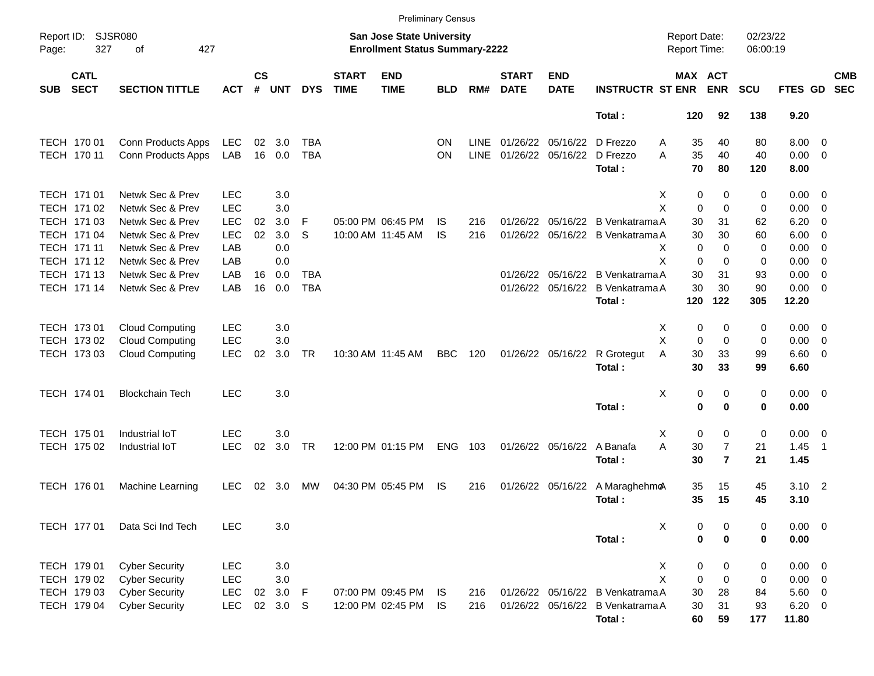|            |                            |                                                |                          |                    |                |            |                             | <b>Preliminary Census</b>                                          |            |             |                             |                           |                                  |                                     |                     |                      |                            |                          |                          |
|------------|----------------------------|------------------------------------------------|--------------------------|--------------------|----------------|------------|-----------------------------|--------------------------------------------------------------------|------------|-------------|-----------------------------|---------------------------|----------------------------------|-------------------------------------|---------------------|----------------------|----------------------------|--------------------------|--------------------------|
| Page:      | Report ID: SJSR080<br>327  | 427<br>οf                                      |                          |                    |                |            |                             | San Jose State University<br><b>Enrollment Status Summary-2222</b> |            |             |                             |                           |                                  | <b>Report Date:</b><br>Report Time: |                     | 02/23/22<br>06:00:19 |                            |                          |                          |
| <b>SUB</b> | <b>CATL</b><br><b>SECT</b> | <b>SECTION TITTLE</b>                          | <b>ACT</b>               | $\mathsf{cs}$<br># | <b>UNT</b>     | <b>DYS</b> | <b>START</b><br><b>TIME</b> | <b>END</b><br><b>TIME</b>                                          | <b>BLD</b> | RM#         | <b>START</b><br><b>DATE</b> | <b>END</b><br><b>DATE</b> | <b>INSTRUCTR ST ENR</b>          | MAX ACT                             | <b>ENR</b>          | <b>SCU</b>           | FTES GD                    |                          | <b>CMB</b><br><b>SEC</b> |
|            |                            |                                                |                          |                    |                |            |                             |                                                                    |            |             |                             |                           | Total:                           | 120                                 | 92                  | 138                  | 9.20                       |                          |                          |
|            | TECH 170 01                | Conn Products Apps                             | LEC                      | 02                 | 3.0            | <b>TBA</b> |                             |                                                                    | ΟN         | <b>LINE</b> |                             | 01/26/22 05/16/22         | D Frezzo<br>Α                    | 35                                  | 40                  | 80                   | $8.00 \t 0$                |                          |                          |
|            | TECH 170 11                | Conn Products Apps                             | LAB                      |                    | 16 0.0         | <b>TBA</b> |                             |                                                                    | ON         | <b>LINE</b> |                             | 01/26/22 05/16/22         | D Frezzo<br>A                    | 35                                  | 40                  | 40                   | $0.00 \t 0$                |                          |                          |
|            |                            |                                                |                          |                    |                |            |                             |                                                                    |            |             |                             |                           | Total:                           | 70                                  | 80                  | 120                  | 8.00                       |                          |                          |
|            | TECH 171 01                | Netwk Sec & Prev                               | <b>LEC</b>               |                    | 3.0            |            |                             |                                                                    |            |             |                             |                           | X                                | 0                                   | 0                   | 0                    | $0.00 \t 0$                |                          |                          |
|            | TECH 171 02                | Netwk Sec & Prev                               | <b>LEC</b>               |                    | 3.0            |            |                             |                                                                    |            |             |                             |                           | X                                | $\mathbf 0$                         | $\Omega$            | 0                    | 0.00                       | $\overline{\phantom{0}}$ |                          |
|            | TECH 171 03                | Netwk Sec & Prev                               | <b>LEC</b>               | 02                 | 3.0            | -F         |                             | 05:00 PM 06:45 PM                                                  | IS         | 216         | 01/26/22                    |                           | 05/16/22 B Venkatrama A          | 30                                  | 31                  | 62                   | 6.20                       | $\overline{\mathbf{0}}$  |                          |
|            | TECH 171 04                | Netwk Sec & Prev                               | <b>LEC</b>               | 02                 | 3.0            | S          |                             | 10:00 AM 11:45 AM                                                  | IS         | 216         |                             |                           | 01/26/22 05/16/22 B Venkatrama A | 30                                  | 30                  | 60                   | 6.00                       | $\overline{\phantom{0}}$ |                          |
|            | TECH 171 11                | Netwk Sec & Prev                               | LAB                      |                    | 0.0            |            |                             |                                                                    |            |             |                             |                           | X                                | $\mathbf 0$                         | $\Omega$            | 0                    | 0.00                       | $\overline{\phantom{0}}$ |                          |
|            | TECH 171 12                | Netwk Sec & Prev                               | LAB                      |                    | 0.0            |            |                             |                                                                    |            |             |                             |                           | X                                | $\mathbf 0$                         | $\Omega$            | 0                    | 0.00                       | $\overline{\phantom{0}}$ |                          |
|            | TECH 171 13                | Netwk Sec & Prev                               | LAB                      | 16                 | 0.0            | TBA        |                             |                                                                    |            |             | 01/26/22                    |                           | 05/16/22 B Venkatrama A          | 30                                  | 31                  | 93                   | 0.00                       | $\overline{\mathbf{0}}$  |                          |
|            | TECH 171 14                | Netwk Sec & Prev                               | LAB                      | 16                 | 0.0            | <b>TBA</b> |                             |                                                                    |            |             |                             | 01/26/22 05/16/22         | B Venkatrama A                   | 30                                  | 30                  | 90                   | $0.00 \t 0$                |                          |                          |
|            |                            |                                                |                          |                    |                |            |                             |                                                                    |            |             |                             |                           | Total:                           | 120                                 | 122                 | 305                  | 12.20                      |                          |                          |
|            | TECH 173 01                | Cloud Computing                                | <b>LEC</b>               |                    | 3.0            |            |                             |                                                                    |            |             |                             |                           | X                                | 0                                   | 0                   | 0                    | $0.00 \t 0$                |                          |                          |
|            | TECH 173 02                | <b>Cloud Computing</b>                         | <b>LEC</b>               |                    | 3.0            |            |                             |                                                                    |            |             |                             |                           | X                                | $\mathbf 0$                         | $\mathbf 0$         | 0                    | 0.00                       | $\overline{\phantom{0}}$ |                          |
|            | TECH 173 03                | <b>Cloud Computing</b>                         | <b>LEC</b>               | 02                 | 3.0            | <b>TR</b>  |                             | 10:30 AM 11:45 AM                                                  | <b>BBC</b> | 120         |                             | 01/26/22 05/16/22         | A<br>R Grotegut                  | 30                                  | 33                  | 99                   | $6.60$ 0                   |                          |                          |
|            |                            |                                                |                          |                    |                |            |                             |                                                                    |            |             |                             |                           | Total:                           | 30                                  | 33                  | 99                   | 6.60                       |                          |                          |
|            | TECH 174 01                | <b>Blockchain Tech</b>                         | <b>LEC</b>               |                    | 3.0            |            |                             |                                                                    |            |             |                             |                           | х                                | 0                                   | 0                   | 0                    | $0.00 \t 0$                |                          |                          |
|            |                            |                                                |                          |                    |                |            |                             |                                                                    |            |             |                             |                           | Total:                           | $\mathbf 0$                         | $\bf{0}$            | 0                    | 0.00                       |                          |                          |
|            |                            |                                                | <b>LEC</b>               |                    |                |            |                             |                                                                    |            |             |                             |                           |                                  |                                     |                     |                      |                            |                          |                          |
|            | TECH 175 01                | Industrial IoT<br>Industrial IoT               | <b>LEC</b>               | 02                 | 3.0<br>3.0     | <b>TR</b>  |                             | 12:00 PM 01:15 PM                                                  | <b>ENG</b> | 103         |                             | 01/26/22 05/16/22         | X<br>A<br>A Banafa               | 0<br>30                             | 0<br>$\overline{7}$ | 0<br>21              | $0.00 \t 0$<br>1.45        | $\overline{\phantom{1}}$ |                          |
|            | TECH 175 02                |                                                |                          |                    |                |            |                             |                                                                    |            |             |                             |                           | Total:                           | 30                                  | $\overline{7}$      | 21                   | 1.45                       |                          |                          |
|            |                            |                                                |                          |                    |                |            |                             |                                                                    |            |             |                             |                           |                                  |                                     |                     |                      |                            |                          |                          |
|            | TECH 176 01                | Machine Learning                               | <b>LEC</b>               | 02                 | 3.0            | МW         |                             | 04:30 PM 05:45 PM                                                  | IS         | 216         |                             | 01/26/22 05/16/22         | A MaraghehmoA                    | 35                                  | 15                  | 45                   | $3.10$ 2                   |                          |                          |
|            |                            |                                                |                          |                    |                |            |                             |                                                                    |            |             |                             |                           | Total:                           | 35                                  | 15                  | 45                   | 3.10                       |                          |                          |
|            | TECH 177 01                | Data Sci Ind Tech                              | <b>LEC</b>               |                    | 3.0            |            |                             |                                                                    |            |             |                             |                           | X                                | 0                                   | 0                   | 0                    | $0.00 \t 0$                |                          |                          |
|            |                            |                                                |                          |                    |                |            |                             |                                                                    |            |             |                             |                           | Total:                           | $\bf{0}$                            | $\bf{0}$            | 0                    | 0.00                       |                          |                          |
|            |                            |                                                |                          |                    |                |            |                             |                                                                    |            |             |                             |                           |                                  |                                     |                     |                      |                            |                          |                          |
|            | TECH 179 01<br>TECH 179 02 | <b>Cyber Security</b><br><b>Cyber Security</b> | <b>LEC</b><br><b>LEC</b> |                    | 3.0<br>$3.0\,$ |            |                             |                                                                    |            |             |                             |                           | X<br>X                           | 0                                   | 0<br>0              | 0                    | $0.00 \t 0$<br>$0.00 \t 0$ |                          |                          |
|            | TECH 179 03                | <b>Cyber Security</b>                          | <b>LEC</b>               | 02                 | 3.0 F          |            |                             | 07:00 PM 09:45 PM                                                  | IS.        | 216         |                             |                           | 01/26/22 05/16/22 B Venkatrama A | 0<br>30                             | 28                  | 0<br>84              | 5.60 0                     |                          |                          |
|            | TECH 179 04                | <b>Cyber Security</b>                          | <b>LEC</b>               |                    | 02 3.0 S       |            |                             | 12:00 PM 02:45 PM                                                  | IS         | 216         |                             |                           | 01/26/22 05/16/22 B Venkatrama A | 30                                  | 31                  | 93                   | $6.20 \ 0$                 |                          |                          |
|            |                            |                                                |                          |                    |                |            |                             |                                                                    |            |             |                             |                           | Total:                           | 60                                  | 59                  | 177                  | 11.80                      |                          |                          |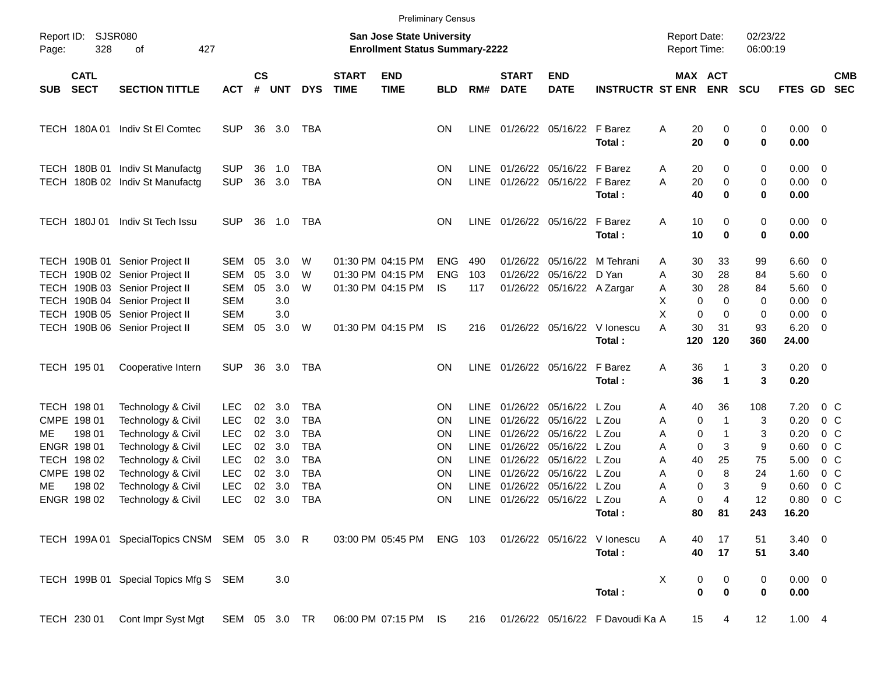|       |                                                                    |                                                                                                                                      |                                                                    |                            |                                 |                                                             |                             |                                                                           | <b>Preliminary Census</b>             |                                                                  |                                              |                                                                   |                                           |                                                            |                                             |                          |                                      |                                                                                        |                          |
|-------|--------------------------------------------------------------------|--------------------------------------------------------------------------------------------------------------------------------------|--------------------------------------------------------------------|----------------------------|---------------------------------|-------------------------------------------------------------|-----------------------------|---------------------------------------------------------------------------|---------------------------------------|------------------------------------------------------------------|----------------------------------------------|-------------------------------------------------------------------|-------------------------------------------|------------------------------------------------------------|---------------------------------------------|--------------------------|--------------------------------------|----------------------------------------------------------------------------------------|--------------------------|
| Page: | Report ID: SJSR080<br>328                                          | 427<br>οf                                                                                                                            |                                                                    |                            |                                 |                                                             |                             | <b>San Jose State University</b><br><b>Enrollment Status Summary-2222</b> |                                       |                                                                  |                                              |                                                                   |                                           | <b>Report Date:</b><br>Report Time:                        |                                             | 02/23/22<br>06:00:19     |                                      |                                                                                        |                          |
| SUB   | <b>CATL</b><br><b>SECT</b>                                         | <b>SECTION TITTLE</b>                                                                                                                | <b>ACT</b>                                                         | $\mathsf{cs}$<br>$\#$      | <b>UNT</b>                      | <b>DYS</b>                                                  | <b>START</b><br><b>TIME</b> | <b>END</b><br><b>TIME</b>                                                 | <b>BLD</b>                            | RM#                                                              | <b>START</b><br><b>DATE</b>                  | <b>END</b><br><b>DATE</b>                                         | <b>INSTRUCTR ST ENR</b>                   |                                                            | <b>MAX ACT</b><br><b>ENR</b>                | <b>SCU</b>               | FTES GD                              |                                                                                        | <b>CMB</b><br><b>SEC</b> |
|       |                                                                    | TECH 180A 01 Indiv St El Comtec                                                                                                      | <b>SUP</b>                                                         | 36                         | 3.0                             | TBA                                                         |                             |                                                                           | ΟN                                    | LINE                                                             |                                              | 01/26/22 05/16/22 F Barez                                         | Total:                                    | Α<br>20<br>20                                              | 0<br>0                                      | 0<br>$\bf{0}$            | $0.00 \t 0$<br>0.00                  |                                                                                        |                          |
|       |                                                                    | TECH 180B 01 Indiv St Manufactg<br>TECH 180B 02 Indiv St Manufactg                                                                   | <b>SUP</b><br><b>SUP</b>                                           | 36<br>36                   | 1.0<br>3.0                      | TBA<br><b>TBA</b>                                           |                             |                                                                           | ΟN<br>ΟN                              | <b>LINE</b><br><b>LINE</b>                                       |                                              | 01/26/22 05/16/22 F Barez<br>01/26/22 05/16/22 F Barez            | Total:                                    | 20<br>A<br>20<br>A<br>40                                   | 0<br>0<br>0                                 | 0<br>0<br>0              | 0.00<br>0.00<br>0.00                 | $\overline{\mathbf{0}}$<br>$\overline{\phantom{0}}$                                    |                          |
|       | <b>TECH 180J01</b>                                                 | Indiv St Tech Issu                                                                                                                   | <b>SUP</b>                                                         | 36                         | 1.0                             | TBA                                                         |                             |                                                                           | ON                                    | LINE                                                             |                                              | 01/26/22 05/16/22 F Barez                                         | Total:                                    | A<br>10<br>10                                              | 0<br>$\bf{0}$                               | 0<br>$\pmb{0}$           | 0.00<br>0.00                         | $\overline{\phantom{0}}$                                                               |                          |
|       |                                                                    | TECH 190B 01 Senior Project II<br>TECH 190B 02 Senior Project II<br>TECH 190B 03 Senior Project II<br>TECH 190B 04 Senior Project II | <b>SEM</b><br><b>SEM</b><br><b>SEM</b><br><b>SEM</b>               | 05<br>05<br>05             | 3.0<br>3.0<br>3.0<br>3.0        | W<br>W<br>W                                                 |                             | 01:30 PM 04:15 PM<br>01:30 PM 04:15 PM<br>01:30 PM 04:15 PM               | <b>ENG</b><br><b>ENG</b><br><b>IS</b> | 490<br>103<br>117                                                | 01/26/22<br>01/26/22                         | 05/16/22<br>05/16/22<br>01/26/22 05/16/22 A Zargar                | M Tehrani<br>D Yan                        | 30<br>Α<br>30<br>Α<br>30<br>A<br>X<br>0                    | 33<br>28<br>28<br>0                         | 99<br>84<br>84<br>0      | 6.60<br>5.60<br>5.60<br>0.00         | - 0<br>$\overline{\mathbf{0}}$<br>$\overline{\mathbf{0}}$<br>0                         |                          |
|       |                                                                    | TECH 190B 05 Senior Project II<br>TECH 190B 06 Senior Project II                                                                     | <b>SEM</b><br><b>SEM</b>                                           | 05                         | 3.0<br>3.0                      | W                                                           |                             | 01:30 PM 04:15 PM                                                         | IS                                    | 216                                                              |                                              | 01/26/22 05/16/22                                                 | V lonescu<br>Total:                       | X<br>$\mathbf 0$<br>30<br>A<br>120                         | 0<br>31<br>120                              | 0<br>93<br>360           | 0.00<br>6.20<br>24.00                | $\overline{\mathbf{0}}$<br>$\overline{\mathbf{0}}$                                     |                          |
|       | TECH 195 01                                                        | Cooperative Intern                                                                                                                   | <b>SUP</b>                                                         | 36                         | 3.0                             | TBA                                                         |                             |                                                                           | ΟN                                    |                                                                  |                                              | LINE 01/26/22 05/16/22                                            | F Barez<br>Total:                         | A<br>36<br>36                                              | $\mathbf{1}$<br>$\mathbf{1}$                | 3<br>3                   | $0.20 \ 0$<br>0.20                   |                                                                                        |                          |
| ME    | TECH 198 01<br>CMPE 198 01<br>198 01<br>ENGR 198 01<br>TECH 198 02 | Technology & Civil<br>Technology & Civil<br>Technology & Civil<br>Technology & Civil<br>Technology & Civil                           | <b>LEC</b><br><b>LEC</b><br><b>LEC</b><br><b>LEC</b><br><b>LEC</b> | 02<br>02<br>02<br>02<br>02 | 3.0<br>3.0<br>3.0<br>3.0<br>3.0 | TBA<br><b>TBA</b><br><b>TBA</b><br><b>TBA</b><br><b>TBA</b> |                             |                                                                           | ΟN<br>ΟN<br>ΟN<br>ON<br>ΟN            | <b>LINE</b><br><b>LINE</b><br>LINE<br><b>LINE</b><br><b>LINE</b> | 01/26/22<br>01/26/22<br>01/26/22<br>01/26/22 | 05/16/22<br>05/16/22<br>05/16/22<br>05/16/22<br>01/26/22 05/16/22 | L Zou<br>L Zou<br>L Zou<br>L Zou<br>L Zou | 40<br>Α<br>Α<br>0<br>Α<br>0<br>$\mathbf 0$<br>Α<br>40<br>Α | 36<br>$\mathbf 1$<br>$\mathbf 1$<br>3<br>25 | 108<br>3<br>3<br>9<br>75 | 7.20<br>0.20<br>0.20<br>0.60<br>5.00 | 0 <sup>o</sup><br>0 <sup>o</sup><br>0 <sup>o</sup><br>0 <sup>o</sup><br>0 <sup>o</sup> |                          |
| ME    | CMPE 198 02<br>198 02<br>ENGR 198 02                               | Technology & Civil<br>Technology & Civil<br>Technology & Civil                                                                       | <b>LEC</b><br><b>LEC</b><br><b>LEC</b>                             | 02<br>02<br>02             | 3.0<br>3.0<br>3.0               | <b>TBA</b><br><b>TBA</b><br><b>TBA</b>                      |                             |                                                                           | ON<br>ON<br>ΟN                        | LINE<br><b>LINE</b>                                              | 01/26/22<br>01/26/22                         | 05/16/22<br>05/16/22<br>LINE 01/26/22 05/16/22 L Zou              | L Zou<br>L Zou<br>Total:                  | Α<br>0<br>Α<br>Α<br>80                                     | 8<br>0<br>3<br>0<br>4<br>81                 | 24<br>9<br>12<br>243     | 1.60<br>0.60<br>0.80<br>16.20        | 0 <sup>o</sup><br>0 <sup>o</sup><br>0 <sup>o</sup>                                     |                          |
|       |                                                                    | TECH 199A 01 SpecialTopics CNSM SEM 05 3.0 R                                                                                         |                                                                    |                            |                                 |                                                             |                             | 03:00 PM 05:45 PM ENG 103                                                 |                                       |                                                                  |                                              | 01/26/22 05/16/22                                                 | V lonescu<br>Total:                       | A<br>40<br>40                                              | 17<br>17                                    | 51<br>51                 | $3.40 \ 0$<br>3.40                   |                                                                                        |                          |
|       |                                                                    | TECH 199B 01 Special Topics Mfg S SEM                                                                                                |                                                                    |                            | 3.0                             |                                                             |                             |                                                                           |                                       |                                                                  |                                              |                                                                   | Total:                                    | X<br>0                                                     | 0<br>$\mathbf 0$<br>$\mathbf 0$             | 0<br>0                   | $0.00 \t 0$<br>0.00                  |                                                                                        |                          |
|       | TECH 230 01                                                        | Cont Impr Syst Mgt  SEM  05  3.0  TR  06:00 PM  07:15 PM  IS                                                                         |                                                                    |                            |                                 |                                                             |                             |                                                                           |                                       |                                                                  |                                              |                                                                   | 216 01/26/22 05/16/22 F Davoudi Ka A      | 15                                                         | 4                                           | 12                       | 1.004                                |                                                                                        |                          |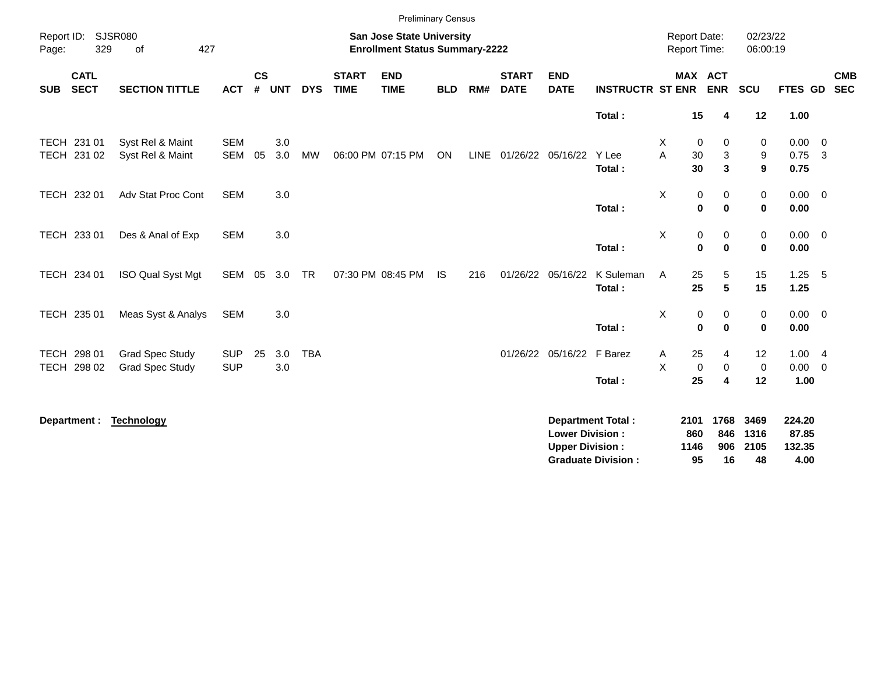|                                          |                                                  |                          |                    |            |            |                             | <b>Preliminary Census</b>                                                 |            |     |                             |                                                  |                                                       |                                     |                                           |                            |                                   |                          |
|------------------------------------------|--------------------------------------------------|--------------------------|--------------------|------------|------------|-----------------------------|---------------------------------------------------------------------------|------------|-----|-----------------------------|--------------------------------------------------|-------------------------------------------------------|-------------------------------------|-------------------------------------------|----------------------------|-----------------------------------|--------------------------|
| Report ID:<br>329<br>Page:               | <b>SJSR080</b><br>427<br>of                      |                          |                    |            |            |                             | <b>San Jose State University</b><br><b>Enrollment Status Summary-2222</b> |            |     |                             |                                                  |                                                       | <b>Report Date:</b><br>Report Time: |                                           | 02/23/22<br>06:00:19       |                                   |                          |
| <b>CATL</b><br><b>SECT</b><br><b>SUB</b> | <b>SECTION TITTLE</b>                            | <b>ACT</b>               | $\mathsf{cs}$<br># | <b>UNT</b> | <b>DYS</b> | <b>START</b><br><b>TIME</b> | <b>END</b><br><b>TIME</b>                                                 | <b>BLD</b> | RM# | <b>START</b><br><b>DATE</b> | <b>END</b><br><b>DATE</b>                        | <b>INSTRUCTR ST ENR</b>                               |                                     | <b>MAX ACT</b><br><b>ENR</b>              | SCU                        | <b>FTES GD</b>                    | <b>CMB</b><br><b>SEC</b> |
|                                          |                                                  |                          |                    |            |            |                             |                                                                           |            |     |                             |                                                  | Total:                                                | 15                                  | 4                                         | 12                         | 1.00                              |                          |
| TECH 231 01<br>TECH 231 02               | Syst Rel & Maint<br>Syst Rel & Maint             | <b>SEM</b><br><b>SEM</b> | 05                 | 3.0<br>3.0 | MW         |                             | 06:00 PM 07:15 PM                                                         | ON         |     |                             | LINE 01/26/22 05/16/22                           | Y Lee<br>Total:                                       | Χ<br>A<br>30<br>30                  | 0<br>0<br>3<br>3                          | 0<br>9<br>9                | $0.00 \t 0$<br>0.75<br>0.75       | $\overline{\mathbf{3}}$  |
| TECH 232 01                              | Adv Stat Proc Cont                               | <b>SEM</b>               |                    | 3.0        |            |                             |                                                                           |            |     |                             |                                                  | Total:                                                | X                                   | 0<br>0<br>$\bf{0}$<br>$\bf{0}$            | 0<br>$\mathbf 0$           | $0.00 \t 0$<br>0.00               |                          |
| TECH 233 01                              | Des & Anal of Exp                                | <b>SEM</b>               |                    | 3.0        |            |                             |                                                                           |            |     |                             |                                                  | Total:                                                | X                                   | $\pmb{0}$<br>0<br>$\bf{0}$<br>$\mathbf 0$ | $\mathbf 0$<br>$\mathbf 0$ | $0.00 \quad 0$<br>0.00            |                          |
| TECH 234 01                              | ISO Qual Syst Mgt                                | SEM                      | 05                 | 3.0        | TR         |                             | 07:30 PM 08:45 PM                                                         | <b>IS</b>  | 216 |                             | 01/26/22 05/16/22                                | K Suleman<br>Total:                                   | Α<br>25<br>25                       | 5<br>5                                    | 15<br>15                   | $1.25$ 5<br>1.25                  |                          |
| TECH 235 01                              | Meas Syst & Analys                               | SEM                      |                    | 3.0        |            |                             |                                                                           |            |     |                             |                                                  | Total:                                                | X                                   | 0<br>0<br>$\mathbf 0$<br>$\bf{0}$         | 0<br>$\mathbf 0$           | $0.00 \t 0$<br>0.00               |                          |
| TECH 298 01<br>TECH 298 02               | <b>Grad Spec Study</b><br><b>Grad Spec Study</b> | <b>SUP</b><br><b>SUP</b> | 25                 | 3.0<br>3.0 | <b>TBA</b> |                             |                                                                           |            |     |                             | 01/26/22 05/16/22 F Barez                        | Total:                                                | 25<br>Α<br>X<br>25                  | 4<br>0<br>0<br>4                          | 12<br>$\mathbf 0$<br>12    | 1.004<br>0.00<br>1.00             | $\overline{0}$           |
| Department :                             | <b>Technology</b>                                |                          |                    |            |            |                             |                                                                           |            |     |                             | <b>Lower Division:</b><br><b>Upper Division:</b> | <b>Department Total:</b><br><b>Graduate Division:</b> | 2101<br>860<br>1146<br>95           | 1768<br>846<br>906<br>16                  | 3469<br>1316<br>2105<br>48 | 224.20<br>87.85<br>132.35<br>4.00 |                          |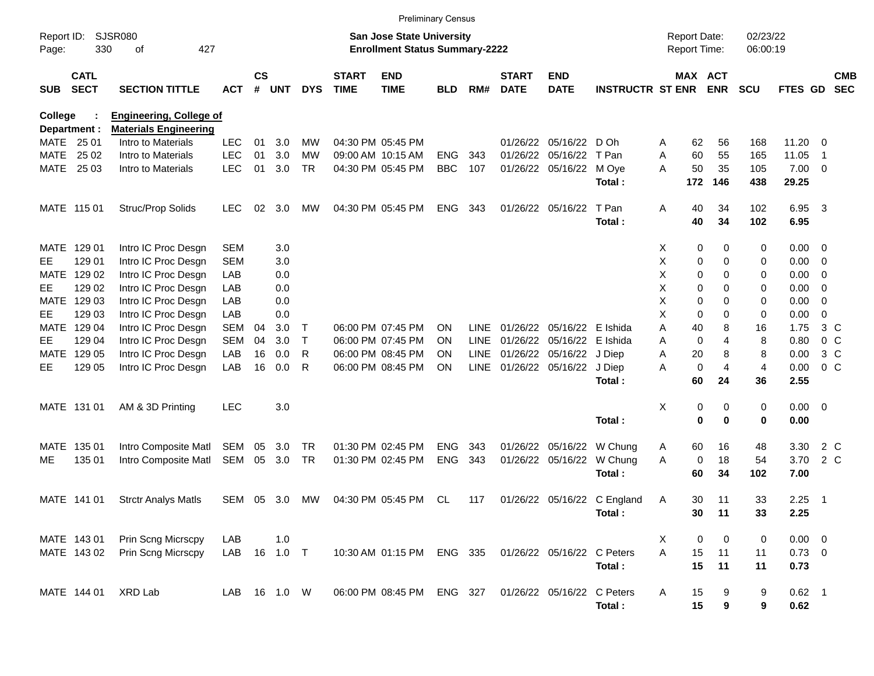|                     |                            |                                |              |               |            |            |                             | <b>Preliminary Census</b>                                                 |            |             |                             |                            |                             |   |                                     |            |                      |                      |                          |                          |
|---------------------|----------------------------|--------------------------------|--------------|---------------|------------|------------|-----------------------------|---------------------------------------------------------------------------|------------|-------------|-----------------------------|----------------------------|-----------------------------|---|-------------------------------------|------------|----------------------|----------------------|--------------------------|--------------------------|
| Report ID:<br>Page: | 330                        | <b>SJSR080</b><br>of<br>427    |              |               |            |            |                             | <b>San Jose State University</b><br><b>Enrollment Status Summary-2222</b> |            |             |                             |                            |                             |   | <b>Report Date:</b><br>Report Time: |            | 02/23/22<br>06:00:19 |                      |                          |                          |
| <b>SUB</b>          | <b>CATL</b><br><b>SECT</b> | <b>SECTION TITTLE</b>          | <b>ACT</b>   | $\mathsf{cs}$ | # UNT      | <b>DYS</b> | <b>START</b><br><b>TIME</b> | <b>END</b><br><b>TIME</b>                                                 | <b>BLD</b> | RM#         | <b>START</b><br><b>DATE</b> | <b>END</b><br><b>DATE</b>  | <b>INSTRUCTR ST ENR</b>     |   | MAX ACT                             | <b>ENR</b> | <b>SCU</b>           | <b>FTES GD</b>       |                          | <b>CMB</b><br><b>SEC</b> |
| <b>College</b>      |                            | <b>Engineering, College of</b> |              |               |            |            |                             |                                                                           |            |             |                             |                            |                             |   |                                     |            |                      |                      |                          |                          |
|                     | Department :               | <b>Materials Engineering</b>   |              |               |            |            |                             |                                                                           |            |             |                             |                            |                             |   |                                     |            |                      |                      |                          |                          |
|                     | MATE 25 01                 | Intro to Materials             | <b>LEC</b>   | 01            | 3.0        | MW         |                             | 04:30 PM 05:45 PM                                                         |            |             |                             | 01/26/22 05/16/22 D Oh     |                             | Α | 62                                  | 56         | 168                  | 11.20                | - 0                      |                          |
| MATE                | 25 02                      | Intro to Materials             | <b>LEC</b>   | 01            | 3.0        | <b>MW</b>  |                             | 09:00 AM 10:15 AM                                                         | <b>ENG</b> | 343         |                             | 01/26/22 05/16/22 T Pan    |                             | A | 60                                  | 55         | 165                  | 11.05                | $\overline{1}$           |                          |
|                     | MATE 25 03                 | Intro to Materials             | <b>LEC</b>   | 01            | 3.0        | <b>TR</b>  |                             | 04:30 PM 05:45 PM                                                         | <b>BBC</b> | 107         |                             | 01/26/22 05/16/22 M Oye    | Total:                      | Α | 50<br>172                           | 35<br>146  | 105<br>438           | $7.00 \t 0$<br>29.25 |                          |                          |
|                     | MATE 115 01                | Struc/Prop Solids              | <b>LEC</b>   | 02            | 3.0        | МW         |                             | 04:30 PM 05:45 PM                                                         | <b>ENG</b> | 343         |                             | 01/26/22 05/16/22          | T Pan                       | Α | 40                                  | 34         | 102                  | 6.95                 | $\overline{\mathbf{3}}$  |                          |
|                     |                            |                                |              |               |            |            |                             |                                                                           |            |             |                             |                            | Total:                      |   | 40                                  | 34         | 102                  | 6.95                 |                          |                          |
|                     | MATE 129 01                | Intro IC Proc Desgn            | <b>SEM</b>   |               | 3.0        |            |                             |                                                                           |            |             |                             |                            |                             | X | 0                                   | 0          | 0                    | $0.00 \t 0$          |                          |                          |
| EE.                 | 129 01                     | Intro IC Proc Desgn            | <b>SEM</b>   |               | 3.0        |            |                             |                                                                           |            |             |                             |                            |                             | х | 0                                   | 0          | 0                    | $0.00 \t 0$          |                          |                          |
| MATE                | 129 02                     | Intro IC Proc Desgn            | LAB          |               | 0.0        |            |                             |                                                                           |            |             |                             |                            |                             | х | 0                                   | 0          | 0                    | 0.00                 | $\overline{\phantom{0}}$ |                          |
| EE.                 | 129 02                     | Intro IC Proc Desgn            | LAB          |               | 0.0        |            |                             |                                                                           |            |             |                             |                            |                             | Χ | 0                                   | 0          | 0                    | 0.00                 | $\overline{\phantom{0}}$ |                          |
|                     | MATE 129 03                | Intro IC Proc Desgn            | LAB          |               | 0.0        |            |                             |                                                                           |            |             |                             |                            |                             | х | 0                                   | $\Omega$   | 0                    | 0.00                 | 0                        |                          |
| EE.                 | 129 03                     | Intro IC Proc Desgn            | LAB          |               | 0.0        |            |                             |                                                                           |            |             |                             |                            |                             | X | $\mathbf 0$                         | 0          | 0                    | 0.00                 | $\mathbf 0$              |                          |
|                     | MATE 129 04                | Intro IC Proc Desgn            | <b>SEM</b>   | 04            | 3.0        | Т          |                             | 06:00 PM 07:45 PM                                                         | ON         | <b>LINE</b> |                             | 01/26/22 05/16/22 E Ishida |                             | Α | 40                                  | 8          | 16                   | 1.75                 | $3\,C$                   |                          |
| EE.                 | 129 04                     | Intro IC Proc Desgn            | <b>SEM</b>   | 04            | 3.0        | $\top$     |                             | 06:00 PM 07:45 PM                                                         | ΟN         | <b>LINE</b> |                             | 01/26/22 05/16/22 E Ishida |                             | Α | $\mathbf 0$                         | 4          | 8                    | 0.80                 | 0 <sup>o</sup>           |                          |
| MATE                | 129 05                     | Intro IC Proc Desgn            | LAB          | 16            | 0.0        | R          |                             | 06:00 PM 08:45 PM                                                         | OΝ         | LINE        |                             | 01/26/22 05/16/22 J Diep   |                             | Α | 20                                  | 8          | 8                    | 0.00                 | 3 C                      |                          |
| EE.                 | 129 05                     | Intro IC Proc Desgn            | LAB          | 16            | 0.0        | R          |                             | 06:00 PM 08:45 PM                                                         | ON         | LINE        |                             | 01/26/22 05/16/22 J Diep   |                             | Α | $\mathbf 0$                         | 4          | $\overline{4}$       | 0.00                 | 0 <sup>o</sup>           |                          |
|                     |                            |                                |              |               |            |            |                             |                                                                           |            |             |                             |                            | Total:                      |   | 60                                  | 24         | 36                   | 2.55                 |                          |                          |
|                     | MATE 131 01                | AM & 3D Printing               | <b>LEC</b>   |               | 3.0        |            |                             |                                                                           |            |             |                             |                            |                             | Χ | 0                                   | 0          | 0                    | $0.00 \t 0$          |                          |                          |
|                     |                            |                                |              |               |            |            |                             |                                                                           |            |             |                             |                            | Total:                      |   | 0                                   | $\bf{0}$   | 0                    | 0.00                 |                          |                          |
|                     | MATE 135 01                | Intro Composite Matl           | SEM          | 05            | 3.0        | TR         |                             | 01:30 PM 02:45 PM                                                         | <b>ENG</b> | 343         |                             |                            | 01/26/22 05/16/22 W Chung   | Α | 60                                  | 16         | 48                   | 3.30                 | 2 C                      |                          |
| MЕ                  | 135 01                     | Intro Composite Matl           | SEM          | 05            | 3.0        | <b>TR</b>  |                             | 01:30 PM 02:45 PM                                                         | <b>ENG</b> | 343         |                             | 01/26/22 05/16/22          | W Chung                     | A | 0                                   | 18         | 54                   | 3.70                 | 2 C                      |                          |
|                     |                            |                                |              |               |            |            |                             |                                                                           |            |             |                             |                            | Total:                      |   | 60                                  | 34         | 102                  | 7.00                 |                          |                          |
|                     | MATE 141 01                | <b>Strctr Analys Matls</b>     | SEM          | 05            | 3.0        | МW         |                             | 04:30 PM 05:45 PM                                                         | CL         | 117         |                             |                            | 01/26/22 05/16/22 C England | A | 30                                  | 11         | 33                   | 2.25                 | $\overline{\phantom{1}}$ |                          |
|                     |                            |                                |              |               |            |            |                             |                                                                           |            |             |                             |                            | Total:                      |   | 30                                  | $-11$      | 33                   | 2.25                 |                          |                          |
|                     | MATE 143 01                | Prin Scng Micrscpy             | LAB          |               | 1.0        |            |                             |                                                                           |            |             |                             |                            |                             | X | 0                                   | 0          | 0                    | $0.00 \t 0$          |                          |                          |
|                     | MATE 143 02                | Prin Scng Micrscpy             | LAB 16 1.0 T |               |            |            |                             | 10:30 AM 01:15 PM ENG 335                                                 |            |             |                             | 01/26/22 05/16/22 C Peters |                             | A | 15                                  | 11         | 11                   | $0.73 \ 0$           |                          |                          |
|                     |                            |                                |              |               |            |            |                             |                                                                           |            |             |                             |                            | Total:                      |   | 15                                  | 11         | 11                   | 0.73                 |                          |                          |
|                     | MATE 144 01                | XRD Lab                        | LAB          |               | 16  1.0  W |            |                             | 06:00 PM 08:45 PM ENG 327                                                 |            |             |                             | 01/26/22 05/16/22 C Peters |                             | A | 15                                  | 9          | 9                    | $0.62$ 1             |                          |                          |
|                     |                            |                                |              |               |            |            |                             |                                                                           |            |             |                             |                            | Total:                      |   | 15                                  | 9          | 9                    | 0.62                 |                          |                          |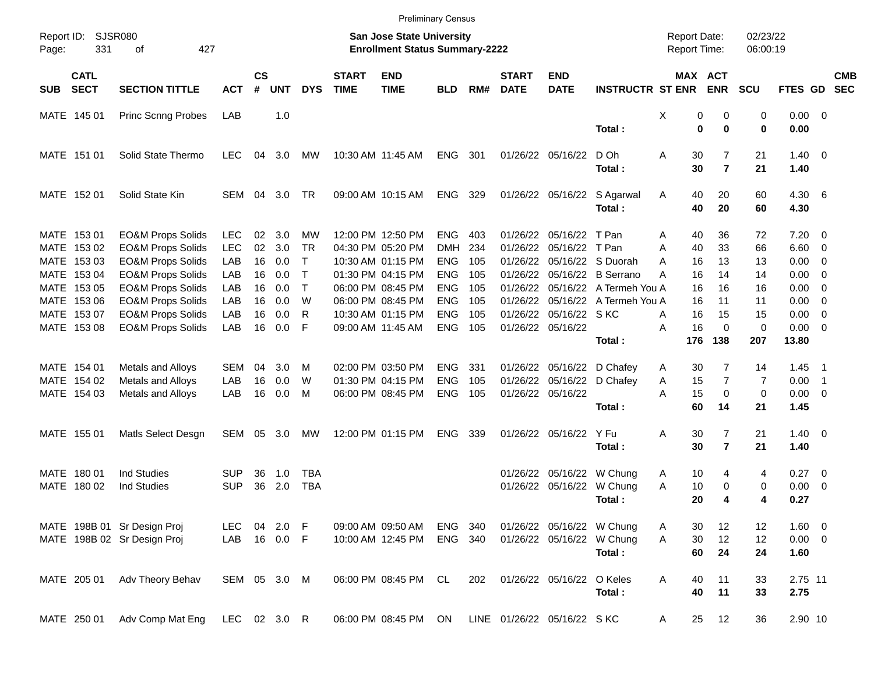|                                          |                              |              |                |            |              |                             | <b>Preliminary Census</b>                                                 |            |     |                             |                            |                            |                                     |                       |                      |                |                          |                          |
|------------------------------------------|------------------------------|--------------|----------------|------------|--------------|-----------------------------|---------------------------------------------------------------------------|------------|-----|-----------------------------|----------------------------|----------------------------|-------------------------------------|-----------------------|----------------------|----------------|--------------------------|--------------------------|
| Report ID:<br>331<br>Page:               | SJSR080<br>427<br>οf         |              |                |            |              |                             | <b>San Jose State University</b><br><b>Enrollment Status Summary-2222</b> |            |     |                             |                            |                            | <b>Report Date:</b><br>Report Time: |                       | 02/23/22<br>06:00:19 |                |                          |                          |
| <b>CATL</b><br><b>SECT</b><br><b>SUB</b> | <b>SECTION TITTLE</b>        | <b>ACT</b>   | <b>CS</b><br># | <b>UNT</b> | <b>DYS</b>   | <b>START</b><br><b>TIME</b> | <b>END</b><br><b>TIME</b>                                                 | <b>BLD</b> | RM# | <b>START</b><br><b>DATE</b> | <b>END</b><br><b>DATE</b>  | <b>INSTRUCTR ST ENR</b>    |                                     | MAX ACT<br><b>ENR</b> | <b>SCU</b>           | <b>FTES GD</b> |                          | <b>CMB</b><br><b>SEC</b> |
| MATE 145 01                              | <b>Princ Scnng Probes</b>    | LAB          |                | 1.0        |              |                             |                                                                           |            |     |                             |                            |                            | х                                   | 0<br>0                | 0                    | $0.00 \t 0$    |                          |                          |
|                                          |                              |              |                |            |              |                             |                                                                           |            |     |                             |                            | Total:                     |                                     | 0<br>0                | 0                    | 0.00           |                          |                          |
| MATE 151 01                              | Solid State Thermo           | <b>LEC</b>   | 04             | 3.0        | МW           |                             | 10:30 AM 11:45 AM                                                         | <b>ENG</b> | 301 |                             | 01/26/22 05/16/22          | D Oh                       | Α<br>30                             | $\overline{7}$        | 21                   | $1.40 \ 0$     |                          |                          |
|                                          |                              |              |                |            |              |                             |                                                                           |            |     |                             |                            | Total:                     | 30                                  | $\overline{7}$        | 21                   | 1.40           |                          |                          |
| MATE 152 01                              | Solid State Kin              | SEM          | 04             | 3.0        | TR           |                             | 09:00 AM 10:15 AM                                                         | <b>ENG</b> | 329 |                             | 01/26/22 05/16/22          | S Agarwal                  | 40<br>A                             | 20                    | 60                   | 4.30 6         |                          |                          |
|                                          |                              |              |                |            |              |                             |                                                                           |            |     |                             |                            | Total:                     | 40                                  | 20                    | 60                   | 4.30           |                          |                          |
| MATE 153 01                              | <b>EO&amp;M Props Solids</b> | <b>LEC</b>   | 02             | 3.0        | МW           |                             | 12:00 PM 12:50 PM                                                         | <b>ENG</b> | 403 | 01/26/22                    | 05/16/22 T Pan             |                            | 40<br>Α                             | 36                    | 72                   | $7.20 \ 0$     |                          |                          |
| MATE 153 02                              | <b>EO&amp;M Props Solids</b> | <b>LEC</b>   | 02             | 3.0        | <b>TR</b>    |                             | 04:30 PM 05:20 PM                                                         | <b>DMH</b> | 234 | 01/26/22                    | 05/16/22 T Pan             |                            | 40<br>A                             | 33                    | 66                   | $6.60$ 0       |                          |                          |
| MATE 153 03                              | <b>EO&amp;M Props Solids</b> | LAB          | 16             | 0.0        | $\top$       |                             | 10:30 AM 01:15 PM                                                         | <b>ENG</b> | 105 | 01/26/22                    |                            | 05/16/22 S Duorah          | 16<br>A                             | 13                    | 13                   | 0.00           | $\overline{\phantom{0}}$ |                          |
| MATE 153 04                              | <b>EO&amp;M Props Solids</b> | LAB          | 16             | 0.0        | $\mathsf{T}$ |                             | 01:30 PM 04:15 PM                                                         | <b>ENG</b> | 105 | 01/26/22                    |                            | 05/16/22 B Serrano         | Α<br>16                             | 14                    | 14                   | 0.00           | $\overline{\phantom{0}}$ |                          |
| MATE 153 05                              | <b>EO&amp;M Props Solids</b> | LAB          | 16             | 0.0        | $\top$       |                             | 06:00 PM 08:45 PM                                                         | <b>ENG</b> | 105 | 01/26/22                    |                            | 05/16/22 A Termeh You A    | 16                                  | 16                    | 16                   | 0.00           | $\overline{\phantom{0}}$ |                          |
| MATE 153 06                              | <b>EO&amp;M Props Solids</b> | LAB          | 16             | 0.0        | W            |                             | 06:00 PM 08:45 PM                                                         | <b>ENG</b> | 105 | 01/26/22                    |                            | 05/16/22 A Termeh You A    | 16                                  | 11                    | 11                   | 0.00           | $\overline{\phantom{0}}$ |                          |
| MATE 153 07                              | <b>EO&amp;M Props Solids</b> | LAB          | 16             | 0.0        | R            |                             | 10:30 AM 01:15 PM                                                         | <b>ENG</b> | 105 | 01/26/22                    | 05/16/22 SKC               |                            | 16<br>A                             | 15                    | 15                   | 0.00           | $\overline{\phantom{0}}$ |                          |
| MATE 153 08                              | <b>EO&amp;M Props Solids</b> | LAB          | 16             | 0.0        | F            |                             | 09:00 AM 11:45 AM                                                         | <b>ENG</b> | 105 |                             | 01/26/22 05/16/22          |                            | 16<br>Α                             | 0                     | $\mathbf 0$          | $0.00 \t 0$    |                          |                          |
|                                          |                              |              |                |            |              |                             |                                                                           |            |     |                             |                            | Total:                     | 176                                 | 138                   | 207                  | 13.80          |                          |                          |
| MATE 154 01                              | Metals and Alloys            | <b>SEM</b>   | 04             | 3.0        | M            |                             | 02:00 PM 03:50 PM                                                         | <b>ENG</b> | 331 |                             |                            | 01/26/22 05/16/22 D Chafey | 30<br>A                             | 7                     | 14                   | 1.45           | $\blacksquare$ 1         |                          |
| MATE 154 02                              | Metals and Alloys            | LAB          | 16             | 0.0        | W            |                             | 01:30 PM 04:15 PM                                                         | <b>ENG</b> | 105 | 01/26/22                    |                            | 05/16/22 D Chafey          | 15<br>Α                             | $\overline{7}$        | 7                    | 0.00           | $\overline{\phantom{1}}$ |                          |
| MATE 154 03                              | Metals and Alloys            | LAB          | 16             | 0.0        | M            |                             | 06:00 PM 08:45 PM                                                         | <b>ENG</b> | 105 |                             | 01/26/22 05/16/22          |                            | A<br>15                             | 0                     | 0                    | $0.00 \t 0$    |                          |                          |
|                                          |                              |              |                |            |              |                             |                                                                           |            |     |                             |                            | Total:                     | 60                                  | 14                    | 21                   | 1.45           |                          |                          |
| MATE 155 01                              | Matls Select Desgn           | SEM          |                | 05 3.0     | МW           |                             | 12:00 PM 01:15 PM                                                         | <b>ENG</b> | 339 |                             | 01/26/22 05/16/22 Y Fu     |                            | Α<br>30                             | $\overline{7}$        | 21                   | $1.40 \ 0$     |                          |                          |
|                                          |                              |              |                |            |              |                             |                                                                           |            |     |                             |                            | Total:                     | 30                                  | $\overline{7}$        | 21                   | 1.40           |                          |                          |
| MATE 180 01                              | <b>Ind Studies</b>           | SUP          | 36             | 1.0        | TBA          |                             |                                                                           |            |     |                             | 01/26/22 05/16/22 W Chung  |                            | 10<br>A                             | 4                     | 4                    | $0.27$ 0       |                          |                          |
| MATE 180 02                              | <b>Ind Studies</b>           | <b>SUP</b>   | 36             | 2.0        | <b>TBA</b>   |                             |                                                                           |            |     |                             | 01/26/22 05/16/22 W Chung  |                            | Α<br>10                             | 0                     | 0                    | 0.00           | $\overline{\phantom{0}}$ |                          |
|                                          |                              |              |                |            |              |                             |                                                                           |            |     |                             |                            | Total:                     | 20                                  | 4                     | 4                    | 0.27           |                          |                          |
|                                          | MATE 198B 01 Sr Design Proj  | LEC.         |                | 04 2.0 F   |              |                             | 09:00 AM 09:50 AM                                                         | ENG 340    |     |                             | 01/26/22 05/16/22 W Chung  |                            | 30<br>A                             | 12                    | 12                   | 1.60 0         |                          |                          |
|                                          | MATE 198B 02 Sr Design Proj  | LAB          |                | 16  0.0  F |              |                             | 10:00 AM 12:45 PM                                                         | ENG 340    |     |                             |                            | 01/26/22 05/16/22 W Chung  | A<br>30                             | 12                    | 12                   | $0.00 \t 0$    |                          |                          |
|                                          |                              |              |                |            |              |                             |                                                                           |            |     |                             |                            | Total:                     | 60                                  | 24                    | 24                   | 1.60           |                          |                          |
| MATE 205 01                              | Adv Theory Behav             | SEM 05 3.0 M |                |            |              |                             | 06:00 PM 08:45 PM CL                                                      |            | 202 |                             | 01/26/22 05/16/22 O Keles  |                            | 40<br>Α                             | 11                    | 33                   | 2.75 11        |                          |                          |
|                                          |                              |              |                |            |              |                             |                                                                           |            |     |                             |                            | Total:                     | 40                                  | 11                    | 33                   | 2.75           |                          |                          |
| MATE 250 01                              | Adv Comp Mat Eng             | LEC 02 3.0 R |                |            |              |                             | 06:00 PM 08:45 PM ON                                                      |            |     |                             | LINE 01/26/22 05/16/22 SKC |                            | 25<br>A                             | 12                    | 36                   | 2.90 10        |                          |                          |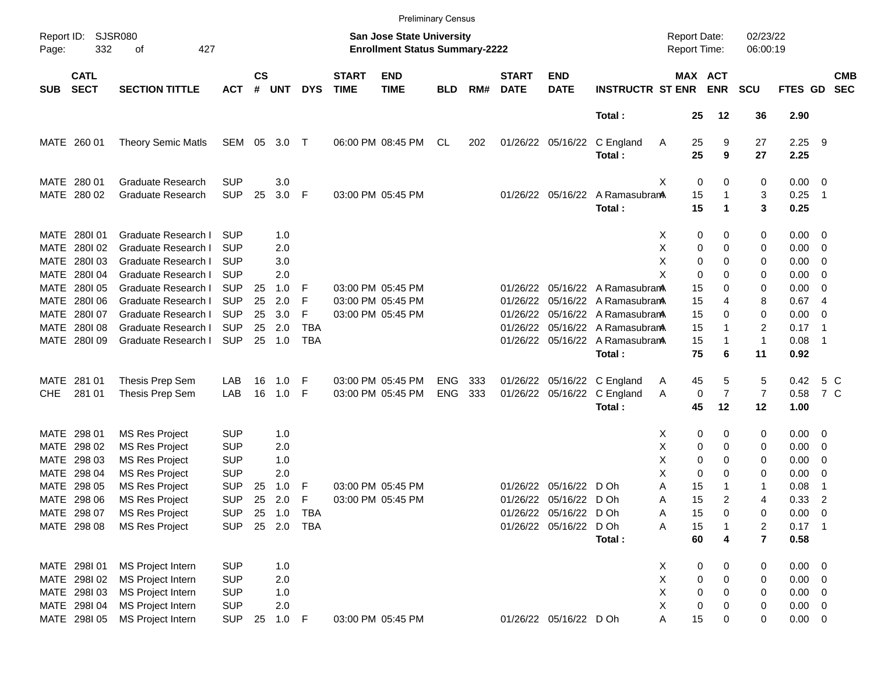|                     |                            |                             |            |                    |            |            |                             |                                                                           | <b>Preliminary Census</b> |     |                             |                           |                                 |                                     |                       |                      |              |                          |                          |
|---------------------|----------------------------|-----------------------------|------------|--------------------|------------|------------|-----------------------------|---------------------------------------------------------------------------|---------------------------|-----|-----------------------------|---------------------------|---------------------------------|-------------------------------------|-----------------------|----------------------|--------------|--------------------------|--------------------------|
| Report ID:<br>Page: | 332                        | <b>SJSR080</b><br>427<br>οf |            |                    |            |            |                             | <b>San Jose State University</b><br><b>Enrollment Status Summary-2222</b> |                           |     |                             |                           |                                 | <b>Report Date:</b><br>Report Time: |                       | 02/23/22<br>06:00:19 |              |                          |                          |
| <b>SUB</b>          | <b>CATL</b><br><b>SECT</b> | <b>SECTION TITTLE</b>       | <b>ACT</b> | $\mathsf{cs}$<br># | <b>UNT</b> | <b>DYS</b> | <b>START</b><br><b>TIME</b> | <b>END</b><br><b>TIME</b>                                                 | <b>BLD</b>                | RM# | <b>START</b><br><b>DATE</b> | <b>END</b><br><b>DATE</b> | <b>INSTRUCTR ST ENR</b>         |                                     | MAX ACT<br><b>ENR</b> | <b>SCU</b>           | FTES GD      |                          | <b>CMB</b><br><b>SEC</b> |
|                     |                            |                             |            |                    |            |            |                             |                                                                           |                           |     |                             |                           | Total:                          |                                     | 25<br>12              | 36                   | 2.90         |                          |                          |
|                     | MATE 260 01                | Theory Semic Matls          | SEM 05     |                    | 3.0        | $\top$     |                             | 06:00 PM 08:45 PM                                                         | CL                        | 202 |                             | 01/26/22 05/16/22         | C England<br>Total:             | A                                   | 25<br>9<br>25<br>9    | 27<br>27             | 2.25<br>2.25 | - 9                      |                          |
|                     |                            |                             |            |                    |            |            |                             |                                                                           |                           |     |                             |                           |                                 |                                     |                       |                      |              |                          |                          |
|                     | MATE 280 01                | <b>Graduate Research</b>    | <b>SUP</b> |                    | 3.0        |            |                             |                                                                           |                           |     |                             |                           |                                 | х                                   | 0<br>0                | 0                    | $0.00 \t 0$  |                          |                          |
|                     | MATE 280 02                | <b>Graduate Research</b>    | <b>SUP</b> | 25                 | 3.0        | F          |                             | 03:00 PM 05:45 PM                                                         |                           |     |                             | 01/26/22 05/16/22         | A RamasubranA                   |                                     | 15<br>1               | 3                    | 0.25         | - 1                      |                          |
|                     |                            |                             |            |                    |            |            |                             |                                                                           |                           |     |                             |                           | Total:                          |                                     | 15<br>1               | 3                    | 0.25         |                          |                          |
|                     | MATE 2801 01               | Graduate Research I         | <b>SUP</b> |                    | 1.0        |            |                             |                                                                           |                           |     |                             |                           |                                 | X                                   | 0<br>0                | 0                    | $0.00 \t 0$  |                          |                          |
| MATE                | 280102                     | Graduate Research I         | <b>SUP</b> |                    | 2.0        |            |                             |                                                                           |                           |     |                             |                           |                                 | х                                   | 0<br>0                | 0                    | 0.00         | $\overline{\phantom{0}}$ |                          |
|                     | MATE 280103                | Graduate Research I         | <b>SUP</b> |                    | 3.0        |            |                             |                                                                           |                           |     |                             |                           |                                 | х                                   | 0<br>0                | 0                    | 0.00         | $\overline{\phantom{0}}$ |                          |
|                     | MATE 2801 04               | Graduate Research I         | <b>SUP</b> |                    | 2.0        |            |                             |                                                                           |                           |     |                             |                           |                                 | X                                   | $\mathbf 0$<br>0      | 0                    | 0.00         | $\overline{\phantom{0}}$ |                          |
|                     | MATE 2801 05               | Graduate Research I         | <b>SUP</b> | 25                 | 1.0        | F          |                             | 03:00 PM 05:45 PM                                                         |                           |     |                             |                           | 01/26/22 05/16/22 A Ramasubram  |                                     | 15<br>0               | 0                    | 0.00         | - 0                      |                          |
|                     | MATE 2801 06               | Graduate Research I         | <b>SUP</b> | 25                 | 2.0        | F          |                             | 03:00 PM 05:45 PM                                                         |                           |     | 01/26/22                    |                           | 05/16/22 A Ramasubran           |                                     | 15<br>4               | 8                    | 0.674        |                          |                          |
|                     | MATE 2801 07               | Graduate Research I         | <b>SUP</b> | 25                 | 3.0        | F          |                             | 03:00 PM 05:45 PM                                                         |                           |     |                             |                           | 01/26/22 05/16/22 A RamasubranA |                                     | 15<br>$\Omega$        | 0                    | 0.00         | $\overline{\mathbf{0}}$  |                          |
|                     | MATE 2801 08               | Graduate Research I         | <b>SUP</b> | 25                 | 2.0        | <b>TBA</b> |                             |                                                                           |                           |     |                             |                           | 01/26/22 05/16/22 A Ramasubrana |                                     | 15<br>1               | 2                    | 0.17         | $\overline{\phantom{1}}$ |                          |
|                     | MATE 2801 09               | Graduate Research I         | <b>SUP</b> | 25                 | 1.0        | <b>TBA</b> |                             |                                                                           |                           |     |                             |                           | 01/26/22 05/16/22 A Ramasubrana |                                     | 15<br>1               | $\mathbf{1}$         | 0.08         | -1                       |                          |
|                     |                            |                             |            |                    |            |            |                             |                                                                           |                           |     |                             |                           | Total:                          |                                     | 75<br>6               | 11                   | 0.92         |                          |                          |
|                     | MATE 281 01                | Thesis Prep Sem             | LAB        | 16                 | 1.0        | F          |                             | 03:00 PM 05:45 PM                                                         | <b>ENG</b>                | 333 |                             |                           | 01/26/22 05/16/22 C England     | Α                                   | 45<br>5               | 5                    | 0.42         | 5 C                      |                          |
| <b>CHE</b>          | 281 01                     | Thesis Prep Sem             | LAB        | 16                 | 1.0        | F          |                             | 03:00 PM 05:45 PM                                                         | <b>ENG</b>                | 333 |                             |                           | 01/26/22 05/16/22 C England     | Α                                   | $\overline{7}$<br>0   | $\overline{7}$       | 0.58         | 7 C                      |                          |
|                     |                            |                             |            |                    |            |            |                             |                                                                           |                           |     |                             |                           | Total:                          |                                     | 45<br>12              | 12                   | 1.00         |                          |                          |
|                     | MATE 298 01                | <b>MS Res Project</b>       | <b>SUP</b> |                    | 1.0        |            |                             |                                                                           |                           |     |                             |                           |                                 | X                                   | 0<br>0                | 0                    | $0.00 \t 0$  |                          |                          |
|                     | MATE 298 02                | <b>MS Res Project</b>       | <b>SUP</b> |                    | 2.0        |            |                             |                                                                           |                           |     |                             |                           |                                 | х                                   | 0<br>0                | 0                    | 0.00         | $\overline{\phantom{0}}$ |                          |
|                     | MATE 298 03                | <b>MS Res Project</b>       | <b>SUP</b> |                    | 1.0        |            |                             |                                                                           |                           |     |                             |                           |                                 | х                                   | 0<br>0                | 0                    | 0.00         | $\overline{\mathbf{0}}$  |                          |
|                     | MATE 298 04                | <b>MS Res Project</b>       | <b>SUP</b> |                    | 2.0        |            |                             |                                                                           |                           |     |                             |                           |                                 | х                                   | $\mathbf 0$<br>0      | 0                    | 0.00         | $\overline{\mathbf{0}}$  |                          |
|                     | MATE 298 05                | <b>MS Res Project</b>       | <b>SUP</b> | 25                 | 1.0        | F          |                             | 03:00 PM 05:45 PM                                                         |                           |     | 01/26/22                    | 05/16/22                  | D Oh                            | Α                                   | 15<br>1               | 1                    | 0.08         | -1                       |                          |
|                     | MATE 298 06                | <b>MS Res Project</b>       | <b>SUP</b> | 25                 | 2.0        | F          |                             | 03:00 PM 05:45 PM                                                         |                           |     |                             | 01/26/22 05/16/22 D Oh    |                                 | Α                                   | 15<br>2               | 4                    | 0.33         | $\overline{c}$           |                          |
|                     | MATE 298 07                | <b>MS Res Project</b>       | <b>SUP</b> |                    | 25 1.0     | TBA        |                             |                                                                           |                           |     |                             | 01/26/22 05/16/22 D Oh    |                                 | Α                                   | 15<br>0               | 0                    | $0.00 \t 0$  |                          |                          |
|                     | MATE 298 08                | <b>MS Res Project</b>       | <b>SUP</b> |                    | 25 2.0     | TBA        |                             |                                                                           |                           |     |                             | 01/26/22 05/16/22 D Oh    |                                 | Α                                   | 15                    | 2                    | $0.17$ 1     |                          |                          |
|                     |                            |                             |            |                    |            |            |                             |                                                                           |                           |     |                             |                           | Total:                          |                                     | 60<br>4               | $\overline{7}$       | 0.58         |                          |                          |
|                     | MATE 298101                | <b>MS Project Intern</b>    | <b>SUP</b> |                    | 1.0        |            |                             |                                                                           |                           |     |                             |                           |                                 | X                                   | 0<br>0                | 0                    | $0.00 \t 0$  |                          |                          |
|                     | MATE 2981 02               | <b>MS Project Intern</b>    | <b>SUP</b> |                    | 2.0        |            |                             |                                                                           |                           |     |                             |                           |                                 | Χ                                   | 0<br>0                | 0                    | $0.00 \t 0$  |                          |                          |
|                     | MATE 298103                | <b>MS Project Intern</b>    | <b>SUP</b> |                    | 1.0        |            |                             |                                                                           |                           |     |                             |                           |                                 | Χ                                   | 0<br>0                | 0                    | $0.00 \t 0$  |                          |                          |
|                     | MATE 298I 04               | <b>MS Project Intern</b>    | <b>SUP</b> |                    | 2.0        |            |                             |                                                                           |                           |     |                             |                           |                                 | х                                   | 0<br>0                | 0                    | $0.00 \t 0$  |                          |                          |
|                     | MATE 2981 05               | MS Project Intern           | <b>SUP</b> | 25                 | 1.0        | -F         |                             | 03:00 PM 05:45 PM                                                         |                           |     |                             | 01/26/22 05/16/22 D Oh    |                                 | Α                                   | 15<br>0               | 0                    | $0.00 \t 0$  |                          |                          |
|                     |                            |                             |            |                    |            |            |                             |                                                                           |                           |     |                             |                           |                                 |                                     |                       |                      |              |                          |                          |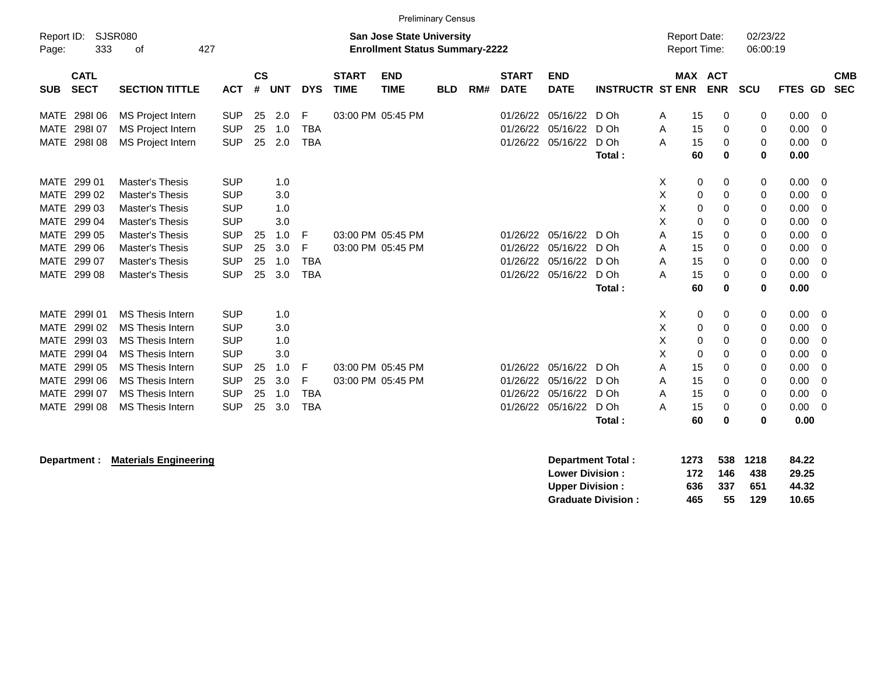|             | <b>Preliminary Census</b> |                                                    |            |               |            |            |              |                                       |            |     |              |                   |                         |   |                     |          |             |         |             |
|-------------|---------------------------|----------------------------------------------------|------------|---------------|------------|------------|--------------|---------------------------------------|------------|-----|--------------|-------------------|-------------------------|---|---------------------|----------|-------------|---------|-------------|
| Report ID:  |                           | <b>SJSR080</b><br><b>San Jose State University</b> |            |               |            |            |              |                                       |            |     |              |                   |                         |   | <b>Report Date:</b> |          | 02/23/22    |         |             |
| Page:       | 333                       | 427<br>οf                                          |            |               |            |            |              | <b>Enrollment Status Summary-2222</b> |            |     |              |                   |                         |   | <b>Report Time:</b> |          | 06:00:19    |         |             |
|             |                           |                                                    |            |               |            |            |              |                                       |            |     |              |                   |                         |   |                     |          |             |         |             |
|             | <b>CATL</b>               |                                                    |            | $\mathsf{cs}$ |            |            | <b>START</b> | <b>END</b>                            |            |     | <b>START</b> | <b>END</b>        |                         |   | MAX ACT             |          |             |         | <b>CMB</b>  |
| <b>SUB</b>  | <b>SECT</b>               | <b>SECTION TITTLE</b>                              | <b>ACT</b> | #             | <b>UNT</b> | <b>DYS</b> | <b>TIME</b>  | <b>TIME</b>                           | <b>BLD</b> | RM# | <b>DATE</b>  | <b>DATE</b>       | <b>INSTRUCTR ST ENR</b> |   | <b>ENR</b>          |          | SCU         | FTES GD | <b>SEC</b>  |
| MATE        | 298106                    | MS Project Intern                                  | <b>SUP</b> | 25            | 2.0        | F          |              | 03:00 PM 05:45 PM                     |            |     | 01/26/22     | 05/16/22          | D Oh                    | Α | 15                  | 0        | 0           | 0.00    | 0           |
| MATE        | 298107                    | <b>MS Project Intern</b>                           | <b>SUP</b> | 25            | 1.0        | <b>TBA</b> |              |                                       |            |     | 01/26/22     | 05/16/22          | D Oh                    | A | 15                  | 0        | 0           | 0.00    | $\mathbf 0$ |
| <b>MATE</b> | 298108                    | MS Project Intern                                  | <b>SUP</b> | 25            | 2.0        | <b>TBA</b> |              |                                       |            |     | 01/26/22     | 05/16/22          | D Oh                    | A | 15                  | $\Omega$ | $\mathbf 0$ | 0.00    | $\Omega$    |
|             |                           |                                                    |            |               |            |            |              |                                       |            |     |              |                   | Total:                  |   | 60                  | 0        | $\bf{0}$    | 0.00    |             |
|             |                           |                                                    |            |               |            |            |              |                                       |            |     |              |                   |                         |   |                     |          |             |         |             |
| MATE        | 299 01                    | <b>Master's Thesis</b>                             | <b>SUP</b> |               | 1.0        |            |              |                                       |            |     |              |                   |                         | X | 0                   | 0        | 0           | 0.00    | - 0         |
| MATE        | 299 02                    | <b>Master's Thesis</b>                             | <b>SUP</b> |               | 3.0        |            |              |                                       |            |     |              |                   |                         | X | 0                   | 0        | 0           | 0.00    | 0           |
| <b>MATE</b> | 299 03                    | <b>Master's Thesis</b>                             | <b>SUP</b> |               | 1.0        |            |              |                                       |            |     |              |                   |                         | X | $\mathbf 0$         | 0        | 0           | 0.00    | $\mathbf 0$ |
| <b>MATE</b> | 299 04                    | Master's Thesis                                    | <b>SUP</b> |               | 3.0        |            |              |                                       |            |     |              |                   |                         | X | 0                   | 0        | 0           | 0.00    | $\Omega$    |
| <b>MATE</b> | 299 05                    | <b>Master's Thesis</b>                             | <b>SUP</b> | 25            | 1.0        | F          |              | 03:00 PM 05:45 PM                     |            |     | 01/26/22     | 05/16/22          | D Oh                    | A | 15                  | 0        | 0           | 0.00    | 0           |
| <b>MATE</b> | 299 06                    | <b>Master's Thesis</b>                             | <b>SUP</b> | 25            | 3.0        | F          |              | 03:00 PM 05:45 PM                     |            |     | 01/26/22     | 05/16/22          | D Oh                    | Α | 15                  | 0        | 0           | 0.00    | 0           |
| <b>MATE</b> | 299 07                    | <b>Master's Thesis</b>                             | <b>SUP</b> | 25            | 1.0        | <b>TBA</b> |              |                                       |            |     | 01/26/22     | 05/16/22          | D Oh                    | A | 15                  | 0        | $\mathbf 0$ | 0.00    | $\Omega$    |
| MATE        | 299 08                    | <b>Master's Thesis</b>                             | <b>SUP</b> | 25            | 3.0        | <b>TBA</b> |              |                                       |            |     |              | 01/26/22 05/16/22 | D Oh                    | A | 15                  | 0        | 0           | 0.00    | $\Omega$    |
|             |                           |                                                    |            |               |            |            |              |                                       |            |     |              |                   | Total:                  |   | 60                  | $\bf{0}$ | $\bf{0}$    | 0.00    |             |
| <b>MATE</b> | 299101                    | <b>MS Thesis Intern</b>                            | <b>SUP</b> |               | 1.0        |            |              |                                       |            |     |              |                   |                         | X | 0                   | 0        | 0           | 0.00    | 0           |
| <b>MATE</b> | 299102                    | <b>MS Thesis Intern</b>                            | <b>SUP</b> |               | 3.0        |            |              |                                       |            |     |              |                   |                         | х | 0                   | 0        | 0           | 0.00    | $\mathbf 0$ |
| <b>MATE</b> | 299103                    | <b>MS Thesis Intern</b>                            | <b>SUP</b> |               | 1.0        |            |              |                                       |            |     |              |                   |                         | X | 0                   | 0        | 0           | 0.00    | 0           |
| MATE        | 299104                    | <b>MS Thesis Intern</b>                            | <b>SUP</b> |               | 3.0        |            |              |                                       |            |     |              |                   |                         | X | 0                   | 0        | 0           | 0.00    | 0           |
| <b>MATE</b> | 299105                    | <b>MS Thesis Intern</b>                            | <b>SUP</b> | 25            | 1.0        | F          |              | 03:00 PM 05:45 PM                     |            |     | 01/26/22     | 05/16/22          | D Oh                    | A | 15                  | 0        | 0           | 0.00    | $\Omega$    |
| <b>MATE</b> | 299106                    | <b>MS Thesis Intern</b>                            | <b>SUP</b> | 25            | 3.0        | F          |              | 03:00 PM 05:45 PM                     |            |     | 01/26/22     | 05/16/22          | D Oh                    | Α | 15                  | 0        | 0           | 0.00    | 0           |
| MATE        | 299107                    | <b>MS Thesis Intern</b>                            | <b>SUP</b> | 25            | 1.0        | <b>TBA</b> |              |                                       |            |     | 01/26/22     | 05/16/22          | D Oh                    | A | 15                  | $\Omega$ | $\mathbf 0$ | 0.00    | 0           |
| <b>MATE</b> | 299108                    | MS Thesis Intern                                   | <b>SUP</b> | 25            | 3.0        | <b>TBA</b> |              |                                       |            |     | 01/26/22     | 05/16/22          | D Oh                    | A | 15                  | 0        | 0           | 0.00    | 0           |
|             |                           |                                                    |            |               |            |            |              |                                       |            |     |              |                   | Total:                  |   | 60                  | 0        | 0           | 0.00    |             |
|             |                           |                                                    |            |               |            |            |              |                                       |            |     |              |                   |                         |   |                     |          |             |         |             |

## **Department : Materials Engineering**

| <b>Department Total:</b>  | 1273 |     | 538 1218 | 84.22 |
|---------------------------|------|-----|----------|-------|
| <b>Lower Division :</b>   | 172  | 146 | 438      | 29.25 |
| <b>Upper Division :</b>   | 636  | 337 | 651      | 44.32 |
| <b>Graduate Division:</b> | 465  | 55  | 129      | 10.65 |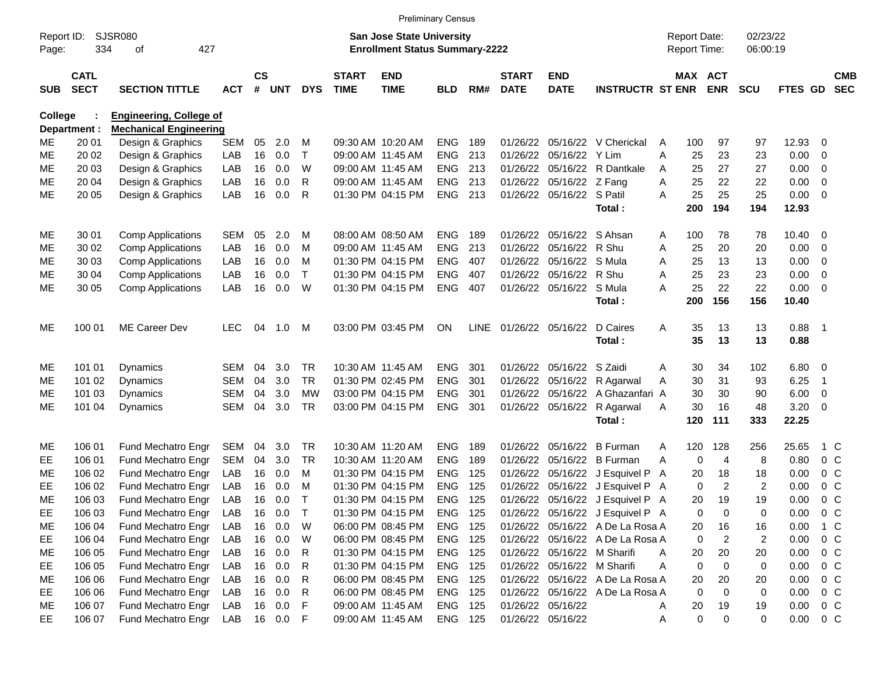|                     |                            |                                |            |                    |            |              |                             | <b>Preliminary Census</b>                                                 |                |     |                             |                             |                                  |   |                                     |                |                      |               |                            |                          |
|---------------------|----------------------------|--------------------------------|------------|--------------------|------------|--------------|-----------------------------|---------------------------------------------------------------------------|----------------|-----|-----------------------------|-----------------------------|----------------------------------|---|-------------------------------------|----------------|----------------------|---------------|----------------------------|--------------------------|
| Report ID:<br>Page: | 334                        | <b>SJSR080</b><br>427<br>οf    |            |                    |            |              |                             | <b>San Jose State University</b><br><b>Enrollment Status Summary-2222</b> |                |     |                             |                             |                                  |   | <b>Report Date:</b><br>Report Time: |                | 02/23/22<br>06:00:19 |               |                            |                          |
| <b>SUB</b>          | <b>CATL</b><br><b>SECT</b> | <b>SECTION TITTLE</b>          | <b>ACT</b> | $\mathsf{cs}$<br># | <b>UNT</b> | <b>DYS</b>   | <b>START</b><br><b>TIME</b> | <b>END</b><br><b>TIME</b>                                                 | <b>BLD</b>     | RM# | <b>START</b><br><b>DATE</b> | <b>END</b><br><b>DATE</b>   | <b>INSTRUCTR ST ENR</b>          |   | MAX ACT                             | <b>ENR</b>     | <b>SCU</b>           | FTES GD       |                            | <b>CMB</b><br><b>SEC</b> |
| College             |                            | <b>Engineering, College of</b> |            |                    |            |              |                             |                                                                           |                |     |                             |                             |                                  |   |                                     |                |                      |               |                            |                          |
|                     | Department :               | <b>Mechanical Engineering</b>  |            |                    |            |              |                             |                                                                           |                |     |                             |                             |                                  |   |                                     |                |                      |               |                            |                          |
| ME                  | 20 01                      | Design & Graphics              | <b>SEM</b> | 05                 | 2.0        | M            |                             | 09:30 AM 10:20 AM                                                         | <b>ENG</b>     | 189 | 01/26/22                    | 05/16/22                    | V Cherickal                      | A | 100                                 | 97             | 97                   | 12.93         | - 0                        |                          |
| <b>ME</b>           | 20 02                      | Design & Graphics              | LAB        | 16                 | 0.0        | T            |                             | 09:00 AM 11:45 AM                                                         | <b>ENG</b>     | 213 | 01/26/22                    | 05/16/22                    | Y Lim                            | A | 25                                  | 23             | 23                   | 0.00          | $\overline{0}$             |                          |
| <b>ME</b>           | 20 03                      | Design & Graphics              | LAB        | 16                 | 0.0        | W            |                             | 09:00 AM 11:45 AM                                                         | ENG            | 213 | 01/26/22                    | 05/16/22                    | R Dantkale                       | A | 25                                  | 27             | 27                   | 0.00          | $\overline{0}$             |                          |
| ME                  | 20 04                      | Design & Graphics              | LAB        | 16                 | 0.0        | R            |                             | 09:00 AM 11:45 AM                                                         | <b>ENG</b>     | 213 | 01/26/22                    | 05/16/22                    | Z Fang                           | A | 25                                  | 22             | 22                   | 0.00          | $\overline{0}$             |                          |
| <b>ME</b>           | 20 05                      | Design & Graphics              | LAB        | 16                 | 0.0        | R            |                             | 01:30 PM 04:15 PM                                                         | ENG            | 213 |                             | 01/26/22 05/16/22 S Patil   |                                  | A | 25                                  | 25             | 25                   | 0.00          | $\overline{\mathbf{0}}$    |                          |
|                     |                            |                                |            |                    |            |              |                             |                                                                           |                |     |                             |                             | Total:                           |   | 200                                 | 194            | 194                  | 12.93         |                            |                          |
| ME                  | 30 01                      | <b>Comp Applications</b>       | <b>SEM</b> | 05                 | 2.0        | м            |                             | 08:00 AM 08:50 AM                                                         | <b>ENG</b>     | 189 | 01/26/22                    | 05/16/22                    | S Ahsan                          | A | 100                                 | 78             | 78                   | 10.40         | $\overline{\mathbf{0}}$    |                          |
| ME                  | 30 02                      | <b>Comp Applications</b>       | LAB        | 16                 | 0.0        | M            |                             | 09:00 AM 11:45 AM                                                         | <b>ENG</b>     | 213 | 01/26/22                    | 05/16/22                    | R Shu                            | A | 25                                  | 20             | 20                   | 0.00          | 0                          |                          |
| ME                  | 30 03                      | <b>Comp Applications</b>       | LAB        | 16                 | 0.0        | м            |                             | 01:30 PM 04:15 PM                                                         | <b>ENG</b>     | 407 | 01/26/22                    | 05/16/22                    | S Mula                           | A | 25                                  | 13             | 13                   | 0.00          | $\overline{0}$             |                          |
| ME                  | 30 04                      | <b>Comp Applications</b>       | LAB        | 16                 | 0.0        | T            |                             | 01:30 PM 04:15 PM                                                         | ENG            | 407 | 01/26/22                    | 05/16/22                    | R Shu                            | Α | 25                                  | 23             | 23                   | 0.00          | $\overline{0}$             |                          |
| <b>ME</b>           | 30 05                      | <b>Comp Applications</b>       | LAB        | 16                 | 0.0        | W            |                             | 01:30 PM 04:15 PM                                                         | <b>ENG</b>     | 407 |                             | 01/26/22 05/16/22           | S Mula                           | A | 25                                  | 22             | 22                   | 0.00          | $\overline{\mathbf{0}}$    |                          |
|                     |                            |                                |            |                    |            |              |                             |                                                                           |                |     |                             |                             | Total:                           |   | 200                                 | 156            | 156                  | 10.40         |                            |                          |
| <b>ME</b>           | 100 01                     | <b>ME Career Dev</b>           | <b>LEC</b> | 04                 | 1.0        | M            |                             | 03:00 PM 03:45 PM                                                         | <b>ON</b>      |     | LINE 01/26/22 05/16/22      |                             | D Caires                         | A | 35                                  | 13             | 13                   | 0.88          | $\overline{\phantom{0}}$ 1 |                          |
|                     |                            |                                |            |                    |            |              |                             |                                                                           |                |     |                             |                             | Total:                           |   | 35                                  | 13             | 13                   | 0.88          |                            |                          |
|                     |                            |                                |            |                    |            |              |                             |                                                                           |                |     |                             |                             |                                  |   |                                     |                |                      |               |                            |                          |
| ME                  | 101 01                     | Dynamics                       | <b>SEM</b> | 04                 | 3.0        | <b>TR</b>    |                             | 10:30 AM 11:45 AM                                                         | <b>ENG</b>     | 301 | 01/26/22                    | 05/16/22                    | S Zaidi                          | A | 30                                  | 34             | 102                  | 6.80          | $\overline{\mathbf{0}}$    |                          |
| ME                  | 101 02                     | Dynamics                       | <b>SEM</b> | 04                 | 3.0        | <b>TR</b>    |                             | 01:30 PM 02:45 PM                                                         | ENG            | 301 | 01/26/22                    | 05/16/22                    | R Agarwal                        | A | 30                                  | 31             | 93                   | 6.25          | $\overline{\phantom{0}}$ 1 |                          |
| ME                  | 101 03                     | Dynamics                       | <b>SEM</b> | 04                 | 3.0        | МW           |                             | 03:00 PM 04:15 PM                                                         | ENG            | 301 | 01/26/22                    | 05/16/22                    | A Ghazanfari A                   |   | 30                                  | 30             | 90                   | 6.00          | $\overline{0}$             |                          |
| ME                  | 101 04                     | Dynamics                       | <b>SEM</b> | 04                 | 3.0        | <b>TR</b>    |                             | 03:00 PM 04:15 PM                                                         | <b>ENG</b>     | 301 | 01/26/22                    | 05/16/22                    | R Agarwal                        | A | 30                                  | 16             | 48                   | 3.20          | $\overline{\mathbf{0}}$    |                          |
|                     |                            |                                |            |                    |            |              |                             |                                                                           |                |     |                             |                             | Total:                           |   | 120                                 | 111            | 333                  | 22.25         |                            |                          |
| ME                  | 106 01                     | Fund Mechatro Engr             | SEM        | 04                 | 3.0        | <b>TR</b>    |                             | 10:30 AM 11:20 AM                                                         | <b>ENG</b>     | 189 | 01/26/22                    | 05/16/22                    | <b>B</b> Furman                  | A | 120                                 | 128            | 256                  | 25.65         | 1 C                        |                          |
| EE                  | 106 01                     | Fund Mechatro Engr             | <b>SEM</b> | 04                 | 3.0        | <b>TR</b>    |                             | 10:30 AM 11:20 AM                                                         | <b>ENG</b>     | 189 | 01/26/22                    | 05/16/22                    | <b>B</b> Furman                  | A | 0                                   | 4              | 8                    | 0.80          | 0 <sup>C</sup>             |                          |
| ME                  | 106 02                     | Fund Mechatro Engr             | LAB        | 16                 | 0.0        | м            |                             | 01:30 PM 04:15 PM                                                         | <b>ENG</b>     | 125 | 01/26/22                    | 05/16/22                    | J Esquivel P A                   |   | 20                                  | 18             | 18                   | 0.00          | 0 <sup>C</sup>             |                          |
| EE                  | 106 02                     | Fund Mechatro Engr             | LAB        | 16                 | 0.0        | M            |                             | 01:30 PM 04:15 PM                                                         | <b>ENG</b>     | 125 | 01/26/22                    | 05/16/22                    | J Esquivel P A                   |   | 0                                   | $\overline{2}$ | $\overline{c}$       | 0.00          | 0 <sup>C</sup>             |                          |
| <b>ME</b>           | 106 03                     | Fund Mechatro Engr             | LAB        | 16                 | 0.0        | $\mathsf{T}$ |                             | 01:30 PM 04:15 PM                                                         | <b>ENG</b>     | 125 |                             | 01/26/22 05/16/22           | J Esquivel P A                   |   | 20                                  | 19             | 19                   | 0.00          | 0 <sup>C</sup>             |                          |
| EE                  | 106 03                     | Fund Mechatro Engr             | LAB        | 16                 | 0.0        | $\mathsf{T}$ |                             | 01:30 PM 04:15 PM                                                         | ENG 125        |     |                             |                             | 01/26/22 05/16/22 J Esquivel P A |   | 0                                   | 0              | 0                    | 0.00          | $0\,C$                     |                          |
| ME                  | 106 04                     | Fund Mechatro Engr             | LAB        |                    | 16 0.0     | W            |                             | 06:00 PM 08:45 PM                                                         | ENG 125        |     |                             |                             | 01/26/22 05/16/22 A De La Rosa A |   | 20                                  | 16             | 16                   | 0.00          | $1\,C$                     |                          |
| EE                  | 106 04                     | Fund Mechatro Engr             | LAB        |                    | 16 0.0     | W            |                             | 06:00 PM 08:45 PM                                                         | <b>ENG 125</b> |     |                             |                             | 01/26/22 05/16/22 A De La Rosa A |   | 0                                   | $\overline{c}$ | $\overline{c}$       | 0.00          | $0\,C$                     |                          |
| ME                  | 106 05                     | Fund Mechatro Engr             | LAB        |                    | 16 0.0     | R            |                             | 01:30 PM 04:15 PM                                                         | <b>ENG 125</b> |     |                             | 01/26/22 05/16/22 M Sharifi |                                  | A | 20                                  | 20             | 20                   | 0.00          | $0\,C$                     |                          |
| EE                  | 106 05                     | Fund Mechatro Engr             | LAB        |                    | 16 0.0     | R            |                             | 01:30 PM 04:15 PM                                                         | ENG 125        |     |                             | 01/26/22 05/16/22 M Sharifi |                                  | Α | 0                                   | $\mathbf 0$    | 0                    | 0.00          | $0\,C$                     |                          |
| ME                  | 106 06                     | Fund Mechatro Engr             | LAB        |                    | 16 0.0     | R            |                             | 06:00 PM 08:45 PM                                                         | ENG 125        |     |                             |                             | 01/26/22 05/16/22 A De La Rosa A |   | 20                                  | 20             | 20                   | 0.00          | $0\,C$                     |                          |
| EE                  | 106 06                     | Fund Mechatro Engr             | LAB        |                    | 16 0.0     | R            |                             | 06:00 PM 08:45 PM                                                         | ENG 125        |     |                             |                             | 01/26/22 05/16/22 A De La Rosa A |   | 0                                   | 0              | 0                    | 0.00          | $0\,C$                     |                          |
| ME                  | 106 07                     | Fund Mechatro Engr             | LAB        |                    | 16 0.0     | F            |                             | 09:00 AM 11:45 AM                                                         | ENG 125        |     | 01/26/22 05/16/22           |                             |                                  | A | 20                                  | 19             | 19                   | 0.00          | $0\,C$                     |                          |
| EE                  | 106 07                     | Fund Mechatro Engr             | LAB        |                    | 16  0.0  F |              |                             | 09:00 AM 11:45 AM                                                         | ENG 125        |     |                             | 01/26/22 05/16/22           |                                  | A | $\mathbf 0$                         | $\mathbf 0$    | 0                    | $0.00 \t 0 C$ |                            |                          |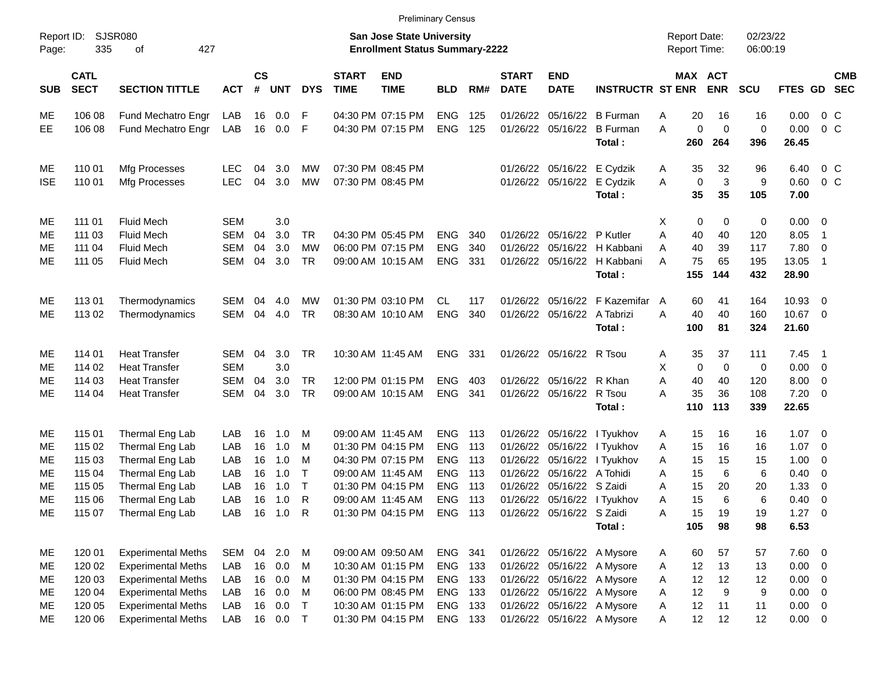|                     |                            |                             |            |                |            |            |                             | <b>Preliminary Census</b>                                                 |            |     |                             |                             |                                       |                                     |                       |                    |                      |                      |                          |                          |
|---------------------|----------------------------|-----------------------------|------------|----------------|------------|------------|-----------------------------|---------------------------------------------------------------------------|------------|-----|-----------------------------|-----------------------------|---------------------------------------|-------------------------------------|-----------------------|--------------------|----------------------|----------------------|--------------------------|--------------------------|
| Report ID:<br>Page: | 335                        | <b>SJSR080</b><br>427<br>οf |            |                |            |            |                             | <b>San Jose State University</b><br><b>Enrollment Status Summary-2222</b> |            |     |                             |                             |                                       | <b>Report Date:</b><br>Report Time: |                       |                    | 02/23/22<br>06:00:19 |                      |                          |                          |
| <b>SUB</b>          | <b>CATL</b><br><b>SECT</b> | <b>SECTION TITTLE</b>       | <b>ACT</b> | <b>CS</b><br># | <b>UNT</b> | <b>DYS</b> | <b>START</b><br><b>TIME</b> | <b>END</b><br><b>TIME</b>                                                 | <b>BLD</b> | RM# | <b>START</b><br><b>DATE</b> | <b>END</b><br><b>DATE</b>   | <b>INSTRUCTR ST ENR</b>               |                                     | MAX ACT<br><b>ENR</b> |                    | <b>SCU</b>           | <b>FTES GD</b>       |                          | <b>CMB</b><br><b>SEC</b> |
| MЕ                  | 106 08                     | Fund Mechatro Engr          | LAB        | 16             | 0.0        | F          |                             | 04:30 PM 07:15 PM                                                         | <b>ENG</b> | 125 | 01/26/22                    |                             | 05/16/22 B Furman                     | Α                                   | 20                    | 16                 | 16                   | 0.00                 | $0\,$ C                  |                          |
| EE                  | 106 08                     | Fund Mechatro Engr          | LAB        | 16             | 0.0        | -F         |                             | 04:30 PM 07:15 PM                                                         | <b>ENG</b> | 125 |                             |                             | 01/26/22 05/16/22 B Furman<br>Total:  | A<br>260                            | $\mathbf 0$           | $\mathbf 0$<br>264 | $\mathbf 0$<br>396   | 0.00<br>26.45        | $0\,$ C                  |                          |
| ME.                 | 110 01                     | Mfg Processes               | <b>LEC</b> | 04             | 3.0        | МW         |                             | 07:30 PM 08:45 PM                                                         |            |     |                             |                             | 01/26/22 05/16/22 E Cydzik            | A                                   | 35                    | 32                 | 96                   | 6.40                 | $0\,$ C                  |                          |
| <b>ISE</b>          | 110 01                     | Mfg Processes               | <b>LEC</b> | 04             | 3.0        | MW         |                             | 07:30 PM 08:45 PM                                                         |            |     |                             | 01/26/22 05/16/22 E Cydzik  | Total:                                | A                                   | $\mathbf 0$<br>35     | 3<br>35            | 9<br>105             | 0.60<br>7.00         | $0\,$ C                  |                          |
| ME                  | 111 01                     | <b>Fluid Mech</b>           | <b>SEM</b> |                | 3.0        |            |                             |                                                                           |            |     |                             |                             |                                       | х                                   | 0                     | 0                  | 0                    | $0.00 \t 0$          |                          |                          |
| ME                  | 111 03                     | <b>Fluid Mech</b>           | <b>SEM</b> | 04             | 3.0        | <b>TR</b>  |                             | 04:30 PM 05:45 PM                                                         | <b>ENG</b> | 340 |                             | 01/26/22 05/16/22 P Kutler  |                                       | A                                   | 40                    | 40                 | 120                  | 8.05                 | $\overline{1}$           |                          |
| MЕ                  | 111 04                     | <b>Fluid Mech</b>           | <b>SEM</b> | 04             | 3.0        | МW         |                             | 06:00 PM 07:15 PM                                                         | <b>ENG</b> | 340 | 01/26/22                    |                             | 05/16/22 H Kabbani                    | Α                                   | 40                    | 39                 | 117                  | 7.80                 | $\overline{\phantom{0}}$ |                          |
| ME                  | 111 05                     | <b>Fluid Mech</b>           | SEM        | 04             | 3.0        | TR         |                             | 09:00 AM 10:15 AM                                                         | <b>ENG</b> | 331 |                             |                             | 01/26/22 05/16/22 H Kabbani<br>Total: | A<br>155                            | 75                    | 65<br>144          | 195<br>432           | 13.05<br>28.90       | $\overline{1}$           |                          |
| ME                  | 11301                      | Thermodynamics              | SEM        | 04             | 4.0        | МW         |                             | 01:30 PM 03:10 PM                                                         | <b>CL</b>  | 117 | 01/26/22                    |                             | 05/16/22 F Kazemifar                  | A                                   | 60                    | 41                 | 164                  | 10.93                | $\overline{\phantom{0}}$ |                          |
| ME.                 | 113 02                     | Thermodynamics              | SEM        | 04             | 4.0        | TR         |                             | 08:30 AM 10:10 AM                                                         | <b>ENG</b> | 340 |                             | 01/26/22 05/16/22 A Tabrizi |                                       | A                                   | 40                    | 40                 | 160                  | 10.67 0              |                          |                          |
|                     |                            |                             |            |                |            |            |                             |                                                                           |            |     |                             |                             | Total:                                | 100                                 |                       | 81                 | 324                  | 21.60                |                          |                          |
| ME                  | 114 01                     | <b>Heat Transfer</b>        | <b>SEM</b> | 04             | 3.0        | <b>TR</b>  |                             | 10:30 AM 11:45 AM                                                         | <b>ENG</b> | 331 |                             | 01/26/22 05/16/22 R Tsou    |                                       | Α                                   | 35                    | 37                 | 111                  | 7.45                 | $\blacksquare$ 1         |                          |
| ME                  | 114 02                     | <b>Heat Transfer</b>        | <b>SEM</b> |                | 3.0        |            |                             |                                                                           |            |     |                             |                             |                                       | х                                   | 0                     | 0                  | 0                    | $0.00 \t 0$          |                          |                          |
| MЕ                  | 114 03                     | <b>Heat Transfer</b>        | <b>SEM</b> | 04             | 3.0        | <b>TR</b>  |                             | 12:00 PM 01:15 PM                                                         | <b>ENG</b> | 403 |                             | 01/26/22 05/16/22 R Khan    |                                       | A                                   | 40                    | 40                 | 120                  | 8.00                 | $\overline{\phantom{0}}$ |                          |
| МE                  | 114 04                     | <b>Heat Transfer</b>        | SEM        | 04             | 3.0        | <b>TR</b>  |                             | 09:00 AM 10:15 AM                                                         | <b>ENG</b> | 341 |                             | 01/26/22 05/16/22 R Tsou    | Total:                                | A<br>110                            | 35                    | 36<br>113          | 108<br>339           | $7.20 \t 0$<br>22.65 |                          |                          |
|                     |                            |                             |            |                |            |            |                             |                                                                           |            |     |                             |                             |                                       |                                     |                       |                    |                      |                      |                          |                          |
| ME.                 | 115 01                     | Thermal Eng Lab             | LAB        | 16             | 1.0        | M          |                             | 09:00 AM 11:45 AM                                                         | <b>ENG</b> | 113 |                             |                             | 01/26/22 05/16/22 l Tyukhov           | A                                   | 15                    | 16                 | 16                   | $1.07 \t 0$          |                          |                          |
| MЕ                  | 115 02                     | Thermal Eng Lab             | LAB        | 16             | 1.0        | M          |                             | 01:30 PM 04:15 PM                                                         | <b>ENG</b> | 113 | 01/26/22                    |                             | 05/16/22 I Tyukhov                    | A                                   | 15                    | 16                 | 16                   | 1.07                 | $\overline{\phantom{0}}$ |                          |
| MЕ                  | 115 03                     | Thermal Eng Lab             | LAB        | 16             | 1.0        | M          |                             | 04:30 PM 07:15 PM                                                         | <b>ENG</b> | 113 | 01/26/22                    |                             | 05/16/22   Tyukhov                    | Α                                   | 15                    | 15                 | 15                   | 1.00                 | $\overline{\phantom{0}}$ |                          |
| MЕ                  | 115 04                     | Thermal Eng Lab             | LAB        | 16             | 1.0        | $\top$     |                             | 09:00 AM 11:45 AM                                                         | <b>ENG</b> | 113 | 01/26/22                    | 05/16/22 A Tohidi           |                                       | Α                                   | 15                    | 6                  | 6                    | 0.40                 | $\overline{\phantom{0}}$ |                          |
| ME                  | 115 05                     | Thermal Eng Lab             | LAB        | 16             | 1.0        | $\top$     |                             | 01:30 PM 04:15 PM                                                         | <b>ENG</b> | 113 | 01/26/22                    | 05/16/22 S Zaidi            |                                       | Α                                   | 15                    | 20                 | 20                   | 1.33                 | $\overline{\mathbf{0}}$  |                          |
| ME                  | 115 06                     | Thermal Eng Lab             | LAB        | 16             | 1.0        | R          |                             | 09:00 AM 11:45 AM                                                         | <b>ENG</b> | 113 |                             |                             | 01/26/22 05/16/22 l Tyukhov           | Α                                   | 15                    | 6                  | 6                    | 0.40                 | $\overline{\phantom{0}}$ |                          |
| ME                  | 115 07                     | Thermal Eng Lab             | LAB        |                | 16 1.0 R   |            |                             | 01:30 PM 04:15 PM                                                         | ENG 113    |     |                             | 01/26/22 05/16/22 S Zaidi   |                                       | Α                                   | 15                    | 19                 | 19                   | $1.27 \t 0$          |                          |                          |
|                     |                            |                             |            |                |            |            |                             |                                                                           |            |     |                             |                             | Total:                                | 105                                 |                       | 98                 | 98                   | 6.53                 |                          |                          |
| ME                  | 120 01                     | <b>Experimental Meths</b>   | SEM        | 04             | 2.0 M      |            |                             | 09:00 AM 09:50 AM                                                         | ENG 341    |     |                             |                             | 01/26/22 05/16/22 A Mysore            | A                                   | 60                    | 57                 | 57                   | 7.60 0               |                          |                          |
| ME                  | 120 02                     | <b>Experimental Meths</b>   | LAB        | 16             | 0.0        | M          |                             | 10:30 AM 01:15 PM                                                         | <b>ENG</b> | 133 |                             |                             | 01/26/22 05/16/22 A Mysore            | Α                                   | 12                    | 13                 | 13                   | $0.00 \t 0$          |                          |                          |
| ME                  | 120 03                     | <b>Experimental Meths</b>   | LAB        |                | 16 0.0     | M          |                             | 01:30 PM 04:15 PM                                                         | <b>ENG</b> | 133 |                             |                             | 01/26/22 05/16/22 A Mysore            | A                                   | 12                    | 12                 | 12                   | $0.00 \t 0$          |                          |                          |
| ME                  | 120 04                     | <b>Experimental Meths</b>   | LAB        | 16             | 0.0        | M          |                             | 06:00 PM 08:45 PM                                                         | <b>ENG</b> | 133 |                             |                             | 01/26/22 05/16/22 A Mysore            | Α                                   | 12                    | 9                  | 9                    | $0.00 \t 0$          |                          |                          |
| ME                  | 120 05                     | <b>Experimental Meths</b>   | LAB        |                | 16 0.0     | $\top$     |                             | 10:30 AM 01:15 PM                                                         | <b>ENG</b> | 133 |                             |                             | 01/26/22 05/16/22 A Mysore            | Α                                   | 12                    | 11                 | 11                   | $0.00 \t 0$          |                          |                          |
| ME                  | 120 06                     | <b>Experimental Meths</b>   | LAB        |                | 16  0.0  T |            |                             | 01:30 PM 04:15 PM                                                         | ENG 133    |     |                             |                             | 01/26/22 05/16/22 A Mysore            | A                                   | 12                    | 12                 | 12                   | $0.00 \t 0$          |                          |                          |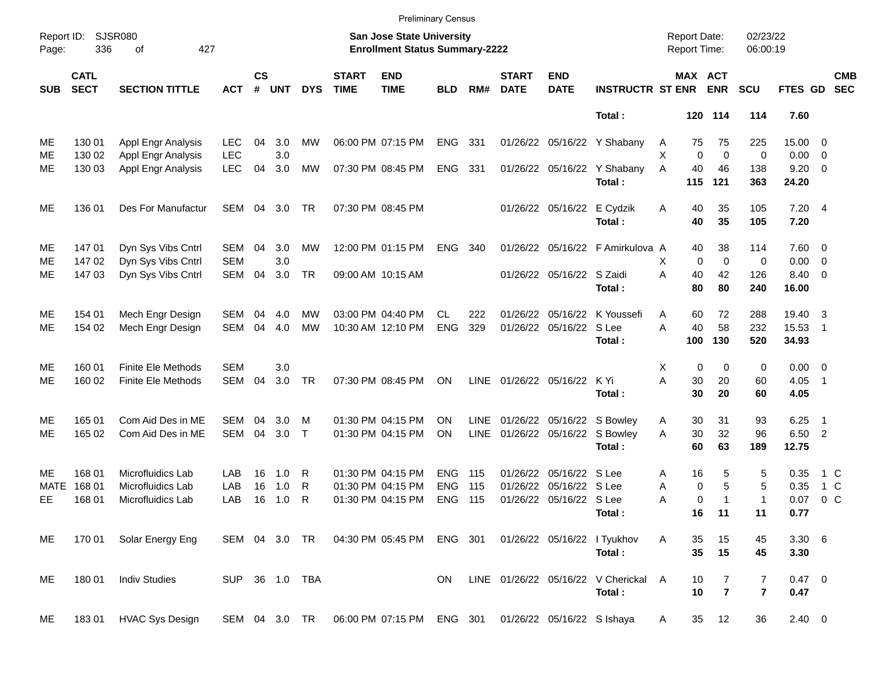|                     |                            |                             |                |                    |            |               |                             | <b>Preliminary Census</b>                                          |            |             |                             |                            |                                       |                                     |           |                       |                      |               |                          |                          |
|---------------------|----------------------------|-----------------------------|----------------|--------------------|------------|---------------|-----------------------------|--------------------------------------------------------------------|------------|-------------|-----------------------------|----------------------------|---------------------------------------|-------------------------------------|-----------|-----------------------|----------------------|---------------|--------------------------|--------------------------|
| Report ID:<br>Page: | 336                        | <b>SJSR080</b><br>427<br>of |                |                    |            |               |                             | San Jose State University<br><b>Enrollment Status Summary-2222</b> |            |             |                             |                            |                                       | <b>Report Date:</b><br>Report Time: |           |                       | 02/23/22<br>06:00:19 |               |                          |                          |
| <b>SUB</b>          | <b>CATL</b><br><b>SECT</b> | <b>SECTION TITTLE</b>       | <b>ACT</b>     | $\mathsf{cs}$<br># | <b>UNT</b> | <b>DYS</b>    | <b>START</b><br><b>TIME</b> | <b>END</b><br><b>TIME</b>                                          | <b>BLD</b> | RM#         | <b>START</b><br><b>DATE</b> | <b>END</b><br><b>DATE</b>  | <b>INSTRUCTR ST ENR</b>               |                                     |           | MAX ACT<br><b>ENR</b> | <b>SCU</b>           | FTES GD       |                          | <b>CMB</b><br><b>SEC</b> |
|                     |                            |                             |                |                    |            |               |                             |                                                                    |            |             |                             |                            | Total:                                |                                     |           | 120 114               | 114                  | 7.60          |                          |                          |
| МE                  | 130 01                     | Appl Engr Analysis          | <b>LEC</b>     | 04                 | 3.0        | MW            |                             | 06:00 PM 07:15 PM                                                  | <b>ENG</b> | 331         |                             | 01/26/22 05/16/22          | Y Shabany                             | A                                   | 75        | 75                    | 225                  | 15.00 0       |                          |                          |
| ME                  | 130 02                     | Appl Engr Analysis          | <b>LEC</b>     |                    | 3.0        |               |                             |                                                                    |            |             |                             |                            |                                       | х                                   | 0         | $\mathbf 0$           | 0                    | 0.00          | $\overline{\phantom{0}}$ |                          |
| ME                  | 130 03                     | Appl Engr Analysis          | <b>LEC</b>     | 04                 | 3.0        | MW            |                             | 07:30 PM 08:45 PM                                                  | <b>ENG</b> | - 331       |                             |                            | 01/26/22 05/16/22 Y Shabany<br>Total: | A                                   | 40<br>115 | 46<br>121             | 138<br>363           | 9.20<br>24.20 | $\overline{\phantom{0}}$ |                          |
|                     |                            |                             |                |                    |            |               |                             |                                                                    |            |             |                             |                            |                                       |                                     |           |                       |                      |               |                          |                          |
| ME                  | 136 01                     | Des For Manufactur          | SEM            |                    | 04 3.0     | TR            |                             | 07:30 PM 08:45 PM                                                  |            |             |                             | 01/26/22 05/16/22 E Cydzik | Total:                                | Α                                   | 40<br>40  | 35<br>35              | 105<br>105           | 7.204<br>7.20 |                          |                          |
| ME                  | 14701                      | Dyn Sys Vibs Cntrl          | SEM            | 04                 | 3.0        | MW            |                             | 12:00 PM 01:15 PM                                                  | <b>ENG</b> | 340         |                             |                            | 01/26/22 05/16/22 F Amirkulova A      |                                     | 40        | 38                    | 114                  | $7.60 \t 0$   |                          |                          |
| ME                  | 147 02                     | Dyn Sys Vibs Cntrl          | <b>SEM</b>     |                    | 3.0        |               |                             |                                                                    |            |             |                             |                            |                                       | х                                   | 0         | $\mathbf 0$           | 0                    | $0.00 \t 0$   |                          |                          |
| ME                  | 14703                      | Dyn Sys Vibs Cntrl          | <b>SEM</b>     | 04                 | 3.0        | <b>TR</b>     |                             | 09:00 AM 10:15 AM                                                  |            |             |                             | 01/26/22 05/16/22 S Zaidi  |                                       | A                                   | 40        | 42                    | 126                  | 8.40 0        |                          |                          |
|                     |                            |                             |                |                    |            |               |                             |                                                                    |            |             |                             |                            | Total:                                |                                     | 80        | 80                    | 240                  | 16.00         |                          |                          |
| ME                  | 154 01                     | Mech Engr Design            | <b>SEM</b>     | 04                 | 4.0        | MW            |                             | 03:00 PM 04:40 PM                                                  | CL.        | 222         | 01/26/22                    |                            | 05/16/22 K Youssefi                   | Α                                   | 60        | 72                    | 288                  | 19.40         | -3                       |                          |
| ME                  | 154 02                     | Mech Engr Design            | <b>SEM</b>     | 04                 | 4.0        | <b>MW</b>     |                             | 10:30 AM 12:10 PM                                                  | <b>ENG</b> | 329         |                             | 01/26/22 05/16/22 S Lee    |                                       | A                                   | 40        | 58                    | 232                  | 15.53         | $\overline{1}$           |                          |
|                     |                            |                             |                |                    |            |               |                             |                                                                    |            |             |                             |                            | Total:                                |                                     | 100       | 130                   | 520                  | 34.93         |                          |                          |
| ME                  | 160 01                     | <b>Finite Ele Methods</b>   | <b>SEM</b>     |                    | 3.0        |               |                             |                                                                    |            |             |                             |                            |                                       | X                                   | 0         | 0                     | 0                    | $0.00 \t 0$   |                          |                          |
| ME                  | 160 02                     | <b>Finite Ele Methods</b>   | <b>SEM</b>     | 04                 | 3.0        | <b>TR</b>     |                             | 07:30 PM 08:45 PM                                                  | ΟN         | LINE        | 01/26/22 05/16/22           |                            | K Yi                                  | A                                   | 30        | 20                    | 60                   | 4.05          | $\overline{1}$           |                          |
|                     |                            |                             |                |                    |            |               |                             |                                                                    |            |             |                             |                            | Total:                                |                                     | 30        | 20                    | 60                   | 4.05          |                          |                          |
| ME                  | 165 01                     | Com Aid Des in ME           | SEM            | 04                 | 3.0        | м             |                             | 01:30 PM 04:15 PM                                                  | ΟN         | <b>LINE</b> | 01/26/22                    |                            | 05/16/22 S Bowley                     | Α                                   | 30        | 31                    | 93                   | 6.25          | - 1                      |                          |
| ME                  | 165 02                     | Com Aid Des in ME           | <b>SEM</b>     | 04                 | 3.0        | $\top$        |                             | 01:30 PM 04:15 PM                                                  | ON         | <b>LINE</b> |                             |                            | 01/26/22 05/16/22 S Bowley            | A                                   | 30        | 32                    | 96                   | 6.50 2        |                          |                          |
|                     |                            |                             |                |                    |            |               |                             |                                                                    |            |             |                             |                            | Total:                                |                                     | 60        | 63                    | 189                  | 12.75         |                          |                          |
| ME                  | 168 01                     | Microfluidics Lab           | LAB            | 16                 | 1.0        | R             |                             | 01:30 PM 04:15 PM                                                  | <b>ENG</b> | 115         | 01/26/22                    | 05/16/22 S Lee             |                                       | Α                                   | 16        | 5                     | 5                    | 0.35          | 1 C                      |                          |
| <b>MATE</b>         | 168 01                     | Microfluidics Lab           | LAB            | 16                 | 1.0        | R             |                             | 01:30 PM 04:15 PM                                                  | <b>ENG</b> | 115         | 01/26/22                    | 05/16/22 S Lee             |                                       | Α                                   | 0         | 5                     | 5                    | 0.35          | $1\,C$                   |                          |
| EЕ                  | 168 01                     | Microfluidics Lab           | LAB            | 16                 | 1.0        | R             |                             | 01:30 PM 04:15 PM                                                  | <b>ENG</b> | - 115       |                             | 01/26/22 05/16/22 S Lee    |                                       | Α                                   | 0         | 1                     | 1                    | 0.07          | 0 <sup>o</sup>           |                          |
|                     |                            |                             |                |                    |            |               |                             |                                                                    |            |             |                             |                            | Total:                                |                                     | 16        | $-11$                 | 11                   | 0.77          |                          |                          |
| ME                  | 170 01                     | Solar Energy Eng            |                |                    |            | SEM 04 3.0 TR |                             | 04:30 PM 05:45 PM                                                  | ENG 301    |             |                             |                            | 01/26/22 05/16/22 l Tyukhov           | Α                                   | 35        | 15                    | 45                   | $3.30\ 6$     |                          |                          |
|                     |                            |                             |                |                    |            |               |                             |                                                                    |            |             |                             |                            | Total:                                |                                     | 35        | 15                    | 45                   | 3.30          |                          |                          |
| ME                  | 18001                      | <b>Indiv Studies</b>        | SUP 36 1.0 TBA |                    |            |               |                             |                                                                    | ON.        |             |                             |                            | LINE 01/26/22 05/16/22 V Cherickal    | A                                   | 10        | 7                     | 7                    | 0.47 0        |                          |                          |
|                     |                            |                             |                |                    |            |               |                             |                                                                    |            |             |                             |                            | Total:                                |                                     | 10        | $\overline{7}$        | $\overline{7}$       | 0.47          |                          |                          |
| ME                  | 18301                      | <b>HVAC Sys Design</b>      |                |                    |            | SEM 04 3.0 TR |                             | 06:00 PM 07:15 PM ENG 301                                          |            |             |                             | 01/26/22 05/16/22 S Ishaya |                                       | A                                   | 35        | 12                    | 36                   | $2.40 \ 0$    |                          |                          |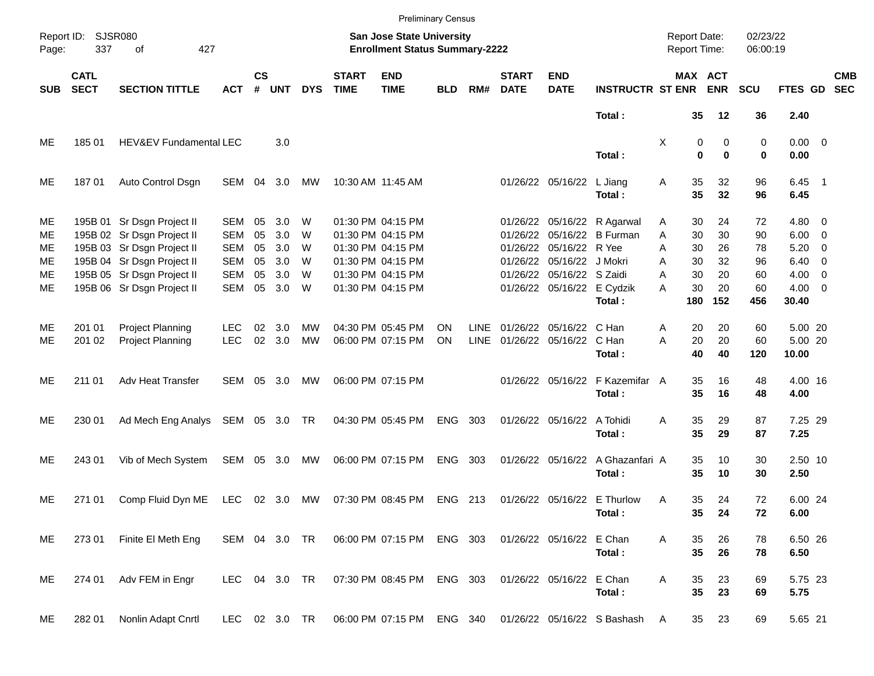|                     |                            |                                                          |                          |                    |            |            |                             |                                                                           | <b>Preliminary Census</b> |             |                             |                                                         |                                                           |                                     |                              |                      |                                   |                          |                          |
|---------------------|----------------------------|----------------------------------------------------------|--------------------------|--------------------|------------|------------|-----------------------------|---------------------------------------------------------------------------|---------------------------|-------------|-----------------------------|---------------------------------------------------------|-----------------------------------------------------------|-------------------------------------|------------------------------|----------------------|-----------------------------------|--------------------------|--------------------------|
| Report ID:<br>Page: | 337                        | <b>SJSR080</b><br>427<br>of                              |                          |                    |            |            |                             | <b>San Jose State University</b><br><b>Enrollment Status Summary-2222</b> |                           |             |                             |                                                         |                                                           | <b>Report Date:</b><br>Report Time: |                              | 02/23/22<br>06:00:19 |                                   |                          |                          |
| <b>SUB</b>          | <b>CATL</b><br><b>SECT</b> | <b>SECTION TITTLE</b>                                    | <b>ACT</b>               | $\mathsf{cs}$<br># | <b>UNT</b> | <b>DYS</b> | <b>START</b><br><b>TIME</b> | <b>END</b><br><b>TIME</b>                                                 | <b>BLD</b>                | RM#         | <b>START</b><br><b>DATE</b> | <b>END</b><br><b>DATE</b>                               | <b>INSTRUCTR ST ENR ENR</b>                               |                                     | MAX ACT                      | <b>SCU</b>           | FTES GD                           |                          | <b>CMB</b><br><b>SEC</b> |
|                     |                            |                                                          |                          |                    |            |            |                             |                                                                           |                           |             |                             |                                                         | Total:                                                    |                                     | 35<br>12                     | 36                   | 2.40                              |                          |                          |
| ME                  | 185 01                     | HEV&EV Fundamental LEC                                   |                          |                    | 3.0        |            |                             |                                                                           |                           |             |                             |                                                         | Total:                                                    | Χ                                   | 0<br>$\bf{0}$<br>$\mathbf 0$ | 0<br>0<br>0          | $0.00 \t 0$<br>0.00               |                          |                          |
| ME                  | 18701                      | Auto Control Dsgn                                        | SEM                      | 04                 | 3.0        | MW         |                             | 10:30 AM 11:45 AM                                                         |                           |             |                             | 01/26/22 05/16/22                                       | L Jiang<br>Total:                                         | Α<br>35<br>35                       | 32<br>32                     | 96<br>96             | $6.45$ 1<br>6.45                  |                          |                          |
| ME<br>ME            |                            | 195B 01 Sr Dsgn Project II<br>195B 02 Sr Dsgn Project II | SEM<br><b>SEM</b>        | 05<br>05           | 3.0<br>3.0 | W<br>W     |                             | 01:30 PM 04:15 PM<br>01:30 PM 04:15 PM                                    |                           |             |                             |                                                         | 01/26/22 05/16/22 R Agarwal<br>01/26/22 05/16/22 B Furman | 30<br>Α<br>Α<br>30                  | 24<br>30                     | 72<br>90             | $4.80\ 0$<br>$6.00 \quad 0$       |                          |                          |
| ME<br>ME            |                            | 195B 03 Sr Dsgn Project II<br>195B 04 Sr Dsgn Project II | <b>SEM</b><br><b>SEM</b> | 05<br>05           | 3.0<br>3.0 | W<br>W     |                             | 01:30 PM 04:15 PM<br>01:30 PM 04:15 PM                                    |                           |             |                             | 01/26/22 05/16/22 R Yee<br>01/26/22 05/16/22 J Mokri    |                                                           | Α<br>30<br>30<br>A                  | 26<br>32                     | 78<br>96             | 5.20<br>$6.40 \quad 0$            | $\overline{\phantom{0}}$ |                          |
| ME<br>ME            |                            | 195B 05 Sr Dsgn Project II<br>195B 06 Sr Dsgn Project II | <b>SEM</b><br>SEM        | 05<br>05           | 3.0<br>3.0 | W<br>W     |                             | 01:30 PM 04:15 PM<br>01:30 PM 04:15 PM                                    |                           |             |                             | 01/26/22 05/16/22 S Zaidi<br>01/26/22 05/16/22 E Cydzik | Total:                                                    | 30<br>A<br>A<br>30<br>180           | 20<br>20<br>152              | 60<br>60<br>456      | $4.00 \ 0$<br>$4.00 \ 0$<br>30.40 |                          |                          |
| ME                  | 201 01                     | <b>Project Planning</b>                                  | <b>LEC</b>               | 02                 | 3.0        | MW         |                             | 04:30 PM 05:45 PM                                                         | ΟN                        | <b>LINE</b> |                             | 01/26/22 05/16/22 C Han                                 |                                                           | Α                                   | 20<br>20                     | 60                   | 5.00 20                           |                          |                          |
| ME                  | 201 02                     | <b>Project Planning</b>                                  | <b>LEC</b>               | 02                 | 3.0        | <b>MW</b>  |                             | 06:00 PM 07:15 PM                                                         | ΟN                        | <b>LINE</b> |                             | 01/26/22 05/16/22 C Han                                 | Total:                                                    | 20<br>A<br>40                       | 20<br>40                     | 60<br>120            | 5.00 20<br>10.00                  |                          |                          |
| ME                  | 211 01                     | Adv Heat Transfer                                        | SEM                      | 05                 | 3.0        | МW         |                             | 06:00 PM 07:15 PM                                                         |                           |             |                             |                                                         | 01/26/22 05/16/22 F Kazemifar A<br>Total:                 | 35<br>35                            | 16<br>16                     | 48<br>48             | 4.00 16<br>4.00                   |                          |                          |
| ME                  | 230 01                     | Ad Mech Eng Analys                                       | SEM 05 3.0 TR            |                    |            |            |                             | 04:30 PM 05:45 PM                                                         | ENG 303                   |             |                             | 01/26/22 05/16/22 A Tohidi                              | Total:                                                    | 35<br>Α<br>35                       | 29<br>29                     | 87<br>87             | 7.25 29<br>7.25                   |                          |                          |
| ME                  | 243 01                     | Vib of Mech System                                       | SEM 05 3.0               |                    |            | MW         |                             | 06:00 PM 07:15 PM                                                         | ENG 303                   |             |                             | 01/26/22 05/16/22                                       | A Ghazanfari A<br>Total:                                  | 35<br>35                            | 10<br>10                     | 30<br>30             | 2.50 10<br>2.50                   |                          |                          |
| ME                  | 271 01                     | Comp Fluid Dyn ME                                        | LEC                      |                    | 02 3.0     | MW         |                             | 07:30 PM 08:45 PM                                                         | ENG 213                   |             |                             |                                                         | 01/26/22 05/16/22 E Thurlow<br>Total:                     | 35<br>Α                             | 24<br>35<br>24               | 72<br>72             | 6.00 24<br>6.00                   |                          |                          |
| ME                  | 273 01                     | Finite El Meth Eng                                       | SEM 04 3.0 TR            |                    |            |            |                             | 06:00 PM 07:15 PM ENG 303                                                 |                           |             |                             | 01/26/22 05/16/22 E Chan                                | Total:                                                    | Α                                   | 35<br>26<br>35<br>26         | 78<br>78             | 6.50 26<br>6.50                   |                          |                          |
| ME                  | 274 01                     | Adv FEM in Engr                                          | LEC 04 3.0 TR            |                    |            |            |                             | 07:30 PM 08:45 PM ENG 303                                                 |                           |             |                             | 01/26/22 05/16/22 E Chan                                | Total:                                                    | Α                                   | 35<br>23<br>35<br>23         | 69<br>69             | 5.75 23<br>5.75                   |                          |                          |
| ME                  | 282 01                     | Nonlin Adapt Cnrtl                                       | LEC 02 3.0 TR            |                    |            |            |                             | 06:00 PM 07:15 PM ENG 340                                                 |                           |             |                             |                                                         | 01/26/22 05/16/22 S Bashash                               | A                                   | 23<br>35                     | 69                   | 5.65 21                           |                          |                          |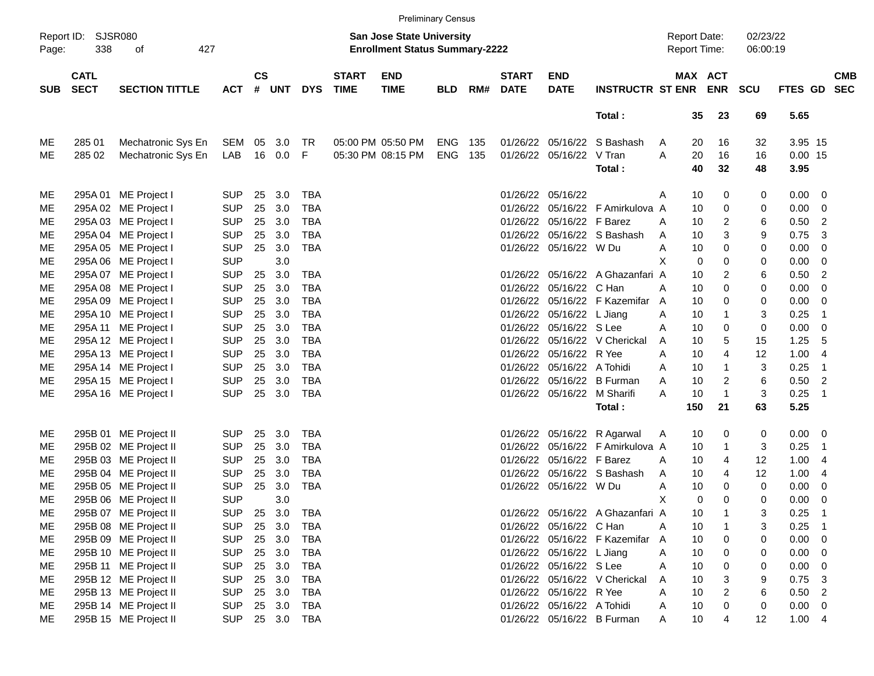|            |                            |                       |            |               |        |            |                             |                                                                           | <b>Preliminary Census</b> |     |                             |                             |                                  |                                            |          |                       |                      |                   |                            |                          |
|------------|----------------------------|-----------------------|------------|---------------|--------|------------|-----------------------------|---------------------------------------------------------------------------|---------------------------|-----|-----------------------------|-----------------------------|----------------------------------|--------------------------------------------|----------|-----------------------|----------------------|-------------------|----------------------------|--------------------------|
| Page:      | Report ID: SJSR080<br>338  | 427<br>οf             |            |               |        |            |                             | <b>San Jose State University</b><br><b>Enrollment Status Summary-2222</b> |                           |     |                             |                             |                                  | <b>Report Date:</b><br><b>Report Time:</b> |          |                       | 02/23/22<br>06:00:19 |                   |                            |                          |
| <b>SUB</b> | <b>CATL</b><br><b>SECT</b> | <b>SECTION TITTLE</b> | <b>ACT</b> | $\mathsf{cs}$ | # UNT  | <b>DYS</b> | <b>START</b><br><b>TIME</b> | <b>END</b><br><b>TIME</b>                                                 | <b>BLD</b>                | RM# | <b>START</b><br><b>DATE</b> | <b>END</b><br><b>DATE</b>   | <b>INSTRUCTR ST ENR</b>          |                                            |          | MAX ACT<br><b>ENR</b> | <b>SCU</b>           | FTES GD           |                            | <b>CMB</b><br><b>SEC</b> |
|            |                            |                       |            |               |        |            |                             |                                                                           |                           |     |                             |                             | Total:                           |                                            | 35       | 23                    | 69                   | 5.65              |                            |                          |
| ME         | 285 01                     | Mechatronic Sys En    | SEM 05     |               | 3.0    | <b>TR</b>  |                             | 05:00 PM 05:50 PM                                                         | ENG                       | 135 |                             | 01/26/22 05/16/22           | S Bashash                        | A                                          | 20       | 16                    | 32                   | 3.95 15           |                            |                          |
| ME         | 285 02                     | Mechatronic Sys En    | LAB        | 16            | 0.0    | F          |                             | 05:30 PM 08:15 PM                                                         | <b>ENG</b>                | 135 |                             | 01/26/22 05/16/22           | V Tran<br>Total:                 | A                                          | 20<br>40 | 16<br>32              | 16<br>48             | $0.00$ 15<br>3.95 |                            |                          |
| ME         |                            | 295A 01 ME Project I  | <b>SUP</b> | 25            | 3.0    | <b>TBA</b> |                             |                                                                           |                           |     | 01/26/22                    | 05/16/22                    |                                  | A                                          | 10       | 0                     | 0                    | 0.00              | - 0                        |                          |
| ME         |                            | 295A 02 ME Project I  | <b>SUP</b> | 25            | 3.0    | <b>TBA</b> |                             |                                                                           |                           |     | 01/26/22                    |                             | 05/16/22 F Amirkulova A          |                                            | 10       | 0                     | 0                    | 0.00              | - 0                        |                          |
| ME         |                            | 295A 03 ME Project I  | <b>SUP</b> | 25            | 3.0    | <b>TBA</b> |                             |                                                                           |                           |     |                             | 01/26/22 05/16/22 F Barez   |                                  | A                                          | 10       | $\overline{2}$        | 6                    | 0.50              | $\overline{2}$             |                          |
| ME         |                            | 295A 04 ME Project I  | <b>SUP</b> | 25            | 3.0    | <b>TBA</b> |                             |                                                                           |                           |     |                             |                             | 01/26/22 05/16/22 S Bashash      | A                                          | 10       | 3                     | 9                    | 0.75              | -3                         |                          |
| ME         |                            | 295A 05 ME Project I  | <b>SUP</b> | 25            | 3.0    | <b>TBA</b> |                             |                                                                           |                           |     |                             | 01/26/22 05/16/22 W Du      |                                  | A                                          | 10       | 0                     | 0                    | 0.00              | - 0                        |                          |
| ME         |                            | 295A 06 ME Project I  | <b>SUP</b> |               | 3.0    |            |                             |                                                                           |                           |     |                             |                             |                                  | X                                          | 0        | 0                     | 0                    | 0.00              | - 0                        |                          |
| <b>ME</b>  |                            | 295A 07 ME Project I  | <b>SUP</b> | 25            | 3.0    | <b>TBA</b> |                             |                                                                           |                           |     |                             |                             | 01/26/22 05/16/22 A Ghazanfari A |                                            | 10       | $\overline{2}$        | 6                    | 0.50              | $\overline{2}$             |                          |
| ME         |                            | 295A 08 ME Project I  | <b>SUP</b> | 25            | 3.0    | <b>TBA</b> |                             |                                                                           |                           |     | 01/26/22                    | 05/16/22 C Han              |                                  | A                                          | 10       | $\mathbf 0$           | 0                    | 0.00              | $\overline{0}$             |                          |
| ME         |                            | 295A 09 ME Project I  | <b>SUP</b> | 25            | 3.0    | <b>TBA</b> |                             |                                                                           |                           |     | 01/26/22                    |                             | 05/16/22 F Kazemifar A           |                                            | 10       | 0                     | 0                    | 0.00              | $\overline{0}$             |                          |
| <b>ME</b>  |                            | 295A 10 ME Project I  | <b>SUP</b> | 25            | 3.0    | <b>TBA</b> |                             |                                                                           |                           |     |                             | 01/26/22 05/16/22 L Jiang   |                                  | A                                          | 10       | $\mathbf{1}$          | 3                    | 0.25              | $\overline{1}$             |                          |
| ME         |                            | 295A 11 ME Project I  | <b>SUP</b> | 25            | 3.0    | <b>TBA</b> |                             |                                                                           |                           |     |                             | 01/26/22 05/16/22 S Lee     |                                  | A                                          | 10       | 0                     | 0                    | 0.00              | $\overline{0}$             |                          |
| ME         |                            | 295A 12 ME Project I  | <b>SUP</b> | 25            | 3.0    | <b>TBA</b> |                             |                                                                           |                           |     | 01/26/22                    |                             | 05/16/22 V Cherickal             | A                                          | 10       | 5                     | 15                   | 1.25              | -5                         |                          |
| ME         |                            | 295A 13 ME Project I  | <b>SUP</b> | 25            | 3.0    | <b>TBA</b> |                             |                                                                           |                           |     | 01/26/22                    | 05/16/22 R Yee              |                                  | A                                          | 10       | $\overline{4}$        | 12                   | 1.00              | $\overline{4}$             |                          |
| ME         |                            | 295A 14 ME Project I  | <b>SUP</b> | 25            | 3.0    | <b>TBA</b> |                             |                                                                           |                           |     |                             | 01/26/22 05/16/22 A Tohidi  |                                  | A                                          | 10       | $\mathbf{1}$          | 3                    | 0.25              | $\overline{1}$             |                          |
| ME         |                            | 295A 15 ME Project I  | <b>SUP</b> | 25            | 3.0    | <b>TBA</b> |                             |                                                                           |                           |     | 01/26/22                    |                             | 05/16/22 B Furman                | A                                          | 10       | $\overline{2}$        | 6                    | 0.50              | $\overline{2}$             |                          |
| ME         |                            | 295A 16 ME Project I  | <b>SUP</b> | 25            | 3.0    | <b>TBA</b> |                             |                                                                           |                           |     |                             | 01/26/22 05/16/22 M Sharifi |                                  | A                                          | 10       | $\overline{1}$        | 3                    | 0.25              | $\overline{1}$             |                          |
|            |                            |                       |            |               |        |            |                             |                                                                           |                           |     |                             |                             | Total:                           |                                            | 150      | 21                    | 63                   | 5.25              |                            |                          |
| ME         |                            | 295B 01 ME Project II | <b>SUP</b> | 25            | 3.0    | <b>TBA</b> |                             |                                                                           |                           |     |                             |                             | 01/26/22 05/16/22 R Agarwal      | A                                          | 10       | 0                     | 0                    | 0.00              | - 0                        |                          |
| ME         |                            | 295B 02 ME Project II | <b>SUP</b> | 25            | 3.0    | <b>TBA</b> |                             |                                                                           |                           |     | 01/26/22                    |                             | 05/16/22 F Amirkulova A          |                                            | 10       | $\mathbf 1$           | 3                    | 0.25              | $\overline{1}$             |                          |
| ME         |                            | 295B 03 ME Project II | <b>SUP</b> | 25            | 3.0    | <b>TBA</b> |                             |                                                                           |                           |     |                             | 01/26/22 05/16/22 F Barez   |                                  | A                                          | 10       | 4                     | 12                   | 1.00              | -4                         |                          |
| ME         |                            | 295B 04 ME Project II | <b>SUP</b> | 25            | 3.0    | <b>TBA</b> |                             |                                                                           |                           |     |                             |                             | 01/26/22 05/16/22 S Bashash      | A                                          | 10       | 4                     | 12                   | 1.00              | -4                         |                          |
| ME         |                            | 295B 05 ME Project II | <b>SUP</b> | 25            | 3.0    | <b>TBA</b> |                             |                                                                           |                           |     |                             | 01/26/22 05/16/22 W Du      |                                  | A                                          | 10       | 0                     | $\mathbf 0$          | 0.00              | - 0                        |                          |
| <b>ME</b>  |                            | 295B 06 ME Project II | <b>SUP</b> |               | 3.0    |            |                             |                                                                           |                           |     |                             |                             |                                  | X                                          | 0        | $\Omega$              | $\Omega$             | 0.00              | - 0                        |                          |
| ME         |                            | 295B 07 ME Project II | <b>SUP</b> | 25            | 3.0    | TBA        |                             |                                                                           |                           |     |                             |                             | 01/26/22 05/16/22 A Ghazanfari A |                                            | 10       | -1                    | 3                    | 0.25              | $\overline{\phantom{0}}$ 1 |                          |
| ME         |                            | 295B 08 ME Project II | <b>SUP</b> |               | 25 3.0 | <b>TBA</b> |                             |                                                                           |                           |     |                             | 01/26/22 05/16/22 C Han     |                                  | Α                                          | 10       | $\mathbf{1}$          | 3                    | 0.25              | $\overline{\phantom{1}}$   |                          |
| ME         |                            | 295B 09 ME Project II | <b>SUP</b> |               | 25 3.0 | <b>TBA</b> |                             |                                                                           |                           |     |                             |                             | 01/26/22 05/16/22 F Kazemifar A  |                                            | 10       | 0                     | 0                    | $0.00 \t 0$       |                            |                          |
| ME         |                            | 295B 10 ME Project II | <b>SUP</b> |               | 25 3.0 | <b>TBA</b> |                             |                                                                           |                           |     |                             | 01/26/22 05/16/22 L Jiang   |                                  | Α                                          | 10       | 0                     | 0                    | $0.00 \t 0$       |                            |                          |
| ME         |                            | 295B 11 ME Project II | <b>SUP</b> |               | 25 3.0 | <b>TBA</b> |                             |                                                                           |                           |     |                             | 01/26/22 05/16/22 S Lee     |                                  | Α                                          | 10       | 0                     | 0                    | $0.00 \t 0$       |                            |                          |
| ME         |                            | 295B 12 ME Project II | <b>SUP</b> |               | 25 3.0 | <b>TBA</b> |                             |                                                                           |                           |     |                             |                             | 01/26/22 05/16/22 V Cherickal    | A                                          | 10       | 3                     | 9                    | $0.75$ 3          |                            |                          |
| ME         |                            | 295B 13 ME Project II | <b>SUP</b> |               | 25 3.0 | <b>TBA</b> |                             |                                                                           |                           |     |                             | 01/26/22 05/16/22 R Yee     |                                  | A                                          | 10       | $\overline{2}$        | 6                    | $0.50$ 2          |                            |                          |
| ME         |                            | 295B 14 ME Project II | <b>SUP</b> |               | 25 3.0 | TBA        |                             |                                                                           |                           |     |                             | 01/26/22 05/16/22 A Tohidi  |                                  | A                                          | 10       | 0                     | 0                    | $0.00 \t 0$       |                            |                          |
| ME         |                            | 295B 15 ME Project II | <b>SUP</b> |               | 25 3.0 | TBA        |                             |                                                                           |                           |     |                             |                             | 01/26/22 05/16/22 B Furman       | A                                          | 10       | 4                     | 12                   | 1.004             |                            |                          |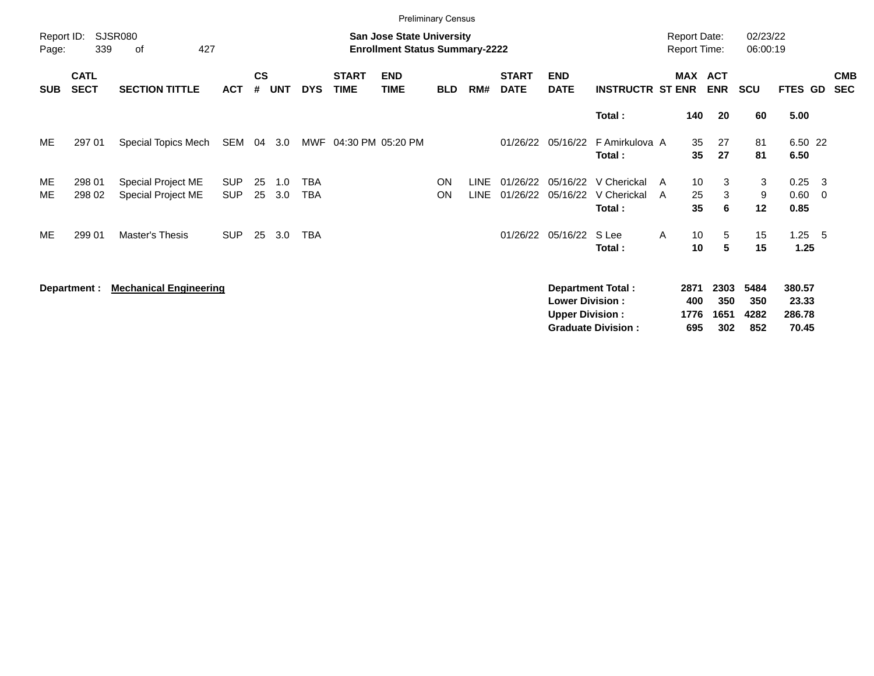|                     |                            |                                          |                   |                    |            |                   |                             |                                                                           | <b>Preliminary Census</b> |                     |                             |                                                  |                                                       |        |                                            |                            |                            |                                       |                          |
|---------------------|----------------------------|------------------------------------------|-------------------|--------------------|------------|-------------------|-----------------------------|---------------------------------------------------------------------------|---------------------------|---------------------|-----------------------------|--------------------------------------------------|-------------------------------------------------------|--------|--------------------------------------------|----------------------------|----------------------------|---------------------------------------|--------------------------|
| Report ID:<br>Page: | 339                        | <b>SJSR080</b><br>427<br>оf              |                   |                    |            |                   |                             | <b>San Jose State University</b><br><b>Enrollment Status Summary-2222</b> |                           |                     |                             |                                                  |                                                       |        | <b>Report Date:</b><br><b>Report Time:</b> |                            | 02/23/22<br>06:00:19       |                                       |                          |
| <b>SUB</b>          | <b>CATL</b><br><b>SECT</b> | <b>SECTION TITTLE</b>                    | <b>ACT</b>        | $\mathsf{cs}$<br># | <b>UNT</b> | <b>DYS</b>        | <b>START</b><br><b>TIME</b> | <b>END</b><br><b>TIME</b>                                                 | <b>BLD</b>                | RM#                 | <b>START</b><br><b>DATE</b> | <b>END</b><br><b>DATE</b>                        | <b>INSTRUCTR ST ENR</b>                               |        | MAX ACT                                    | <b>ENR</b>                 | <b>SCU</b>                 | FTES GD                               | <b>CMB</b><br><b>SEC</b> |
|                     |                            |                                          |                   |                    |            |                   |                             |                                                                           |                           |                     |                             |                                                  | Total:                                                |        | 140                                        | 20                         | 60                         | 5.00                                  |                          |
| ME                  | 297 01                     | Special Topics Mech                      | SEM               | 04                 | 3.0        |                   | MWF 04:30 PM 05:20 PM       |                                                                           |                           |                     | 01/26/22                    | 05/16/22                                         | F Amirkulova A<br>Total:                              |        | 35<br>35                                   | 27<br>27                   | 81<br>81                   | 6.50 22<br>6.50                       |                          |
| ME<br>ME            | 298 01<br>298 02           | Special Project ME<br>Special Project ME | SUP<br><b>SUP</b> | 25<br>25           | 1.0<br>3.0 | <b>TBA</b><br>TBA |                             |                                                                           | ON<br>ON                  | <b>LINE</b><br>LINE | 01/26/22<br>01/26/22        | 05/16/22<br>05/16/22                             | V Cherickal<br>V Cherickal<br>Total:                  | A<br>A | 10<br>25<br>35                             | 3<br>3<br>6                | 3<br>9<br>12               | $0.25 \quad 3$<br>$0.60 \t 0$<br>0.85 |                          |
| ME                  | 299 01                     | Master's Thesis                          | <b>SUP</b>        | 25                 | 3.0        | <b>TBA</b>        |                             |                                                                           |                           |                     | 01/26/22                    | 05/16/22                                         | S Lee<br>Total:                                       | A      | 10<br>10                                   | 5<br>5                     | 15<br>15                   | $1.25$ 5<br>1.25                      |                          |
|                     | Department :               | <b>Mechanical Engineering</b>            |                   |                    |            |                   |                             |                                                                           |                           |                     |                             | <b>Lower Division:</b><br><b>Upper Division:</b> | <b>Department Total:</b><br><b>Graduate Division:</b> |        | 2871<br>400<br>1776<br>695                 | 2303<br>350<br>1651<br>302 | 5484<br>350<br>4282<br>852 | 380.57<br>23.33<br>286.78<br>70.45    |                          |